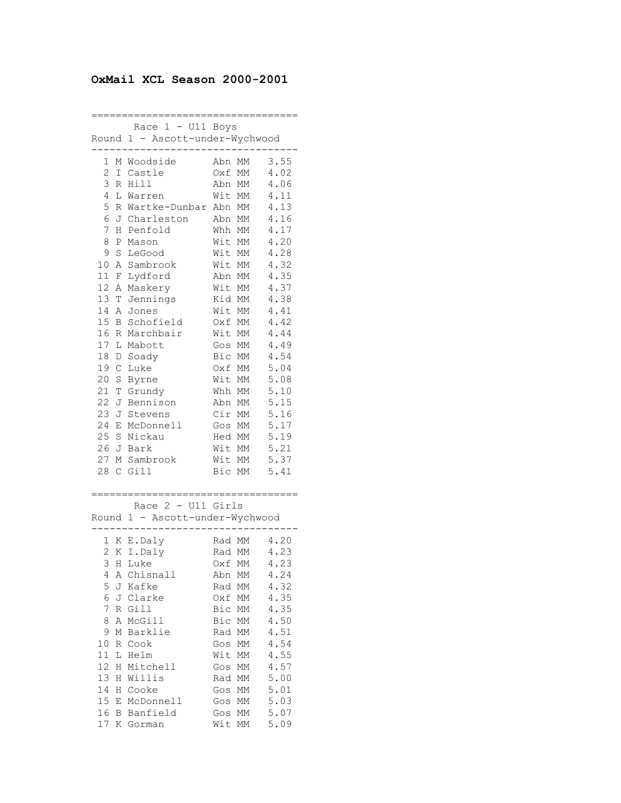## **OxMail XCL Season 2000-2001**

================================== Race 1 - U11 Boys Round 1 - Ascott-under-Wychwood ---------------------------------- 1 M Woodside Abn MM 3.55 2 I Castle Oxf MM 4.02 3 R Hill Abn MM 4.06 4 L Warren Wit MM 4.11 5 R Wartke-Dunbar Abn MM 4.13 6 J Charleston Abn MM 4.16 7 H Penfold Whh MM 4.17 8 P Mason Wit MM 4.20 9 S LeGood Wit MM 4.28 10 A Sambrook Wit MM 4.32 11 F Lydford Abn MM 4.35 12 A Maskery Wit MM 4.37 13 T Jennings Kid MM 4.38 14 A Jones Wit MM 4.41 15 B Schofield Oxf MM 4.42 16 R Marchbair Wit MM 4.44 17 L Mabott Gos MM 4.49 18 D Soady Bic MM 4.54 19 C Luke Oxf MM 5.04 20 S Byrne Wit MM 5.08 21 T Grundy Whh MM 5.10 22 J Bennison Abn MM 5.15 23 J Stevens Cir MM 5.16 24 E McDonnell Gos MM 5.17 25 S Nickau Hed MM 5.19 26 J Bark Wit MM 5.21 27 M Sambrook Wit MM 5.37 28 C Gill Bic MM 5.41 ================================== Race 2 - U11 Girls Round 1 - Ascott-under-Wychwood ---------------------------------- 1 K E.Daly Rad MM 4.20 2 K I.Daly Rad MM 4.23

|    |   | 2 K I.Daly  | Rad MM | 4.23 |
|----|---|-------------|--------|------|
| 3  |   | H Luke      | Oxf MM | 4.23 |
| 4  |   | A Chisnall  | Abn MM | 4.24 |
| 5. |   | J Kafke     | Rad MM | 4.32 |
| 6  |   | J Clarke    | Oxf MM | 4.35 |
| 7  |   | R Gill      | Bic MM | 4.35 |
| 8  |   | A McGill    | Bic MM | 4.50 |
| 9  |   | M Barklie   | Rad MM | 4.51 |
| 10 |   | R Cook      | Gos MM | 4.54 |
| 11 |   | L Helm      | Wit MM | 4.55 |
| 12 |   | H Mitchell  | Gos MM | 4.57 |
| 13 |   | H Willis    | Rad MM | 5.00 |
| 14 |   | H Cooke     | Gos MM | 5.01 |
| 15 |   | E McDonnell | Gos MM | 5.03 |
| 16 | B | Banfield    | Gos MM | 5.07 |
| 17 |   | K Gorman    | Wit MM | 5.09 |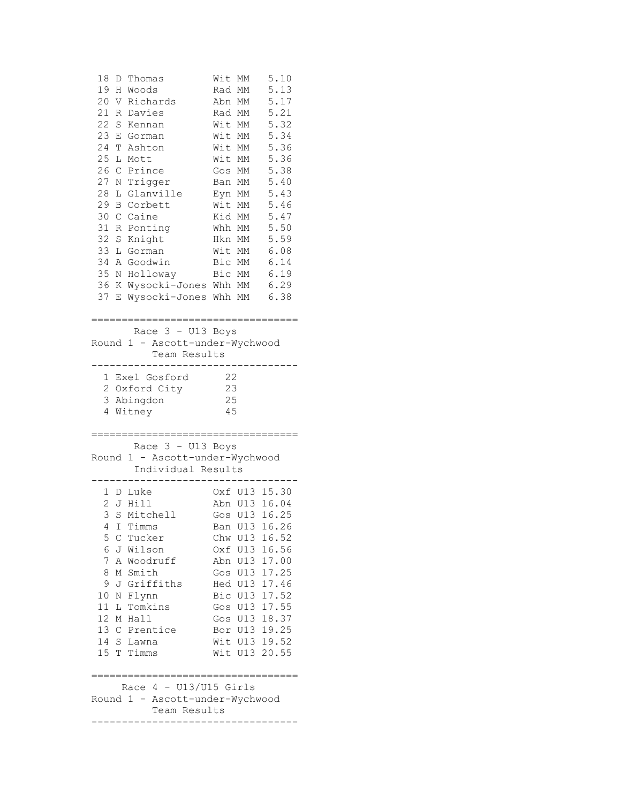| 18<br>Thomas<br>D<br>19<br>Woods<br>H<br>20<br>V Richards<br>21<br>R<br>Davies<br>22<br>S<br>Kennan<br>23<br>Ε<br>Gorman<br>24<br>Т<br>Ashton<br>25<br>L<br>Mott<br>26<br>Prince<br>C<br>27<br>Trigger<br>Ν<br>28<br>Glanville<br>L<br>29<br>B<br>Corbett<br>30<br>Caine<br>C<br>31<br>Ponting<br>R<br>32<br>Knight<br>S<br>33<br>L Gorman<br>34<br>A Goodwin<br>35<br>Holloway<br>N<br>36<br>Wysocki-Jones Whh MM<br>K<br>37<br>Wysocki-Jones<br>Е<br>:=================================== | 5.10<br>Wit MM<br>5.13<br>Rad MM<br>5.17<br>Abn MM<br>5.21<br>Rad MM<br>5.32<br>Wit MM<br>5.34<br>Wit MM<br>5.36<br>Wit MM<br>5.36<br>Wit MM<br>5.38<br>Gos MM<br>5.40<br>Ban MM<br>Eyn MM<br>5.43<br>Wit MM<br>5.46<br>5.47<br>Kid MM<br>5.50<br>Whh MM<br>5.59<br>Hkn MM<br>Wit MM<br>6.08<br>Bic MM<br>6.14<br>6.19<br>Bic MM<br>6.29<br>Whh MM<br>6.38 |  |
|---------------------------------------------------------------------------------------------------------------------------------------------------------------------------------------------------------------------------------------------------------------------------------------------------------------------------------------------------------------------------------------------------------------------------------------------------------------------------------------------|------------------------------------------------------------------------------------------------------------------------------------------------------------------------------------------------------------------------------------------------------------------------------------------------------------------------------------------------------------|--|
| Race 3 - U13 Boys                                                                                                                                                                                                                                                                                                                                                                                                                                                                           |                                                                                                                                                                                                                                                                                                                                                            |  |
| Round 1 - Ascott-under-Wychwood                                                                                                                                                                                                                                                                                                                                                                                                                                                             |                                                                                                                                                                                                                                                                                                                                                            |  |
| Team Results<br>--------                                                                                                                                                                                                                                                                                                                                                                                                                                                                    |                                                                                                                                                                                                                                                                                                                                                            |  |
| 1 Exel Gosford                                                                                                                                                                                                                                                                                                                                                                                                                                                                              | 22                                                                                                                                                                                                                                                                                                                                                         |  |
| 2 Oxford City                                                                                                                                                                                                                                                                                                                                                                                                                                                                               | 23                                                                                                                                                                                                                                                                                                                                                         |  |
| 3 Abingdon                                                                                                                                                                                                                                                                                                                                                                                                                                                                                  | 25                                                                                                                                                                                                                                                                                                                                                         |  |
| 4<br>Witney                                                                                                                                                                                                                                                                                                                                                                                                                                                                                 | 45                                                                                                                                                                                                                                                                                                                                                         |  |
|                                                                                                                                                                                                                                                                                                                                                                                                                                                                                             |                                                                                                                                                                                                                                                                                                                                                            |  |
| ;==================================<br>Race 3 - U13 Boys                                                                                                                                                                                                                                                                                                                                                                                                                                    |                                                                                                                                                                                                                                                                                                                                                            |  |
| Round 1 - Ascott-under-Wychwood                                                                                                                                                                                                                                                                                                                                                                                                                                                             |                                                                                                                                                                                                                                                                                                                                                            |  |
| Individual Results                                                                                                                                                                                                                                                                                                                                                                                                                                                                          |                                                                                                                                                                                                                                                                                                                                                            |  |
|                                                                                                                                                                                                                                                                                                                                                                                                                                                                                             |                                                                                                                                                                                                                                                                                                                                                            |  |
| 1 D Luke                                                                                                                                                                                                                                                                                                                                                                                                                                                                                    | Oxf U13 15.30                                                                                                                                                                                                                                                                                                                                              |  |
| 2 J Hill                                                                                                                                                                                                                                                                                                                                                                                                                                                                                    | Abn U13 16.04                                                                                                                                                                                                                                                                                                                                              |  |
| 3<br>S Mitchell                                                                                                                                                                                                                                                                                                                                                                                                                                                                             | Gos U13 16.25                                                                                                                                                                                                                                                                                                                                              |  |
| 4 I Timms                                                                                                                                                                                                                                                                                                                                                                                                                                                                                   | Ban U13 16.26                                                                                                                                                                                                                                                                                                                                              |  |
| 5<br>C Tucker                                                                                                                                                                                                                                                                                                                                                                                                                                                                               |                                                                                                                                                                                                                                                                                                                                                            |  |
|                                                                                                                                                                                                                                                                                                                                                                                                                                                                                             | Chw U13 16.52                                                                                                                                                                                                                                                                                                                                              |  |
| 6<br>J Wilson                                                                                                                                                                                                                                                                                                                                                                                                                                                                               | Oxf U13 16.56                                                                                                                                                                                                                                                                                                                                              |  |
| 7<br>A Woodruff                                                                                                                                                                                                                                                                                                                                                                                                                                                                             | Abn U13 17.00                                                                                                                                                                                                                                                                                                                                              |  |
| M Smith<br>8<br>9<br>J Griffiths                                                                                                                                                                                                                                                                                                                                                                                                                                                            | Gos U13 17.25<br>Hed U13 17.46                                                                                                                                                                                                                                                                                                                             |  |
| 10<br>N<br>Flynn                                                                                                                                                                                                                                                                                                                                                                                                                                                                            | Bic U13 17.52                                                                                                                                                                                                                                                                                                                                              |  |
| 11<br>L Tomkins                                                                                                                                                                                                                                                                                                                                                                                                                                                                             | Gos U13 17.55                                                                                                                                                                                                                                                                                                                                              |  |
| 12<br>Hall<br>М                                                                                                                                                                                                                                                                                                                                                                                                                                                                             | Gos U13 18.37                                                                                                                                                                                                                                                                                                                                              |  |
| 13 C Prentice                                                                                                                                                                                                                                                                                                                                                                                                                                                                               | Bor U13 19.25                                                                                                                                                                                                                                                                                                                                              |  |
| 14 S Lawna                                                                                                                                                                                                                                                                                                                                                                                                                                                                                  | Wit U13 19.52                                                                                                                                                                                                                                                                                                                                              |  |
| 15 T Timms                                                                                                                                                                                                                                                                                                                                                                                                                                                                                  | Wit U13 20.55                                                                                                                                                                                                                                                                                                                                              |  |
|                                                                                                                                                                                                                                                                                                                                                                                                                                                                                             |                                                                                                                                                                                                                                                                                                                                                            |  |
| Race $4 - U13/U15$ Girls                                                                                                                                                                                                                                                                                                                                                                                                                                                                    |                                                                                                                                                                                                                                                                                                                                                            |  |
| Round 1 - Ascott-under-Wychwood                                                                                                                                                                                                                                                                                                                                                                                                                                                             |                                                                                                                                                                                                                                                                                                                                                            |  |
| Team Results                                                                                                                                                                                                                                                                                                                                                                                                                                                                                |                                                                                                                                                                                                                                                                                                                                                            |  |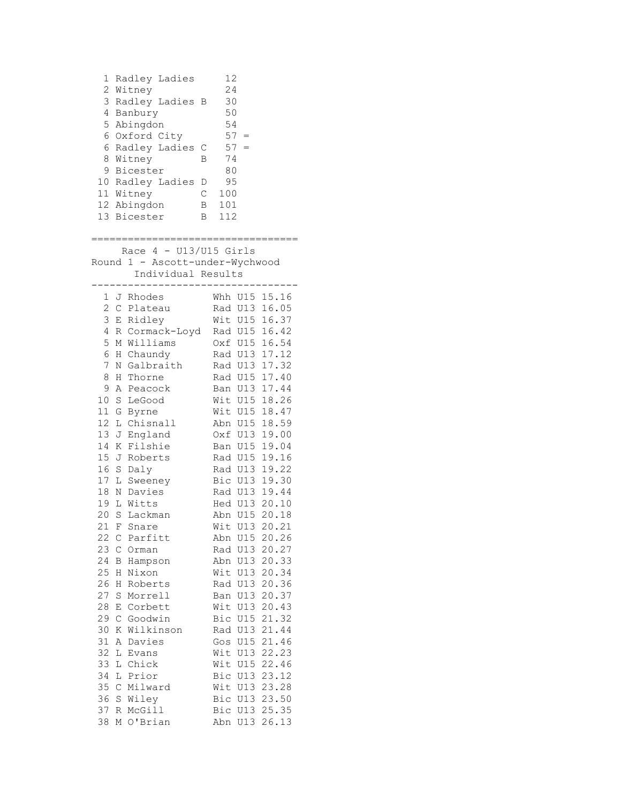1 Radley Ladies 12 2 Witney 24 3 Radley Ladies B 30 4 Banbury 50 5 Abingdon 54  $6$  Oxford City  $57 =$ 6 Radley Ladies C  $57 =$  8 Witney B 74 9 Bicester 80 10 Radley Ladies D 95 11 Witney C 100 12 Abingdon B 101 13 Bicester B 112 ================================== Race  $4 - U13/U15$  Girls Round 1 - Ascott-under-Wychwood Individual Results ---------------------------------- 1 J Rhodes Whh U15 15.16 2 C Plateau Rad U13 16.05 3 E Ridley Wit U15 16.37 4 R Cormack-Loyd Rad U15 16.42 5 M Williams Oxf U15 16.54 6 H Chaundy Rad U13 17.12 7 N Galbraith Rad U13 17.32 8 H Thorne Rad U15 17.40 9 A Peacock Ban U13 17.44 10 S LeGood Wit U15 18.26 11 G Byrne Wit U15 18.47 12 L Chisnall Abn U15 18.59 13 J England Oxf U13 19.00 14 K Filshie Ban U15 19.04 15 J Roberts Rad U15 19.16 16 S Daly Rad U13 19.22 17 L Sweeney Bic U13 19.30 18 N Davies Rad U13 19.44 19 L Witts Hed U13 20.10 20 S Lackman Abn U15 20.18 21 F Snare Wit U13 20.21 22 C Parfitt Abn U15 20.26 23 C Orman Rad U13 20.27 24 B Hampson Abn U13 20.33 25 H Nixon Wit U13 20.34 26 H Roberts Rad U13 20.36 27 S Morrell Ban U13 20.37 28 E Corbett Wit U13 20.43 29 C Goodwin Bic U15 21.32 30 K Wilkinson Rad U13 21.44 31 A Davies Gos U15 21.46 32 L Evans Wit U13 22.23 33 L Chick Wit U15 22.46<br>34 L Prior Bic U13 23.12 34 L Prior Bic U13 23.12 35 C Milward Wit U13 23.28 36 S Wiley Bic U13 23.50 37 R McGill Bic U13 25.35 38 M O'Brian Abn U13 26.13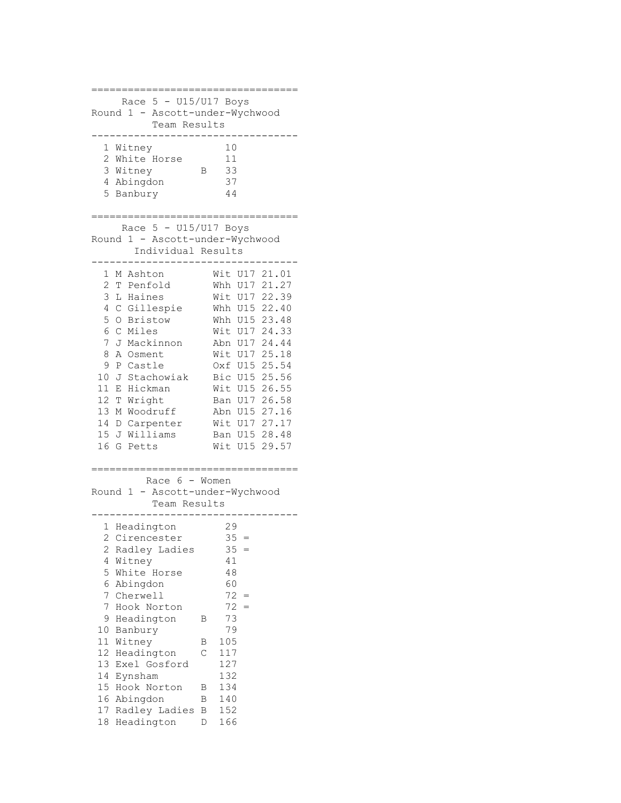```
==================================
    Race 5 - U15/U17 Boys
Round 1 - Ascott-under-Wychwood
         Team Results
----------------------------------
  1 Witney 10
  2 White Horse 11
  3 Witney B 33
  4 Abingdon 37
   5 Banbury 44
==================================
    Race 5 - U15/U17 Boys
Round 1 - Ascott-under-Wychwood
    Individual Results
----------------------------------
 1 M Ashton Wit U17 21.01
 2 T Penfold Whh U17 21.27
 3 L Haines Wit U17 22.39
 4 C Gillespie Whh U15 22.40
 5 O Bristow Whh U15 23.48
 6 C Miles Wit U17 24.33
 7 J Mackinnon Abn U17 24.44
 8 A Osment Wit U17 25.18
 9 P Castle Oxf U15 25.54
 10 J Stachowiak Bic U15 25.56
 11 E Hickman Wit U15 26.55
 12 T Wright Ban U17 26.58
 13 M Woodruff Abn U15 27.16
 14 D Carpenter Wit U17 27.17
 15 J Williams Ban U15 28.48
 16 G Petts Wit U15 29.57
==================================
        Race 6 - Women
Round 1 - Ascott-under-Wychwood
         Team Results
-----------------------------------<br>1 Headington 29<br>2 Cirencester 35 =<br>2 Radley Ladies 35 =
 1 Headington
 2 Cirencester
 2 Radley Ladies 35<br>4 Witney 41
 4 Witney 41<br>5 White Horse 48
 5 White Horse
 6 Abingdon 60<br>
7 Cherwell 72 =
 7 Cherwell
  7 Hook Norton 72 =
  9 Headington B 73
10 Banbury 79
11 Witney B 105
11 m_1...m_r<br>12 Headington C 117
13 Exel Gosford 127
14 Eynsham 132
15 Hook Norton B 134
16 Abingdon B 140
17 Radley Ladies B 152
18 Headington D 166
```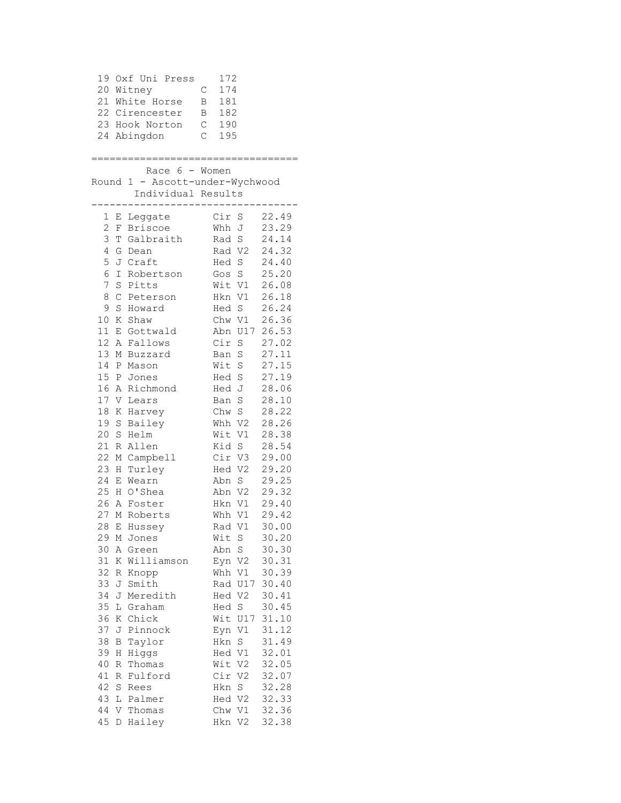19 Oxf Uni Press 172 20 Witney C 174 21 White Horse B 181 22 Cirencester B 182 23 Hook Norton C 190 24 Abingdon C 195 ================================== Race 6 - Women Round 1 - Ascott-under-Wychwood Individual Results ---------------------------------- 1 E Leggate Cir S 22.49 2 F Briscoe Whh J 23.29 3 T Galbraith Rad S 24.14 4 G Dean Rad V2 24.32 5 J Craft Hed S 24.40 6 I Robertson Gos S 25.20 7 S Pitts Wit V1 26.08 8 C Peterson Hkn V1 26.18 9 S Howard Hed S 26.24 10 K Shaw Chw V1 26.36 11 E Gottwald Abn U17 26.53 12 A Fallows Cir S 27.02 13 M Buzzard Ban S 27.11 14 P Mason Wit S 27.15 15 P Jones Hed S 27.19 16 A Richmond Hed J 28.06 17 V Lears Ban S 28.10 18 K Harvey Chw S 28.22 19 S Bailey Whh V2 28.26 20 S Helm Wit V1 28.38 21 R Allen Kid S 28.54 22 M Campbell Cir V3 29.00 23 H Turley Hed V2 29.20 24 E Wearn Abn S 29.25 25 H O'Shea Abn V2 29.32 26 A Foster Hkn V1 29.40 27 M Roberts Whh V1 29.42 28 E Hussey Rad V1 30.00 29 M Jones Wit S 30.20 30 A Green Abn S 30.30 31 K Williamson Eyn V2 30.31 32 R Knopp Whh V1 30.39 33 J Smith Rad U17 30.40 34 J Meredith Hed V2 30.41 35 L Graham Hed S 30.45 36 K Chick Wit U17 31.10 37 J Pinnock<br>
37 J Pinnock<br>
38 B Taylor<br>
39 H Higgs Hed V1 32.01 38 B Taylor Hkn S 31.49 39 H Higgs Hed V1 32.01 40 R Thomas Wit V2 32.05 41 R Fulford Cir V2 32.07 42 S Rees Hkn S 32.28 43 L Palmer Hed V2 32.33 44 V Thomas Chw V1 32.36 45 D Hailey Hkn V2 32.38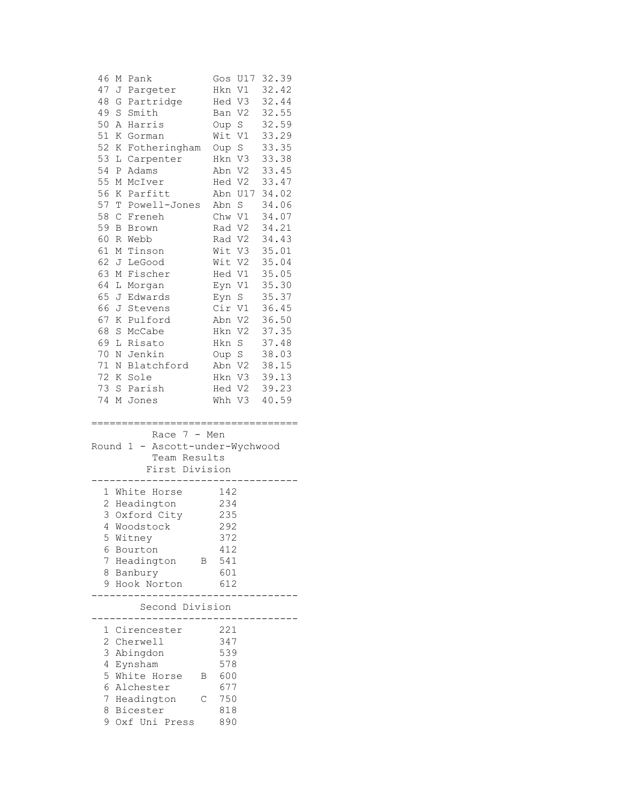| 46             | Μ           | Pank                                  | Gos     | 32.39<br>U17            |
|----------------|-------------|---------------------------------------|---------|-------------------------|
| 47             |             | J Pargeter                            | Hkn     | 32.42<br>V1             |
| 48             | G           | Partridge                             | Hed V3  | 32.44                   |
| 49             | $\mathbf S$ | Smith                                 | Ban V2  | 32.55                   |
| 50             | Α           | Harris                                | Oup S   | 32.59                   |
| 51             | Κ           | Gorman                                | Wit V1  | 33.29                   |
| 52             | Κ           | Fotheringham                          | Oup S   | 33.35                   |
| 53             | L           | Carpenter                             | Hkn V3  | 33.38                   |
| 54             | P           | Adams                                 | Abn V2  | 33.45                   |
| 55             | Μ           | McIver                                | Hed V2  | 33.47                   |
| 56             | Κ           | Parfitt                               | Abn U17 | 34.02                   |
| 57             | T           | Powell-Jones                          | Abn S   | 34.06                   |
| 58             | С           | Freneh                                | Chw V1  | 34.07                   |
| 59             | B           | Brown                                 | Rad V2  | 34.21                   |
| 60             | R           | Webb                                  | Rad V2  | 34.43                   |
| 61             | Μ           | Tinson                                | Wit V3  | 35.01                   |
| 62             | J           | LeGood                                | Wit V2  | 35.04                   |
| 63             | М           | Fischer                               | Hed V1  | 35.05                   |
| 64             | L           | Morgan                                | Eyn V1  | 35.30                   |
| 65             | J           | Edwards                               | Eyn     | 35.37<br>S              |
| 66             | J           | Stevens                               | Cir V1  | 36.45                   |
| 67             | Κ           | Pulford                               | Abn V2  | 36.50                   |
| 68             | S           | McCabe                                | Hkn     | V <sub>2</sub><br>37.35 |
| 69             | L           | Risato                                | Hkn S   | 37.48                   |
| 70             | Ν           | Jenkin                                | Oup S   | 38.03                   |
| 71             | Ν           | Blatchford                            | Abn V2  | 38.15                   |
| 72             | Κ           | Sole                                  | Hkn V3  | 39.13                   |
| 73             |             | S Parish                              | Hed V2  | 39.23                   |
| 74             |             | M Jones                               | Whh     | V3<br>40.59             |
|                |             |                                       |         |                         |
|                |             | ;===================================  |         |                         |
|                |             | Race $7 - Men$                        |         |                         |
| Round          |             | Ascott-under-Wychwood<br>$\mathbf{1}$ |         |                         |
|                |             | Team Results                          |         |                         |
|                |             | First Division                        |         |                         |
|                |             |                                       |         |                         |
|                |             | 1 White Horse                         | 142     |                         |
|                |             | 2 Headington                          | 234     |                         |
| 3              |             | Oxford City                           | 235     |                         |
|                |             | 4 Woodstock                           | 292     |                         |
| 5              |             | Witney                                | 372     |                         |
| 6              |             | Bourton                               | 412     |                         |
| 7              |             | Headington<br>Β                       | 541     |                         |
| 8              |             |                                       |         |                         |
| 9              |             | Banbury                               | 601     |                         |
|                |             | Hook Norton                           | 612     |                         |
|                |             |                                       |         |                         |
|                |             | Second Division                       |         |                         |
| 1              |             | Cirencester                           | 221     |                         |
| $\overline{2}$ |             | Cherwell                              | 347     |                         |
| 3              |             | Abingdon                              | 539     |                         |
| 4              |             | Eynsham                               | 578     |                         |
| 5              |             | White Horse<br>Β                      | 600     |                         |
| 6              |             | Alchester                             | 677     |                         |
| 7              |             | Headington<br>С                       | 750     |                         |
| 8              |             | Bicester<br>Oxf Uni Press             | 818     |                         |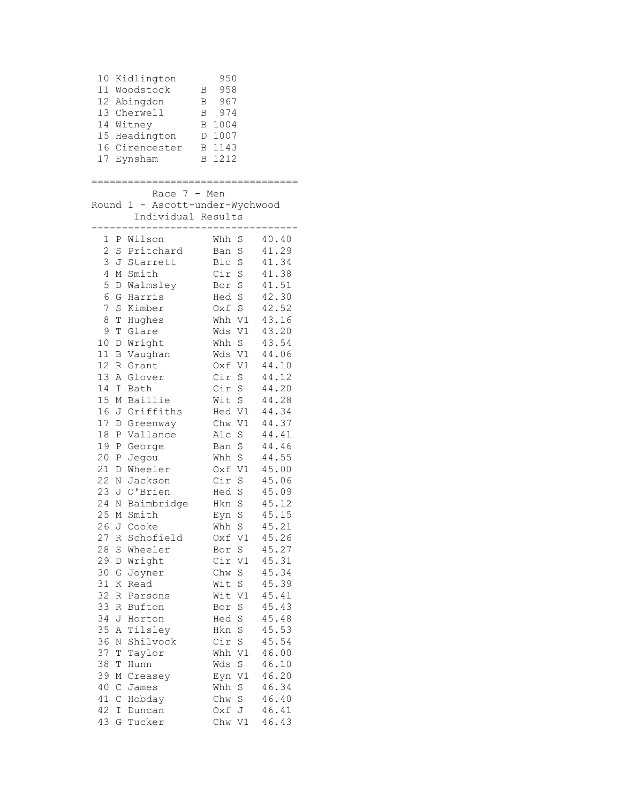|                                                                      |                                                                    | 10 Kidlington<br>11 Woodstock<br>12 Abingdon<br>13 Cherwell<br>14 Witney<br>15 Headington<br>16 Cirencester<br>17 Eynsham                | 950<br>958<br>В<br>B 967<br>B 974<br>B 1004<br>D 1007<br>B 1143<br>B 1212                                                                                                                                                                                   |  |
|----------------------------------------------------------------------|--------------------------------------------------------------------|------------------------------------------------------------------------------------------------------------------------------------------|-------------------------------------------------------------------------------------------------------------------------------------------------------------------------------------------------------------------------------------------------------------|--|
|                                                                      |                                                                    | Race $7 - Men$<br>Individual Results                                                                                                     | Round 1 - Ascott-under-Wychwood                                                                                                                                                                                                                             |  |
| 2<br>3<br>4<br>5<br>6<br>7<br>8<br>9<br>10<br>11                     |                                                                    | 1 P Wilson<br>S Pritchard<br>J Starrett<br>M Smith<br>D Walmsley<br>G Harris<br>S Kimber<br>T Hughes<br>T Glare<br>D Wright<br>B Vaughan | 40.40<br>Whh S<br>41.29<br>Ban<br>S<br>41.34<br>Bic S<br>Cir S<br>41.38<br>41.51<br>Bor S<br>42.30<br>Hed S<br>42.52<br>Oxf S<br>Whh V1<br>43.16<br>Wds V1 43.20<br>Whh S<br>43.54<br>44.06<br>Wds V1                                                       |  |
| 12<br>13<br>14<br>15<br>16<br>17<br>18<br>19<br>20<br>21             | Ρ                                                                  | R Grant<br>A Glover<br>I Bath<br>M Baillie<br>J Griffiths<br>D Greenway<br>P Vallance<br>P George<br>Jegou<br>D Wheeler                  | 44.10<br>Oxf V1<br>Cir S<br>44.12<br>44.20<br>Cir S<br>44.28<br>Wit S<br>Hed V1<br>44.34<br>Chw V1<br>44.37<br>Alc S<br>44.41<br>44.46<br>Ban S<br>Whh S<br>44.55<br>Oxf V1<br>45.00                                                                        |  |
| 22<br>23<br>24<br>25<br>27<br>28<br>29<br>30<br>31                   | S<br>G<br>Κ                                                        | N Jackson<br>J O'Brien<br>N Baimbridge<br>M Smith<br>26 J Cooke<br>R Schofield<br>Wheeler<br>D Wright<br>Joyner<br>Read                  | Cir S<br>45.06<br>Hed S<br>45.09<br>Hkn S<br>45.12<br>$\rm S$<br>45.15<br>Eyn<br>Whh S<br>45.21<br>Oxf V1<br>45.26<br>Bor<br>$\rm S$<br>45.27<br>Cir V1<br>45.31<br>Chw S<br>45.34<br>Wit S<br>45.39                                                        |  |
| 32<br>33<br>34<br>35<br>36<br>37<br>38<br>39<br>40<br>41<br>42<br>43 | R<br>R<br>J<br>Α<br>Ν<br>Т<br>Τ<br>М<br>$\mathsf C$<br>С<br>I<br>G | Parsons<br>Bufton<br>Horton<br>Tilsley<br>Shilvock<br>Taylor<br>Hunn<br>Creasey<br>James<br>Hobday<br>Duncan<br>Tucker                   | 45.41<br>Wit V1<br>$\mathbf S$<br>45.43<br>Bor<br>Hed S<br>45.48<br>45.53<br>$\rm S$<br>Hkn<br>Cir S<br>45.54<br>Whh V1<br>46.00<br>$\mathbb S$<br>46.10<br>Wds<br>Eyn V1<br>46.20<br>Whh S<br>46.34<br>Chw S<br>46.40<br>46.41<br>Oxf J<br>46.43<br>Chw V1 |  |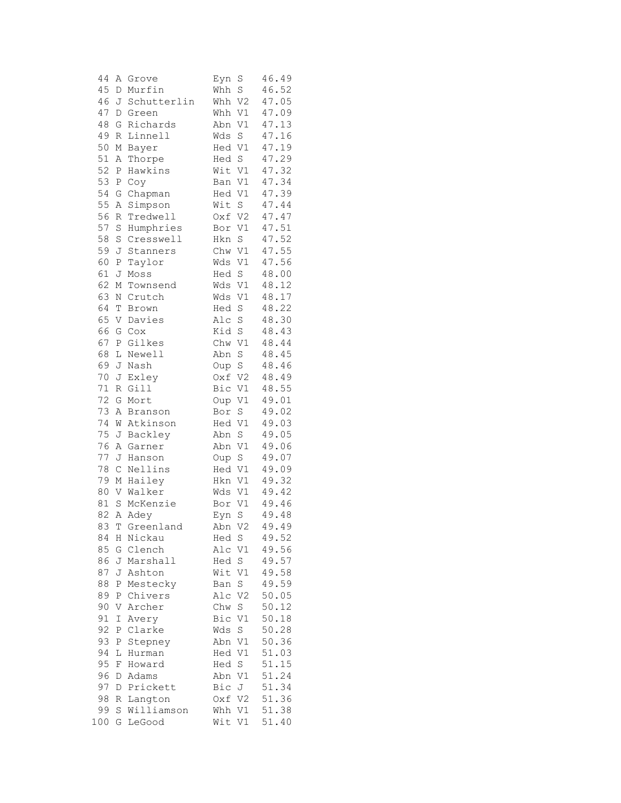| 44       | Α            | Grove             | Eyn<br>S              | 46.49          |
|----------|--------------|-------------------|-----------------------|----------------|
| 45       | D            | Murfin            | S<br>Whh              | 46.52          |
| 46       | J            | Schutterlin       | Whh<br>V <sub>2</sub> | 47.05          |
| 47       | D            | Green             | Whh<br>V1             | 47.09          |
| 48       | G            | Richards          | V1<br>Abn             | 47.13          |
| 49       | $\mathbb R$  | Linnell           | Wds<br>$\rm S$        | 47.16          |
| 50       | М            | Bayer             | Hed<br>V1             | 47.19          |
| 51       | Α            | Thorpe            | $\mathbf S$<br>Hed    | 47.29          |
| 52       | $\, {\bf P}$ | Hawkins           | Wit V1                | 47.32          |
| 53       | $\, {\bf P}$ | Coy               | $\mathtt{V1}$<br>Ban  | 47.34          |
| 54       | G            | Chapman           | $\mathtt{V1}$<br>Hed  | 47.39          |
| 55       | Α            | Simpson           | S<br>Wit              | 47.44          |
| 56       | R            | Tredwell          | V <sub>2</sub><br>Oxf | 47.47          |
| 57       | S            | Humphries         | V1<br>Bor             | 47.51          |
| 58       | S            | Cresswell         | Hkn<br>$\mathbf S$    | 47.52          |
| 59       | J            | Stanners          | Chw<br>V1             | 47.55          |
| 60       | $\, {\bf P}$ | Taylor            | Wds<br>V1             | 47.56          |
| 61       | J            | Moss              | $\rm S$<br>Hed        | 48.00          |
| 62       | М            | Townsend          | $\mathtt{V1}$<br>Wds  | 48.12          |
| 63       | $\mathbb N$  | Crutch            | $\mathtt{V1}$<br>Wds  | 48.17          |
| 64       | Т            | Brown             | Hed<br>$\rm S$        | 48.22          |
| 65       | V            | Davies            | Alc<br>S              | 48.30          |
| 66       | G            | Cox               | Kid<br>$\rm S$        | 48.43          |
| 67       | Ρ            | Gilkes            | V1<br>Chw             | 48.44          |
| 68       | L            | Newell            | Abn<br>S              | 48.45          |
| 69       | J            | Nash              | Oup S                 | 48.46          |
| 70       | J            | Exley             | Oxf<br>V <sub>2</sub> | 48.49          |
| 71       | R            | Gill              | Bic<br>V1             | 48.55          |
| 72       | G            | Mort              | $\mathtt{V1}$<br>Oup  | 49.01          |
| 73       | Α            | Branson           | S<br>Bor              | 49.02          |
| 74       | W            | Atkinson          | V1<br>Hed             | 49.03          |
| 75       | J            | Backley           | Abn<br>S              | 49.05          |
| 76       | Α            | Garner            | Abn<br>V1             | 49.06          |
| 77       | J            | Hanson            | Oup<br>$\rm S$        | 49.07          |
| 78       | $\mathsf C$  | Nellins           | Hed<br>V1             | 49.09          |
| 79       | М            | Hailey            | V1<br>Hkn             | 49.32          |
| 80       | V            | Walker            | Wds<br>V1             | 49.42          |
| 81       | $\rm S$      | McKenzie          | V1<br>Bor             | 49.46          |
| 82       | Α            | Adey              | S<br>Eyn              | 49.48          |
| 83       | T            | Greenland         | Abn V2                | 49.49          |
| 84       | Η            | Nickau            | Hed S                 | 49.52          |
| 85       | G            | Clench            | Alc V1                | 49.56          |
| 86       |              | J Marshall        | Hed<br>$S_{-}$        | 49.57          |
| 87       |              | J Ashton          | Wit<br>V1             | 49.58          |
| 88       | Ρ            | Mestecky          | S<br>Ban              | 49.59<br>50.05 |
| 89       | Ρ            | Chivers           | V <sub>2</sub><br>Alc |                |
| 90       | V            | Archer            | Chw<br>S              | 50.12<br>50.18 |
| 91<br>92 | Ι            | Avery<br>Clarke   | Bic<br>V1             |                |
| 93       | Ρ            |                   | Wds<br>S<br>Abn V1    | 50.28<br>50.36 |
| 94       | Ρ<br>L       | Stepney<br>Hurman | Hed V1                | 51.03          |
| 95       | F            | Howard            | Hed S                 | 51.15          |
| 96       | D            |                   | Abn                   | 51.24          |
| 97       | D            | Adams<br>Prickett | V1<br>Bic<br>J        | 51.34          |
| 98       | R            | Langton           | Oxf V2                | 51.36          |
| 99       | S            | Williamson        | Whh V1                | 51.38          |
| 100      | G            | LeGood            | Wit<br>V1             | 51.40          |
|          |              |                   |                       |                |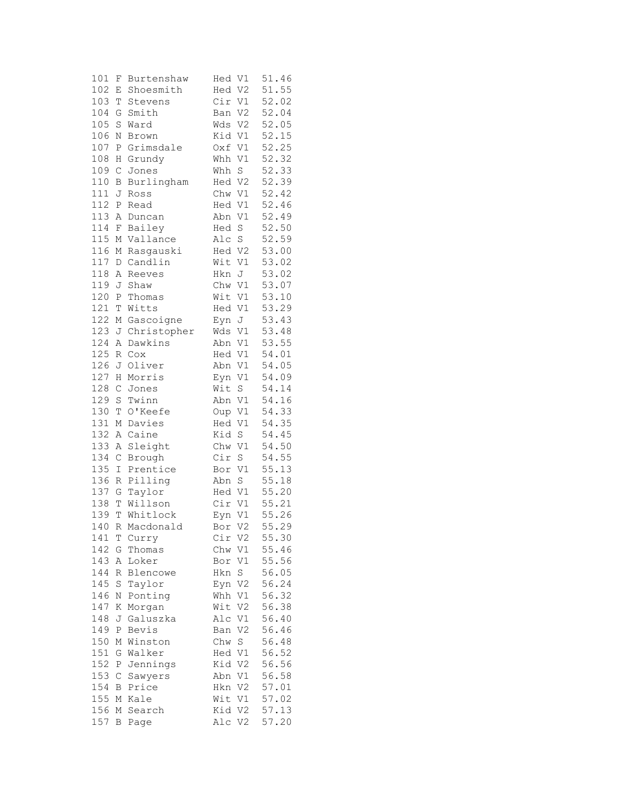| 101 | F            | Burtenshaw  | Hed V1                   | 51.46 |
|-----|--------------|-------------|--------------------------|-------|
| 102 | Ε            | Shoesmith   | Hed V2                   | 51.55 |
| 103 | T            | Stevens     | Cir V1                   | 52.02 |
| 104 | G            | Smith       | V <sub>2</sub><br>Ban    | 52.04 |
| 105 | S            | Ward        | V <sub>2</sub><br>Wds    | 52.05 |
| 106 | Ν            | Brown       | Kid V1                   | 52.15 |
| 107 | Ρ            | Grimsdale   | Oxf V1                   | 52.25 |
| 108 | Η            | Grundy      | $\mathtt{V1}$<br>Whh     | 52.32 |
| 109 | $\mathsf C$  | Jones       | $\mathbf S$<br>Whh       | 52.33 |
| 110 | В            | Burlingham  | Hed V2                   | 52.39 |
| 111 | J            | Ross        | Chw V1                   | 52.42 |
| 112 | Ρ            | Read        | Hed V1                   | 52.46 |
| 113 | Α            | Duncan      | Abn V1                   | 52.49 |
| 114 | F            |             | Hed S                    | 52.50 |
|     |              | Bailey      |                          |       |
| 115 | $\mathbb M$  | Vallance    | Alc S                    | 52.59 |
| 116 | М            | Rasgauski   | Hed V2                   | 53.00 |
| 117 | $\mathbb D$  | Candlin     | Wit<br>V1                | 53.02 |
| 118 | Α            | Reeves      | Hkn<br>J                 | 53.02 |
| 119 | J            | Shaw        | Chw V1                   | 53.07 |
| 120 | $\, {\bf P}$ | Thomas      | Wit V1                   | 53.10 |
| 121 | T            | Witts       | Hed V1                   | 53.29 |
| 122 | М            | Gascoigne   | Eyn J                    | 53.43 |
| 123 | J            | Christopher | Wds<br>V1                | 53.48 |
| 124 | Α            | Dawkins     | Abn V1                   | 53.55 |
| 125 | R            | Cox         | Hed V1                   | 54.01 |
| 126 | J            | Oliver      | Abn V1                   | 54.05 |
| 127 | Η            | Morris      | Eyn V1                   | 54.09 |
| 128 | $\mathsf C$  | Jones       | $\rm S$<br>Wit           | 54.14 |
| 129 | S            | Twinn       | Abn V1                   | 54.16 |
| 130 | T            | O'Keefe     | Oup V1                   | 54.33 |
| 131 | М            | Davies      | Hed V1                   | 54.35 |
| 132 | Α            | Caine       | Kid S                    | 54.45 |
| 133 | Α            | Sleight     | Chw V1                   | 54.50 |
| 134 | $\mathsf C$  | Brough      | Cir<br>S                 | 54.55 |
| 135 | I            | Prentice    | Bor V1                   | 55.13 |
| 136 | R            | Pilling     | S<br>Abn                 | 55.18 |
| 137 | G            | Taylor      | Hed V1                   | 55.20 |
| 138 | Т            | Willson     | Cir V1                   | 55.21 |
| 139 | Т            | Whitlock    | Eyn V1                   | 55.26 |
| 140 |              | R Macdonald | V2<br>Bor                | 55.29 |
| 141 | Т            | Curry       | Cir V2                   | 55.30 |
| 142 | G            | Thomas      | Chw<br>V1                | 55.46 |
| 143 |              | Loker       |                          | 55.56 |
|     | Α            |             | Bor<br>V1<br>$\mathbf S$ |       |
| 144 | R            | Blencowe    | Hkn                      | 56.05 |
| 145 | $\rm S$      | Taylor      | Eyn V2                   | 56.24 |
| 146 | Ν            | Ponting     | Whh<br>V1                | 56.32 |
| 147 | Κ            | Morgan      | Wit<br>V2                | 56.38 |
| 148 | J            | Galuszka    | V1<br>Alc                | 56.40 |
| 149 | Ρ            | Bevis       | V <sub>2</sub><br>Ban    | 56.46 |
| 150 | Μ            | Winston     | Chw<br>S                 | 56.48 |
| 151 | G            | Walker      | Hed V1                   | 56.52 |
| 152 | Ρ            | Jennings    | Kid V2                   | 56.56 |
| 153 | C            | Sawyers     | Abn<br>V1                | 56.58 |
| 154 | В            | Price       | Hkn V2                   | 57.01 |
| 155 | Μ            | Kale        | Wit V1                   | 57.02 |
| 156 | Μ            | Search      | Kid V2                   | 57.13 |
| 157 | $\, {\bf B}$ | Page        | Alc V2                   | 57.20 |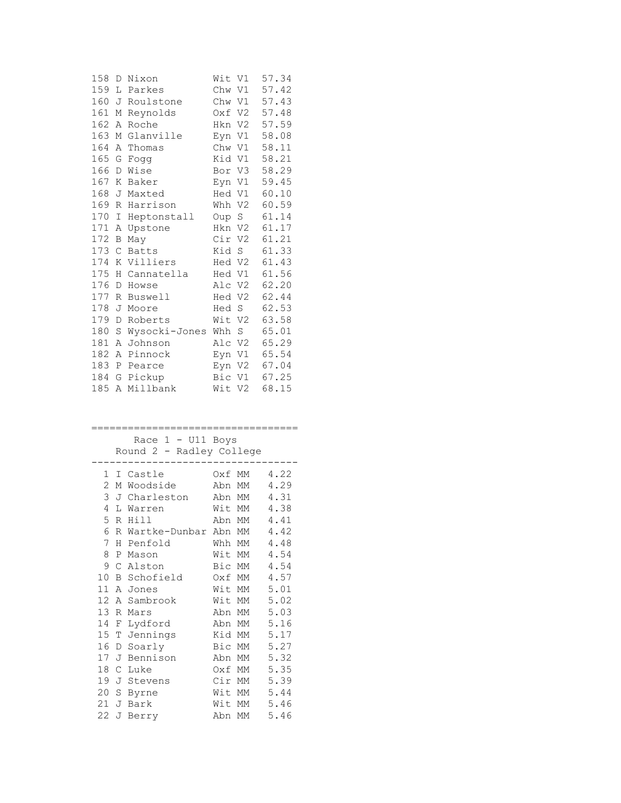| 158 | D | Nixon         | Wit    | V1     | 57.34 |
|-----|---|---------------|--------|--------|-------|
| 159 | L | Parkes        | Chw V1 |        | 57.42 |
| 160 | J | Roulstone     | Chw V1 |        | 57.43 |
| 161 | М | Reynolds      | Oxf V2 |        | 57.48 |
| 162 | Α | Roche         | Hkn V2 |        | 57.59 |
| 163 | Μ | Glanville     | Eyn V1 |        | 58.08 |
| 164 | Α | Thomas        | Chw    | V1     | 58.11 |
| 165 | G | Fogg          | Kid V1 |        | 58.21 |
| 166 | D | Wise          | Bor V3 |        | 58.29 |
| 167 | Κ | Baker         |        | Eyn V1 | 59.45 |
| 168 | J | Maxted        | Hed V1 |        | 60.10 |
| 169 | R | Harrison      | Whh V2 |        | 60.59 |
| 170 | Ι | Heptonstall   | Oup S  |        | 61.14 |
| 171 | Α | Upstone       | Hkn    | V2     | 61.17 |
| 172 | В | May           | Cir V2 |        | 61.21 |
| 173 | C | <b>Batts</b>  | Kid    | S      | 61.33 |
| 174 | Κ | Villiers      | Hed V2 |        | 61.43 |
| 175 | Η | Cannatella    | Hed V1 |        | 61.56 |
| 176 | D | Howse         | Alc V2 |        | 62.20 |
| 177 | R | Buswell       | Hed V2 |        | 62.44 |
| 178 | J | Moore         | Hed S  |        | 62.53 |
| 179 | D | Roberts       | Wit V2 |        | 63.58 |
| 180 | S | Wysocki-Jones | Whh    | S      | 65.01 |
| 181 | Α | Johnson       | Alc V2 |        | 65.29 |
| 182 | Α | Pinnock       | Eyn V1 |        | 65.54 |
| 183 | Ρ | Pearce        | Eyn V2 |        | 67.04 |
| 184 | G | Pickup        | Bic V1 |        | 67.25 |
| 185 | Α | Millbank      | Wit V2 |        | 68.15 |

## ==================================

 Race 1 - U11 Boys Round 2 - Radley College

| 1  |   | I Castle      | Oxf MM |    | 4.22 |
|----|---|---------------|--------|----|------|
| 2  | М | Woodside      | Abn    | MM | 4.29 |
| 3  | J | Charleston    | Abn    | МM | 4.31 |
| 4  | L | Warren        | Wit    | МM | 4.38 |
| 5  | R | Hill          | Abn    | МM | 4.41 |
| 6  | R | Wartke-Dunbar | Abn    | MM | 4.42 |
| 7  | Н | Penfold       | Whh    | MM | 4.48 |
| 8  | P | Mason         | Wit    | МM | 4.54 |
| 9  | C | Alston        | Bic    | МM | 4.54 |
| 10 | В | Schofield     | Oxf    | МM | 4.57 |
| 11 | А | Jones         | Wit    | MM | 5.01 |
| 12 | А | Sambrook      | Wit    | MM | 5.02 |
| 13 | R | Mars          | Abn    | МM | 5.03 |
| 14 | F | Lydford       | Abn    | МM | 5.16 |
| 15 | Т | Jennings      | Kid    | MM | 5.17 |
| 16 | D | Soarly        | Bic    | MM | 5.27 |
| 17 | J | Bennison      | Abn    | МM | 5.32 |
| 18 | C | Luke          | Oxf    | МM | 5.35 |
| 19 | J | Stevens       | Cir    | MM | 5.39 |
| 20 | S | Byrne         | Wit    | MM | 5.44 |
| 21 | J | Bark          | Wit    | MM | 5.46 |
| 22 | J | Berry         | Abn    | МM | 5.46 |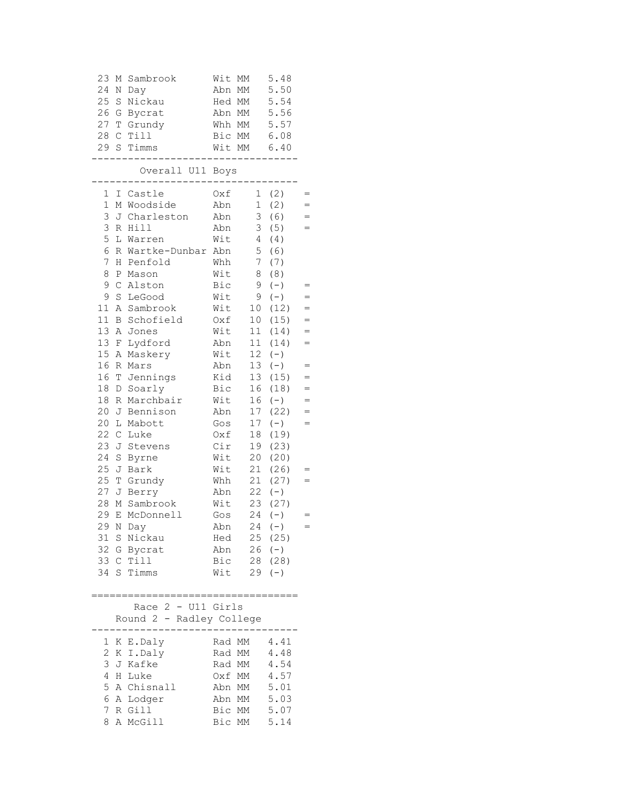| 23<br>М<br>24<br>Ν<br>25<br>$\mathbf S$<br>26<br>G<br>27<br>T<br>28<br>$\mathsf{C}$<br>29<br>S                                                                                                                                                                                                                                                              | Sambrook<br>Day<br>Nickau<br>Bycrat<br>Grundy<br>Till<br>Timms                                                                                                                                                                                                                                                                                                                        | Wit<br>MM<br>Abn<br>МM<br>Hed MM<br>Abn MM<br>Whh MM<br>Bic MM<br>Wit MM                                                                                                                                                                                                                                                                                                                                                                                                                   | 5.48<br>5.50<br>5.54<br>5.56<br>5.57<br>6.08<br>6.40                                                                                                                                                                                                                                                                                                                                         |
|-------------------------------------------------------------------------------------------------------------------------------------------------------------------------------------------------------------------------------------------------------------------------------------------------------------------------------------------------------------|---------------------------------------------------------------------------------------------------------------------------------------------------------------------------------------------------------------------------------------------------------------------------------------------------------------------------------------------------------------------------------------|--------------------------------------------------------------------------------------------------------------------------------------------------------------------------------------------------------------------------------------------------------------------------------------------------------------------------------------------------------------------------------------------------------------------------------------------------------------------------------------------|----------------------------------------------------------------------------------------------------------------------------------------------------------------------------------------------------------------------------------------------------------------------------------------------------------------------------------------------------------------------------------------------|
|                                                                                                                                                                                                                                                                                                                                                             | Overall U11 Boys                                                                                                                                                                                                                                                                                                                                                                      |                                                                                                                                                                                                                                                                                                                                                                                                                                                                                            |                                                                                                                                                                                                                                                                                                                                                                                              |
| 1<br>Ι<br>$\mathbf 1$<br>3<br>3<br>5<br>L<br>6<br>$\overline{7}$<br>Η<br>8<br>Ρ<br>9<br>$\mathcal{C}$<br>9<br>$\rm S$<br>11<br>Α<br>11<br>В<br>13<br>Α<br>13<br>F<br>15<br>Α<br>16<br>R<br>16<br>Τ<br>18<br>$\mathbb D$<br>18<br>R<br>20<br>J<br>20<br>L<br>22<br>$\mathsf C$<br>23<br>J<br>24<br>$\rm S$<br>25<br>J<br>25<br>Τ<br>27<br>J<br>28<br>29<br>E | Castle<br>M Woodside<br>J Charleston<br>R Hill<br>Warren<br>R Wartke-Dunbar<br>Penfold<br>Mason<br>Alston<br>LeGood<br>Sambrook<br>Schofield<br>Jones<br>Lydford<br>Maskery<br>Mars<br>Jennings<br>Soarly<br>Marchbair<br>Bennison<br>Mabott<br>Luke<br>Stevens<br>Byrne<br>Bark<br>Grundy<br>Berry<br>M Sambrook<br>McDonnell<br>29 N Day<br>31 S Nickau<br>32 G Bycrat<br>33 C Till | Oxf<br>$\mathbf{1}$<br>$\mathbf{1}$<br>Abn<br>3<br>Abn<br>3<br>Abn<br>Wit<br>$\overline{4}$<br>5<br>Abn<br>$7\phantom{.}$<br>Whh<br>8<br>Wit<br>Bic<br>9<br>Wit<br>9<br>Wit<br>10 <sub>o</sub><br>10<br>Oxf<br>Wit<br>11<br>11<br>Abn<br>12 <sup>°</sup><br>Wit<br>13<br>Abn<br>Kid<br>13<br>16<br>Bic<br>Wit<br>16<br>17<br>Abn<br>17<br>Gos<br>18<br>Oxf<br>Cir<br>19<br>Wit<br>20<br>21<br>Wit<br>21<br>Whh<br>22<br>Abn<br>Wit<br>23<br>24<br>Gos<br>Abn $24 (-)$<br>Hed<br>Abn<br>Bic | (2)<br>$=$<br>(2)<br>$=$<br>(6)<br>$=$<br>(5)<br>$=$<br>(4)<br>(6)<br>(7)<br>(8)<br>$(-)$<br>$=$<br>$(-)$<br>$=$<br>(12)<br>$=$<br>(15)<br>$=$<br>(14)<br>$=$<br>(14)<br>$=$<br>$(-)$<br>$(-)$<br>$=$<br>(15)<br>$=$<br>(18)<br>$=$<br>$(-)$<br>$=$<br>(22)<br>$=$<br>$(-)$<br>$=$<br>(19)<br>(23)<br>(20)<br>(26)<br>(27)<br>$(-)$<br>(27)<br>$(-)$<br>$=$<br>$25$ (25)<br>26 (-)<br>28(28) |
|                                                                                                                                                                                                                                                                                                                                                             | 34 S Timms                                                                                                                                                                                                                                                                                                                                                                            | Wit                                                                                                                                                                                                                                                                                                                                                                                                                                                                                        | $29 (-)$                                                                                                                                                                                                                                                                                                                                                                                     |
|                                                                                                                                                                                                                                                                                                                                                             | Race $2$ - U11 Girls<br>Round 2 - Radley College                                                                                                                                                                                                                                                                                                                                      | =======                                                                                                                                                                                                                                                                                                                                                                                                                                                                                    |                                                                                                                                                                                                                                                                                                                                                                                              |
| $\mathbf{2}$<br>3<br>4<br>5<br>6<br>7<br>8                                                                                                                                                                                                                                                                                                                  | 1 K E.Daly<br>K I.Daly<br>J Kafke<br>H Luke<br>A Chisnall<br>A Lodger<br>R Gill<br>A McGill                                                                                                                                                                                                                                                                                           | Rad MM<br>Rad MM<br>Rad MM<br>Oxf MM 4.57<br>Abn MM 5.01<br>Abn MM 5.03<br>Bic MM 5.07<br>Bic MM                                                                                                                                                                                                                                                                                                                                                                                           | 4.41<br>4.48<br>4.54<br>5.14                                                                                                                                                                                                                                                                                                                                                                 |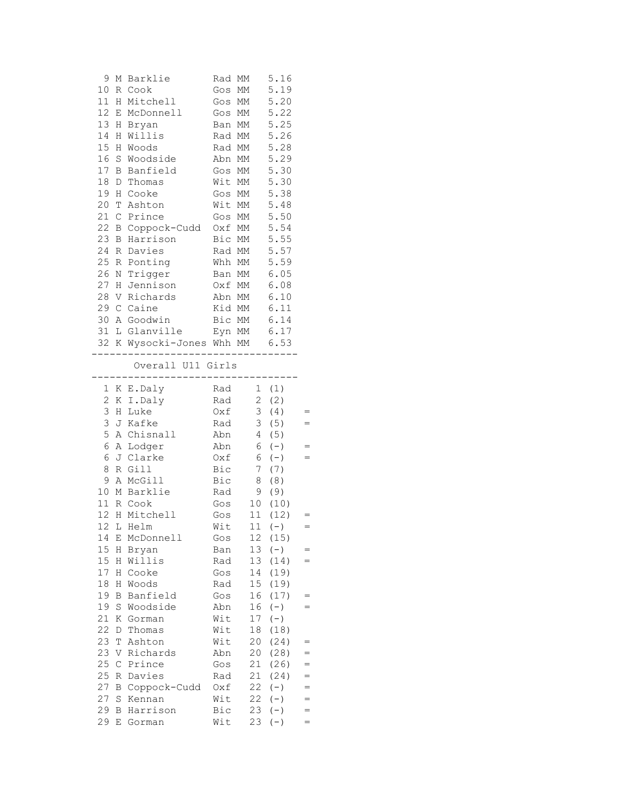|    |    | 9 M Barklie                    |        | Rad MM                                    | 5.16                                        |     |
|----|----|--------------------------------|--------|-------------------------------------------|---------------------------------------------|-----|
|    |    | 10 R Cook                      | Gos MM |                                           | 5.19                                        |     |
|    |    | 11 H Mitchell                  |        | Gos MM                                    | 5.20                                        |     |
|    |    |                                |        | Gos MM                                    | 5.22                                        |     |
|    |    | 12 E McDonnell                 |        |                                           |                                             |     |
|    |    | 13 H Bryan                     |        | Ban MM                                    | 5.25                                        |     |
|    |    | 14 H Willis                    |        | Rad MM 5.26                               |                                             |     |
|    |    | 15 H Woods                     |        | Rad MM                                    | 5.28                                        |     |
|    |    | 16 S Woodside Abn MM 5.29      |        |                                           |                                             |     |
|    |    | 17 B Banfield Gos MM           |        |                                           | 5.30                                        |     |
| 18 |    | D Thomas                       | Wit MM |                                           | 5.30                                        |     |
|    |    | 19 H Cooke                     | Gos MM |                                           | 5.38                                        |     |
| 20 |    | T Ashton                       |        | Wit MM                                    | 5.48                                        |     |
| 21 |    | C Prince                       |        | Gos MM 5.50                               |                                             |     |
| 22 |    | B Coppock-Cudd Oxf MM 5.54     |        |                                           |                                             |     |
|    |    | 23 B Harrison                  |        | Bic MM 5.55                               |                                             |     |
|    |    | 24 R Davies                    |        |                                           |                                             |     |
|    |    |                                |        | Rad MM 5.57                               |                                             |     |
|    |    | 25 R Ponting                   |        | Whh MM                                    | 5.59                                        |     |
|    |    | 26 N Trigger Ban MM 6.05       |        |                                           |                                             |     |
|    |    | 27 H Jennison                  |        |                                           |                                             |     |
|    |    | 28 V Richards                  |        | 0xf MM 6.08<br>Abn MM 6.10<br>Kid MM 6.11 |                                             |     |
|    |    | 29 C Caine                     |        |                                           |                                             |     |
|    |    | 30 A Goodwin Bic MM 6.14       |        |                                           |                                             |     |
|    |    | 31 L Glanville Eyn MM 6.17     |        |                                           |                                             |     |
|    |    | 32 K Wysocki-Jones Whh MM 6.53 |        |                                           |                                             |     |
|    |    |                                |        | __________________                        |                                             |     |
|    |    | Overall U11 Girls              |        |                                           |                                             |     |
|    |    |                                |        |                                           |                                             |     |
|    |    | 1 K E.Daly                     |        |                                           |                                             |     |
|    |    | 2 K I.Daly                     |        | Rad 1 (1)<br>Rad 2 (2)<br>Oxf 3 (4)       | $\begin{pmatrix} 1 \\ 2 \\ 3 \end{pmatrix}$ |     |
|    |    | 3 H Luke                       |        |                                           | 3(4)                                        | $=$ |
|    |    | 3 J Kafke                      | Rad    |                                           | 3(5)                                        | $=$ |
|    |    | 5 A Chisnall Abn 4 (5)         |        |                                           |                                             |     |
|    |    | 6 A Lodger                     |        | $Abn$ 6 (-)                               |                                             | $=$ |
|    |    | $6 J Clarke$ $0xf$ $6 (-)$     |        |                                           |                                             |     |
|    |    | 8 R Gill                       |        | Bic 7 (7)                                 |                                             |     |
|    |    | 9 A McGill                     |        | Bic 8 (8)                                 |                                             |     |
|    |    | 10 M Barklie                   |        | Rad 9 (9)                                 |                                             |     |
|    |    | 11 R Cook                      |        |                                           |                                             |     |
|    |    | 12 H Mitchell                  | Gos    | Gos 10 (10)<br>Gos 11 (12)<br>11          | (12)                                        | $=$ |
| 12 | L  | Helm                           | Wit    | 11                                        | $(-)$                                       | $=$ |
| 14 | Е  | McDonnell                      | Gos    | 12                                        | (15)                                        |     |
| 15 | H  | Bryan                          | Ban    | 13                                        | $(-)$                                       | $=$ |
|    |    | Willis                         |        |                                           |                                             | $=$ |
| 15 | Н  |                                | Rad    | 13                                        | (14)                                        |     |
| 17 | Η  | Cooke                          | Gos    | 14                                        | (19)                                        |     |
| 18 |    | H Woods                        | Rad    | 15 <sub>1</sub>                           | (19)                                        |     |
| 19 | В  | Banfield                       | Gos    | 16                                        | (17)                                        | $=$ |
| 19 |    | S Woodside                     | Abn    | 16                                        | $(-)$                                       | $=$ |
| 21 |    | K Gorman                       | Wit    | 17                                        | $(-)$                                       |     |
| 22 | D  | Thomas                         | Wit    | 18                                        | (18)                                        |     |
| 23 | Т  | Ashton                         | Wit    | 20                                        | (24)                                        | $=$ |
| 23 | V. | Richards                       | Abn    | 20                                        | (28)                                        | $=$ |
| 25 | С  | Prince                         | Gos    | 21                                        | (26)                                        | $=$ |
| 25 |    | R Davies                       | Rad    | 21                                        | (24)                                        | $=$ |
| 27 |    | B Coppock-Cudd                 | Oxf    | 22                                        | $(-)$                                       | $=$ |
| 27 | S  | Kennan                         | Wit    | 22                                        | $(-)$                                       | $=$ |
| 29 | В  | Harrison                       | Bic    | 23                                        | $(-)$                                       | $=$ |
| 29 | Е  | Gorman                         | Wit    | 23                                        | $(-)$                                       | $=$ |
|    |    |                                |        |                                           |                                             |     |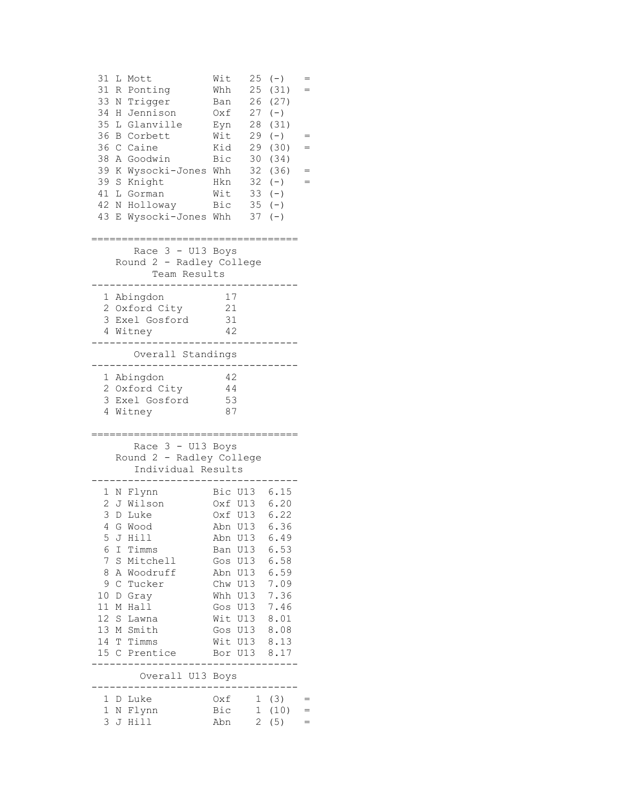| 31<br>31<br>33<br>34<br>35<br>36<br>36<br>38<br>39<br>39<br>41<br>42<br>43       | L Mott<br>R Ponting<br>Trigger<br>Ν<br>H.<br>Jennison<br>Glanville<br>L<br><b>B</b> Corbett<br>C Caine<br>A Goodwin<br>K Wysocki-Jones Whh<br>S Knight<br>L Gorman<br>N Holloway<br>E Wysocki-Jones Whh                      | Wit<br>Whh<br>Ban<br>Oxf<br>Eyn<br>Wit<br>29<br>Kid<br>29<br><b>Bic</b><br>30<br>32<br>32<br>Hkn<br>Wit<br>33<br>Bic                                                                               | $25 (-)$<br>$=$<br>25 (31)<br>=<br>26 (27)<br>$27 (-)$<br>28 (31)<br>$(-)$<br>(30)<br>(34)<br>(36)<br>$(-)$<br>$=$<br>$(-)$<br>$35 (-)$<br>$37 (-)$ |  |
|----------------------------------------------------------------------------------|------------------------------------------------------------------------------------------------------------------------------------------------------------------------------------------------------------------------------|----------------------------------------------------------------------------------------------------------------------------------------------------------------------------------------------------|-----------------------------------------------------------------------------------------------------------------------------------------------------|--|
|                                                                                  | Race 3 - U13 Boys<br>Round 2 - Radley College<br>Team Results                                                                                                                                                                |                                                                                                                                                                                                    |                                                                                                                                                     |  |
|                                                                                  | 1 Abingdon<br>2 Oxford City<br>3 Exel Gosford<br>4 Witney                                                                                                                                                                    | 17<br>21<br>31<br>42                                                                                                                                                                               |                                                                                                                                                     |  |
|                                                                                  | Overall Standings                                                                                                                                                                                                            |                                                                                                                                                                                                    |                                                                                                                                                     |  |
|                                                                                  | 1 Abingdon<br>2 Oxford City<br>3 Exel Gosford<br>4 Witney                                                                                                                                                                    | -42<br>44<br>53<br>87                                                                                                                                                                              |                                                                                                                                                     |  |
|                                                                                  | Race 3 - U13 Boys<br>Round 2 - Radley College<br>Individual Results                                                                                                                                                          |                                                                                                                                                                                                    |                                                                                                                                                     |  |
| $\overline{2}$<br>3<br>4<br>5<br>6<br>7 <sup>1</sup><br>8<br>9<br>10<br>11<br>12 | 1 N Flynn<br>J Wilson<br>D Luke<br>G Wood<br>J Hill<br>I Timms<br>S<br>Mitchell<br>A Woodruff<br>$\mathsf C$<br>Tucker<br>D<br>Gray<br>M Hall<br>S<br>Lawna<br>13 M Smith<br>14 T Timms<br>15 C Prentice<br>Overall U13 Boys | Bic U13 6.15<br>Oxf U13 6.20<br>Oxf U13 6.22<br>Abn<br>U13<br>Abn U13<br>Ban U13<br>Gos U13<br>Abn U13<br>Chw U13<br>Whh U13<br>Gos U13<br>Wit U13<br>Gos U13 8.08<br>Wit U13 8.13<br>Bor U13 8.17 | 6.36<br>6.49<br>6.53<br>6.58<br>6.59<br>7.09<br>7.36<br>7.46<br>8.01                                                                                |  |
| $\mathbf{1}$<br>3                                                                | 1 D Luke<br>N Flynn<br>J Hill                                                                                                                                                                                                | Oxf<br>Bic<br>$\overline{2}$<br>Abn                                                                                                                                                                | 1(3)<br>1(10)<br>$=$<br>$=$<br>(5)                                                                                                                  |  |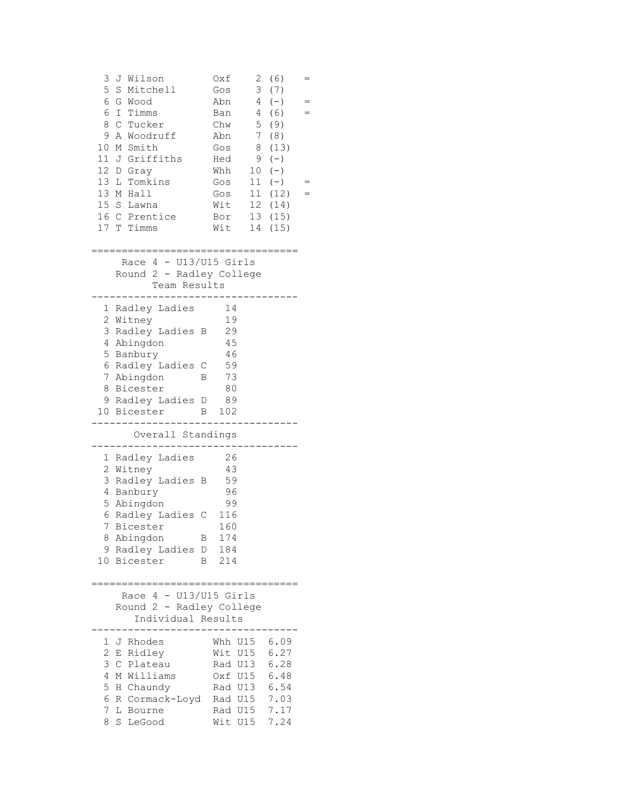| 3<br>Wilson<br>J<br>5<br>$\rm S$<br>Mitchell<br>6<br>G<br>Wood<br>6<br>$\mathbf I$<br>Timms<br>8<br>$\mathsf{C}$<br>Tucker<br>9<br>Woodruff<br>Α<br>10<br>M Smith<br>11 J Griffiths<br>12 D<br>Gray<br>13<br>Tomkins<br>L<br>13 M Hall<br>15 S<br>Lawna<br>16 C Prentice<br>17 T Timms | Oxf<br>Gos<br>Abn<br>Ban<br>Chw<br>Abn<br>Gos<br>Hed<br>Whh<br>Gos<br>Gos<br>Wit<br>Bor<br>Wit | $\mathbf{2}$<br>(6)<br>3<br>(7)<br>4<br>$(-)$<br>$4 -$<br>(6)<br>5<br>(9)<br>7<br>(8)<br>(13)<br>8<br>$(-)$<br>9<br>$(-)$<br>10<br>11<br>$(-)$<br>11<br>(12)<br>12<br>(14)<br>13<br>(15)<br>14<br>(15) | = |
|----------------------------------------------------------------------------------------------------------------------------------------------------------------------------------------------------------------------------------------------------------------------------------------|------------------------------------------------------------------------------------------------|--------------------------------------------------------------------------------------------------------------------------------------------------------------------------------------------------------|---|
| Race $4 - U13/U15$ Girls<br>Round 2 - Radley College<br>Team Results                                                                                                                                                                                                                   |                                                                                                |                                                                                                                                                                                                        |   |
| Radley Ladies<br>1<br>2<br>Witney<br>3<br>Radley Ladies<br>В<br>4<br>Abingdon<br>5<br>Banbury<br>Radley Ladies C<br>6<br>7<br>Abingdon<br>В<br>8<br>Bicester<br>Radley Ladies D<br>9<br>10 Bicester                                                                                    | 14<br>19<br>29<br>45<br>46<br>59<br>73<br>80<br>89<br>102<br>$\mathbf{B}$                      |                                                                                                                                                                                                        |   |
| Overall Standings                                                                                                                                                                                                                                                                      |                                                                                                |                                                                                                                                                                                                        |   |
| Radley Ladies<br>1<br>2<br>Witney<br>Radley Ladies B<br>3<br>4<br>Banbury<br>5<br>Abingdon<br>6<br>Radley Ladies C<br>7<br>Bicester<br>Abingdon<br>8<br>Β<br>9<br>Radley Ladies D<br>Bicester<br>10<br>В                                                                               | 26<br>43<br>59<br>96<br>99<br>116<br>160<br>174<br>184<br>214                                  |                                                                                                                                                                                                        |   |
| 4<br>Race<br>Round 2 - Radley College<br>Individual Results                                                                                                                                                                                                                            | - U13/U15 Girls                                                                                |                                                                                                                                                                                                        |   |
| 1<br>J Rhodes<br>$\overline{2}$<br>Ridley<br>Е<br>3<br>Plateau<br>C<br>4<br>Williams<br>М<br>5<br>Chaundy<br>Η<br>6<br>R Cormack-Loyd<br>7<br>L<br>Bourne<br>8<br>S<br>LeGood                                                                                                          | Whh U15<br>Wit U15<br>Rad U13<br>Oxf U15<br>Rad U13<br>Rad U15<br>Rad U15<br>Wit U15           | 6.09<br>6.27<br>6.28<br>6.48<br>6.54<br>7.03<br>7.17<br>7.24                                                                                                                                           |   |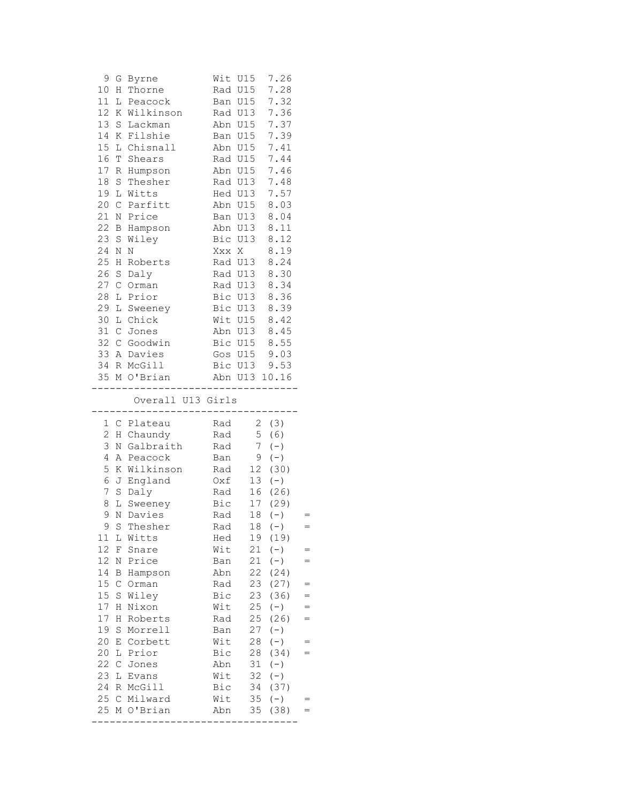| 9<br>G<br>10<br>Η<br>11<br>L<br>12<br>Κ<br>13<br>S<br>14<br>K<br>15 <sub>1</sub><br>L<br>16<br>$\mathbb T$<br>17<br>R<br>18<br>$\rm S$<br>19<br>L<br>20<br>$\mathcal{C}$<br>21<br>N<br>22<br>B<br>23<br>S<br>24<br>Ν<br>25<br>Η<br>26                                                                                                                             | Byrne<br>Thorne<br>Peacock<br>Wilkinson<br>Lackman<br>Filshie<br>Chisnall<br>Shears<br>Humpson<br>Thesher<br>Witts<br>Parfitt<br>Price<br>Hampson<br>Wiley<br>N<br>Roberts                                                                                                | Wit U15<br>Rad U15<br>Ban<br>Rad U13 7.36<br>Abn U15<br>Ban<br>Abn U15<br>Rad U15<br>Abn U15<br>Rad U13<br>Hed U13<br>Abn U15<br>Ban U13<br>Abn U13<br>Bic U13 8.12<br>Xxx X<br>Rad U13<br>Rad U13 | U15<br>U15                                                                                                                                                                              | 7.26<br>7.28<br>7.32<br>7.37<br>7.39<br>7.41<br>7.44<br>7.46<br>7.48<br>7.57<br>8.03<br>8.04<br>8.11<br>8.19<br>8.24<br>8.30                                                                                                     |                                 |
|-------------------------------------------------------------------------------------------------------------------------------------------------------------------------------------------------------------------------------------------------------------------------------------------------------------------------------------------------------------------|---------------------------------------------------------------------------------------------------------------------------------------------------------------------------------------------------------------------------------------------------------------------------|----------------------------------------------------------------------------------------------------------------------------------------------------------------------------------------------------|-----------------------------------------------------------------------------------------------------------------------------------------------------------------------------------------|----------------------------------------------------------------------------------------------------------------------------------------------------------------------------------------------------------------------------------|---------------------------------|
| $\mathbf S$<br>27<br>$\mathsf C$<br>28<br>L<br>29<br>L<br>30<br>31 C<br>32 C                                                                                                                                                                                                                                                                                      | Daly<br>Orman<br>Prior<br>Sweeney<br>L Chick<br>Jones<br>Goodwin<br>33 A Davies<br>34 R McGill<br>35 M O'Brian<br>. _ _ _ _ _ _ _ _ _ _ _ .<br>Overall U13 Girls                                                                                                          | Rad U13<br>Bic U13<br>Bic U13<br>Wit U15<br>Abn U13 8.45<br>Bic U15 8.55<br>Gos U15<br>Bic U13 9.53<br>Abn U13 10.16<br>--------                                                                   |                                                                                                                                                                                         | 8.34<br>8.36<br>8.39<br>8.42<br>9.03                                                                                                                                                                                             |                                 |
| 1 C<br>$\mathbf{2}$<br>Η<br>3<br>$\rm N$<br>4<br>Α<br>5<br>Κ<br>6<br>J<br>7<br>$\rm S$<br>8<br>L<br>9<br>$\rm N$<br>9<br>S<br>11<br>L<br>12<br>F<br>12<br>Ν<br>14<br>Β<br>15<br>$\mathsf C$<br>15<br>$\rm S$<br>$17\,$<br>Η<br>$17\,$<br>Η<br>19<br>S<br>20<br>Ε<br>20<br>L<br>22<br>$\mathsf C$<br>23<br>L<br>24<br>$\, {\mathbb R}$<br>25<br>$\mathsf{C}$<br>25 | Plateau<br>Chaundy<br>Galbraith<br>Peacock<br>Wilkinson<br>England<br>Daly<br>Sweeney<br>Davies<br>Thesher<br>Witts<br>Snare<br>Price<br>Hampson<br>Orman<br>Wiley<br>Nixon<br>Roberts<br>Morrell<br>Corbett<br>Prior<br>Jones<br>Evans<br>McGill<br>Milward<br>M O'Brian | Rad<br>Rad<br>Rad<br>Ban<br>Rad<br>Oxf<br>Rad<br>Bic<br>Rad<br>Rad<br>Hed<br>Wit<br>Ban<br>Abn<br>Rad<br>Bic<br>Wit<br>Rad<br>Ban<br>Wit<br>Bic<br>Abn<br>Wit<br>Bic<br>Wit<br>Abn                 | 7 <sup>7</sup><br>9<br>$\begin{array}{c} 12 \\ 13 \end{array}$<br>17<br>18<br>19<br>21<br>21<br>22<br>23<br>23<br>25<br>25<br>27<br>28<br>28<br>31<br>32<br>34<br>35 <sub>5</sub><br>35 | 2 (3)<br>5(6)<br>$(-)$<br>$(-)$<br>(30)<br>$(-)$<br>16 (26)<br>(29)<br>$(-)$<br>$18 (-)$<br>(19)<br>$(-)$<br>$(-)$<br>(24)<br>(27)<br>(36)<br>$(-)$<br>(26)<br>$(-)$<br>$(-)$<br>(34)<br>$(-)$<br>$(-)$<br>(37)<br>$(-)$<br>(38) | $=$<br>$=$<br>$=$<br>$=$<br>$=$ |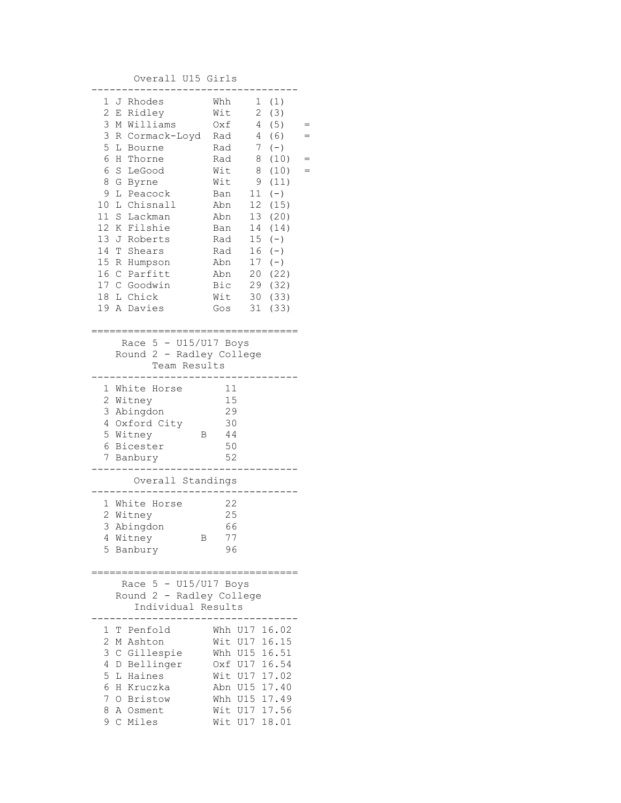## Overall U15 Girls

| 2<br>3<br>3<br>5<br>6<br>6<br>8<br>9<br>10<br>11<br>12<br>14<br>15 R<br>18 | 1 J Rhodes<br>E Ridley<br>M Williams<br>R Cormack-Loyd<br>L<br>Bourne<br>Η<br>Thorne<br>S<br>LeGood<br>G<br>Byrne<br>L Peacock<br>Chisnall<br>L<br>S<br>Lackman<br>Filshie<br>Κ<br>13 J Roberts<br>Т<br>Shears<br>Humpson<br>16 C Parfitt<br>17 C Goodwin<br>L Chick<br>19 A Davies | Whh<br>Wit<br>Oxf<br>Rad<br>Rad<br>Rad<br>Wit<br>Wit<br>Ban<br>Abn<br>Abn<br>Ban<br>Rad<br>Rad<br>Abn<br>Abn<br>Bic<br>Wit<br>Gos                     | $\overline{2}$<br>$4 -$<br>4<br>7 <sup>7</sup><br>8<br>8<br>9<br>11<br>12<br>13<br>14<br>15<br>16<br>17<br>20<br>29<br>30<br>31 | 1(1)<br>(3)<br>(5)<br>(6)<br>$(-)$<br>(10)<br>(10)<br>(11)<br>$(-)$<br>(15)<br>(20)<br>(14)<br>$(-)$<br>$(-)$<br>$(-)$<br>(22)<br>(32)<br>(33)<br>(33) |  |
|----------------------------------------------------------------------------|-------------------------------------------------------------------------------------------------------------------------------------------------------------------------------------------------------------------------------------------------------------------------------------|-------------------------------------------------------------------------------------------------------------------------------------------------------|---------------------------------------------------------------------------------------------------------------------------------|--------------------------------------------------------------------------------------------------------------------------------------------------------|--|
|                                                                            | Race $5 - U15/U17$ Boys<br>Round 2 - Radley College<br>Team Results                                                                                                                                                                                                                 |                                                                                                                                                       |                                                                                                                                 |                                                                                                                                                        |  |
|                                                                            | 1 White Horse<br>2 Witney<br>3 Abingdon<br>4 Oxford City<br>5 Witney<br>В<br>6 Bicester<br>7 Banbury                                                                                                                                                                                | 11<br>15<br>29<br>30<br>44<br>50<br>52                                                                                                                |                                                                                                                                 |                                                                                                                                                        |  |
|                                                                            | Overall Standings                                                                                                                                                                                                                                                                   |                                                                                                                                                       |                                                                                                                                 |                                                                                                                                                        |  |
| 3<br>5                                                                     | 1 White Horse<br>2 Witney<br>Abingdon<br>4 Witney<br>В<br>Banbury                                                                                                                                                                                                                   | 22<br>25<br>66<br>77<br>96                                                                                                                            |                                                                                                                                 |                                                                                                                                                        |  |
|                                                                            | Race $5 - U15/U17$ Boys<br>Round 2 - Radley College<br>Individual Results                                                                                                                                                                                                           |                                                                                                                                                       |                                                                                                                                 |                                                                                                                                                        |  |
| 1<br>2<br>3<br>4<br>5<br>6<br>7<br>8<br>9                                  | T Penfold<br>M Ashton<br>C Gillespie<br>D Bellinger<br>L Haines<br>H Kruczka<br>O Bristow<br>A Osment<br>C Miles                                                                                                                                                                    | Whh U17 16.02<br>Wit U17 16.15<br>Whh U15 16.51<br>Oxf U17 16.54<br>Wit U17 17.02<br>Abn U15 17.40<br>Whh U15 17.49<br>Wit U17 17.56<br>Wit U17 18.01 |                                                                                                                                 |                                                                                                                                                        |  |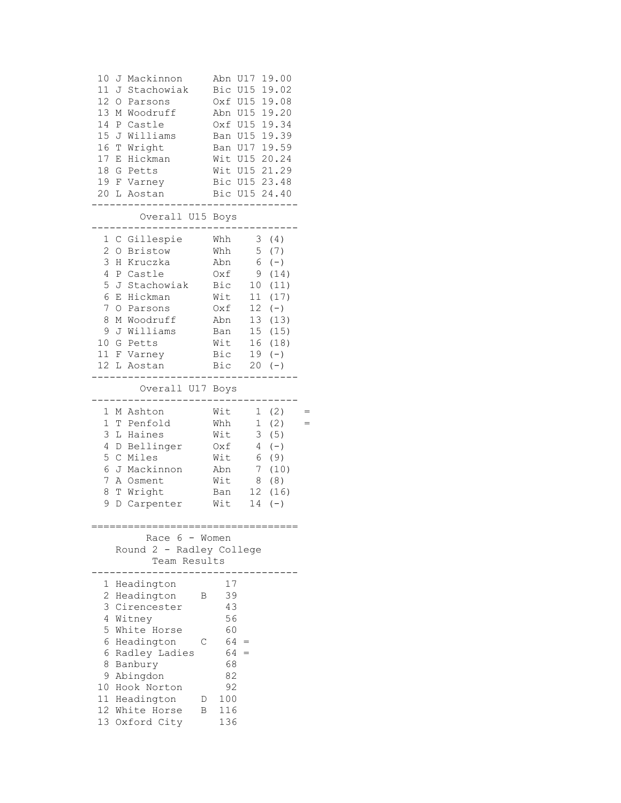| 10<br>Mackinnon<br>J<br>11<br>Stachowiak<br>J<br>12<br>$\bigcirc$<br>Parsons<br>13<br>Woodruff<br>М<br>14<br>Castle<br>$\, {\bf P}$<br>15<br>Williams<br>J<br>16<br>$\mathbb T$<br>Wright<br>17<br>Hickman<br>Е<br>18<br>Petts<br>G<br>19<br>F Varney<br>20 <sub>o</sub><br>L<br>Aostan<br>Overall U15 Boys | 19.00<br>Abn<br>U17<br>U15<br>19.02<br>Bic<br>U15 19.08<br>Oxf<br>U15 19.20<br>Abn<br>U15 19.34<br>Oxf<br>U15 19.39<br>Ban<br>U17 19.59<br>Ban<br>Wit U15 20.24<br>Wit U15 21.29<br>Bic U15 23.48<br>Bic U15 24.40                                                               |
|-------------------------------------------------------------------------------------------------------------------------------------------------------------------------------------------------------------------------------------------------------------------------------------------------------------|----------------------------------------------------------------------------------------------------------------------------------------------------------------------------------------------------------------------------------------------------------------------------------|
|                                                                                                                                                                                                                                                                                                             |                                                                                                                                                                                                                                                                                  |
| C Gillespie<br>1<br>$\mathbf{2}$<br><b>Bristow</b><br>$\bigcirc$<br>3<br>Η<br>Kruczka<br>4<br>Ρ<br>Castle<br>5<br>J<br>Stachowiak<br>6<br>Hickman<br>Ε<br>7<br>O<br>Parsons<br>8<br>Woodruff<br>М<br>9<br>J<br>Williams<br>10 G<br>Petts<br>11<br>$\rm F$<br>Varney<br>12<br>L<br>Aostan                    | Whh<br>3<br>(4)<br>Whh<br>5<br>(7)<br>6<br>Abn<br>$(-)$<br>9<br>Oxf<br>(14)<br>Bic<br>(11)<br>10 <sub>o</sub><br>Wit<br>11<br>(17)<br>12<br>$(-)$<br>Oxf<br>Abn<br>13<br>(13)<br>15 <sub>1</sub><br>(15)<br>Ban<br>Wit<br>16<br>(18)<br>Bic<br>19<br>$(-)$<br>Bic<br>20<br>$(-)$ |
| Overall U17 Boys                                                                                                                                                                                                                                                                                            |                                                                                                                                                                                                                                                                                  |
| 1<br>M Ashton<br>$\mathbf 1$<br>T<br>Penfold<br>3<br>L<br>Haines<br>4<br>Bellinger<br>D<br>5<br>$\mathsf{C}$<br>Miles<br>6<br>J<br>Mackinnon<br>7<br>Α<br>Osment<br>8<br>Wright<br>Т<br>9<br>Carpenter<br>D                                                                                                 | Wit<br>1<br>(2)<br>Whh<br>$\mathbf{1}$<br>(2)<br>3<br>(5)<br>Wit<br>4<br>Oxf<br>$(-)$<br>Wit<br>6<br>(9)<br>7<br>(10)<br>Abn<br>8<br>Wit<br>(8)<br>12<br>(16)<br>Ban<br>14<br>Wit<br>$(-)$                                                                                       |
| Race $6 -$ Women<br>Round 2 - Radley College<br>Team Results                                                                                                                                                                                                                                                |                                                                                                                                                                                                                                                                                  |
| Headington<br>1<br>$\overline{2}$<br>Headington<br>3<br>Cirencester<br>4<br>Witney<br>5<br>White Horse<br>6<br>Headington<br>6<br>Radley Ladies<br>8<br>Banbury<br>9<br>Abingdon<br>10 Hook Norton<br>11 Headington<br>12 White Horse                                                                       | 17<br>39<br>В<br>43<br>56<br>60<br>$64 =$<br>С<br>$64 =$<br>68<br>82<br>92<br>100<br>D<br>116<br>Β                                                                                                                                                                               |
| 13 Oxford City                                                                                                                                                                                                                                                                                              | 136                                                                                                                                                                                                                                                                              |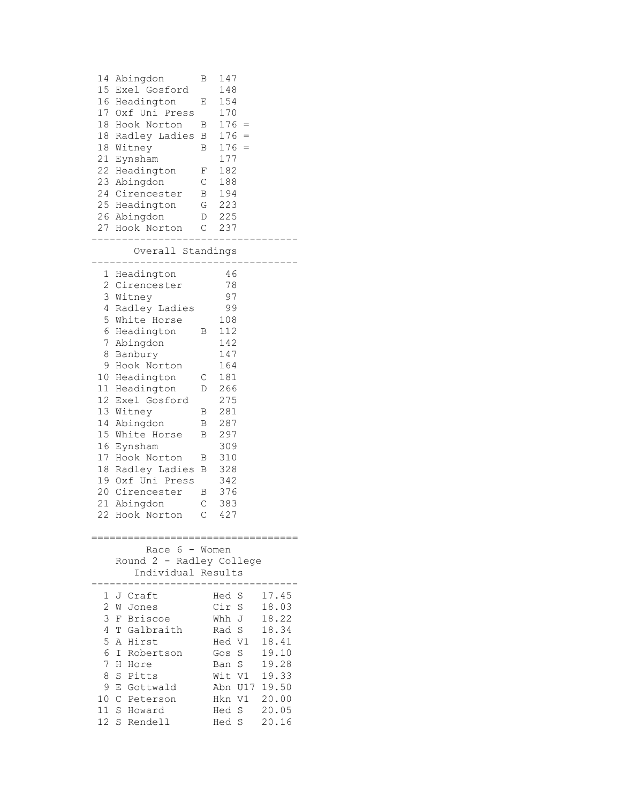| 14<br>15<br>18<br>18<br>18<br>21<br>22                                                                             | Abingdon<br>Exel Gosford<br>16 Headington<br>17 Oxf Uni Press<br>Hook Norton<br>Radley Ladies<br>Witney<br>Eynsham<br>Headington<br>23 Abingdon<br>24 Cirencester<br>25 Headington<br>26 Abingdon<br>27 Hook Norton                                                                                                                                     | В<br>Ε<br>В<br>B<br>В<br>F<br>С<br>В<br>G<br>D<br>С | 147<br>148<br>154<br>170<br>$176 =$<br>176<br>176<br>177<br>182<br>188<br>194<br>223<br>225<br>237                                                 |                                                                                                          |
|--------------------------------------------------------------------------------------------------------------------|---------------------------------------------------------------------------------------------------------------------------------------------------------------------------------------------------------------------------------------------------------------------------------------------------------------------------------------------------------|-----------------------------------------------------|----------------------------------------------------------------------------------------------------------------------------------------------------|----------------------------------------------------------------------------------------------------------|
|                                                                                                                    | Overall Standings                                                                                                                                                                                                                                                                                                                                       |                                                     |                                                                                                                                                    |                                                                                                          |
| 1<br>2<br>3<br>4<br>5<br>6<br>7<br>8<br>9<br>10<br>11 <sup>1</sup><br>14<br>15<br>16<br>17<br>18<br>20<br>21<br>22 | Headington<br>Cirencester<br>Witney<br>Radley Ladies<br>White Horse<br>Headington<br>Abingdon<br>Banbury<br>Hook Norton<br>Headington<br>Headington<br>12 Exel Gosford<br>13 Witney<br>Abingdon<br>White Horse<br>Eynsham<br>Hook Norton<br>Radley Ladies<br>19 Oxf Uni Press<br>Cirencester<br>Abingdon<br>Hook Norton<br>:=========================== | В<br>С<br>D<br>Β<br>Β<br>В<br>Β<br>В<br>Β<br>С<br>C | 46<br>78<br>97<br>99<br>108<br>112<br>142<br>147<br>164<br>181<br>266<br>275<br>281<br>287<br>297<br>309<br>310<br>328<br>342<br>376<br>383<br>427 |                                                                                                          |
|                                                                                                                    | Race 6 - Women<br>Round 2 - Radley College<br>Individual Results                                                                                                                                                                                                                                                                                        |                                                     |                                                                                                                                                    |                                                                                                          |
| 1<br>2<br>3<br>4<br>5<br>6<br>7<br>8<br>9<br>10<br>11 S<br>12                                                      | J Craft<br>W Jones<br>F Briscoe<br>T Galbraith<br>A Hirst<br>Ι<br>Robertson<br>Η<br>Hore<br>S<br>Pitts<br>Ε<br>Gottwald<br>$\mathcal{C}$<br>Peterson<br>Howard<br>S<br>Rendell                                                                                                                                                                          |                                                     | Hed S<br>Cir S<br>Whh J<br>Rad S<br>Hed V1<br>Gos S<br>Ban S<br>Wit<br>V1<br>Abn U17<br>Hkn V1<br>Hed S<br>Hed<br>S                                | 17.45<br>18.03<br>18.22<br>18.34<br>18.41<br>19.10<br>19.28<br>19.33<br>19.50<br>20.00<br>20.05<br>20.16 |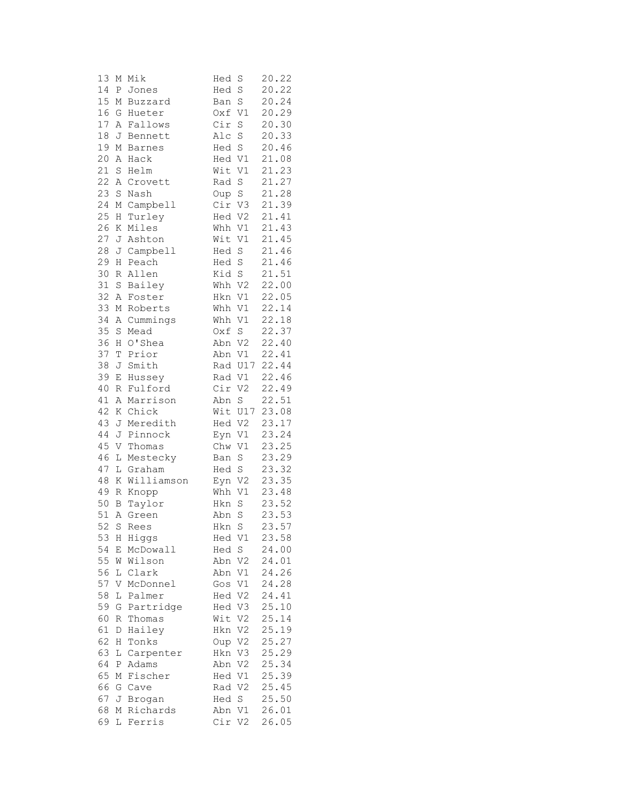| 13     | М           | Mik        | Hed    | S           | 20.22 |
|--------|-------------|------------|--------|-------------|-------|
| 14     | Ρ           | Jones      | Hed    | $\rm S$     | 20.22 |
| 15     | М           | Buzzard    | Ban    | $\mathbf S$ | 20.24 |
| 16     | G           | Hueter     | Oxf    | V1          | 20.29 |
| 17     | Α           | Fallows    | Cir    | $\rm S$     | 20.30 |
| 18     | J           | Bennett    | Alc    | S           | 20.33 |
| 19     | М           | Barnes     | Hed S  |             | 20.46 |
| 20     | Α           | Hack       | Hed V1 |             | 21.08 |
| 21     | S           | Helm       | Wit    | V1          | 21.23 |
| 22     |             | A Crovett  | Rad    | $\rm S$     | 21.27 |
| 23     | S           | Nash       | Oup    | $\rm S$     | 21.28 |
| 24     | М           | Campbell   | Cir V3 |             | 21.39 |
| 25     | Η           | Turley     |        | Hed V2      | 21.41 |
| 26     | Κ           | Miles      | Whh V1 |             | 21.43 |
| 27     | J           | Ashton     | Wit V1 |             | 21.45 |
| 28     | J           | Campbell   | Hed S  |             | 21.46 |
| 29     | Н           | Peach      | Hed S  |             | 21.46 |
| 30     | R           | Allen      | Kid S  |             | 21.51 |
| 31     | S           | Bailey     | Whh V2 |             | 22.00 |
| 32     |             |            | Hkn V1 |             | 22.05 |
| 33     | Α           | Foster     |        |             | 22.14 |
|        | М           | Roberts    | Whh V1 |             |       |
| 34     | Α           | Cummings   | Whh    | V1          | 22.18 |
| 35     | S           | Mead       | Oxf S  |             | 22.37 |
| 36     | Η           | O'Shea     | Abn V2 |             | 22.40 |
| 37     | T           | Prior      |        | Abn V1      | 22.41 |
| 38     | J           | Smith      |        | Rad U17     | 22.44 |
| 39     | $\mathbf E$ | Hussey     | Rad V1 |             | 22.46 |
| 40     | R           | Fulford    | Cir    | V2          | 22.49 |
| 41     | Α           | Marrison   | Abn    | $\mathbf S$ | 22.51 |
| 42     | K           | Chick      |        | Wit U17     | 23.08 |
| 43     | J           | Meredith   |        | Hed V2      | 23.17 |
| 44     | J           | Pinnock    |        | Eyn V1      | 23.24 |
| 45     | V           | Thomas     | Chw V1 |             | 23.25 |
| 46     | L           | Mestecky   | Ban S  |             | 23.29 |
| 47     |             | L Graham   | Hed S  |             | 23.32 |
| $4\,8$ | $\rm K$     | Williamson | Eyn    | V2          | 23.35 |
| 49     | $\mathbb R$ | Knopp      | Whh    | V1          | 23.48 |
| 50     |             | B Taylor   | Hkn    | $\rm S$     | 23.52 |
| 51     | A           | Green      | Abn    | $\rm S$     | 23.53 |
| 52     |             | S Rees     | Hkn S  |             | 23.57 |
| 53     | H.          | Higgs      |        | Hed V1      | 23.58 |
| 54     | Е           | McDowall   | Hed S  |             | 24.00 |
| 55     | W           | Wilson     | Abn V2 |             | 24.01 |
| 56     |             | L Clark    | Abn V1 |             | 24.26 |
| 57     | V           | McDonnel   | Gos V1 |             | 24.28 |
| 58     | L           | Palmer     | Hed V2 |             | 24.41 |
| 59     | G           | Partridge  | Hed V3 |             | 25.10 |
| 60     | R           | Thomas     | Wit V2 |             | 25.14 |
| 61     | D           | Hailey     | Hkn    | V2          | 25.19 |
| 62     | H           | Tonks      |        | Oup V2      | 25.27 |
| 63     | L           | Carpenter  |        | Hkn V3      | 25.29 |
| 64     | P           | Adams      | Abn V2 |             | 25.34 |
| 65     | М           | Fischer    | Hed V1 |             | 25.39 |
| 66     |             | G Cave     | Rad V2 |             | 25.45 |
| 67     | J           | Brogan     | Hed S  |             | 25.50 |
| 68     | М           | Richards   | Abn V1 |             | 26.01 |
| 69     | L           | Ferris     | Cir    | V2          | 26.05 |
|        |             |            |        |             |       |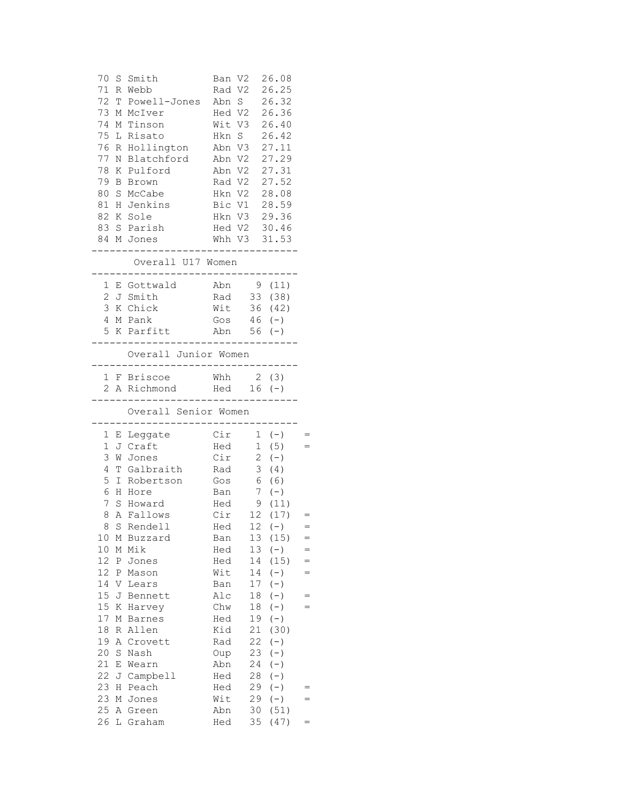|          |   | 70 S Smith Ban V2 26.08<br>71 R Webb<br>72 T Powell-Jones Abn S 26.32<br>73 M McIver Hed V2 26.36<br>74 M Tinson<br>75 L Risato<br>77 N Blatchford Abn V2 27.29<br>78 K Pulford Abn V2 27.31<br>79 B Brown Rad V2 27.52<br>80 S McCabe Hkn V2 28.08<br>81 H Jenkins Bic V1 28.59<br>82 K Sole<br>83 S Parish Hed V2 30.46<br>84 M Jones<br>--------- |                | $- - - - -$ | Rad V2 26.25<br>Wit V3 26.40<br>Hkn V3 29.36<br>Whh V3 31.53 |     |
|----------|---|------------------------------------------------------------------------------------------------------------------------------------------------------------------------------------------------------------------------------------------------------------------------------------------------------------------------------------------------------|----------------|-------------|--------------------------------------------------------------|-----|
|          |   | Overall U17 Women                                                                                                                                                                                                                                                                                                                                    |                |             |                                                              |     |
|          |   | 1 E Gottwald Abn 9 (11)<br>2 J Smith Rad 33 (38)<br>3 K Chick Wit 36 (42)<br>4 M Pank<br>5 K Parfitt Abn 56 (-)<br>----------------------------                                                                                                                                                                                                      | Gos $46 (-)$   |             |                                                              |     |
|          |   | Overall Junior Women                                                                                                                                                                                                                                                                                                                                 |                |             |                                                              |     |
|          |   | ----------------------------------<br>1 F Briscoe Mhh 2 (3)                                                                                                                                                                                                                                                                                          |                |             |                                                              |     |
|          |   | 2 A Richmond Hed 16 (-)                                                                                                                                                                                                                                                                                                                              |                |             |                                                              |     |
|          |   | Overall Senior Women                                                                                                                                                                                                                                                                                                                                 |                |             |                                                              |     |
|          |   |                                                                                                                                                                                                                                                                                                                                                      |                |             |                                                              |     |
|          |   |                                                                                                                                                                                                                                                                                                                                                      |                |             |                                                              |     |
|          |   |                                                                                                                                                                                                                                                                                                                                                      |                |             |                                                              |     |
|          |   | 1 E Leggate Cir 1 (-) =<br>1 J Craft Hed 1 (5) =<br>3 W Jones Cir 2 (-)                                                                                                                                                                                                                                                                              |                |             |                                                              |     |
|          |   | 4 T Galbraith Rad 3                                                                                                                                                                                                                                                                                                                                  |                |             | (4)                                                          |     |
|          |   | 5 I Robertson Gos 6 (6)                                                                                                                                                                                                                                                                                                                              |                |             |                                                              |     |
|          |   | 6 H Hore                                                                                                                                                                                                                                                                                                                                             | Ban $7(-)$     |             |                                                              |     |
|          |   | 7 S Howard Hed 9 (11)                                                                                                                                                                                                                                                                                                                                |                |             |                                                              | $=$ |
| 8        |   | 8 A Fallows<br>S Rendell                                                                                                                                                                                                                                                                                                                             | Hed            | 12          | Cir 12 (17)                                                  | $=$ |
| 10       |   | M Buzzard                                                                                                                                                                                                                                                                                                                                            | Ban            | 13          | $(-)$<br>(15)                                                | $=$ |
| $10$     |   | M Mik                                                                                                                                                                                                                                                                                                                                                | Hed            | 13          | $(-)$                                                        | $=$ |
| 12       |   | P Jones                                                                                                                                                                                                                                                                                                                                              | Hed            | 14          | (15)                                                         | $=$ |
| 12       | Ρ | Mason                                                                                                                                                                                                                                                                                                                                                | Wit            | 14          | $(-)$                                                        | $=$ |
| 14       |   | V Lears                                                                                                                                                                                                                                                                                                                                              | Ban            | 17          | $(-)$                                                        |     |
| 15       |   | J Bennett                                                                                                                                                                                                                                                                                                                                            | $\mathtt{Alc}$ | 18          | $(-)$                                                        | $=$ |
| 15       |   | K Harvey                                                                                                                                                                                                                                                                                                                                             | Chw            | 18          | $(-)$                                                        | $=$ |
| 17       |   | M Barnes                                                                                                                                                                                                                                                                                                                                             | Hed            | 19          | $(-)$                                                        |     |
| 18       |   | R Allen                                                                                                                                                                                                                                                                                                                                              | Kid            | 21          | (30)                                                         |     |
| 19       |   | A Crovett                                                                                                                                                                                                                                                                                                                                            | Rad            | 22          | $(-)$                                                        |     |
| 20       | S | Nash                                                                                                                                                                                                                                                                                                                                                 | Oup            | 23          | $(-)$                                                        |     |
| 21       |   | E Wearn                                                                                                                                                                                                                                                                                                                                              | Abn            | 24          | $(-)$                                                        |     |
| 22<br>23 | Η | J Campbell                                                                                                                                                                                                                                                                                                                                           | Hed            | 28          | $(-)$                                                        | $=$ |
| 23       | М | Peach<br>Jones                                                                                                                                                                                                                                                                                                                                       | Hed<br>Wit     | 29<br>29    | $(-)$<br>$(-)$                                               | $=$ |
| 25       |   | A Green                                                                                                                                                                                                                                                                                                                                              | Abn            | 30          | (51)                                                         |     |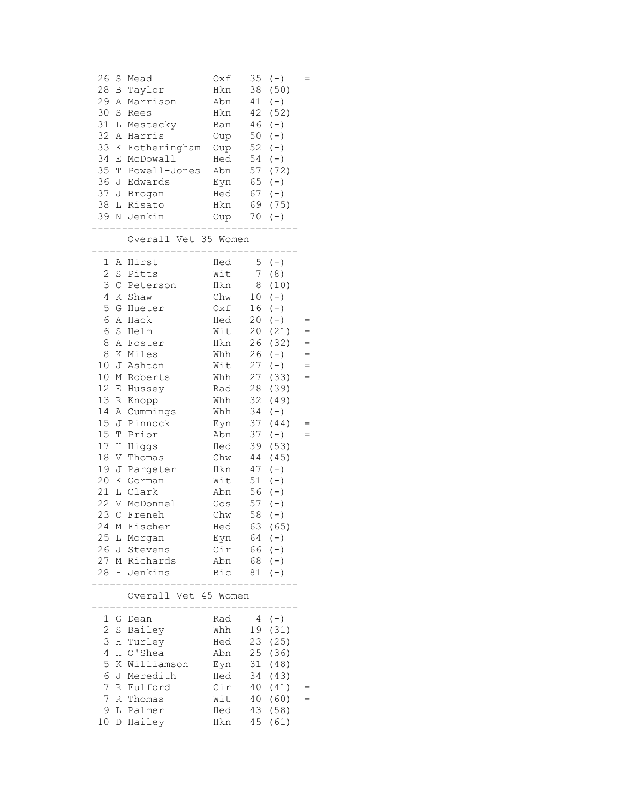| 26<br>S<br>28<br>В<br>29<br>Α<br>30<br>S<br>31<br>L<br>32<br>Α<br>33<br>К<br>34<br>Ε<br>35<br>Т<br>36<br>37<br>J<br>38<br>L<br>39<br>Ν                                                                                                                                                                                                               | Mead<br>Taylor<br>Marrison<br>Rees<br>Mestecky<br>Harris<br>Fotheringham<br>McDowall<br>Powell-Jones<br>J Edwards<br>Brogan<br>Risato<br>Jenkin<br>Overall Vet 35 Women                                                                                                                          | Oxf<br>Hkn<br>Abn<br>Hkn<br>Ban<br>Oup<br>Oup<br>Hed<br>Abn<br>Eyn<br>Hed<br>Hkn<br>Oup                                                                                                          | 35<br>38<br>41<br>42<br>46<br>50<br>52<br>54<br>57<br>65<br>67<br>69<br>70                                                                                                                  | $(-)$<br>(50)<br>$(-)$<br>(52)<br>$(-)$<br>$(-)$<br>$(-)$<br>$(-)$<br>(72)<br>$(-)$<br>$(-)$<br>(75)<br>$(-)$                                                                                                                          |                          |
|------------------------------------------------------------------------------------------------------------------------------------------------------------------------------------------------------------------------------------------------------------------------------------------------------------------------------------------------------|--------------------------------------------------------------------------------------------------------------------------------------------------------------------------------------------------------------------------------------------------------------------------------------------------|--------------------------------------------------------------------------------------------------------------------------------------------------------------------------------------------------|---------------------------------------------------------------------------------------------------------------------------------------------------------------------------------------------|----------------------------------------------------------------------------------------------------------------------------------------------------------------------------------------------------------------------------------------|--------------------------|
| 1<br>Α<br>$\overline{c}$<br>$\rm S$<br>3<br>$\mathsf C$<br>4<br>Κ<br>5<br>G<br>6<br>Α<br>6<br>$\mathbf S$<br>8<br>Α<br>8<br>Κ<br>10<br>J<br>10<br>М<br>12<br>Ε<br>13<br>$\, {\mathbb R}$<br>14<br>Α<br>15<br>J<br>15<br>T<br>17<br>Η<br>$18\,$<br>V<br>19<br>J<br>20<br>Κ<br>21<br>L<br>22<br>V<br>23<br>$\mathcal{C}$<br>25<br>L<br>26<br>J<br>28 H | Hirst<br>Pitts<br>Peterson<br>Shaw<br>Hueter<br>Hack<br>Helm<br>Foster<br>Miles<br>Ashton<br>Roberts<br>Hussey<br>Knopp<br>Cummings<br>Pinnock<br>Prior<br>Higgs<br>Thomas<br>Pargeter<br>Gorman<br>Clark<br>McDonnel<br>Freneh<br>24 M Fischer<br>Morgan<br>Stevens<br>27 M Richards<br>Jenkins | Hed<br>Wit<br>Hkn<br>Chw<br>Oxf<br>Hed<br>Wit<br>Hkn<br>Whh<br>Wit<br>Whh<br>Rad<br>Whh<br>Whh<br>Eyn<br>Abn<br>Hed<br>Chw<br>Hkn<br>Wit<br>Abn<br>Gos<br>Chw<br>Hed<br>Eyn<br>Cir<br>Abn<br>Bic | 5<br>7 <sup>7</sup><br>8<br>10 <sub>o</sub><br>16<br>20<br>20<br>26<br>26<br>27<br>27<br>28<br>32<br>34<br>37<br>37<br>39<br>44<br>47<br>51<br>56<br>57<br>58<br>$64$ (-)<br>66<br>68<br>81 | $(-)$<br>(8)<br>(10)<br>$(-)$<br>$(-)$<br>$(-)$<br>(21)<br>(32)<br>$(-)$<br>$(-)$<br>(33)<br>(39)<br>(49)<br>$(-)$<br>(44)<br>$(-)$<br>(53)<br>(45)<br>$(-)$<br>$(-)$<br>$(-)$<br>$(-)$<br>$(-)$<br>63 (65)<br>$(-)$<br>$(-)$<br>$(-)$ | $=$<br>$=$<br>$=$<br>$=$ |
|                                                                                                                                                                                                                                                                                                                                                      | Overall Vet 45 Women                                                                                                                                                                                                                                                                             |                                                                                                                                                                                                  |                                                                                                                                                                                             |                                                                                                                                                                                                                                        |                          |
| 1<br>G<br>2<br>S<br>3<br>Η<br>4<br>Η<br>5<br>Κ<br>6<br>J<br>7<br>R<br>7<br>R<br>9<br>L<br>10                                                                                                                                                                                                                                                         | Dean<br>Bailey<br>Turley<br>O'Shea<br>Williamson<br>Meredith<br>Fulford<br>Thomas<br>Palmer<br>D Hailey                                                                                                                                                                                          | Rad<br>Whh<br>Hed<br>Abn<br>Eyn<br>Hed<br>Cir<br>Wit<br>Hed<br>Hkn                                                                                                                               | $\overline{4}$<br>19<br>23<br>25<br>31<br>34<br>40<br>40<br>43<br>45                                                                                                                        | $(-)$<br>(31)<br>(25)<br>(36)<br>(48)<br>(43)<br>(41)<br>(60)<br>(58)<br>(61)                                                                                                                                                          |                          |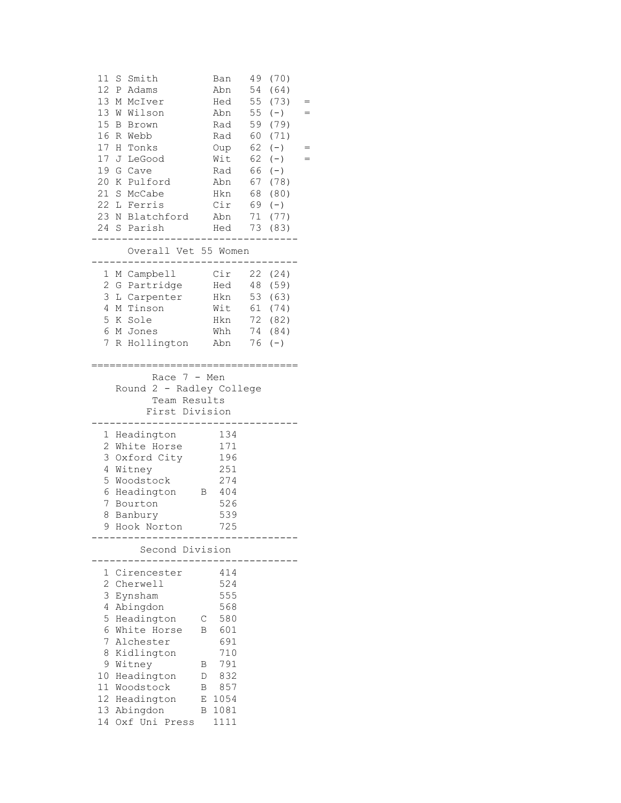| 11 S Smith<br>49<br>Ban<br>(70)<br>12 P Adams<br>54<br>Abn<br>(64)<br>13 M McIver<br>55<br>Hed<br>(73)<br>$=$<br>13 W Wilson<br>55<br>Abn<br>$(-)$<br>15 B Brown<br>59<br>(79)<br>Rad<br>16 R Webb<br>60<br>(71)<br>Rad<br>17 H Tonks<br>62<br>Oup<br>$(-)$<br>62<br>17 J LeGood<br>Wit<br>$(-)$<br>Rad<br>19 G Cave<br>66<br>$(-)$<br>20 K Pulford<br>67 (78)<br>Abn<br>21 S McCabe<br>Hkn<br>68 (80)<br>22 L Ferris<br>$Cir 69 (-)$<br>23 N Blatchford<br>71<br>Abn<br>(77)<br>24 S Parish<br>Hed 73 (83)<br>Overall Vet 55 Women<br>--------------<br>Cir 22 (24)<br>1 M Campbell<br>2 G Partridge<br>Hed 48 (59)<br>3 L Carpenter Hkn 53 (63)<br>4 M Tinson<br>Wit 61 (74)<br>5 K Sole<br>Hkn 72 (82)<br>6 M Jones<br>74 (84)<br>Whh<br>$7^{\circ}$<br>R Hollington<br>Abn<br>76<br>$(-)$<br>Race $7 - Men$<br>Round 2 - Radley College<br>Team Results<br>First Division<br>134<br>1 Headington<br>2 White Horse<br>171<br>3 Oxford City<br>196<br>251<br>4 Witney<br>5 Woodstock<br>274<br>6 Headington B 404<br>526<br>7 Bourton<br>539<br>8<br>Banbury<br>Hook Norton<br>725<br>9<br>Second Division<br>1 Cirencester<br>414<br>2 Cherwell<br>524<br>3<br>555<br>Eynsham<br>568<br>4<br>Abingdon<br>5<br>Headington<br>580<br>С<br>6 White Horse<br>601<br>В<br>7<br>Alchester<br>691<br>Kidlington<br>710<br>8<br>9 Witney<br>791<br>Β<br>Headington<br>10<br>832<br>D<br>11<br>Woodstock<br>Β |  |   |      |  |     |
|---------------------------------------------------------------------------------------------------------------------------------------------------------------------------------------------------------------------------------------------------------------------------------------------------------------------------------------------------------------------------------------------------------------------------------------------------------------------------------------------------------------------------------------------------------------------------------------------------------------------------------------------------------------------------------------------------------------------------------------------------------------------------------------------------------------------------------------------------------------------------------------------------------------------------------------------------------------------------------------------------------------------------------------------------------------------------------------------------------------------------------------------------------------------------------------------------------------------------------------------------------------------------------------------------------------------------------------------------------------------------------------------------------|--|---|------|--|-----|
|                                                                                                                                                                                                                                                                                                                                                                                                                                                                                                                                                                                                                                                                                                                                                                                                                                                                                                                                                                                                                                                                                                                                                                                                                                                                                                                                                                                                         |  |   |      |  |     |
|                                                                                                                                                                                                                                                                                                                                                                                                                                                                                                                                                                                                                                                                                                                                                                                                                                                                                                                                                                                                                                                                                                                                                                                                                                                                                                                                                                                                         |  |   |      |  |     |
|                                                                                                                                                                                                                                                                                                                                                                                                                                                                                                                                                                                                                                                                                                                                                                                                                                                                                                                                                                                                                                                                                                                                                                                                                                                                                                                                                                                                         |  |   |      |  |     |
|                                                                                                                                                                                                                                                                                                                                                                                                                                                                                                                                                                                                                                                                                                                                                                                                                                                                                                                                                                                                                                                                                                                                                                                                                                                                                                                                                                                                         |  |   |      |  |     |
|                                                                                                                                                                                                                                                                                                                                                                                                                                                                                                                                                                                                                                                                                                                                                                                                                                                                                                                                                                                                                                                                                                                                                                                                                                                                                                                                                                                                         |  |   |      |  | $=$ |
|                                                                                                                                                                                                                                                                                                                                                                                                                                                                                                                                                                                                                                                                                                                                                                                                                                                                                                                                                                                                                                                                                                                                                                                                                                                                                                                                                                                                         |  |   |      |  |     |
|                                                                                                                                                                                                                                                                                                                                                                                                                                                                                                                                                                                                                                                                                                                                                                                                                                                                                                                                                                                                                                                                                                                                                                                                                                                                                                                                                                                                         |  |   |      |  |     |
|                                                                                                                                                                                                                                                                                                                                                                                                                                                                                                                                                                                                                                                                                                                                                                                                                                                                                                                                                                                                                                                                                                                                                                                                                                                                                                                                                                                                         |  |   |      |  |     |
|                                                                                                                                                                                                                                                                                                                                                                                                                                                                                                                                                                                                                                                                                                                                                                                                                                                                                                                                                                                                                                                                                                                                                                                                                                                                                                                                                                                                         |  |   |      |  | $=$ |
|                                                                                                                                                                                                                                                                                                                                                                                                                                                                                                                                                                                                                                                                                                                                                                                                                                                                                                                                                                                                                                                                                                                                                                                                                                                                                                                                                                                                         |  |   |      |  |     |
|                                                                                                                                                                                                                                                                                                                                                                                                                                                                                                                                                                                                                                                                                                                                                                                                                                                                                                                                                                                                                                                                                                                                                                                                                                                                                                                                                                                                         |  |   |      |  |     |
|                                                                                                                                                                                                                                                                                                                                                                                                                                                                                                                                                                                                                                                                                                                                                                                                                                                                                                                                                                                                                                                                                                                                                                                                                                                                                                                                                                                                         |  |   |      |  |     |
|                                                                                                                                                                                                                                                                                                                                                                                                                                                                                                                                                                                                                                                                                                                                                                                                                                                                                                                                                                                                                                                                                                                                                                                                                                                                                                                                                                                                         |  |   |      |  |     |
|                                                                                                                                                                                                                                                                                                                                                                                                                                                                                                                                                                                                                                                                                                                                                                                                                                                                                                                                                                                                                                                                                                                                                                                                                                                                                                                                                                                                         |  |   |      |  |     |
|                                                                                                                                                                                                                                                                                                                                                                                                                                                                                                                                                                                                                                                                                                                                                                                                                                                                                                                                                                                                                                                                                                                                                                                                                                                                                                                                                                                                         |  |   |      |  |     |
|                                                                                                                                                                                                                                                                                                                                                                                                                                                                                                                                                                                                                                                                                                                                                                                                                                                                                                                                                                                                                                                                                                                                                                                                                                                                                                                                                                                                         |  |   |      |  |     |
|                                                                                                                                                                                                                                                                                                                                                                                                                                                                                                                                                                                                                                                                                                                                                                                                                                                                                                                                                                                                                                                                                                                                                                                                                                                                                                                                                                                                         |  |   |      |  |     |
|                                                                                                                                                                                                                                                                                                                                                                                                                                                                                                                                                                                                                                                                                                                                                                                                                                                                                                                                                                                                                                                                                                                                                                                                                                                                                                                                                                                                         |  |   |      |  |     |
|                                                                                                                                                                                                                                                                                                                                                                                                                                                                                                                                                                                                                                                                                                                                                                                                                                                                                                                                                                                                                                                                                                                                                                                                                                                                                                                                                                                                         |  |   |      |  |     |
|                                                                                                                                                                                                                                                                                                                                                                                                                                                                                                                                                                                                                                                                                                                                                                                                                                                                                                                                                                                                                                                                                                                                                                                                                                                                                                                                                                                                         |  |   |      |  |     |
|                                                                                                                                                                                                                                                                                                                                                                                                                                                                                                                                                                                                                                                                                                                                                                                                                                                                                                                                                                                                                                                                                                                                                                                                                                                                                                                                                                                                         |  |   |      |  |     |
|                                                                                                                                                                                                                                                                                                                                                                                                                                                                                                                                                                                                                                                                                                                                                                                                                                                                                                                                                                                                                                                                                                                                                                                                                                                                                                                                                                                                         |  |   |      |  |     |
|                                                                                                                                                                                                                                                                                                                                                                                                                                                                                                                                                                                                                                                                                                                                                                                                                                                                                                                                                                                                                                                                                                                                                                                                                                                                                                                                                                                                         |  |   |      |  |     |
|                                                                                                                                                                                                                                                                                                                                                                                                                                                                                                                                                                                                                                                                                                                                                                                                                                                                                                                                                                                                                                                                                                                                                                                                                                                                                                                                                                                                         |  |   |      |  |     |
|                                                                                                                                                                                                                                                                                                                                                                                                                                                                                                                                                                                                                                                                                                                                                                                                                                                                                                                                                                                                                                                                                                                                                                                                                                                                                                                                                                                                         |  |   |      |  |     |
|                                                                                                                                                                                                                                                                                                                                                                                                                                                                                                                                                                                                                                                                                                                                                                                                                                                                                                                                                                                                                                                                                                                                                                                                                                                                                                                                                                                                         |  |   |      |  |     |
|                                                                                                                                                                                                                                                                                                                                                                                                                                                                                                                                                                                                                                                                                                                                                                                                                                                                                                                                                                                                                                                                                                                                                                                                                                                                                                                                                                                                         |  |   |      |  |     |
|                                                                                                                                                                                                                                                                                                                                                                                                                                                                                                                                                                                                                                                                                                                                                                                                                                                                                                                                                                                                                                                                                                                                                                                                                                                                                                                                                                                                         |  |   |      |  |     |
|                                                                                                                                                                                                                                                                                                                                                                                                                                                                                                                                                                                                                                                                                                                                                                                                                                                                                                                                                                                                                                                                                                                                                                                                                                                                                                                                                                                                         |  |   |      |  |     |
|                                                                                                                                                                                                                                                                                                                                                                                                                                                                                                                                                                                                                                                                                                                                                                                                                                                                                                                                                                                                                                                                                                                                                                                                                                                                                                                                                                                                         |  |   |      |  |     |
|                                                                                                                                                                                                                                                                                                                                                                                                                                                                                                                                                                                                                                                                                                                                                                                                                                                                                                                                                                                                                                                                                                                                                                                                                                                                                                                                                                                                         |  |   |      |  |     |
|                                                                                                                                                                                                                                                                                                                                                                                                                                                                                                                                                                                                                                                                                                                                                                                                                                                                                                                                                                                                                                                                                                                                                                                                                                                                                                                                                                                                         |  |   |      |  |     |
|                                                                                                                                                                                                                                                                                                                                                                                                                                                                                                                                                                                                                                                                                                                                                                                                                                                                                                                                                                                                                                                                                                                                                                                                                                                                                                                                                                                                         |  |   |      |  |     |
|                                                                                                                                                                                                                                                                                                                                                                                                                                                                                                                                                                                                                                                                                                                                                                                                                                                                                                                                                                                                                                                                                                                                                                                                                                                                                                                                                                                                         |  |   |      |  |     |
|                                                                                                                                                                                                                                                                                                                                                                                                                                                                                                                                                                                                                                                                                                                                                                                                                                                                                                                                                                                                                                                                                                                                                                                                                                                                                                                                                                                                         |  |   |      |  |     |
|                                                                                                                                                                                                                                                                                                                                                                                                                                                                                                                                                                                                                                                                                                                                                                                                                                                                                                                                                                                                                                                                                                                                                                                                                                                                                                                                                                                                         |  |   |      |  |     |
|                                                                                                                                                                                                                                                                                                                                                                                                                                                                                                                                                                                                                                                                                                                                                                                                                                                                                                                                                                                                                                                                                                                                                                                                                                                                                                                                                                                                         |  |   |      |  |     |
|                                                                                                                                                                                                                                                                                                                                                                                                                                                                                                                                                                                                                                                                                                                                                                                                                                                                                                                                                                                                                                                                                                                                                                                                                                                                                                                                                                                                         |  |   |      |  |     |
|                                                                                                                                                                                                                                                                                                                                                                                                                                                                                                                                                                                                                                                                                                                                                                                                                                                                                                                                                                                                                                                                                                                                                                                                                                                                                                                                                                                                         |  |   |      |  |     |
|                                                                                                                                                                                                                                                                                                                                                                                                                                                                                                                                                                                                                                                                                                                                                                                                                                                                                                                                                                                                                                                                                                                                                                                                                                                                                                                                                                                                         |  |   |      |  |     |
|                                                                                                                                                                                                                                                                                                                                                                                                                                                                                                                                                                                                                                                                                                                                                                                                                                                                                                                                                                                                                                                                                                                                                                                                                                                                                                                                                                                                         |  |   |      |  |     |
|                                                                                                                                                                                                                                                                                                                                                                                                                                                                                                                                                                                                                                                                                                                                                                                                                                                                                                                                                                                                                                                                                                                                                                                                                                                                                                                                                                                                         |  |   |      |  |     |
|                                                                                                                                                                                                                                                                                                                                                                                                                                                                                                                                                                                                                                                                                                                                                                                                                                                                                                                                                                                                                                                                                                                                                                                                                                                                                                                                                                                                         |  |   |      |  |     |
|                                                                                                                                                                                                                                                                                                                                                                                                                                                                                                                                                                                                                                                                                                                                                                                                                                                                                                                                                                                                                                                                                                                                                                                                                                                                                                                                                                                                         |  |   |      |  |     |
|                                                                                                                                                                                                                                                                                                                                                                                                                                                                                                                                                                                                                                                                                                                                                                                                                                                                                                                                                                                                                                                                                                                                                                                                                                                                                                                                                                                                         |  |   |      |  |     |
|                                                                                                                                                                                                                                                                                                                                                                                                                                                                                                                                                                                                                                                                                                                                                                                                                                                                                                                                                                                                                                                                                                                                                                                                                                                                                                                                                                                                         |  |   |      |  |     |
|                                                                                                                                                                                                                                                                                                                                                                                                                                                                                                                                                                                                                                                                                                                                                                                                                                                                                                                                                                                                                                                                                                                                                                                                                                                                                                                                                                                                         |  |   |      |  |     |
|                                                                                                                                                                                                                                                                                                                                                                                                                                                                                                                                                                                                                                                                                                                                                                                                                                                                                                                                                                                                                                                                                                                                                                                                                                                                                                                                                                                                         |  |   |      |  |     |
|                                                                                                                                                                                                                                                                                                                                                                                                                                                                                                                                                                                                                                                                                                                                                                                                                                                                                                                                                                                                                                                                                                                                                                                                                                                                                                                                                                                                         |  |   |      |  |     |
| 12 Headington                                                                                                                                                                                                                                                                                                                                                                                                                                                                                                                                                                                                                                                                                                                                                                                                                                                                                                                                                                                                                                                                                                                                                                                                                                                                                                                                                                                           |  |   | 857  |  |     |
| 13<br>1081<br>Abingdon<br>В<br>14<br>Oxf Uni Press<br>1111                                                                                                                                                                                                                                                                                                                                                                                                                                                                                                                                                                                                                                                                                                                                                                                                                                                                                                                                                                                                                                                                                                                                                                                                                                                                                                                                              |  | E | 1054 |  |     |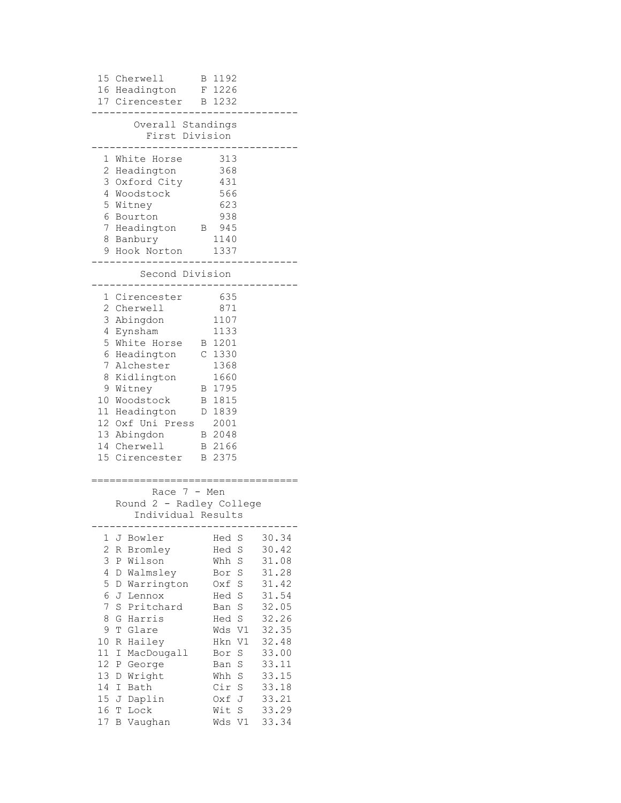| 15 Cherwell<br>16 Headington<br>17 Cirencester                                                                                                                                                                                                                                                                                                                                        | 1192<br>B<br>F 1226<br>1232<br>B                                                                                                                                                                                                                                                                                                                                                    |
|---------------------------------------------------------------------------------------------------------------------------------------------------------------------------------------------------------------------------------------------------------------------------------------------------------------------------------------------------------------------------------------|-------------------------------------------------------------------------------------------------------------------------------------------------------------------------------------------------------------------------------------------------------------------------------------------------------------------------------------------------------------------------------------|
| Overall Standings<br>First Division                                                                                                                                                                                                                                                                                                                                                   |                                                                                                                                                                                                                                                                                                                                                                                     |
| White Horse<br>1<br>2<br>Headington<br>3<br>Oxford City<br>4<br>Woodstock<br>5<br>Witney<br>6<br>Bourton<br>7<br>Headington<br>8 Banbury<br>9 Hook Norton                                                                                                                                                                                                                             | 313<br>368<br>431<br>566<br>623<br>938<br>945<br>$\mathbf{B}$<br>1140<br>1337                                                                                                                                                                                                                                                                                                       |
| Second Division                                                                                                                                                                                                                                                                                                                                                                       |                                                                                                                                                                                                                                                                                                                                                                                     |
| 1 Cirencester<br>2<br>Cherwell<br>3<br>Abingdon<br>4<br>Eynsham<br>5<br>White Horse<br>6<br>Headington<br>7<br>Alchester<br>8<br>Kidlington<br>9<br>Witney<br>10 Woodstock<br>11 Headington<br>12 Oxf Uni Press<br>13 Abingdon<br>14 Cherwell<br>15 Cirencester                                                                                                                       | 635<br>871<br>1107<br>1133<br>B 1201<br>C 1330<br>1368<br>1660<br>1795<br>В<br>1815<br>B<br>1839<br>$\mathbb{D}$<br>2001<br>B 2048<br>B 2166<br>B 2375                                                                                                                                                                                                                              |
| Race 7<br>Round 2 - Radley College<br>Individual Results                                                                                                                                                                                                                                                                                                                              | - Men                                                                                                                                                                                                                                                                                                                                                                               |
| -----<br>1<br>J<br>Bowler<br>$\overline{c}$<br>R<br>Bromley<br>3<br>P Wilson<br>4<br>D<br>Walmsley<br>5<br>Warrington<br>D<br>6<br>J<br>Lennox<br>7<br>S<br>Pritchard<br>8<br>G<br>Harris<br>9<br>Glare<br>Τ<br>10<br>Hailey<br>R<br>11<br>Ι<br>MacDougall<br>12<br>George<br>Ρ<br>13<br>Wright<br>D<br>14<br>I<br>Bath<br>15<br>J<br>Daplin<br>16<br>Τ<br>Lock<br>17<br>Β<br>Vaughan | $--- - - -$<br>30.34<br>Hed<br>S<br>S<br>30.42<br>Hed<br>31.08<br>S<br>Whh<br>31.28<br>S<br>Bor<br>31.42<br>S<br>Oxf<br>31.54<br>S<br>Hed<br>32.05<br>S<br>Ban<br>32.26<br>S<br>Hed<br>V1<br>32.35<br>Wds<br>V1<br>32.48<br>Hkn<br>S<br>33.00<br>Bor<br>S<br>33.11<br>Ban<br>33.15<br>Whh<br>S<br>33.18<br>Cir<br>S<br>33.21<br>J<br>Oxf<br>33.29<br>Wit<br>S<br>33.34<br>Wds<br>V1 |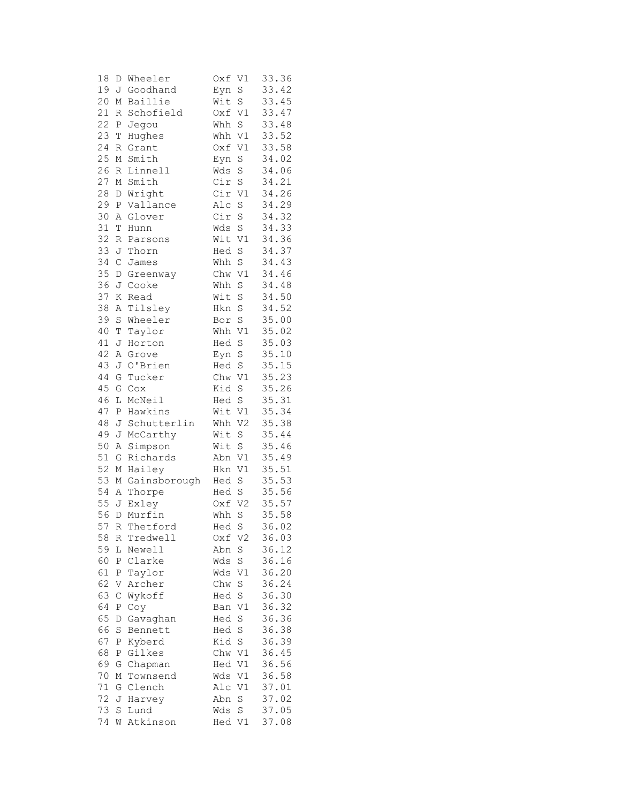| 18       | D           | Wheeler             | Oxf           | V1             | 33.36          |
|----------|-------------|---------------------|---------------|----------------|----------------|
| 19       | J           | Goodhand            | Eyn           | $\rm S$        | 33.42          |
| 20       | М           | Baillie             | Wit           | S              | 33.45          |
| 21       | R           | Schofield           | Oxf           | V1             | 33.47          |
| 22       | Ρ           | Jegou               | Whh           | S              | 33.48          |
| 23       | T           | Hughes              | Whh           | V1             | 33.52          |
| 24       | R           | Grant               | Oxf           | V1             | 33.58          |
| 25       | М           | Smith               | Eyn           | $\rm S$        | 34.02          |
| 26       | R           | Linnell             | Wds           | S              | 34.06          |
| 27       |             | M Smith             | Cir           | $\rm S$        | 34.21          |
| 28       | D           | Wright              | Cir           | V1             | 34.26          |
| 29       | Ρ           | Vallance            | Alc           | $\rm S$        | 34.29          |
| 30       | Α           | Glover              | Cir           | S              | 34.32          |
| 31       | Т           | Hunn                | Wds           | $\rm S$        | 34.33          |
| 32       | R           | Parsons             | Wit           | V1             | 34.36          |
| 33       | J           | Thorn               | Hed           | S              | 34.37          |
| 34       | $\mathsf C$ | James               | Whh           | S              | 34.43          |
| 35       | $\mathbb D$ | Greenway            | Chw           | $\mathtt{V1}$  | 34.46          |
| 36       | J           | Cooke               | Whh           | S              | 34.48          |
| 37       | Κ           | Read                | Wit           | S              | 34.50          |
| 38       | Α           | Tilsley             | Hkn           | $\rm S$        | 34.52          |
| 39       | S           | Wheeler             | Bor           | S              | 35.00          |
| 40       | T           | Taylor              | Whh           | V1             | 35.02          |
| 41       | J           | Horton              | Hed           | S              | 35.03          |
| 42       | Α           | Grove               | Eyn           | $\rm S$        | 35.10          |
| 43       | J           | O'Brien             | Hed           | $\rm S$        | 35.15          |
| $4\,4$   | G           | Tucker              | Chw V1        |                | 35.23          |
| 45       | G           | Cox                 | Kid           | $\rm S$        | 35.26          |
| 46       | L           | McNeil              | Hed           | S              | 35.31          |
| 47       | Ρ           | Hawkins             | Wit           | V1             | 35.34          |
| 48       | J           | Schutterlin         | Whh           | V2             | 35.38          |
| 49       | J           | McCarthy            | Wit           | $\rm S$        | 35.44          |
| 50       | Α           | Simpson             | Wit           | S              | 35.46          |
| 51       | G           | Richards            | Abn           | V1             | 35.49          |
| 52       | М           | Hailey              | Hkn           | V1             | 35.51          |
| 53       | М           | Gainsborough        | Hed           | S              | 35.53          |
| 54       | Α           | Thorpe              | Hed           | $\rm S$        | 35.56          |
| 55       | J           | Exley               | Oxf           | V <sub>2</sub> | 35.57          |
| 56       | D           | Murfin              | Whh           | S              | 35.58          |
| 57       | R           | Thetford            | Hed S         |                | 36.02          |
| 58       | R           | Tredwell            | Oxf           | V2             | 36.03          |
| 59       | L           | Newell              | Abn           | $\rm S$        | 36.12          |
| 60       | Ρ           | Clarke              | Wds           | $\rm S$        | 36.16          |
| 61       | Ρ           | Taylor              | Wds           | V1             | 36.20          |
| 62       | V           | Archer              | Chw           | S              | 36.24          |
| 63       | $\mathsf C$ | Wykoff              | Hed           | S              | 36.30          |
| 64       | Ρ           | Coy                 | Ban           | V1             | 36.32          |
| 65       | D           | Gavaghan            | Hed           | S              | 36.36          |
| 66       | S           | Bennett             | Hed           | S              | 36.38          |
| 67       | Ρ           | Kyberd              | Kid           | S              | 36.39          |
| 68<br>69 | Ρ<br>G      | Gilkes              | Chw V1<br>Hed |                | 36.45          |
| 70       | М           | Chapman<br>Townsend | Wds           | V1<br>V1       | 36.56<br>36.58 |
| 71       | G           | Clench              | Alc           | V1             | 37.01          |
| 72       | J           | Harvey              | Abn           | $\rm S$        | 37.02          |
| 73       | S           | Lund                | Wds           | S              | 37.05          |
| 74       | W           | Atkinson            | Hed           | V1             | 37.08          |
|          |             |                     |               |                |                |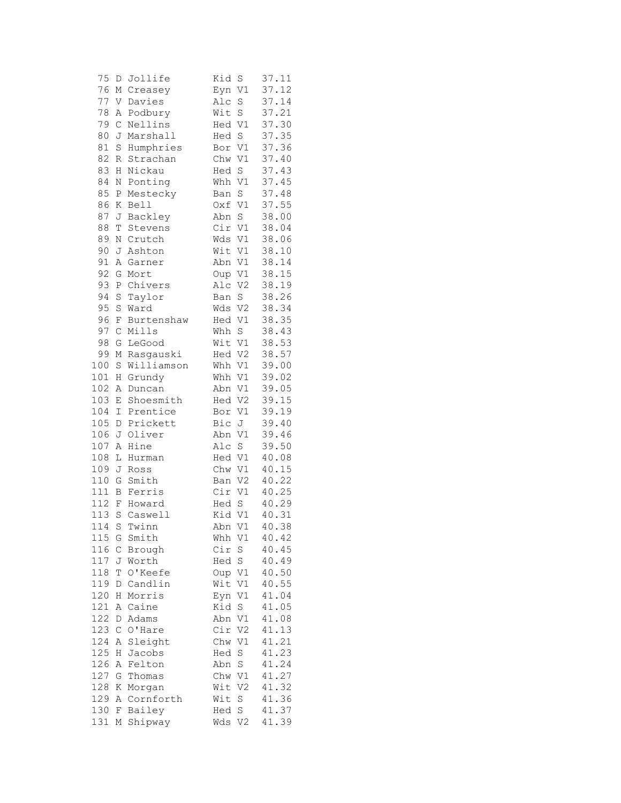| 75    | D                | Jollife    | Kid<br>S              | 37.11       |
|-------|------------------|------------|-----------------------|-------------|
| 76    | М                | Creasey    | V1<br>Eyn             | 37.12       |
| 77    | V                | Davies     | Alc<br>S              | 37.14       |
| 78    | Α                | Podbury    | $\mathbf S$<br>Wit    | 37.21       |
| 79    | $\mathcal{C}$    | Nellins    | $\mathtt{V1}$<br>Hed  | 37.30       |
| 80    | J                | Marshall   | S<br>Hed              | 37.35       |
| 81    | $\rm S$          | Humphries  | Bor V1                | 37.36       |
| 82    | R                | Strachan   | V1<br>Chw             | 37.40       |
| 83    | Η                | Nickau     | S<br>Hed              | 37.43       |
| 84    | Ν                | Ponting    | Whh V1                | 37.45       |
| 85    | Ρ                | Mestecky   | S<br>Ban              | 37.48       |
| 86    | Κ                | Bell       | Oxf<br>V1             | 37.55       |
| 87    | J                | Backley    | $\rm S$<br>Abn        | 38.00       |
| 88    | Τ                | Stevens    | Cir<br>V1             | 38.04       |
| 89    | Ν                | Crutch     | Wds<br>V1             | 38.06       |
| 90    | J                | Ashton     | Wit<br>V1             | 38.10       |
| 91    | Α                | Garner     | V1<br>Abn             | 38.14       |
| 92    | G                | Mort       | Oup                   | 38.15<br>V1 |
| 93    | $\, {\mathbb P}$ | Chivers    | Alc<br>V <sub>2</sub> | 38.19       |
| 94    | S                | Taylor     | S<br>Ban              | 38.26       |
| 95    | $\rm S$          | Ward       | Wds<br>V <sub>2</sub> | 38.34       |
| 96    | F                | Burtenshaw | V1<br>Hed             | 38.35       |
| 97    | $\mathsf C$      | Mills      | S<br>Whh              | 38.43       |
| 98    | G                | LeGood     | Wit<br>V1             | 38.53       |
| 99    | М                | Rasgauski  | Hed V2                | 38.57       |
| 100   | S                | Williamson | Whh                   | 39.00<br>V1 |
| 101   | Η                | Grundy     | V1<br>Whh             | 39.02       |
| 102   | Α                | Duncan     | Abn                   | 39.05<br>V1 |
| 103   | Ε                | Shoesmith  | $\rm V2$<br>Hed       | 39.15       |
| 104   | Ι                | Prentice   | V1<br>Bor             | 39.19       |
| 105   | D                | Prickett   | J<br>Bic              | 39.40       |
| 106   | J                | Oliver     | Abn<br>V1             | 39.46       |
| 107   | Α                | Hine       | S<br>Alc              | 39.50       |
| 108   | L                | Hurman     | Hed V1                | 40.08       |
| 109   | J                | Ross       | Chw                   | V1<br>40.15 |
| 110   | G                | Smith      | Ban                   | 40.22<br>V2 |
| 111   | В                | Ferris     | Cir<br>$\mathtt{V1}$  | 40.25       |
| 112   |                  | F Howard   | S<br>Hed              | 40.29       |
| 113   | $\rm S$          | Caswell    | Kid<br>V1             | 40.31       |
| 114 S |                  | Twinn      | Abn V1                | 40.38       |
| 115   | G                | Smith      | Whh<br>V1             | 40.42       |
| 116   | $\mathsf C$      | Brough     | Cir<br>$\mathbb S$    | 40.45       |
| 117   | J                | Worth      | $\rm S$<br>Hed        | 40.49       |
| 118   | T                | O'Keefe    | V1<br>Oup             | 40.50       |
| 119   | D                | Candlin    | Wit<br>V1             | 40.55       |
| 120   | Η                | Morris     | V1<br>Eyn             | 41.04       |
| 121   | Α                | Caine      | Kid<br>S              | 41.05       |
| 122   | D                | Adams      | Abn<br>V1             | 41.08       |
| 123   | $\mathsf C$      | O'Hare     | Cir                   | 41.13<br>V2 |
| 124   | Α                | Sleight    | Chw<br>V1             | 41.21       |
| 125   | Η                | Jacobs     | S<br>Hed              | 41.23       |
| 126   | Α                | Felton     | S<br>Abn              | 41.24       |
| 127   | G                | Thomas     | Chw<br>$\mathtt{V1}$  | 41.27       |
| 128   | Κ                | Morgan     | Wit<br>V <sub>2</sub> | 41.32       |
| 129   | Α                | Cornforth  | S<br>Wit              | 41.36       |
| 130   | F                | Bailey     | $\rm S$<br>Hed        | 41.37       |
| 131   | Μ                | Shipway    | Wds<br>V2             | 41.39       |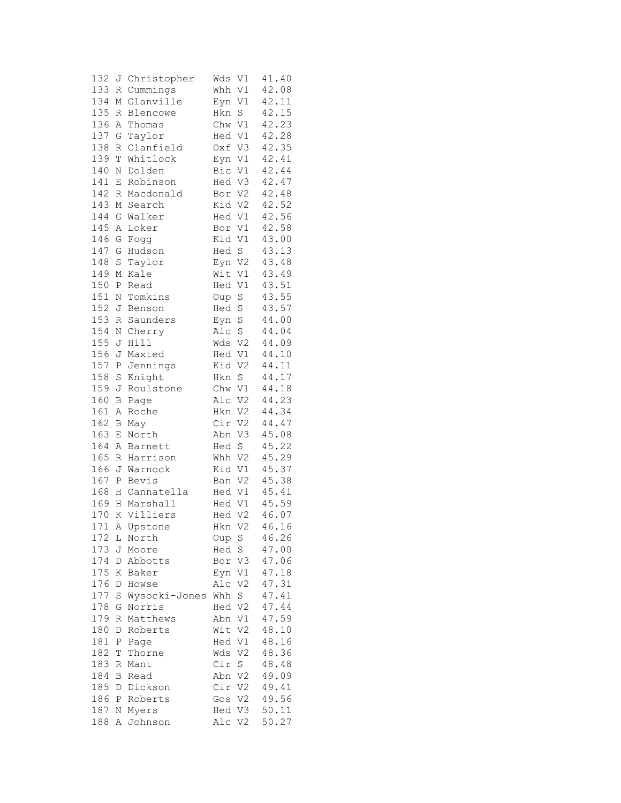| 132 |             | J Christopher | V1<br>Wds             | 41.40 |
|-----|-------------|---------------|-----------------------|-------|
| 133 | R           | Cummings      | V1<br>Whh             | 42.08 |
| 134 | М           | Glanville     | Eyn V1                | 42.11 |
| 135 | R           | Blencowe      | $\mathbf S$<br>Hkn    | 42.15 |
| 136 | Α           | Thomas        | Chw V1                | 42.23 |
| 137 | G           | Taylor        | Hed V1                | 42.28 |
|     |             |               |                       |       |
| 138 | R           | Clanfield     | Oxf V3                | 42.35 |
| 139 | T           | Whitlock      | Eyn<br>V1             | 42.41 |
| 140 | N           | Dolden        | Bic V1                | 42.44 |
| 141 | $\mathbf E$ | Robinson      | Hed V3                | 42.47 |
| 142 | R           | Macdonald     | Bor V2                | 42.48 |
| 143 | М           | Search        | Kid V2                | 42.52 |
| 144 | G           | Walker        | Hed V1                | 42.56 |
| 145 | Α           | Loker         | Bor V1                | 42.58 |
| 146 | G           | Fogg          | Kid V1                | 43.00 |
| 147 | G           | Hudson        | Hed S                 | 43.13 |
| 148 | $\rm S$     | Taylor        | Eyn<br>V <sub>2</sub> | 43.48 |
| 149 | М           | Kale          | Wit<br>V1             | 43.49 |
| 150 |             |               | Hed V1                | 43.51 |
|     | Ρ           | Read          |                       |       |
| 151 | Ν           | Tomkins       | $\rm S$<br>Oup        | 43.55 |
| 152 | J           | Benson        | Hed<br>$\mathbf S$    | 43.57 |
| 153 | R           | Saunders      | $\mathbf S$<br>Eyn    | 44.00 |
| 154 | Ν           | Cherry        | S<br>Alc              | 44.04 |
| 155 | J           | Hill          | Wds<br>V <sub>2</sub> | 44.09 |
| 156 | J           | Maxted        | Hed V1                | 44.10 |
| 157 | Ρ           | Jennings      | $\rm V2$<br>Kid       | 44.11 |
| 158 | S           | Knight        | $\rm S$<br>Hkn        | 44.17 |
| 159 | J           | Roulstone     | Chw V1                | 44.18 |
| 160 | B           | Page          | Alc V2                | 44.23 |
| 161 | Α           | Roche         | Hkn V2                | 44.34 |
| 162 | В           | May           | Cir V2                | 44.47 |
| 163 | Ε           | North         | Abn V3                | 45.08 |
|     |             |               |                       |       |
| 164 | Α           | Barnett       | Hed<br>$\mathbf S$    | 45.22 |
| 165 | R           | Harrison      | V <sub>2</sub><br>Whh | 45.29 |
| 166 | J           | Warnock       | Kid V1                | 45.37 |
| 167 | Ρ           | Bevis         | Ban V2                | 45.38 |
| 168 | Η           | Cannatella    | Hed V1                | 45.41 |
| 169 | H           | Marshall      | Hed V1                | 45.59 |
| 170 |             | K Villiers    | Hed V2                | 46.07 |
|     |             | 171 A Upstone | Hkn V2                | 46.16 |
| 172 | L           | North         | Oup S                 | 46.26 |
| 173 | J           | Moore         | Hed S                 | 47.00 |
| 174 | D           | Abbotts       | Bor V3                | 47.06 |
| 175 | Κ           | Baker         | Eyn V1                | 47.18 |
| 176 | D           | Howse         | Alc V2                | 47.31 |
| 177 |             | Wysocki-Jones | S                     | 47.41 |
|     | S           |               | Whh                   | 47.44 |
| 178 | G           | Norris        | Hed V2                |       |
| 179 | R           | Matthews      | Abn V1                | 47.59 |
| 180 | D           | Roberts       | V <sub>2</sub><br>Wit | 48.10 |
| 181 | Ρ           | Page          | Hed V1                | 48.16 |
| 182 | Τ           | Thorne        | Wds<br>V2             | 48.36 |
| 183 | R           | Mant          | Cir<br>S              | 48.48 |
| 184 | В           | Read          | Abn V2                | 49.09 |
| 185 | D           | Dickson       | Cir V2                | 49.41 |
| 186 | Ρ           | Roberts       | Gos V2                | 49.56 |
| 187 | Ν           | Myers         | Hed V3                | 50.11 |
| 188 | А           | Johnson       | Alc V2                | 50.27 |
|     |             |               |                       |       |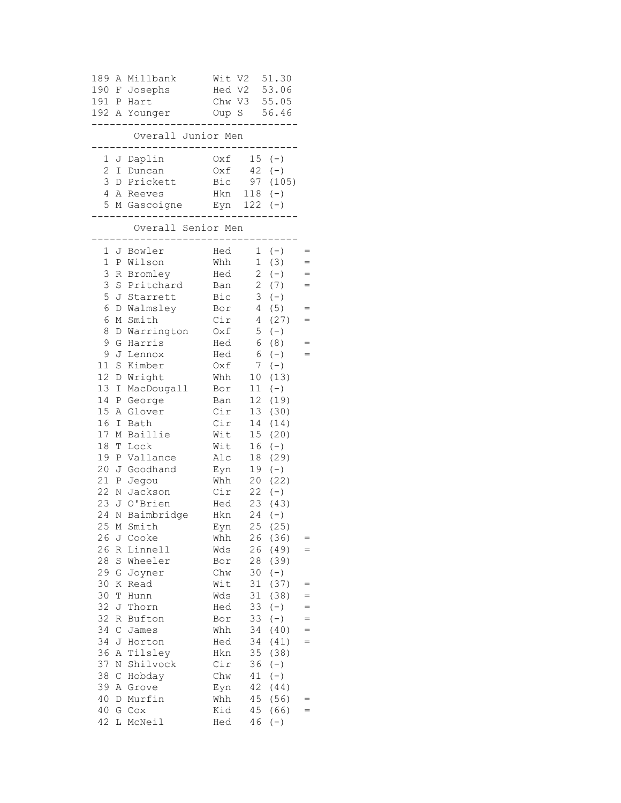| 189             | Α                | Millbank           | Wit V2 |                 | 51.30      |     |
|-----------------|------------------|--------------------|--------|-----------------|------------|-----|
| 190 F           |                  | Josephs            | Hed V2 |                 | 53.06      |     |
| 191 P           |                  | Hart               |        | Chw V3          | 55.05      |     |
|                 |                  | 192 A Younger      | Oup S  |                 | 56.46      |     |
|                 |                  | Overall Junior Men |        |                 |            |     |
| 1               |                  | J Daplin           | Oxf    |                 | $15 (-)$   |     |
| $\overline{c}$  |                  | I Duncan           | Oxf    | 42              | $(-)$      |     |
| 3               |                  | D Prickett         | Bic    |                 | 97(105)    |     |
| 4               |                  | A Reeves           | Hkn    |                 | $118 (-)$  |     |
| 5               |                  | M Gascoigne Eyn    |        |                 | $122 (-)$  |     |
|                 |                  | Overall Senior Men |        |                 |            |     |
| 1               |                  | J Bowler           | Hed    |                 | $(-)$<br>1 | $=$ |
| $\mathbf 1$     |                  | P Wilson           | Whh    | $\mathbf 1$     | (3)        | $=$ |
| 3               |                  | R Bromley          | Hed    | $\overline{c}$  | $(-)$      | $=$ |
| 3               |                  | S Pritchard        | Ban    | $\overline{c}$  | (7)        | $=$ |
| 5               |                  | J Starrett         | Bic    | 3               | $(-)$      |     |
| 6               | D                | Walmsley           | Bor    | $\overline{4}$  | (5)        | $=$ |
| 6               | М                | Smith              | Cir    | 4               | (27)       | $=$ |
| 8               | D                | Warrington         | Oxf    | 5               | $(-)$      |     |
| 9               | G                | Harris             | Hed    | 6               | (8)        |     |
| 9               | J                | Lennox             | Hed    | 6               | $(-)$      | $=$ |
| 11              | $\rm S$          | Kimber             | Oxf    | 7               | $(-)$      |     |
| 12 <sub>2</sub> | D                | Wright             | Whh    | 10 <sub>o</sub> | (13)       |     |
| 13              | I                | MacDougall         | Bor    | 11              | $(-)$      |     |
| 14              | Ρ                | George             | Ban    | 12              | (19)       |     |
| 15              | Α                | Glover             | Cir    | 13              | (30)       |     |
| 16              | Ι                | Bath               | Cir    | 14              | (14)       |     |
| 17              | Μ                | Baillie            | Wit    | 15 <sub>1</sub> | (20)       |     |
| 18              | T                | Lock               | Wit    | 16              | $(-)$      |     |
| 19              | $\, {\bf P}$     | Vallance           | Alc    | 18              | (29)       |     |
| 20              | J                | Goodhand           | Eyn    | 19              | $(-)$      |     |
| 21              | $\, {\mathbb P}$ | Jegou              | Whh    | 20              | (22)       |     |
| 22              | Ν                | Jackson            | Cir    | 22              | $(-)$      |     |
| 23              | J                | O'Brien            | Hed    | 23              | (43)       |     |
| 24              | Ν                | Baimbridge         | Hkn    | 24              | $(-)$      |     |
| 25              |                  | M Smith            | Eyn    |                 | 25 (25)    |     |
| 26              | J                | Cooke              | Whh    | 26              | (36)       | $=$ |
| 26              | R                | Linnell            | Wds    | 26              | (49)       | $=$ |
| $28$            | S                | Wheeler            | Bor    | 28              | (39)       |     |
| 29              | G                | Joyner             | Chw    | 30              | $(-)$      |     |
| 30              | Κ                | Read               | Wit    | 31              | (37)       | $=$ |
| 30              | Τ                | Hunn               | Wds    | 31              | (38)       | $=$ |
| 32              | J                | Thorn              | Hed    | 33              | $(-)$      | $=$ |
| 32              | R                | Bufton             | Bor    | 33              | $(-)$      | $=$ |
| 34              | $\mathsf C$      | James              | Whh    | 34              | (40)       | $=$ |
| 34              | J                | Horton             | Hed    | 34              | (41)       | $=$ |
| 36              | Α                | Tilsley            | Hkn    | 35              | (38)       |     |
| 37              | Ν                | Shilvock           | Cir    | 36              | $(-)$      |     |
| 38              | $\mathsf C$      | Hobday             | Chw    | 41              | $(-)$      |     |
| 39              | Α                | Grove              | Eyn    | 42              | (44)       |     |
| 40              | D                | Murfin             | Whh    | 45              | (56)       | =   |
| 40              | G                | C <sub>O</sub>     | Kid    | 45              | (66)       | $=$ |
| 42              | L                | McNeil             | Hed    | 46              | $(-)$      |     |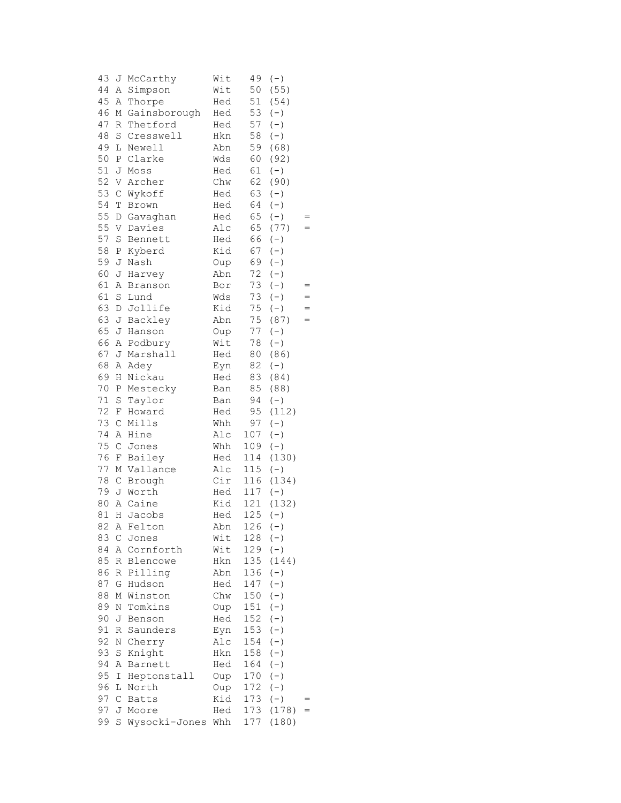| 43 | J                | McCarthy      | Wit | 49        | $(-)$     |     |
|----|------------------|---------------|-----|-----------|-----------|-----|
| 44 | Α                | Simpson       | Wit | 50        | (55)      |     |
| 45 | Α                | Thorpe        | Hed | 51        | (54)      |     |
| 46 | М                | Gainsborough  | Hed | 53        | $(-)$     |     |
| 47 | R                | Thetford      | Hed | 57        | $(-)$     |     |
| 48 | $\rm S$          | Cresswell     | Hkn | 58        | $(-)$     |     |
| 49 | L                | Newell        | Abn | 59        | (68)      |     |
| 50 | $\, {\mathbb P}$ | Clarke        | Wds | 60        | (92)      |     |
| 51 | J                | Moss          | Hed | 61        | $(-)$     |     |
| 52 | V                | Archer        | Chw | 62        | (90)      |     |
| 53 | $\mathsf C$      | Wykoff        | Hed | 63        | $(-)$     |     |
| 54 | Т                | Brown         | Hed | 64        | $(-)$     |     |
| 55 | $\mathbb D$      | Gavaghan      | Hed | 65        | $(-)$     |     |
| 55 | V                | Davies        | Alc | 65        | (77)      | $=$ |
| 57 | S                | Bennett       | Hed | 66        | $(-)$     |     |
| 58 | Ρ                | Kyberd        | Kid | 67        | $(-)$     |     |
| 59 | J                | Nash          | Oup | 69        | $(-)$     |     |
| 60 | J                | Harvey        | Abn | 72        | $(-)$     |     |
| 61 | Α                | Branson       | Bor | 73        | $(-)$     | $=$ |
| 61 | S                | Lund          | Wds | 73        | $(-)$     | $=$ |
| 63 | D                | Jollife       | Kid | 75        | $(-)$     | $=$ |
| 63 | J                | Backley       | Abn | 75        | (87)      | $=$ |
| 65 | J                | Hanson        | Oup | 77        | $(-)$     |     |
| 66 |                  | A Podbury     | Wit | 78        | $(-)$     |     |
| 67 | J                | Marshall      | Hed | 80        | (86)      |     |
| 68 |                  | A Adey        | Eyn | 82        | $(\,-\,)$ |     |
| 69 | $\rm H$          | Nickau        | Hed | 83        | (84)      |     |
| 70 | Ρ                | Mestecky      | Ban | 85        | (88)      |     |
| 71 | S                | Taylor        | Ban | 94        | $(-)$     |     |
| 72 | F                | Howard        | Hed | 95        | (112)     |     |
| 73 | $\mathsf C$      | Mills         | Whh | 97        | $(-)$     |     |
| 74 | Α                | Hine          | Alc | 107       | $(-)$     |     |
| 75 | $\mathsf C$      | Jones         | Whh | 109       | $(-)$     |     |
| 76 | F                | Bailey        | Hed | 114       | (130)     |     |
| 77 |                  | M Vallance    | Alc | 115       | $(-)$     |     |
| 78 | $\mathsf C$      | Brough        | Cir | 116       | (134)     |     |
| 79 |                  | J Worth       | Hed | 117       | $(-)$     |     |
| 80 | Α                | Caine         | Kid | 121       | (132)     |     |
| 81 | $\rm H$          | Jacobs        | Hed | 125       | $(-)$     |     |
|    |                  | 82 A Felton   | Abn | $126 (-)$ |           |     |
| 83 | $\mathsf C$      | Jones         | Wit | 128       | $(-)$     |     |
| 84 |                  | A Cornforth   | Wit | 129       | $(-)$     |     |
| 85 | R                | Blencowe      | Hkn | 135       | (144)     |     |
| 86 |                  | R Pilling     | Abn | 136       | $(-)$     |     |
| 87 | G                | Hudson        | Hed | 147       | $(-)$     |     |
| 88 | Μ                | Winston       | Chw | 150       | $(-)$     |     |
| 89 | Ν                | Tomkins       | Oup | 151       | $(-)$     |     |
| 90 | J                | Benson        | Hed | 152       | $(-)$     |     |
| 91 | R                | Saunders      | Eyn | 153       | $(-)$     |     |
| 92 | Ν                | Cherry        | Alc | 154       | $(-)$     |     |
| 93 | $\rm S$          | Knight        | Hkn | 158       | $(-)$     |     |
| 94 | Α                | Barnett       | Hed | 164       | $(-)$     |     |
| 95 | Ι                | Heptonstall   | Oup | 170       | $(-)$     |     |
| 96 | L                | North         | Oup | 172       | $(-)$     |     |
| 97 | С                | Batts         | Kid | 173       | $(-)$     |     |
| 97 |                  | J Moore       | Hed | 173       | (178)     | $=$ |
| 99 | S                | Wysocki-Jones | Whh | 177       | (180)     |     |
|    |                  |               |     |           |           |     |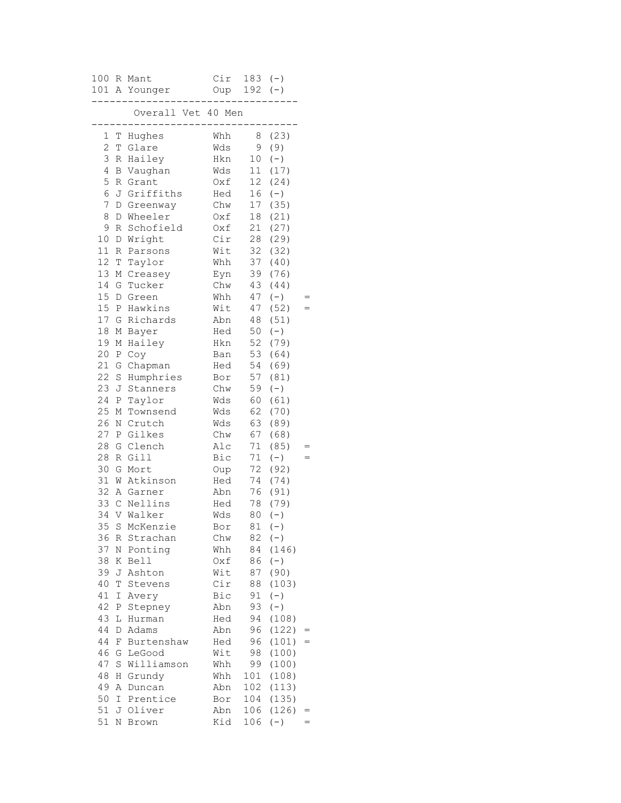|                 |              | 100 R Mant<br>101 A Younger         | Cir<br>Oup 192 (-) | $183 (-)$       |               |  |
|-----------------|--------------|-------------------------------------|--------------------|-----------------|---------------|--|
|                 |              | Overall Vet 40 Men                  |                    |                 |               |  |
| 1               | Т            | . _ _ _ _ _ _ _ _ _ _ _ _<br>Hughes | Whh                | 8               | (23)          |  |
| 2               | T            | Glare                               | Wds                | 9               | (9)           |  |
| 3               | R            | Hailey                              | Hkn                | 10 <sub>1</sub> | $(-)$         |  |
| 4               | В            | Vaughan                             | Wds                | 11              | (17)          |  |
| 5               | R            | Grant                               | Oxf                | 12              | (24)          |  |
| 6               | J            | Griffiths                           | Hed                | 16              | $(-)$         |  |
| 7               | D            | Greenway                            | Chw                | 17              | (35)          |  |
| 8               | D            | Wheeler                             | Oxf                | 18              | (21)          |  |
| 9               | R            | Schofield                           | Oxf                | 21              | (27)          |  |
| 10<br>11        | D            | Wright                              | Cir                | 28              | (29)          |  |
| 12              | R            | Parsons                             | Wit                | 32<br>37        | (32)          |  |
| 13              | T            | Taylor                              | Whh                | 39              | (40)<br>(76)  |  |
| 14              | Μ<br>G       | Creasey<br>Tucker                   | Eyn<br>Chw         | 43              | (44)          |  |
| 15 <sub>1</sub> | D            | Green                               | Whh                | 47              | $(-)$         |  |
| 15              | Ρ            | Hawkins                             | Wit                | 47              | (52)          |  |
| 17              | G            | Richards                            | Abn                | 48              | (51)          |  |
| 18              | М            | Bayer                               | Hed                | 50              | $(-)$         |  |
| 19              | М            | Hailey                              | Hkn                | 52              | (79)          |  |
| 20              | Ρ            | Coy                                 | Ban                | 53              | (64)          |  |
| 21              | G            | Chapman                             | Hed                | 54              | (69)          |  |
| 22              | $\rm S$      | Humphries                           | Bor                | 57              | (81)          |  |
| 23              | J            | Stanners                            | Chw                | 59              | $(-)$         |  |
| 24              | Ρ            | Taylor                              | Wds                | 60              | (61)          |  |
| 25              | М            | Townsend                            | Wds                | 62              | (70)          |  |
| 26              | Ν            | Crutch                              | Wds                | 63              | (89)          |  |
| 27              | $\, {\bf P}$ | Gilkes                              | Chw                | 67              | (68)          |  |
| 28              | G            | Clench                              | Alc                | 71              | (85)          |  |
| 28              | R            | Gill                                | Bic                | 71              | $(-)$         |  |
| 30              | G            | Mort                                | Oup                | 72              | (92)          |  |
| 31              | W            | Atkinson                            | Hed                | 74              | (74)          |  |
| 32              | Α            | Garner                              | Abn                | 76              | (91)          |  |
| 33 C            |              | Nellins                             | Hed                | 78              | (79)          |  |
| 34              |              | V Walker                            | Wds                | 80              | $(-)$         |  |
|                 |              | 35 S McKenzie                       | Bor                | 81              | $(-)$         |  |
| 36              | R            | Strachan                            | Chw                | 82              | $(-)$         |  |
| 37              | Ν            | Ponting                             | Whh                | 84              | (146)         |  |
| 38<br>39        | Κ<br>J       | Bell<br>Ashton                      | Oxf<br>Wit         | 86<br>87        | $(-)$<br>(90) |  |
| 40              | Τ            | Stevens                             | Cir                | 88              | (103)         |  |
| 41              | Ι            | Avery                               | Bic                | 91              | $(-)$         |  |
| 42              | Ρ            | Stepney                             | Abn                | 93              | $(-)$         |  |
| 43              | L            | Hurman                              | Hed                | 94              | (108)         |  |
| 44              | D            | Adams                               | Abn                | 96              | (122)         |  |
| 44              | F            | Burtenshaw                          | Hed                | 96              | (101)         |  |
| 46              | G            | LeGood                              | Wit                | 98              | (100)         |  |
| 47              | $\rm S$      | Williamson                          | Whh                | 99              | (100)         |  |
| 48              | Η            | Grundy                              | Whh                | 101             | (108)         |  |
| 49              | Α            | Duncan                              | Abn                | 102             | (113)         |  |
| 50              | I            | Prentice                            | Bor                | 104             | (135)         |  |
| 51              |              | J Oliver                            | Abn                | 106             | (126)         |  |
| 51              | Ν            | <b>Brown</b>                        | Kid                | 106             | $(-)$         |  |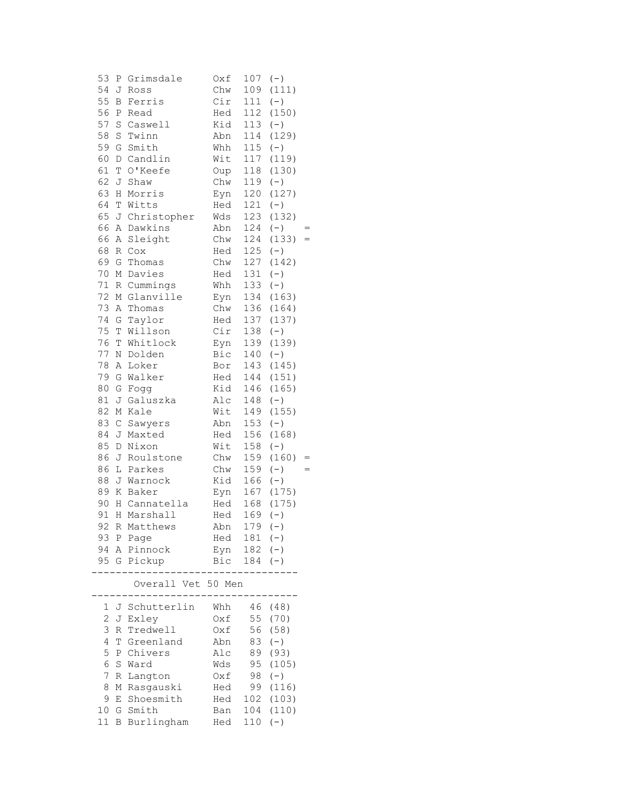| 54<br>Chw<br>J<br>109<br>Ross<br>55<br>Cir<br>Ferris<br>111<br>B<br>56<br>112<br>Ρ<br>Read<br>Hed<br>57<br>Kid<br>113<br>$\rm S$<br>Caswell<br>58<br>114<br>S<br>Twinn<br>Abn<br>59<br>115<br>G<br>Smith<br>Whh<br>117<br>60<br>D<br>Candlin<br>Wit<br>61<br>118<br>T<br>O'Keefe<br>Oup<br>62<br>Chw<br>119<br>J<br>Shaw<br>63<br>120<br>$\rm H$<br>Morris<br>Eyn | (111)<br>$(-)$<br>(150)<br>$(-)$<br>(129)<br>$(-)$<br>(119) |
|-------------------------------------------------------------------------------------------------------------------------------------------------------------------------------------------------------------------------------------------------------------------------------------------------------------------------------------------------------------------|-------------------------------------------------------------|
|                                                                                                                                                                                                                                                                                                                                                                   |                                                             |
|                                                                                                                                                                                                                                                                                                                                                                   |                                                             |
|                                                                                                                                                                                                                                                                                                                                                                   |                                                             |
|                                                                                                                                                                                                                                                                                                                                                                   |                                                             |
|                                                                                                                                                                                                                                                                                                                                                                   |                                                             |
|                                                                                                                                                                                                                                                                                                                                                                   |                                                             |
|                                                                                                                                                                                                                                                                                                                                                                   |                                                             |
|                                                                                                                                                                                                                                                                                                                                                                   | (130)                                                       |
|                                                                                                                                                                                                                                                                                                                                                                   | $(-)$                                                       |
|                                                                                                                                                                                                                                                                                                                                                                   | (127)                                                       |
| 64<br>121<br>T<br>Witts<br>Hed                                                                                                                                                                                                                                                                                                                                    | $(-)$                                                       |
| 65<br>J<br>Christopher<br>123<br>Wds                                                                                                                                                                                                                                                                                                                              | (132)                                                       |
| 66<br>Dawkins<br>Abn<br>124<br>Α                                                                                                                                                                                                                                                                                                                                  | $(-)$                                                       |
| 66<br>124<br>Sleight<br>Chw<br>Α                                                                                                                                                                                                                                                                                                                                  | (133)<br>$=$                                                |
| 68<br>125<br>R<br>C <sub>O</sub><br>Hed                                                                                                                                                                                                                                                                                                                           | $(-)$                                                       |
| 69<br>127<br>G<br>Thomas<br>Chw                                                                                                                                                                                                                                                                                                                                   | (142)                                                       |
| 70<br>131<br>М<br>Davies<br>Hed                                                                                                                                                                                                                                                                                                                                   | $(-)$                                                       |
| 133<br>71<br>Cummings<br>R<br>Whh                                                                                                                                                                                                                                                                                                                                 | $(-)$                                                       |
| 72<br>Glanville<br>134<br>М<br>Eyn                                                                                                                                                                                                                                                                                                                                | (163)                                                       |
| 136<br>73<br>Α<br>Thomas<br>Chw                                                                                                                                                                                                                                                                                                                                   | (164)                                                       |
| 74<br>137<br>G<br>Taylor<br>Hed                                                                                                                                                                                                                                                                                                                                   | (137)                                                       |
| 75<br>Cir<br>138<br>T<br>Willson                                                                                                                                                                                                                                                                                                                                  | $(-)$                                                       |
| 76<br>139<br>T<br>Whitlock<br>Eyn                                                                                                                                                                                                                                                                                                                                 | (139)                                                       |
| 77<br>Dolden<br>Bic<br>140<br>Ν                                                                                                                                                                                                                                                                                                                                   | $(-)$                                                       |
| 78<br>143<br>Α<br>Loker<br>Bor                                                                                                                                                                                                                                                                                                                                    | (145)                                                       |
| 79<br>G<br>Walker<br>144<br>Hed                                                                                                                                                                                                                                                                                                                                   | (151)                                                       |
| 80<br>Kid<br>146<br>G<br>Fogg                                                                                                                                                                                                                                                                                                                                     | (165)                                                       |
| 81<br>J<br>148<br>Galuszka<br>Alc                                                                                                                                                                                                                                                                                                                                 | $(-)$                                                       |
| Wit<br>82<br>Kale<br>149<br>М                                                                                                                                                                                                                                                                                                                                     | (155)                                                       |
| 83<br>153<br>$\mathsf C$<br>Abn<br>Sawyers                                                                                                                                                                                                                                                                                                                        | $(-)$                                                       |
| 84<br>156<br>J<br>Hed<br>Maxted                                                                                                                                                                                                                                                                                                                                   | (168)                                                       |
| 85<br>158<br>$\mathbb D$<br>Nixon<br>Wit                                                                                                                                                                                                                                                                                                                          | $(-)$                                                       |
| 86<br>159<br>J<br>Roulstone<br>Chw                                                                                                                                                                                                                                                                                                                                | (160)<br>$=$                                                |
| 86<br>Parkes<br>Chw<br>159<br>L                                                                                                                                                                                                                                                                                                                                   | $(-)$<br>$=$                                                |
| 88<br>Kid<br>166<br>J Warnock                                                                                                                                                                                                                                                                                                                                     | $(-)$                                                       |
| 89<br>Κ<br>Baker<br>167<br>Eyn                                                                                                                                                                                                                                                                                                                                    | (175)                                                       |
| 90<br>H Cannatella<br>Hed<br>168                                                                                                                                                                                                                                                                                                                                  | (175)                                                       |
| Hed<br>91<br>169<br>H<br>Marshall                                                                                                                                                                                                                                                                                                                                 | $(-)$                                                       |
| 92 R Matthews<br>$179 (-)$<br>Abn                                                                                                                                                                                                                                                                                                                                 |                                                             |
| $181 (-)$<br>Hed<br>93 P Page                                                                                                                                                                                                                                                                                                                                     |                                                             |
| Pinnock<br>$182 (-)$<br>94<br>Α<br>Eyn                                                                                                                                                                                                                                                                                                                            |                                                             |
| 95 G<br>Pickup<br>Bic<br>184                                                                                                                                                                                                                                                                                                                                      | $(-)$                                                       |
|                                                                                                                                                                                                                                                                                                                                                                   |                                                             |
|                                                                                                                                                                                                                                                                                                                                                                   |                                                             |
| Overall Vet 50 Men                                                                                                                                                                                                                                                                                                                                                |                                                             |
|                                                                                                                                                                                                                                                                                                                                                                   |                                                             |
| J Schutterlin<br>46<br>Whh<br>1                                                                                                                                                                                                                                                                                                                                   | (48)                                                        |
| 2<br>55<br>Exley<br>Oxf<br>J                                                                                                                                                                                                                                                                                                                                      | (70)                                                        |
| 3<br>Tredwell<br>56<br>Oxf<br>R                                                                                                                                                                                                                                                                                                                                   | (58)                                                        |
| 4<br>Greenland<br>Abn<br>83<br>Т                                                                                                                                                                                                                                                                                                                                  | $(\,-\,)$                                                   |
| 5<br>Ρ<br>Chivers<br>Alc<br>89                                                                                                                                                                                                                                                                                                                                    | (93)                                                        |
| 6<br>S<br>Ward<br>Wds<br>95                                                                                                                                                                                                                                                                                                                                       | (105)                                                       |
| 7<br>98<br>R<br>Langton<br>Oxf                                                                                                                                                                                                                                                                                                                                    | $(-)$                                                       |
| 8<br>99<br>Rasgauski<br>М<br>Hed                                                                                                                                                                                                                                                                                                                                  | (116)                                                       |
| 9<br>Shoesmith<br>102<br>E<br>Hed<br>Smith<br>104<br>10 G<br>Ban                                                                                                                                                                                                                                                                                                  | (103)<br>(110)                                              |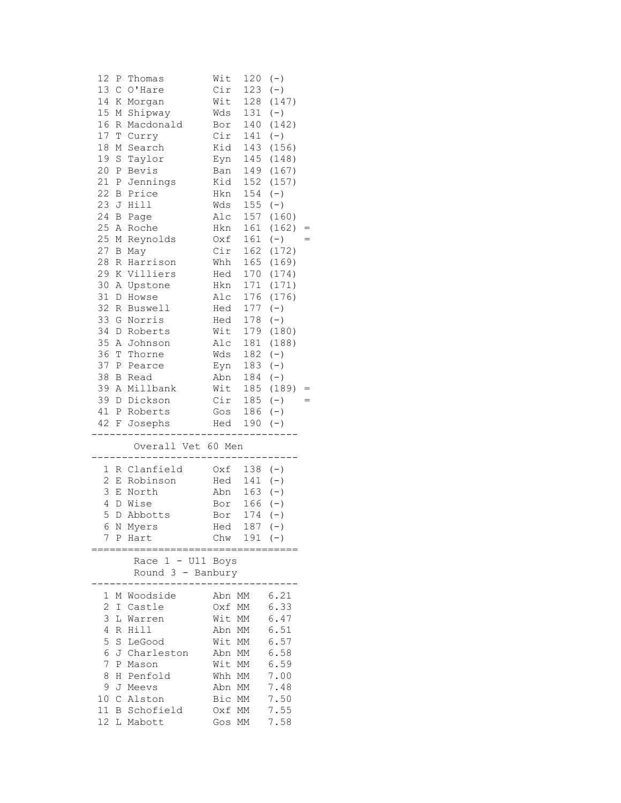| 12             | Ρ            | Thomas             | Wit    | 120           | $(-)$ |  |
|----------------|--------------|--------------------|--------|---------------|-------|--|
| 13             | $\mathsf C$  | O'Hare             | Cir    | 123           | $(-)$ |  |
| 14             | Κ            | Morgan             | Wit    | 128           | (147) |  |
| 15             | Μ            | Shipway            | Wds    | 131           | $(-)$ |  |
| 16             | R            | Macdonald          | Bor    | 140           | (142) |  |
| 17             | $\mathbb T$  | Curry              | Cir    | 141           | $(-)$ |  |
| 18             | М            | Search             | Kid    | 143           | (156) |  |
| 19             | $\rm S$      | Taylor             | Eyn    | 145           | (148) |  |
| 20             | $\, {\bf P}$ | Bevis              | Ban    | 149           | (167) |  |
| 21             | Ρ            | Jennings           | Kid    | 152           | (157) |  |
| 22             | B            | Price              | Hkn    | 154           | $(-)$ |  |
| 23             | J            | Hill               | Wds    | 155           | $(-)$ |  |
| 24             | B            | Page               | Alc    | 157           | (160) |  |
| 25             | Α            | Roche              | Hkn    | 161           | (162) |  |
| 25             | М            | Reynolds           | Oxf    | 161           | $(-)$ |  |
| 27             | В            | May                | Cir    | 162           | (172) |  |
| 28             | R            | Harrison           | Whh    | 165           | (169) |  |
| 29             | Κ            | Villiers           | Hed    | 170           | (174) |  |
| 30             |              |                    | Hkn    | 171           | (171) |  |
| 31             | Α            | Upstone            | Alc    | 176           | (176) |  |
| 32             | D            | Howse              |        | 177           |       |  |
| 33             | R            | Buswell            | Hed    |               | $(-)$ |  |
|                | G            | Norris             | Hed    | 178           | $(-)$ |  |
| 34             | $\mathbb D$  | Roberts            | Wit    | 179           | (180) |  |
| 35             | Α            | Johnson            | Alc    | 181           | (188) |  |
| 36             | Т            | Thorne             | Wds    | 182           | $(-)$ |  |
| 37             | $\, {\bf P}$ | Pearce             | Eyn    | 183           | $(-)$ |  |
| 38             | B            | Read               | Abn    | 184           | $(-)$ |  |
| 39             |              | A Millbank         | Wit    | 185           | (189) |  |
| 39             | D            | Dickson            | Cir    | 185           | $(-)$ |  |
| 41             | Ρ            | Roberts            | Gos    | 186           | $(-)$ |  |
| 42 F           |              | Josephs            | Hed    | 190           | $(-)$ |  |
|                |              | Overall Vet 60 Men |        |               |       |  |
|                |              |                    |        |               |       |  |
| $\mathbf{1}$   |              | R Clanfield        | Oxf    | $138 (-)$     |       |  |
| $\overline{c}$ |              | E Robinson         | Hed    | 141           | $(-)$ |  |
| 3              |              | E North            | Abn    | 163           | $(-)$ |  |
| 4              | D            | Wise               | Bor    | 166           | $(-)$ |  |
| 5              | $\mathbb D$  | Abbotts            | Bor    | 174           | $(-)$ |  |
|                |              | 6 N Myers          | Hed    | $187 (-)$     |       |  |
| 7              |              | P Hart             |        | Chw $191 (-)$ |       |  |
|                |              | Race 1 - U11 Boys  |        |               |       |  |
|                |              | Round 3 - Banbury  |        |               |       |  |
| 1              |              | M Woodside         | Abn MM |               | 6.21  |  |
| $\overline{c}$ |              | I Castle           | Oxf MM |               | 6.33  |  |
| 3              |              | L Warren           | Wit MM |               | 6.47  |  |
| 4              |              | R Hill             | Abn MM |               | 6.51  |  |
| 5              | S            | LeGood             | Wit MM |               | 6.57  |  |
| 6              |              | J Charleston       | Abn MM |               | 6.58  |  |
| 7              | Ρ            | Mason              | Wit    | MM            | 6.59  |  |
| 8              | Η            | Penfold            | Whh MM |               | 7.00  |  |
| 9              |              | J Meevs            | Abn MM |               | 7.48  |  |
| 10 C           |              | Alston             | Bic MM |               | 7.50  |  |
|                |              | 11 B Schofield     | Oxf MM |               | 7.55  |  |
|                |              | 12 L Mabott        | Gos MM |               | 7.58  |  |
|                |              |                    |        |               |       |  |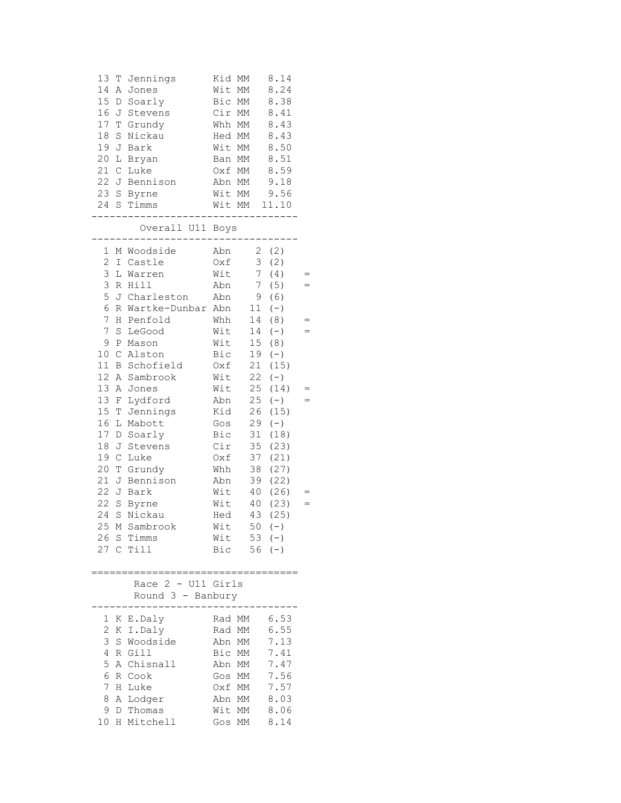| 13<br>Т<br>Jennings<br>14<br>Α<br>Jones<br>15<br>D<br>Soarly<br>16<br>J<br>Stevens<br>17<br>T<br>Grundy<br>18<br>$\mathbf S$<br>Nickau<br>19<br>J<br>Bark<br>20<br>L<br>Bryan<br>21<br>$\mathsf C$<br>Luke<br>22J<br>Bennison<br>23<br>$\rm S$<br>Byrne<br>24<br>S Timms | Kid MM<br>8.14<br>Wit<br>8.24<br>МM<br>Bic<br>МM<br>8.38<br>Cir<br>8.41<br>МM<br>Whh<br>8.43<br>МM<br>Hed<br>8.43<br>МM<br>8.50<br>Wit MM<br>8.51<br>Ban MM<br>8.59<br>Oxf MM<br>9.18<br>Abn MM<br>9.56<br>Wit MM<br>Wit MM<br>11.10 |     |
|--------------------------------------------------------------------------------------------------------------------------------------------------------------------------------------------------------------------------------------------------------------------------|--------------------------------------------------------------------------------------------------------------------------------------------------------------------------------------------------------------------------------------|-----|
| Overall U11 Boys                                                                                                                                                                                                                                                         |                                                                                                                                                                                                                                      |     |
| 1<br>M Woodside<br>2<br>Castle<br>I<br>3<br>L Warren<br>3<br>Hill<br>R<br>5<br>Charleston<br>J<br>6<br>Wartke-Dunbar Abn<br>R<br>7<br>Η<br>Penfold<br>7<br>S<br>LeGood<br>9<br>$\, {\bf P}$<br>Mason                                                                     | Abn<br>$\mathbf{2}^-$<br>(2)<br>3<br>(2)<br>Oxf<br>Wit<br>$7\phantom{.}$<br>(4)<br>(5)<br>Abn<br>$7\phantom{.}$<br>9<br>Abn<br>(6)<br>11<br>$(-)$<br>Whh<br>14<br>(8)<br>Wit<br>14<br>$(-)$<br>Wit<br>15 <sub>1</sub><br>(8)         | $=$ |
| 10 <sub>1</sub><br>$\mathsf C$<br>Alston<br>11<br>B<br>Schofield<br>12 <sub>2</sub><br>Α<br>Sambrook<br>13<br>Α<br>Jones<br>13<br>Lydford<br>F<br>15<br>T<br>Jennings<br>16<br>L<br>Mabott<br>17<br>D<br>Soarly<br>18<br>J<br>Stevens                                    | Bic<br>19<br>$(-)$<br>21<br>(15)<br>Oxf<br>Wit<br>22<br>$(-)$<br>25<br>Wit<br>(14)<br>25<br>$(-)$<br>Abn<br>Kid<br>26<br>(15)<br>29<br>Gos<br>$(-)$<br>Bic<br>31<br>(18)<br>Cir<br>35<br>(23)                                        |     |
| 19<br>$\mathsf C$<br>Luke<br>20<br>T<br>Grundy<br>21<br>J<br>Bennison<br>22<br>J<br>Bark<br>22<br>S<br>Byrne<br>24<br>S<br>Nickau<br>25 M Sambrook<br>26 S Timms<br>27 C Till                                                                                            | 37<br>(21)<br>Oxf<br>38<br>(27)<br>Whh<br>39<br>(22)<br>Abn<br>40<br>(26)<br>Wit<br>Wit<br>40<br>(23)<br>43<br>(25)<br>Hed<br>Wit<br>$50 (-)$<br>$53 (-)$<br>Wit<br>Bic<br>$56 (-)$                                                  | $=$ |
| Race 2 - U11 Girls<br>Round 3 - Banbury                                                                                                                                                                                                                                  |                                                                                                                                                                                                                                      |     |
| 1<br>K E.Daly<br>$\mathbf{2}$<br>K I.Daly<br>3<br>S Woodside<br>4<br>R<br>Gill<br>5<br>A Chisnall<br>6<br>Cook<br>R<br>7<br>Η<br>Luke<br>8<br>Α<br>Lodger<br>9<br>D Thomas<br>10 H Mitchell                                                                              | 6.53<br>Rad MM<br>6.55<br>Rad MM<br>7.13<br>Abn<br>МM<br>Bic MM<br>7.41<br>7.47<br>Abn MM<br>7.56<br>МM<br>Gos<br>7.57<br>Oxf MM<br>8.03<br>Abn<br>МM<br>8.06<br>Wit<br>МM<br>8.14<br>МM<br>Gos                                      |     |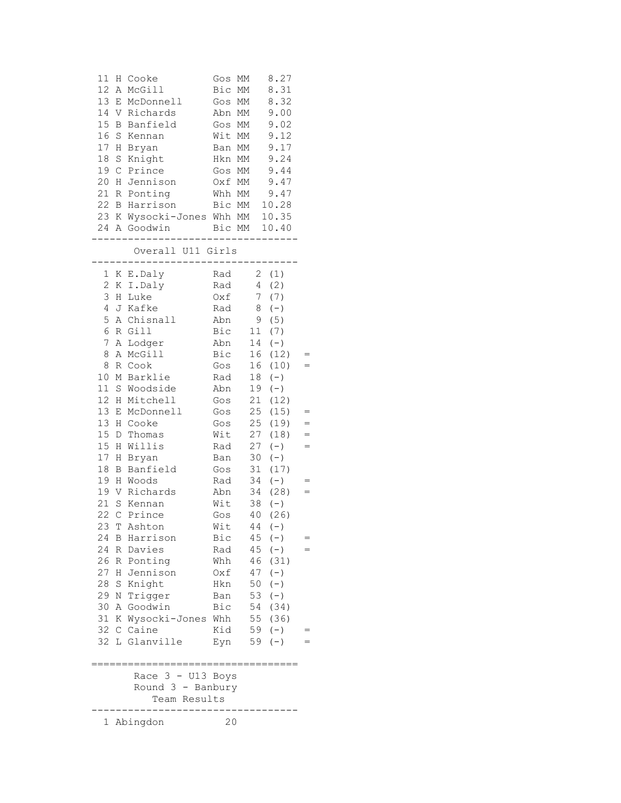| 11             | Η                     | Cooke                             | Gos              | МM       | 8.27         |     |
|----------------|-----------------------|-----------------------------------|------------------|----------|--------------|-----|
| 12             | Α                     | McGill                            | Bic              | МM       | 8.31         |     |
| 13             | Ε                     | McDonnell                         | Gos              | MM       | 8.32         |     |
| 14             | V                     | Richards                          | Abn              | MM       | 9.00         |     |
| 15<br>16       | B                     | Banfield                          | Gos              | МM       | 9.02         |     |
| 17             | S                     | Kennan                            | Wit              | МM<br>МM | 9.12         |     |
| 18             | Η                     | Bryan                             | Ban              |          | 9.17<br>9.24 |     |
| 19             | S<br>$\mathsf C$      | Knight                            | Hkn              | MM       | 9.44         |     |
| 20             |                       | Prince                            | Gos              | МM       | 9.47         |     |
| 21             | Η<br>$\, {\mathbb R}$ | Jennison<br>Ponting               | Oxf MM<br>Whh MM |          | 9.47         |     |
| 22             | B                     | Harrison                          | Bic              | MM       | 10.28        |     |
| 23 K           |                       | Wysocki-Jones Whh MM 10.35        |                  |          |              |     |
|                |                       | 24 A Goodwin                      |                  |          | Bic MM 10.40 |     |
|                |                       |                                   |                  |          |              |     |
|                |                       | Overall U11 Girls                 |                  |          |              |     |
| 1              |                       | K E.Daly                          | Rad              |          | 2(1)         |     |
| $\overline{c}$ |                       | K I.Daly                          | Rad              | 4        | (2)          |     |
| 3              | Η                     | Luke                              | Oxf              | 7        | (7)          |     |
| $\overline{4}$ | J                     | Kafke                             | Rad              |          | 8<br>$(-)$   |     |
| 5              | Α                     | Chisnall                          | Abn              |          | 9<br>(5)     |     |
| 6              | R                     | Gill                              | Bic              | 11       | (7)          |     |
| 7              | Α                     | Lodger                            | Abn              | 14       | $(-)$        |     |
| 8              | Α                     | McGill                            | Bic              | 16       | (12)         |     |
| 8              | R                     | Cook                              | Gos              | 16       | (10)         | $=$ |
| 10             | М                     | Barklie                           | Rad              | 18       | $(-)$        |     |
| 11             | $\mathbf S$           | Woodside                          | Abn              | 19       | $(-)$        |     |
| 12             | Η                     | Mitchell                          | Gos              | 21       | (12)         |     |
| 13             | Ε                     | McDonnell                         | Gos              | 25       | (15)         |     |
| 13             | Η                     | Cooke                             | Gos              | 25       | (19)         |     |
| 15             | D                     | Thomas                            | Wit              | 27       | (18)         | $=$ |
| 15             | Η                     | Willis                            | Rad              | 27       | $(\,-\,)$    | $=$ |
| 17             | Η                     | Bryan                             | Ban              | 30       | $(-)$        |     |
| 18             | Β                     | Banfield                          | Gos              | 31       | (17)         |     |
| 19             | Η                     | Woods                             | Rad              | 34       | $(-)$        |     |
| 19             | V                     | Richards                          | Abn              | 34       | (28)         | $=$ |
| 21             | $\mathbb S$           | Kennan                            | Wit              | 38       | $(-)$        |     |
| 22             | $\mathsf C$           | Prince                            | Gos              | 40       | (26)         |     |
| 23             | $\mathbf T$           | Ashton                            | Wit              |          | $44 (-)$     |     |
| 24             | В                     | Harrison                          | Bic              | 45       | $(-)$        |     |
| 24             | R                     | Davies                            | Rad              | 45       | $(-)$        |     |
| 26             | R                     | Ponting                           | Whh              | 46       | (31)         |     |
| 27             | Н                     | Jennison                          | Oxf              | 47       | $(\,-\,)$    |     |
| 28             | $\rm S$               | Knight                            | Hkn              | 50       | $(-)$        |     |
| 29             | N                     | Trigger                           | Ban              | 53       | $(-)$        |     |
| 30             | Α                     | Goodwin                           | Bic              | 54       | (34)         |     |
| 31             | Κ                     | Wysocki-Jones                     | Whh              | 55       | (36)         |     |
| 32             | С                     | Caine                             | Kid              | 59       | $(-)$        |     |
| 32             |                       | L Glanville                       | Eyn              | 59       | $(-)$        |     |
|                |                       |                                   |                  |          |              |     |
|                |                       | Race 3 - U13 Boys                 |                  |          |              |     |
|                |                       | Round 3 - Banbury<br>Team Results |                  |          |              |     |
|                |                       |                                   |                  |          |              |     |
| $\mathbf{1}$   |                       | Abingdon                          | 20               |          |              |     |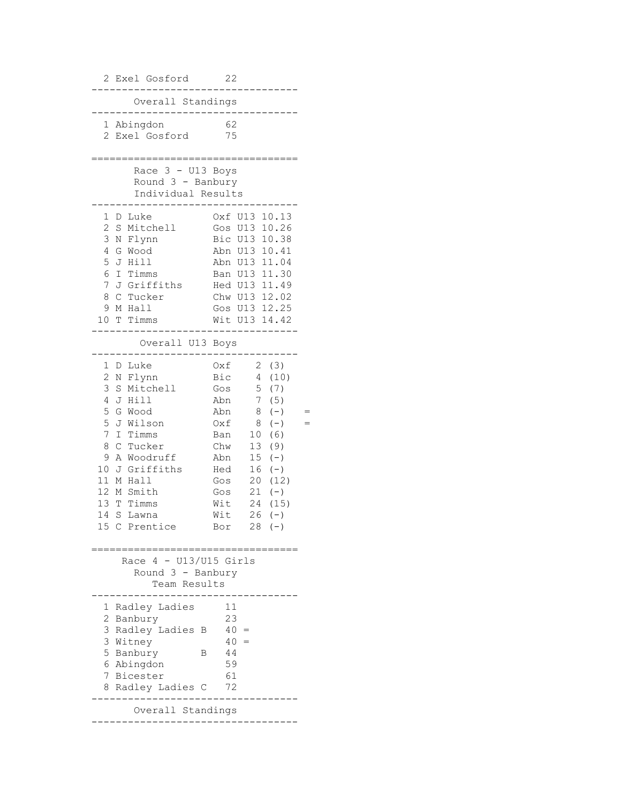2 Exel Gosford 22 ---------------------------------- Overall Standings ---------------------------------- 1 Abingdon 62 2 Exel Gosford 75 ================================== Race  $3 - U13$  Boys Round 3 - Banbury Individual Results ---------------------------------- 1 D Luke Oxf U13 10.13 2 S Mitchell Gos U13 10.26 3 N Flynn Bic U13 10.38 4 G Wood Abn U13 10.41 5 J Hill Abn U13 11.04 6 I Timms Ban U13 11.30 7 J Griffiths Hed U13 11.49 8 C Tucker Chw U13 12.02 9 M Hall Gos U13 12.25 10 T Timms Wit U13 14.42 ---------------------------------- Overall U13 Boys ---------------------------------- 1 D Luke Oxf 2 (3) 2 N Flynn Bic 4 (10) 3 S Mitchell Gos 5 (7) 4 J Hill Abn 7 (5) 5 G Wood Abn 8 (-) =<br>5 J Wilson 0xf 8 (-) = 5 J Wilson 0xf 8 (-) =<br>7 I Timms Ban 10 (6)<br>8 C Tucker Chw 13 (9) Ban 10 (6) 8 C Tucker Chw 13 (9) 9 A Woodruff Abn 15 (-) 10 J Griffiths Hed 16 (-) 11 M Hall Gos 20 (12) 12 M Smith Gos 21 (-) 12 M Smith Gos 21 (-)<br>13 T Timms Wit 24 (15) 14 S Lawna Wit 26 (-) 15 C Prentice Bor 28 (-) ================================== Race 4 - U13/U15 Girls Round 3 - Banbury Team Results ---------------------------------- 1 Radley Ladies 11 2 Banbury 23 3 Radley Ladies B 40 = 3 Witney 40 = 5 Banbury B 44 6 Abingdon 59 7 Bicester 61 8 Radley Ladies C 72 ---------------------------------- Overall Standings ----------------------------------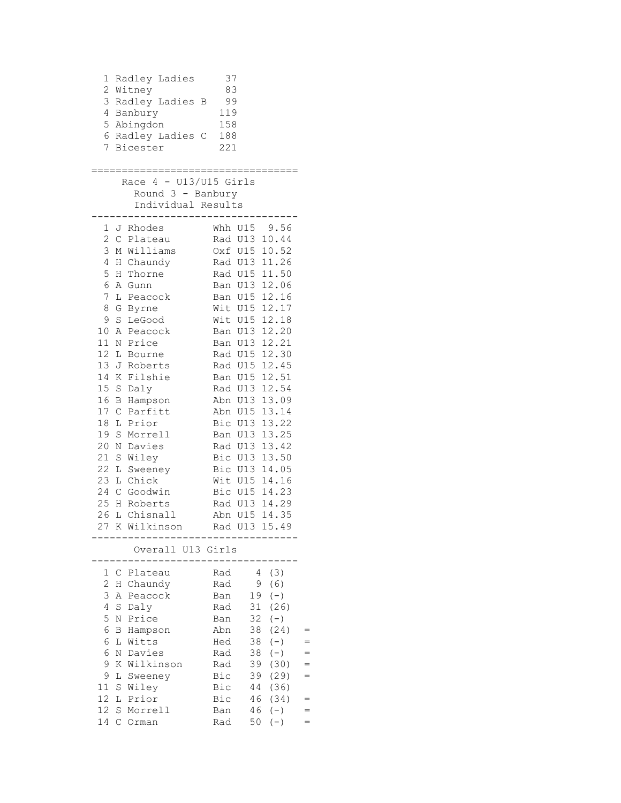```
 1 Radley Ladies 37
  2 Witney 83
  3 Radley Ladies B 99
  4 Banbury 119
  5 Abingdon 158
  6 Radley Ladies C 188
  7 Bicester 221
==================================
   Race 4 - U13/U15 Girls
      Round 3 - Banbury
      Individual Results
----------------------------------
  1 J Rhodes Whh U15 9.56
 2 C Plateau Rad U13 10.44
 3 M Williams Oxf U15 10.52
 4 H Chaundy Rad U13 11.26
 5 H Thorne Rad U15 11.50
 6 A Gunn Ban U13 12.06<br>7 L Peacock Ban U15 12.16
 7 L Peacock Ban U15 12.16
 8 G Byrne Wit U15 12.17
 9 S LeGood Wit U15 12.18
 10 A Peacock Ban U13 12.20
 11 N Price Ban U13 12.21
 12 L Bourne Rad U15 12.30
 13 J Roberts Rad U15 12.45
 14 K Filshie Ban U15 12.51
 15 S Daly Rad U13 12.54
 16 B Hampson Abn U13 13.09
 17 C Parfitt Abn U15 13.14
 18 L Prior Bic U13 13.22
18 L Prior<br>
19 S Morrell Ban U13 13.25
20 N Davies Rad U13 13.42
 21 S Wiley Bic U13 13.50
 22 L Sweeney Bic U13 14.05
 23 L Chick Wit U15 14.16
 24 C Goodwin Bic U15 14.23
 25 H Roberts Rad U13 14.29
 26 L Chisnall Abn U15 14.35
 27 K Wilkinson Rad U13 15.49
----------------------------------
      Overall U13 Girls
----------------------------------
 1 C Plateau Rad 4 (3)<br>2 H Chaundy Rad 9 (6)
 2 H Chaundy
  3 A Peacock Ban 19 (-) 
  4 S Daly Rad 31 (26) 
 5 N Price Ban 32 (-) 
 6 B Hampson Abn 38 (24) =
 6 L Witts Hed 38 (-) =
 6 N Davies Rad 38 (-) =
 9 K Wilkinson Rad 39 (30) =
 9 L Sweeney Bic 39 (29) =
 11 S Wiley Bic 44 (36) 
 12 L Prior Bic 46 (34) =
 12 S Morrell Ban 46 (-) =14 C Orman Rad 50 (-) =
```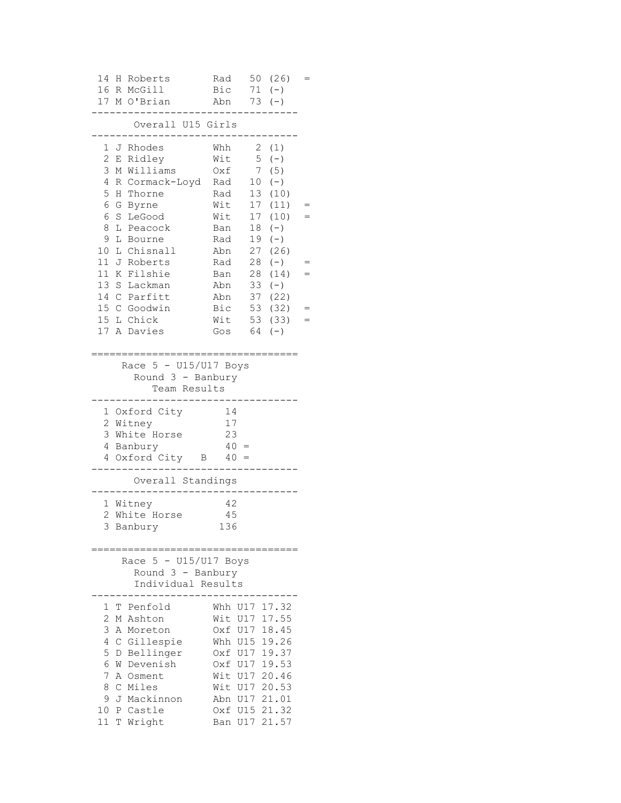|                                                       | 14 H Roberts<br>16 R McGill<br>17 M O'Brian                                                                                                  | $Bic$ 71 (-)<br>Abn 73 (-)                                                                                                                                                              | Rad $50(26) =$            |     |
|-------------------------------------------------------|----------------------------------------------------------------------------------------------------------------------------------------------|-----------------------------------------------------------------------------------------------------------------------------------------------------------------------------------------|---------------------------|-----|
|                                                       | Overall U15 Girls                                                                                                                            |                                                                                                                                                                                         |                           |     |
| 3<br>5<br>8<br>9                                      | 1 J Rhodes<br>2 E Ridley<br>M Williams<br>4 R Cormack-Loyd Rad 10 (-)<br>H Thorne<br>6 G Byrne<br>6 S LeGood<br>L Peacock<br>L Bourne        | Whh<br>Wit<br>Oxf<br>Rad 13 (10)<br>Wit 17 (11)<br>Wit 17 (10)<br>Ban 18 (-)<br>Rad 19 (-)                                                                                              | 2 (1)<br>$5 (-)$<br>7 (5) |     |
| 10<br>11                                              | L Chisnall<br>11 J Roberts<br>K Filshie<br>13 S Lackman<br>14 C Parfitt<br>15 C Goodwin<br>15 L Chick<br>17 A Davies                         | Abn 27 (26)<br>Rad 28 (-)<br>Ban 28 (14)<br>Abn 33 (-)<br>Abn 37 (22)<br>Bic 53 (32) $=$<br>$Wit$ 53 (33) =<br>Gos $64 (-)$                                                             |                           | $=$ |
|                                                       | Race $5 - U15/U17$ Boys<br>Round $3 -$ Banbury<br>Team Results                                                                               |                                                                                                                                                                                         |                           |     |
|                                                       | 1 Oxford City<br>2 Witney<br>3 White Horse<br>4 Banbury<br>$4$ Oxford City B $40 =$                                                          | 14<br>17<br>23<br>$40 =$                                                                                                                                                                |                           |     |
|                                                       | Overall Standings                                                                                                                            |                                                                                                                                                                                         |                           |     |
|                                                       | 1 Witney<br>2 White Horse<br>3 Banbury<br>=================================                                                                  | -42<br>45<br>136                                                                                                                                                                        |                           |     |
|                                                       | Race $5 - U15/U17$ Boys<br>Round $3$ - Banbury<br>Individual Results                                                                         |                                                                                                                                                                                         |                           |     |
| 1<br>2<br>3<br>4<br>5<br>6<br>7<br>8<br>9<br>10<br>11 | T Penfold<br>M Ashton<br>A Moreton<br>C Gillespie<br>D Bellinger<br>W Devenish<br>A Osment<br>C Miles<br>J Mackinnon<br>P Castle<br>T Wright | Whh U17 17.32<br>Wit U17 17.55<br>Oxf U17 18.45<br>Whh U15 19.26<br>Oxf U17 19.37<br>Oxf U17 19.53<br>Wit U17 20.46<br>Wit U17 20.53<br>Abn U17 21.01<br>Oxf U15 21.32<br>Ban U17 21.57 |                           |     |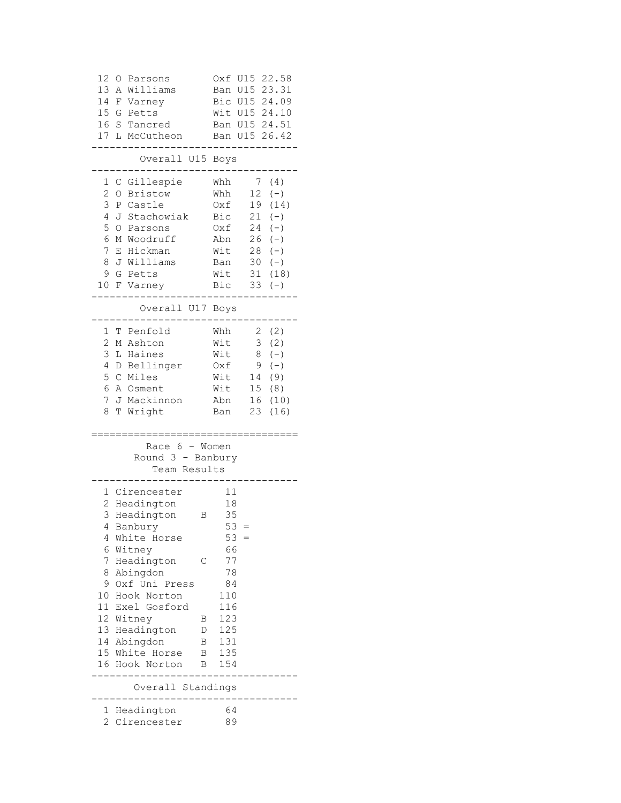| 12<br>0<br>Parsons<br>13<br>Williams<br>Α<br>14<br>F<br>Varney<br>15<br>Petts<br>G<br>16<br>S<br>Tancred<br>17<br>L<br>McCutheon                                                                                                | U15<br>22.58<br>0xf<br>U15<br>23.31<br>Ban<br>24.09<br>Bic U15<br>Wit<br>U15<br>24.10<br>24.51<br>U15<br>Ban<br>U15<br>26.42<br>Ban                                                                                 |
|---------------------------------------------------------------------------------------------------------------------------------------------------------------------------------------------------------------------------------|---------------------------------------------------------------------------------------------------------------------------------------------------------------------------------------------------------------------|
| Overall U15                                                                                                                                                                                                                     | Boys                                                                                                                                                                                                                |
| Gillespie<br>1<br>С<br>2<br><b>Bristow</b><br>O<br>3<br>Castle<br>Ρ<br>4<br>Stachowiak<br>J<br>5<br>$\circ$<br>Parsons<br>6<br>Woodruff<br>Μ<br>7<br>Hickman<br>Ε<br>Williams<br>8<br>J<br>9<br>G<br>Petts<br>10<br>F<br>Varney | Whh<br>7<br>(4)<br>Whh<br>12<br>$(-)$<br>Oxf<br>19<br>(14)<br>Bic<br>21<br>$(-)$<br>24<br>Oxf<br>$(-)$<br>Abn<br>26<br>$(-)$<br>Wit<br>28<br>$(-)$<br>30<br>Ban<br>$(-)$<br>Wit<br>31<br>(18)<br>Bic<br>33<br>$(-)$ |
| Overall U17                                                                                                                                                                                                                     | Boys                                                                                                                                                                                                                |
| 1<br>Т<br>Penfold<br>2<br>Ashton<br>Μ<br>3<br>Haines<br>L<br>4<br>Bellinger<br>D<br>5<br>Miles<br>С<br>6<br>Α<br>Osment<br>Mackinnon<br>7<br>J<br>8<br>Τ<br>Wright                                                              | 2<br>Whh<br>(2)<br>Wit<br>3<br>(2)<br>Wit<br>8<br>$(-)$<br>9<br>Oxf<br>$(-)$<br>Wit<br>14<br>(9)<br>15 <sub>1</sub><br>Wit<br>(8)<br>Abn<br>16<br>(10)<br>23<br>(16)<br>Ban                                         |
| Race 6 - Women<br>Round 3 - Banbury<br>Team Results                                                                                                                                                                             |                                                                                                                                                                                                                     |
| Cirencester<br>1<br>2<br>Headington<br>3<br>Headington<br>Banbury<br>4<br>4<br>White Horse<br>6<br>Witney                                                                                                                       | 11<br>18<br>35<br>В<br>53<br>53<br>$=$<br>66                                                                                                                                                                        |
| 7<br>Headington<br>8<br>Abingdon<br>Oxf Uni Press<br>9<br>10<br>Hook Norton<br>11<br>Exel Gosford<br>12 Witney<br>13 Headington<br>14 Abingdon                                                                                  | 77<br>С<br>78<br>84<br>110<br>116<br>123<br>В<br>125<br>D<br>131<br>В                                                                                                                                               |
| 15 White Horse<br>16 Hook Norton                                                                                                                                                                                                | 135<br>В<br>154<br>B                                                                                                                                                                                                |
| Overall Standings<br>$- - - - -$                                                                                                                                                                                                |                                                                                                                                                                                                                     |
| Headington<br>1<br>2<br>Cirencester                                                                                                                                                                                             | 64<br>89                                                                                                                                                                                                            |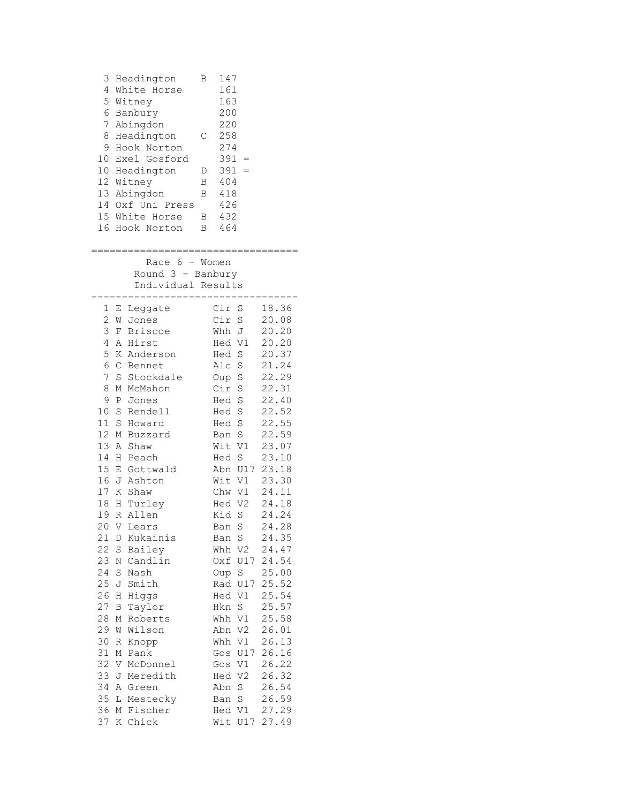|                 |   | 3 Headington<br>4 White Horse<br>5 Witney<br>6 Banbury<br>7 Abingdon<br>8 Headington<br>9 Hook Norton<br>10 Exel Gosford<br>10 Headington<br>12 Witney<br>13 Abingdon<br>14 Oxf Uni Press<br>15 White Horse<br>16 Hook Norton<br>=================================== | В<br>$\mathbb{C}$<br>D<br>$\mathbf{B}$<br>B | 147<br>161<br>163<br>200<br>220<br>258<br>274<br>$391 =$<br>$391 =$<br>404<br>418<br>426<br>B 432<br>B 464 |                    |                        |  |
|-----------------|---|----------------------------------------------------------------------------------------------------------------------------------------------------------------------------------------------------------------------------------------------------------------------|---------------------------------------------|------------------------------------------------------------------------------------------------------------|--------------------|------------------------|--|
|                 |   | Race $6 -$ Women<br>Round $3$ - Banbury<br>Individual Results                                                                                                                                                                                                        |                                             | -------                                                                                                    |                    |                        |  |
|                 |   | 1 E Leggate                                                                                                                                                                                                                                                          |                                             |                                                                                                            | Cir S              | 18.36                  |  |
|                 |   | 2 W Jones                                                                                                                                                                                                                                                            |                                             |                                                                                                            | Cir S              | 20.08                  |  |
|                 |   | 3 F Briscoe                                                                                                                                                                                                                                                          |                                             |                                                                                                            | Whh J              | 20.20                  |  |
| 4               |   | A Hirst                                                                                                                                                                                                                                                              |                                             |                                                                                                            | Hed V1             | 20.20                  |  |
| 5               |   | K Anderson<br>6 C Bennet                                                                                                                                                                                                                                             |                                             | Hed S<br>Alc S                                                                                             |                    | 20.37<br>21.24         |  |
| 7 <sup>1</sup>  |   | S Stockdale                                                                                                                                                                                                                                                          |                                             | Oup S                                                                                                      |                    | 22.29                  |  |
| 8               |   | M McMahon                                                                                                                                                                                                                                                            |                                             | Cir S                                                                                                      |                    | 22.31                  |  |
| 9               |   | P Jones                                                                                                                                                                                                                                                              |                                             |                                                                                                            | Hed S              | 22.40                  |  |
| 10              |   | S Rendell                                                                                                                                                                                                                                                            |                                             |                                                                                                            | Hed S              | 22.52                  |  |
| 11 <sup>1</sup> | S | Howard                                                                                                                                                                                                                                                               |                                             |                                                                                                            | Hed S              | 22.55                  |  |
| 12              |   | M Buzzard                                                                                                                                                                                                                                                            |                                             |                                                                                                            | Ban S              | 22.59                  |  |
| 13              |   | A Shaw                                                                                                                                                                                                                                                               |                                             |                                                                                                            | Wit V1             | 23.07                  |  |
| 14              |   | H Peach                                                                                                                                                                                                                                                              |                                             |                                                                                                            | Hed S              | 23.10                  |  |
|                 |   | 15 E Gottwald<br>16 J Ashton                                                                                                                                                                                                                                         |                                             |                                                                                                            | Wit V1             | Abn U17 23.18<br>23.30 |  |
|                 |   | 17 K Shaw                                                                                                                                                                                                                                                            |                                             |                                                                                                            | Chw V1             | 24.11                  |  |
| 18              |   | H Turley                                                                                                                                                                                                                                                             |                                             |                                                                                                            | Hed V2             | 24.18                  |  |
|                 |   | 19 R Allen                                                                                                                                                                                                                                                           |                                             |                                                                                                            | Kid S              | 24.24                  |  |
|                 |   | 20 V Lears                                                                                                                                                                                                                                                           |                                             |                                                                                                            | Ban S              | 24.28                  |  |
| 21              | D | Kukainis                                                                                                                                                                                                                                                             |                                             |                                                                                                            | Ban S              | 24.35                  |  |
| 22              | S | Bailey                                                                                                                                                                                                                                                               |                                             |                                                                                                            | Whh V2             | 24.47                  |  |
| 23              |   | N Candlin                                                                                                                                                                                                                                                            |                                             |                                                                                                            |                    | Oxf U17 24.54          |  |
| 24<br>25        | S | Nash                                                                                                                                                                                                                                                                 |                                             |                                                                                                            | Oup S              | 25.00<br>25.52         |  |
| 26              | Η | J Smith<br>Higgs                                                                                                                                                                                                                                                     |                                             | Hed V1                                                                                                     | Rad U17            | 25.54                  |  |
| 27              | Β | Taylor                                                                                                                                                                                                                                                               |                                             | Hkn S                                                                                                      |                    | 25.57                  |  |
| 28              |   | M Roberts                                                                                                                                                                                                                                                            |                                             |                                                                                                            | Whh V1             | 25.58                  |  |
| 29              |   | W Wilson                                                                                                                                                                                                                                                             |                                             |                                                                                                            | Abn V2             | 26.01                  |  |
| 30              | R | Knopp                                                                                                                                                                                                                                                                |                                             |                                                                                                            | Whh V1             | 26.13                  |  |
| 31              | М | Pank                                                                                                                                                                                                                                                                 |                                             |                                                                                                            | Gos U17            | 26.16                  |  |
| 32              |   | V McDonnel                                                                                                                                                                                                                                                           |                                             | Gos V1                                                                                                     |                    | 26.22                  |  |
| 33              |   | J Meredith                                                                                                                                                                                                                                                           |                                             | Hed V2                                                                                                     |                    | 26.32                  |  |
| 34<br>35        |   | A Green                                                                                                                                                                                                                                                              |                                             | Abn                                                                                                        | $\rm S$<br>$\rm S$ | 26.54<br>26.59         |  |
| 36              |   | L Mestecky<br>M Fischer                                                                                                                                                                                                                                              |                                             | Ban<br>Hed V1                                                                                              |                    | 27.29                  |  |
| 37              |   | K Chick                                                                                                                                                                                                                                                              |                                             |                                                                                                            | Wit U17            | 27.49                  |  |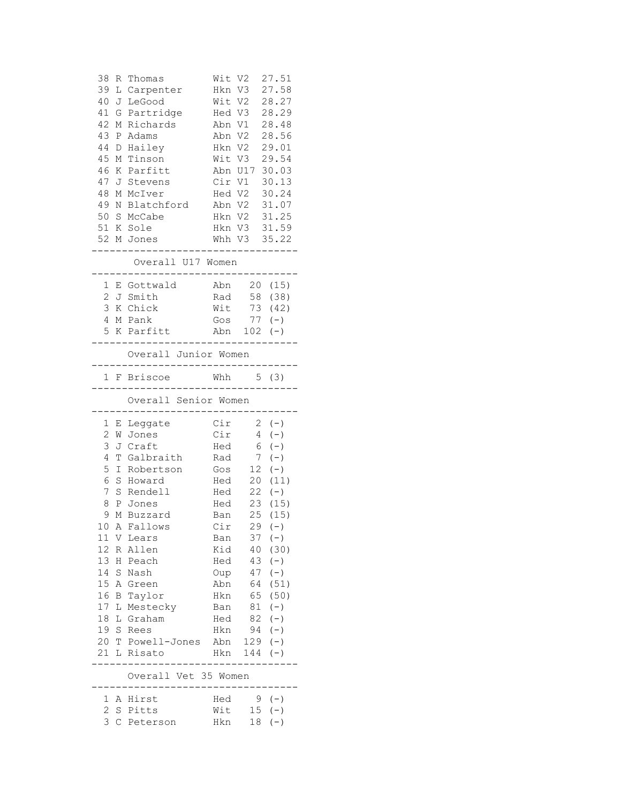| 38<br>R<br>39<br>L<br>40<br>41<br>G<br>42<br>М<br>43<br>$\mathbf P$<br>44<br>$\mathbb D$<br>45<br>Μ<br>46<br>Κ<br>47<br>J<br>48<br>Μ<br>49<br>Ν<br>50<br>51<br>52<br>М | Thomas<br>Carpenter<br>LeGood<br>J<br>Partridge<br>Richards<br>Adams<br>Hailey<br>Tinson<br>Parfitt<br>Stevens<br>McIver<br>Blatchford<br>S McCabe<br>K Sole<br>Jones<br>Overall U17 Women | Wit V2<br>Hkn<br>Wit V2<br>Hed V3<br>Abn V1<br>Abn V2<br>Hkn V2<br>Wit V3<br>Abn U17<br>Cir V1<br>Hed V2<br>Abn V2<br>Hkn V2<br>Hkn V3<br>Whh V3 | V3                   | 27.51<br>27.58<br>28.27<br>28.29<br>28.48<br>28.56<br>29.01<br>29.54<br>30.03<br>30.13<br>30.24<br>31.07<br>31.25<br>31.59<br>35.22 |
|------------------------------------------------------------------------------------------------------------------------------------------------------------------------|--------------------------------------------------------------------------------------------------------------------------------------------------------------------------------------------|--------------------------------------------------------------------------------------------------------------------------------------------------|----------------------|-------------------------------------------------------------------------------------------------------------------------------------|
|                                                                                                                                                                        |                                                                                                                                                                                            |                                                                                                                                                  |                      |                                                                                                                                     |
| 1<br>Е<br>2                                                                                                                                                            | Gottwald<br>J Smith                                                                                                                                                                        | Abn<br>Rad                                                                                                                                       | 20<br>58             | (15)<br>(38)                                                                                                                        |
| 3                                                                                                                                                                      | K Chick                                                                                                                                                                                    | Wit                                                                                                                                              | 73                   | (42)                                                                                                                                |
| 4                                                                                                                                                                      | M Pank                                                                                                                                                                                     | Gos                                                                                                                                              | 77                   | $(-)$                                                                                                                               |
| 5                                                                                                                                                                      | K Parfitt                                                                                                                                                                                  | Abn                                                                                                                                              | 102                  | $(\,-\,)$                                                                                                                           |
|                                                                                                                                                                        | Overall Junior Women                                                                                                                                                                       |                                                                                                                                                  |                      |                                                                                                                                     |
|                                                                                                                                                                        | 1 F Briscoe                                                                                                                                                                                | Whh                                                                                                                                              |                      | 5(3)                                                                                                                                |
|                                                                                                                                                                        | Overall Senior Women                                                                                                                                                                       |                                                                                                                                                  |                      |                                                                                                                                     |
| 1<br>Е                                                                                                                                                                 | Leggate                                                                                                                                                                                    | Cir                                                                                                                                              | $\overline{2}$       | $(-)$                                                                                                                               |
| 2<br>W                                                                                                                                                                 | Jones                                                                                                                                                                                      | Cir                                                                                                                                              | 4                    | $(-)$                                                                                                                               |
| 3<br>J                                                                                                                                                                 | Craft                                                                                                                                                                                      | Hed                                                                                                                                              | 6                    | $(-)$                                                                                                                               |
| 4<br>T                                                                                                                                                                 | Galbraith                                                                                                                                                                                  | Rad                                                                                                                                              | 7                    | $(-)$                                                                                                                               |
| 5<br>I                                                                                                                                                                 | Robertson                                                                                                                                                                                  | Gos                                                                                                                                              | 12                   | $(-)$                                                                                                                               |
| 6<br>S                                                                                                                                                                 | Howard                                                                                                                                                                                     | Hed                                                                                                                                              | 20                   | (11)                                                                                                                                |
| 7<br>S                                                                                                                                                                 | Rendell                                                                                                                                                                                    | Hed                                                                                                                                              | 22                   | $(-)$                                                                                                                               |
| 8<br>Ρ<br>9<br>М                                                                                                                                                       | Jones<br>Buzzard                                                                                                                                                                           | Hed                                                                                                                                              | 23<br>25             | (15)<br>(15)                                                                                                                        |
| 10                                                                                                                                                                     | A Fallows                                                                                                                                                                                  | Ban<br>Cir                                                                                                                                       |                      | $29 (-)$                                                                                                                            |
|                                                                                                                                                                        | 11 V Lears                                                                                                                                                                                 | Ban                                                                                                                                              |                      | $37 (-)$                                                                                                                            |
| 12                                                                                                                                                                     | R Allen                                                                                                                                                                                    | Kid                                                                                                                                              |                      | 40 (30)                                                                                                                             |
|                                                                                                                                                                        | 13 H Peach                                                                                                                                                                                 | Hed                                                                                                                                              |                      | $43 (-)$                                                                                                                            |
|                                                                                                                                                                        | 14 S Nash                                                                                                                                                                                  | Oup                                                                                                                                              |                      | $47 (-)$                                                                                                                            |
| 15 <sub>1</sub>                                                                                                                                                        | A Green                                                                                                                                                                                    | Abn                                                                                                                                              |                      | 64 (51)                                                                                                                             |
| 16                                                                                                                                                                     | B Taylor                                                                                                                                                                                   | Hkn                                                                                                                                              |                      | 65 (50)                                                                                                                             |
|                                                                                                                                                                        | 17 L Mestecky                                                                                                                                                                              |                                                                                                                                                  | Ban 81 (-)           |                                                                                                                                     |
|                                                                                                                                                                        | 18 L Graham<br>19 S Rees                                                                                                                                                                   | Hed<br>Hkn                                                                                                                                       | $82 (-)$<br>$94 (-)$ |                                                                                                                                     |
|                                                                                                                                                                        | 20 T Powell-Jones                                                                                                                                                                          | Abn                                                                                                                                              | $129 (-)$            |                                                                                                                                     |
|                                                                                                                                                                        | 21 L Risato                                                                                                                                                                                | Hkn                                                                                                                                              | $144 (-)$            |                                                                                                                                     |
|                                                                                                                                                                        | Overall Vet 35 Women                                                                                                                                                                       |                                                                                                                                                  |                      |                                                                                                                                     |
| 1                                                                                                                                                                      | A Hirst                                                                                                                                                                                    |                                                                                                                                                  | Hed $9(-)$           |                                                                                                                                     |
| 2                                                                                                                                                                      | S Pitts                                                                                                                                                                                    |                                                                                                                                                  | Wit $15 (-)$         |                                                                                                                                     |
|                                                                                                                                                                        | 3 C Peterson                                                                                                                                                                               | Hkn                                                                                                                                              |                      | $18 (-)$                                                                                                                            |
|                                                                                                                                                                        |                                                                                                                                                                                            |                                                                                                                                                  |                      |                                                                                                                                     |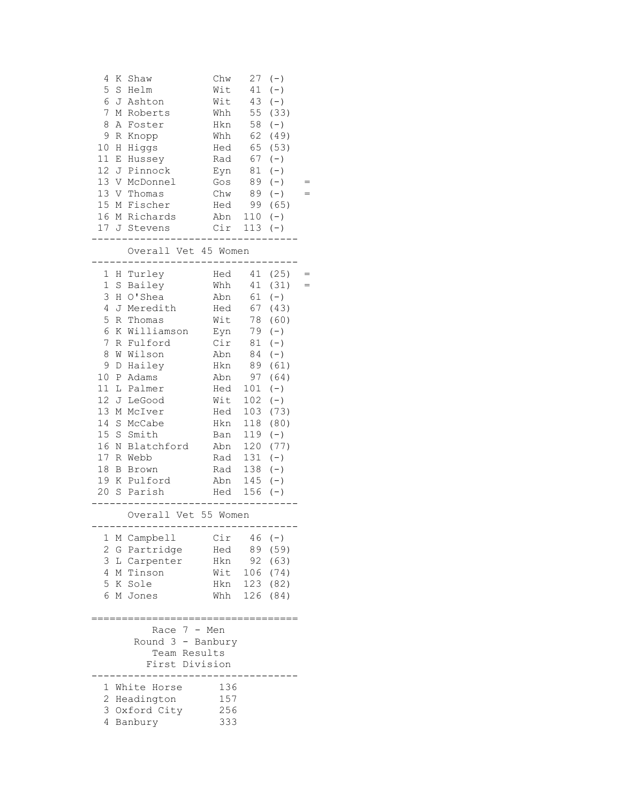| 4<br>К<br>5<br>$\mathbf S$<br>6<br>J<br>7<br>8<br>Α<br>9<br>R<br>10<br>Η<br>11<br>Ε                                                                                                          | Shaw<br>Helm<br>Ashton<br>M Roberts<br>Foster<br>Knopp<br>Higgs<br>Hussey                                                                                                                                                           | Chw<br>Wit<br>Wit<br>Whh<br>Hkn<br>Whh<br>Hed<br>Rad                                                                                     | 27<br>41<br>43<br>55<br>58<br>62<br>65<br>67                                                                       | $(-)$<br>$(-)$<br>$(-)$<br>(33)<br>$(-)$<br>(49)<br>(53)<br>$(\,-\,)$                                                                                                         |  |
|----------------------------------------------------------------------------------------------------------------------------------------------------------------------------------------------|-------------------------------------------------------------------------------------------------------------------------------------------------------------------------------------------------------------------------------------|------------------------------------------------------------------------------------------------------------------------------------------|--------------------------------------------------------------------------------------------------------------------|-------------------------------------------------------------------------------------------------------------------------------------------------------------------------------|--|
| 12 <sup>7</sup><br>13<br>13<br>15                                                                                                                                                            | J Pinnock<br>V McDonnel<br>V Thomas<br>M Fischer<br>16 M Richards<br>17 J Stevens                                                                                                                                                   | Eyn<br>Gos<br>Chw<br>Hed<br>Abn<br>Cir                                                                                                   | 81<br>89<br>89<br>99<br>$110 (-)$<br>$113 (-)$                                                                     | $(-)$<br>$(-)$<br>$(-)$<br>(65)                                                                                                                                               |  |
|                                                                                                                                                                                              | Overall Vet 45 Women                                                                                                                                                                                                                |                                                                                                                                          |                                                                                                                    |                                                                                                                                                                               |  |
| 1<br>$\mathbf 1$<br>$\rm S$<br>3<br>Η<br>4<br>J<br>5<br>R<br>6<br>7<br>8<br>W<br>9<br>D<br>10<br>Ρ<br>11<br>L<br>12<br>13<br>14<br>$\rm S$<br>15<br>16<br>$17\,$<br>R<br>18<br>Β<br>19<br>20 | H Turley<br>Bailey<br>O'Shea<br>Meredith<br>Thomas<br>K Williamson<br>R Fulford<br>Wilson<br>Hailey<br>Adams<br>Palmer<br>J LeGood<br>McIver<br>М<br>McCabe<br>S Smith<br>Blatchford<br>N<br>Webb<br>Brown<br>K Pulford<br>S Parish | Hed<br>Whh<br>Abn<br>Hed<br>Wit<br>Eyn<br>Cir<br>Abn<br>Hkn<br>Abn<br>Hed<br>Wit<br>Hed<br>Hkn<br>Ban<br>Abn<br>Rad<br>Rad<br>Abn<br>Hed | 61<br>67<br>78<br>79<br>81<br>84<br>89<br>97<br>101<br>102<br>103<br>118<br>119<br>120<br>131<br>138<br>145<br>156 | 41 (25)<br>41 (31)<br>$(-)$<br>(43)<br>(60)<br>$(-)$<br>$(-)$<br>$(-)$<br>(61)<br>(64)<br>$(-)$<br>$(-)$<br>(73)<br>(80)<br>$(-)$<br>(77)<br>$(-)$<br>$(-)$<br>$(-)$<br>$(-)$ |  |
|                                                                                                                                                                                              | Overall Vet 55 Women<br>.--------------------------                                                                                                                                                                                 |                                                                                                                                          |                                                                                                                    |                                                                                                                                                                               |  |
| 1<br>Μ<br>$\overline{c}$<br>G<br>3<br>L<br>4<br>5<br>6                                                                                                                                       | Campbell<br>Partridge<br>Carpenter<br>M Tinson<br>K Sole<br>М<br>Jones                                                                                                                                                              | Cir<br>Hed<br>Hkn<br>Wit<br>Hkn<br>Whh                                                                                                   | 46<br>89<br>92<br>106<br>123<br>126                                                                                | $(-)$<br>(59)<br>(63)<br>(74)<br>(82)<br>(84)                                                                                                                                 |  |
|                                                                                                                                                                                              | $7 -$<br>Race<br>Round 3 - Banbury<br>Team Results<br>First Division                                                                                                                                                                | Men                                                                                                                                      |                                                                                                                    |                                                                                                                                                                               |  |
| 1<br>2<br>3<br>4                                                                                                                                                                             | White Horse<br>Headington<br>Oxford City<br>Banbury                                                                                                                                                                                 | 136<br>157<br>256<br>333                                                                                                                 |                                                                                                                    |                                                                                                                                                                               |  |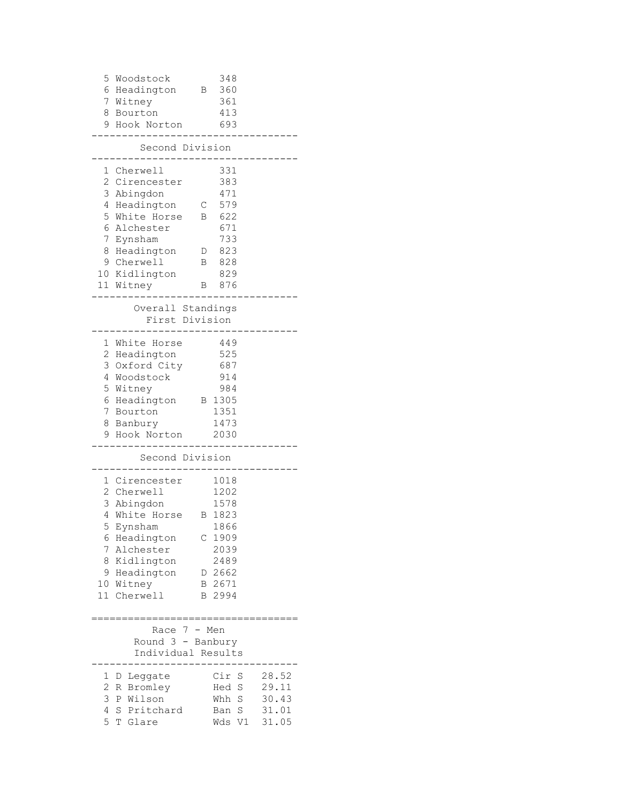| 5 Woodstock<br>6 Headington<br>7 Witney<br>8 Bourton<br>9 Hook Norton                                                                                                                                                | B                                  | 348<br>360<br>361<br>413<br>693                                                                                         |                                           |
|----------------------------------------------------------------------------------------------------------------------------------------------------------------------------------------------------------------------|------------------------------------|-------------------------------------------------------------------------------------------------------------------------|-------------------------------------------|
| Second Division                                                                                                                                                                                                      |                                    |                                                                                                                         |                                           |
| 1 Cherwell<br>2 Cirencester<br>3<br>Abingdon<br>4 Headington<br>5 White Horse<br>6 Alchester<br>7<br>Eynsham<br>8 Headington<br>9 Cherwell<br>10 Kidlington<br>11 Witney                                             | $\mathsf{C}^-$<br>B<br>D<br>В<br>В | 331<br>383<br>471<br>579<br>622<br>671<br>733<br>823<br>828<br>829<br>876                                               |                                           |
| Overall Standings<br>First Division                                                                                                                                                                                  |                                    |                                                                                                                         |                                           |
| 1 White Horse<br>2 Headington<br>3 Oxford City<br>4 Woodstock<br>5 Witney<br>6 Headington<br>7 Bourton<br>8 Banbury<br>9 Hook Norton                                                                                 |                                    | 449<br>525<br>687<br>914<br>984<br>B 1305<br>1351<br>1473<br>2030                                                       |                                           |
| Second Division                                                                                                                                                                                                      |                                    |                                                                                                                         |                                           |
| 1 Cirencester<br>2 Cherwell<br>3 Abingdon<br>4<br>White Horse<br>5<br>Eynsham<br>6<br>Headington<br>7<br>Alchester<br>Kidlington<br>8<br>9<br>Headington<br>Witney<br>10<br>11 <sup>1</sup><br>Cherwell<br>:======== | B                                  | 1018<br>1202<br>1578<br>1823<br>1866<br>C <sub>1909</sub><br>2039<br>2489<br>D 2662<br>B 2671<br>B 2994<br>:=========== |                                           |
| Race 7 - Men<br>Round $3 -$ Banbury<br>Individual Results                                                                                                                                                            |                                    |                                                                                                                         |                                           |
| Leggate<br>ı,<br>D<br>2<br>Bromley<br>R<br>3<br>Wilson<br>P<br>4<br>Pritchard<br>S<br>5<br>T<br>Glare                                                                                                                |                                    | Cir S<br>S<br>Hed<br>S<br>Whh<br>S<br>Ban<br>V1<br>Wds                                                                  | 28.52<br>29.11<br>30.43<br>31.01<br>31.05 |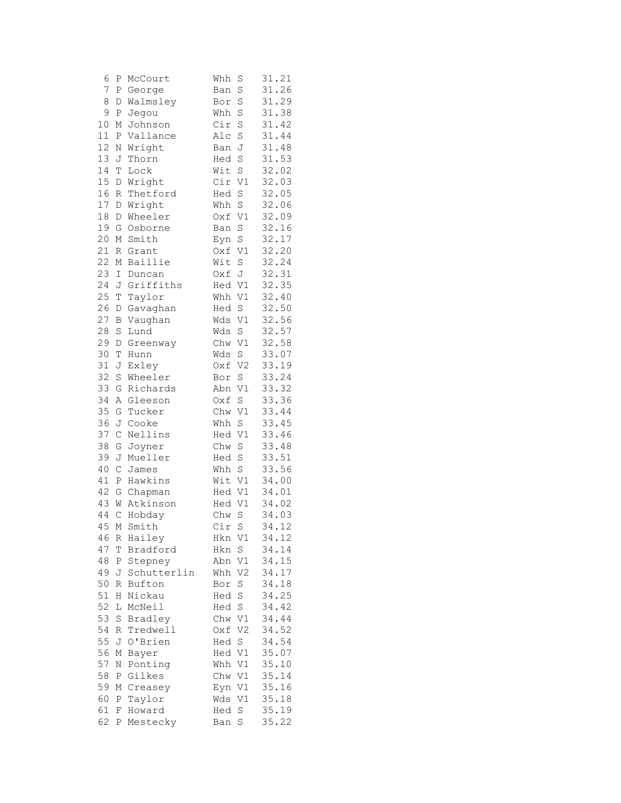| 6    | Ρ             | McCourt     | Whh    | S              | 31.21 |
|------|---------------|-------------|--------|----------------|-------|
| 7    | Ρ             | George      | Ban    | S              | 31.26 |
| 8    | D             | Walmsley    | Bor    | S              | 31.29 |
| 9    | Ρ             | Jegou       | Whh    | S              | 31.38 |
| 10   | Μ             | Johnson     | Cir    | S              | 31.42 |
| 11   | Ρ             | Vallance    | Alc    | S              | 31.44 |
| 12   | Ν             | Wright      | Ban    | J              | 31.48 |
| 13   | J             | Thorn       | Hed    | S              | 31.53 |
| 14   | T             | Lock        | Wit    | S              | 32.02 |
| 15   | D             | Wright      | Cir    | $\mathtt{V1}$  | 32.03 |
| 16   | $\mathbb R$   | Thetford    | Hed    | S              | 32.05 |
| 17   | D             | Wright      | Whh    | S              | 32.06 |
| 18   | D             | Wheeler     | Oxf    | V1             | 32.09 |
| 19   | G             | Osborne     | Ban    | S              | 32.16 |
| 20   | Μ             | Smith       | Eyn    | S              | 32.17 |
| 21   | R             | Grant       | Oxf    | V1             | 32.20 |
| 22   | М             | Baillie     | Wit    | S              | 32.24 |
| 23   | I             | Duncan      | Oxf    | $\mathbb J$    | 32.31 |
| 24   | J             | Griffiths   | Hed V1 |                | 32.35 |
| 25   | $\mathbb T$   | Taylor      | Whh    | V1             | 32.40 |
| 26   | D             | Gavaghan    | Hed    | S              | 32.50 |
| 27   | B             | Vaughan     | Wds    | V1             | 32.56 |
| 28   | S             | Lund        | Wds    | S              | 32.57 |
| 29   |               |             | Chw    | V1             | 32.58 |
| 30   | D<br>T        | Greenway    |        |                |       |
|      |               | Hunn        | Wds    | S              | 33.07 |
| 31   | J             | Exley       | Oxf    | V <sub>2</sub> | 33.19 |
| 32   | S             | Wheeler     | Bor    | S              | 33.24 |
| 33   | G             | Richards    | Abn    | V1             | 33.32 |
| 34   | Α             | Gleeson     | Oxf    | S              | 33.36 |
| 35   | G             | Tucker      | Chw    | V1             | 33.44 |
| 36   | J             | Cooke       | Whh    | S              | 33.45 |
| 37   | $\mathsf C$   | Nellins     | Hed    | V1             | 33.46 |
| 38   | G             | Joyner      | Chw    | S              | 33.48 |
| 39   | J             | Mueller     | Hed    | $\rm S$        | 33.51 |
| 40   | $\mathcal{C}$ | James       | Whh    | S              | 33.56 |
| 41   | P             | Hawkins     | Wit V1 |                | 34.00 |
| 42   | G             | Chapman     | Hed    | V1             | 34.01 |
| 43   | W             | Atkinson    | Hed    | V1             | 34.02 |
| 44   | $\mathsf{C}$  | Hobday      | Chw    | S              | 34.03 |
| 45 M |               | Smith       | Cir    | S              | 34.12 |
| 46   | R             | Hailey      | Hkn V1 |                | 34.12 |
| 47   | Τ             | Bradford    | Hkn    | $\mathbf S$    | 34.14 |
| 48   | Ρ             | Stepney     | Abn    | V1             | 34.15 |
| 49   | J             | Schutterlin | Whh    | V <sub>2</sub> | 34.17 |
| 50   | R             | Bufton      | Bor    | $\rm S$        | 34.18 |
| 51   | Η             | Nickau      | Hed S  |                | 34.25 |
| 52   | L             | McNeil      | Hed    | $\mathbb S$    | 34.42 |
| 53   | $\rm S$       | Bradley     | Chw    | V1             | 34.44 |
| 54   | R             | Tredwell    | Oxf    | V <sub>2</sub> | 34.52 |
| 55   | J             | O'Brien     | Hed    | S              | 34.54 |
| 56   | Μ             | Bayer       | Hed    | V1             | 35.07 |
| 57   | Ν             | Ponting     | Whh    | V1             | 35.10 |
| 58   | Ρ             | Gilkes      | Chw V1 |                | 35.14 |
| 59   | Μ             | Creasey     | Eyn    | V1             | 35.16 |
| 60   | Ρ             | Taylor      | Wds    | V1             | 35.18 |
| 61   | F             | Howard      | Hed    | S              | 35.19 |
| 62   | Ρ             | Mestecky    | Ban    | S              | 35.22 |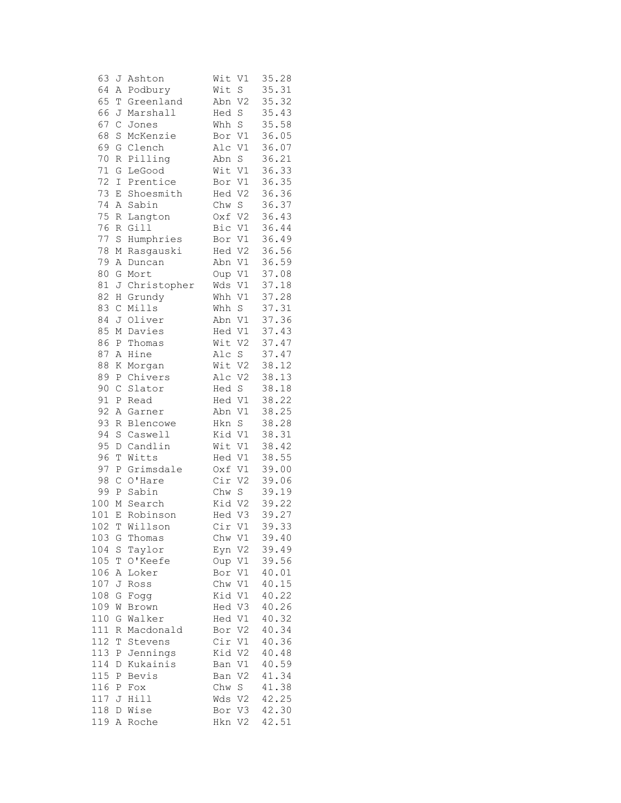| 63  | J                | Ashton      | Wit<br>V1             | 35.28 |
|-----|------------------|-------------|-----------------------|-------|
| 64  | A                | Podbury     | Wit<br>S              | 35.31 |
| 65  | T                | Greenland   | V <sub>2</sub><br>Abn | 35.32 |
| 66  | J                | Marshall    | S<br>Hed              | 35.43 |
| 67  | $\mathsf{C}$     | Jones       | $\mathbf S$<br>Whh    | 35.58 |
| 68  | $\rm S$          | McKenzie    | $\mathtt{V1}$<br>Bor  | 36.05 |
| 69  | G                | Clench      | V1<br>Alc             | 36.07 |
| 70  | R                | Pilling     | Abn<br>$\rm S$        | 36.21 |
| 71  | G                | LeGood      | Wit V1                | 36.33 |
| 72  | I                | Prentice    | V1<br>Bor             | 36.35 |
| 73  | Ε                | Shoesmith   | V <sub>2</sub><br>Hed | 36.36 |
| 74  | Α                | Sabin       | S<br>Chw              | 36.37 |
| 75  | R                | Langton     | V <sub>2</sub><br>Oxf | 36.43 |
| 76  | R                | Gill        | Bic<br>V1             | 36.44 |
| 77  | $\rm S$          | Humphries   | V1<br>Bor             | 36.49 |
| 78  | М                | Rasgauski   | Hed<br>V <sub>2</sub> | 36.56 |
| 79  | Α                | Duncan      | Abn<br>V1             | 36.59 |
| 80  | G                | Mort        | V1<br>Oup             | 37.08 |
| 81  | J                | Christopher | Wds<br>V1             | 37.18 |
| 82  | H                | Grundy      | V1<br>Whh             | 37.28 |
| 83  | $\mathsf C$      | Mills       | S<br>Whh              | 37.31 |
| 84  | J                | Oliver      | Abn<br>V1             | 37.36 |
| 85  | М                | Davies      | V1<br>Hed             | 37.43 |
| 86  | $\, {\bf P}$     |             | Wit<br>V <sub>2</sub> | 37.47 |
| 87  |                  | Thomas      |                       |       |
|     | Α                | Hine        | S<br>Alc              | 37.47 |
| 88  | Κ                | Morgan      | Wit<br>V <sub>2</sub> | 38.12 |
| 89  | $\, {\bf P}$     | Chivers     | V <sub>2</sub><br>Alc | 38.13 |
| 90  | $\mathsf{C}$     | Slator      | S<br>Hed              | 38.18 |
| 91  | $\, {\bf P}$     | Read        | Hed V1                | 38.22 |
| 92  | Α                | Garner      | Abn<br>V1             | 38.25 |
| 93  | R                | Blencowe    | $\rm S$<br>Hkn        | 38.28 |
| 94  | $\rm S$          | Caswell     | Kid<br>V1             | 38.31 |
| 95  | $\mathbb D$      | Candlin     | Wit<br>V1             | 38.42 |
| 96  | T                | Witts       | V1<br>Hed             | 38.55 |
| 97  | Ρ                | Grimsdale   | V1<br>Oxf             | 39.00 |
| 98  | $\mathsf C$      | O'Hare      | Cir<br>V <sub>2</sub> | 39.06 |
| 99  | $\, {\mathbb P}$ | Sabin       | Chw<br>S              | 39.19 |
| 100 | Μ                | Search      | Kid V2                | 39.22 |
| 101 | E                | Robinson    | V3<br>Hed             | 39.27 |
| 102 | Т                | Willson     | Cir<br>V1             | 39.33 |
| 103 | G                | Thomas      | Chw<br>V1             | 39.40 |
| 104 | S                | Taylor      | Eyn<br>V2             | 39.49 |
| 105 | T                | O'Keefe     | Oup<br>V1             | 39.56 |
| 106 | Α                | Loker       | Bor<br>V1             | 40.01 |
| 107 | J                | Ross        | Chw<br>V1             | 40.15 |
| 108 | G                | Fogg        | Kid<br>V1             | 40.22 |
| 109 | W                | Brown       | V3<br>Hed             | 40.26 |
| 110 | G                | Walker      | Hed<br>V1             | 40.32 |
| 111 | R                | Macdonald   | Bor<br>V2             | 40.34 |
| 112 | Τ                | Stevens     | V1<br>Cir             | 40.36 |
| 113 | Ρ                | Jennings    | Kid<br>V <sub>2</sub> | 40.48 |
| 114 | D                | Kukainis    | V1<br>Ban             | 40.59 |
| 115 | Ρ                | Bevis       | V <sub>2</sub><br>Ban | 41.34 |
| 116 | Ρ                | Fox         | S<br>Chw              | 41.38 |
| 117 | J                | Hill        | V <sub>2</sub><br>Wds | 42.25 |
| 118 | D                | Wise        | V3<br>Bor             | 42.30 |
| 119 | Α                | Roche       | Hkn<br>V2             | 42.51 |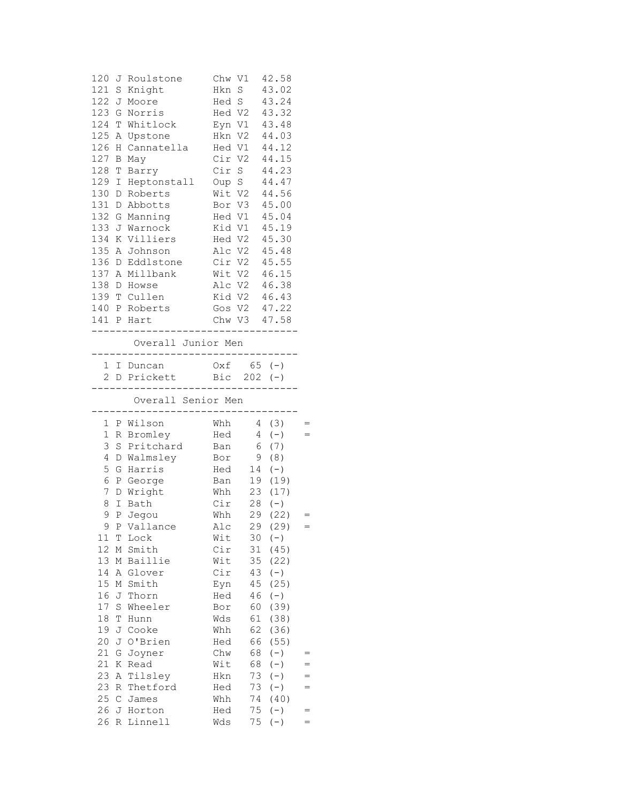| 120<br>121 | S             | J Roulstone<br>Knight                             | Chw V1<br>Hkn               | $\rm S$          | 42.58<br>43.02     |          |
|------------|---------------|---------------------------------------------------|-----------------------------|------------------|--------------------|----------|
| 122        | J             | Moore                                             | Hed S                       |                  | 43.24              |          |
| 123        | G             | Norris                                            |                             | Hed V2           | 43.32              |          |
| 124        | T             | Whitlock                                          | Eyn V1                      |                  | 43.48              |          |
| 125        | Α             | Upstone                                           | Hkn V2                      |                  | 44.03              |          |
| 126        | Η             | Cannatella                                        | Hed V1                      |                  | 44.12              |          |
| 127        | В             | May                                               | Cir V2                      |                  | 44.15              |          |
| 128        | Τ             | Barry                                             | Cir S                       |                  | 44.23              |          |
| 129        | $\mathbbm{I}$ | Heptonstall                                       | Oup S                       |                  | 44.47              |          |
| 130        | D             | Roberts                                           | Wit V2                      |                  | 44.56              |          |
| 131        | D             | Abbotts                                           | Bor V3                      |                  | 45.00              |          |
| 132        | G             | Manning                                           | Hed V1                      |                  | 45.04              |          |
| 133        |               | J Warnock                                         | Kid V1                      |                  | 45.19              |          |
| 134        |               | K Villiers                                        | Hed V2                      |                  | 45.30              |          |
| 135 A      |               | Johnson                                           | Alc V2                      |                  | 45.48              |          |
| 136        | D             | Eddlstone                                         | Cir V2                      |                  | 45.55              |          |
| 137        | Α             | Millbank                                          | Wit V2                      |                  | 46.15              |          |
| 138        |               | D Howse                                           | Alc V2                      |                  | 46.38              |          |
| 139<br>140 |               | T Cullen<br>P Roberts                             |                             | Kid V2<br>Gos V2 | 46.43<br>47.22     |          |
|            |               | 141 P Hart                                        |                             |                  | Chw V3 47.58       |          |
|            |               |                                                   |                             |                  | ------------------ |          |
|            |               | Overall Junior Men                                | . _ _ _ _ _ _ _ _ _ _ _ _ _ |                  |                    |          |
|            |               | 1 I Duncan 0xf 65 (-)<br>2 D Prickett Bic 202 (-) |                             |                  |                    |          |
|            |               |                                                   |                             |                  |                    |          |
|            |               | ------------------------<br>Overall Senior Men    |                             |                  |                    |          |
|            |               |                                                   |                             |                  |                    |          |
| 1          | Ρ             | Wilson                                            | Whh                         |                  | 4 (3)              |          |
| 1          |               | R Bromley                                         | Hed                         | $4\overline{ }$  | $(-)$              | $=$      |
| 3<br>4     |               | S Pritchard<br>D Walmsley                         | Ban<br>Bor                  | 6<br>9           | (7)<br>(8)         |          |
| 5          | G             | Harris                                            | Hed                         | 14               | $(\,-\,)$          |          |
| 6          |               | P George                                          | Ban                         |                  | 19 (19)            |          |
| 7          | D             | Wright                                            | Whh                         |                  | 23 (17)            |          |
| 8          | Ι             | Bath                                              | Cir                         |                  | $28 (-)$           |          |
| 9          | Ρ             | Jegou                                             | Whh                         |                  | 29 (22)            | $=$      |
| 9          | Ρ             | Vallance                                          | Alc                         |                  | 29 (29)            |          |
| 11         | Т             | Lock                                              | Wit                         | 30               | $(-)$              |          |
| 12         | М             | Smith                                             | Cir                         | 31               | (45)               |          |
| 13         | М             | Baillie                                           | Wit                         | 35               | (22)               |          |
| 14         | Α             | Glover                                            | Cir                         | 43               | $(-)$              |          |
| 15         | М             | Smith                                             | Eyn                         | 45               | (25)               |          |
| 16         | J             | Thorn                                             | Hed                         | 46               | $(-)$              |          |
| 17         | S             | Wheeler                                           | Bor                         | 60               | (39)               |          |
| 18         | Τ             | Hunn                                              | Wds                         | 61               | (38)               |          |
| 19         | J             | Cooke                                             | Whh                         | 62               | (36)               |          |
| 20<br>21   | J<br>G        | O'Brien                                           | Hed                         | 66<br>68         | (55)               |          |
| 21         | Κ             | Joyner<br>Read                                    | Chw<br>Wit                  | 68               | $(-)$              |          |
| 23         | Α             | Tilsley                                           | Hkn                         | 73               | $(-)$              | =<br>$=$ |
| 23         | R             | Thetford                                          | Hed                         | 73               | $(-)$<br>$(-)$     | $=$      |
| 25         | $\mathsf C$   | James                                             | Whh                         | 74               | (40)               |          |
| 26         | J             | Horton                                            | Hed                         | 75               | $(-)$              | $=$      |
|            |               | Linnell                                           | Wds                         | 75               | $(-)$              | $=$      |
| 26         | R             |                                                   |                             |                  |                    |          |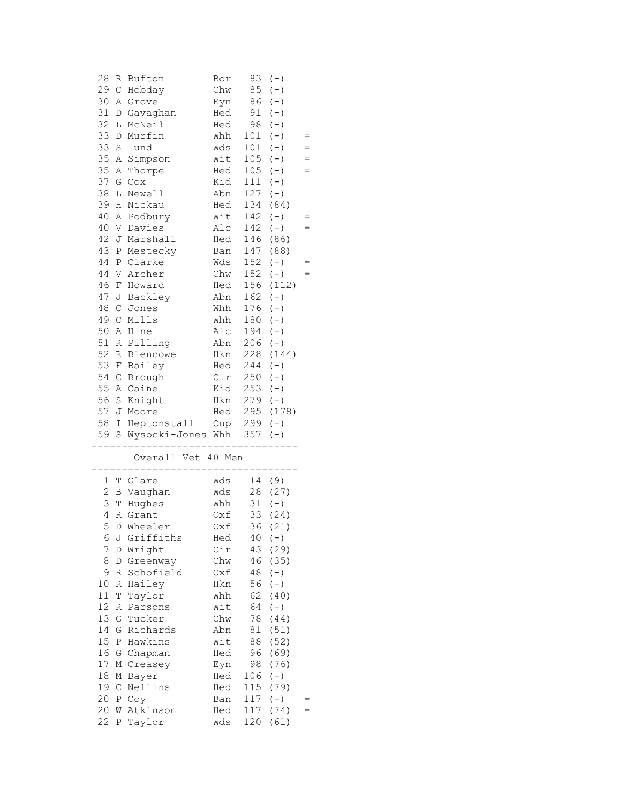| 28             | R           | Bufton              | Bor        | 83         | $(-)$         |     |
|----------------|-------------|---------------------|------------|------------|---------------|-----|
| 29             | $\mathsf C$ | Hobday              | Chw        | 85         | $(-)$         |     |
| 30             | Α           | Grove               | Eyn        | 86         | $(-)$         |     |
| 31             | D           | Gavaghan            | Hed        | 91         | $(\,-\,)$     |     |
| 32             | L           | McNeil              | Hed        | 98         | $(-)$         |     |
| 33             | D           | Murfin              | Whh        | 101        | $(-)$         | $=$ |
| 33             | S           | Lund                | Wds        | 101        | $(-)$         |     |
| 35             | Α           | Simpson             | Wit        | 105        | $(-)$         | $=$ |
| 35             | Α           | Thorpe              | Hed        | 105        | $(-)$         | $=$ |
| 37             | G           | Cox                 | Kid        | 111        | $(-)$         |     |
| 38             |             |                     | Abn        |            | $(-)$         |     |
|                | L           | Newell              |            | 127        |               |     |
| 39             | Н           | Nickau              | Hed        | 134        | (84)          |     |
| 40             | Α           | Podbury             | Wit        | 142        | $(-)$         | $=$ |
| 40             | V           | Davies              | Alc        | $142 (-)$  |               | $=$ |
| 42             | J           | Marshall            | Hed        |            | 146 (86)      |     |
| 43             | Ρ           | Mestecky            | Ban        | 147        | (88)          |     |
| 44             |             | P Clarke            | Wds        | 152        | $(-)$         | $=$ |
| 44             | V           | Archer              | Chw        | 152        | $(-)$         | $=$ |
| 46             | F           | Howard              | Hed        | 156        | (112)         |     |
| 47             | J           | Backley             | Abn        | 162        | $(-)$         |     |
| 48             | $\mathsf C$ | Jones               | Whh        | 176        | $(-)$         |     |
| 49             | $\mathsf C$ | Mills               | Whh        | 180        | $(-)$         |     |
| 50             | Α           | Hine                | Alc        | 194        | $(-)$         |     |
| 51             | R           | Pilling             | Abn        | 206        | $(-)$         |     |
| 52             | R           | Blencowe            | Hkn        | 228        | (144)         |     |
| 53             | F           | Bailey              | Hed        | 244        | $(-)$         |     |
| 54             | $\mathsf C$ | Brough              | Cir        | 250        | $(-)$         |     |
| 55             |             | A Caine             | Kid        | 253        | $(-)$         |     |
| 56             |             |                     |            |            | $(-)$         |     |
| 57             | S           | Knight<br>Moore     | Hkn<br>Hed | 279        | 295 (178)     |     |
|                | J           |                     |            |            |               |     |
|                |             |                     |            |            |               |     |
| 58             | I.          | Heptonstall         | Oup 299    |            | $(-)$         |     |
| 59             |             | S Wysocki-Jones Whh |            | 357        | $(-)$         |     |
|                |             |                     |            |            |               |     |
|                |             | Overall Vet 40 Men  |            |            |               |     |
|                |             |                     |            |            |               |     |
| $\mathbf{1}$   |             | T Glare             | Wds        |            | 14 (9)        |     |
| 2              |             | B Vaughan           | Wds        | 28         | (27)          |     |
| 3              | T           | Hughes              | Whh        | 31         | $(-)$         |     |
| 4              |             | R Grant             | Oxf        |            | 33 (24)       |     |
|                |             | 5 D Wheeler         | Oxf        |            | 36 (21)       |     |
| 6              | J           | Griffiths           | Hed        | 40         | $(-)$         |     |
| $\overline{7}$ | D           | Wright              | Cir        | 43         | (29)          |     |
| 8              | D           | Greenway            | Chw        | 46         | (35)          |     |
| 9              | R           | Schofield           | Oxf        | 48         | $(-)$         |     |
| 10             | R           | Hailey              | Hkn        | 56         | $(-)$         |     |
| 11             | $\mathbb T$ | Taylor              | Whh        | 62         | (40)          |     |
| 12             | R           | Parsons             | Wit        | 64         | $(-)$         |     |
| 13             | G           | Tucker              | Chw        | 78         | (44)          |     |
| 14             | G           | Richards            | Abn        | 81         | (51)          |     |
| 15             | Ρ           | Hawkins             | Wit        | 88         | (52)          |     |
| 16             | G           | Chapman             | Hed        | 96         | (69)          |     |
| 17             | М           | Creasey             | Eyn        | 98         | (76)          |     |
| 18             | М           | Bayer               | Hed        | 106        | $(-)$         |     |
| 19             | $\mathsf C$ | Nellins             | Hed        | 115        | (79)          |     |
| 20             | Ρ           | Coy                 | Ban        | 117        |               |     |
|                | W           | Atkinson            | Hed        |            | $(-)$<br>(74) | $=$ |
| 20<br>22       | Ρ           | Taylor              | Wds        | 117<br>120 | (61)          |     |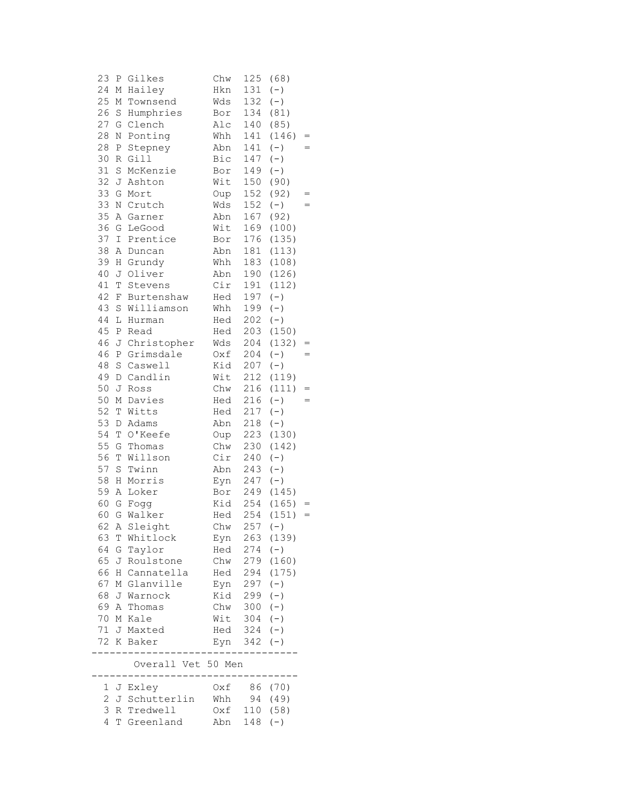| 23 | Ρ           | Gilkes                    | Chw        | 125       | (68)      |     |
|----|-------------|---------------------------|------------|-----------|-----------|-----|
| 24 | М           | Hailey                    | Hkn        | 131       | $(-)$     |     |
| 25 | М           | Townsend                  | Wds        | 132       | $(-)$     |     |
| 26 | S           | Humphries                 | Bor        | 134       | (81)      |     |
| 27 | G           | Clench                    | Alc        | 140       | (85)      |     |
| 28 | Ν           | Ponting                   | Whh        | 141       | (146)     | $=$ |
| 28 | Ρ           | Stepney                   | Abn        | 141       | $(-)$     | $=$ |
| 30 | R           | Gilll                     | Bic        | 147       | $(\,-\,)$ |     |
| 31 | S           | McKenzie                  | Bor        | 149       | $(-)$     |     |
| 32 | J           | Ashton                    | Wit        | 150       | (90)      |     |
| 33 | G           | Mort                      | Oup        | 152       | (92)      | =   |
| 33 | Ν           | Crutch                    | Wds        | 152       | $(-)$     |     |
| 35 | Α           | Garner                    | Abn        | 167       | (92)      |     |
| 36 | G           | LeGood                    | Wit        | 169       | (100)     |     |
| 37 | I           | Prentice                  | Bor        | 176       | (135)     |     |
| 38 | A           | Duncan                    | Abn        | 181       | (113)     |     |
| 39 | Η           | Grundy                    | Whh        | 183       | (108)     |     |
| 40 | J           | Oliver                    | Abn        | 190       | (126)     |     |
| 41 | $\mathbb T$ | Stevens                   | Cir        | 191       | (112)     |     |
| 42 | F           | Burtenshaw                | Hed        | 197       | $(-)$     |     |
| 43 | S           | Williamson                | Whh        | 199       | $(-)$     |     |
| 44 | $\mathbb L$ | Hurman                    | Hed        | 202       | $(-)$     |     |
| 45 | Ρ           | Read                      | Hed        | 203       | (150)     |     |
| 46 | J           | Christopher               | Wds        | 204       | (132)     |     |
| 46 | Ρ           | Grimsdale                 | Oxf        | 204       | $(-)$     | $=$ |
| 48 | S           | Caswell                   | Kid        | 207       | $(-)$     |     |
| 49 | D           | Candlin                   | Wit        | 212       | (119)     |     |
| 50 | J           | Ross                      | Chw        | 216       | (111)     | $=$ |
| 50 | М           | Davies                    | Hed        | 216       | $(-)$     | $=$ |
| 52 | T           | Witts                     | Hed        | 217       | $(-)$     |     |
| 53 | D           | Adams                     | Abn        | 218       | $(-)$     |     |
| 54 | T           | O'Keefe                   | Oup        | 223       | (130)     |     |
| 55 | G           | Thomas                    | Chw        | 230       | (142)     |     |
| 56 | T           | Willson                   | Cir        | 240       | $(-)$     |     |
| 57 | S           | Twinn                     | Abn        | 243       | $(-)$     |     |
| 58 | Η           | Morris                    | Eyn        | 247       | $(-)$     |     |
| 59 | Α           | Loker                     | Bor        | 249       | (145)     |     |
| 60 | G           | Fogg                      | Kid        | 254       | (165)     | $=$ |
| 60 | G           | Walker                    | Hed        | 254       | (151)     | $=$ |
|    |             | 62 A Sleight              | Chw        | $257 (-)$ |           |     |
| 63 |             | T Whitlock                | Eyn        | 263       | (139)     |     |
| 64 |             | G Taylor                  | Hed        | 274       | $(-)$     |     |
| 65 | J           | Roulstone                 | Chw        | 279       | (160)     |     |
| 66 |             | H Cannatella              | Hed        | 294       | (175)     |     |
| 67 |             | M Glanville               | Eyn        | 297       | $(-)$     |     |
| 68 |             | J Warnock                 | Kid        | 299       | $(-)$     |     |
| 69 | A           | Thomas                    | Chw        | 300       | $(-)$     |     |
| 70 | М           | Kale                      | Wit        | 304       | $(-)$     |     |
| 71 | J           | Maxted                    |            | Hed 324   | $(-)$     |     |
| 72 | K           | Baker                     | Eyn        | 342       | $(-)$     |     |
|    |             | Overall Vet 50 Men        |            |           |           |     |
|    |             |                           |            |           |           |     |
|    |             | 1 J Exley                 | Oxf        | 86        | (70)      |     |
| 3  |             | 2 J Schutterlin           | Whh        | 94        | (49)      |     |
| 4  |             | R Tredwell<br>T Greenland | Oxf<br>Abn | $148 (-)$ | 110 (58)  |     |
|    |             |                           |            |           |           |     |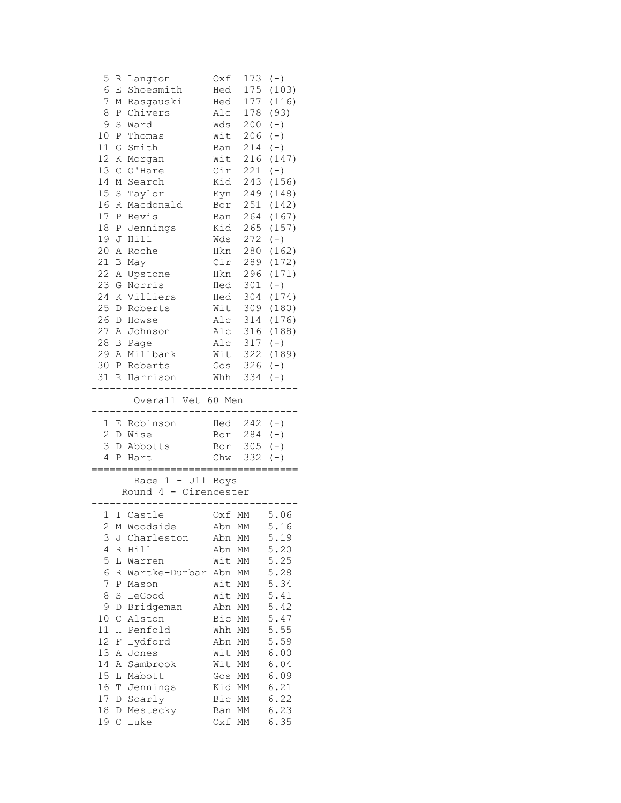| 5<br>6         | R<br>Ε      | Langton<br>Shoesmith                       | Oxf<br>Hed | 173<br>175             | $(-)$<br>(103) |
|----------------|-------------|--------------------------------------------|------------|------------------------|----------------|
| 7              | М           | Rasgauski                                  | Hed        | 177                    | (116)          |
| 8              |             | Chivers                                    | Alc        | 178                    | (93)           |
|                | Ρ           |                                            |            |                        |                |
| 9              | S           | Ward                                       | Wds        | 200                    | $(-)$          |
| 10             | Ρ           | Thomas                                     | Wit        | 206                    | $(-)$          |
| 11             | G           | Smith                                      | Ban        | 214                    | $(-)$          |
| 12             | К           | Morgan                                     | Wit        | 216                    | (147)          |
| 13             | $\mathsf C$ | O'Hare                                     | Cir        | 221                    | $(-)$          |
| 14             | Μ           | Search                                     | Kid        | 243                    | (156)          |
| 15             | $\mathbf S$ | Taylor                                     | Eyn        | 249                    | (148)          |
| 16             | R           | Macdonald                                  | Bor        | 251                    | (142)          |
| 17             | Ρ           | Bevis                                      | Ban        | 264                    | (167)          |
| 18             |             | P Jennings                                 | Kid        | 265                    | (157)          |
| 19             | J           | Hill                                       | Wds        | 272                    | $(-)$          |
| 20             | Α           | Roche                                      | Hkn        | 280                    | (162)          |
| 21             | Β           | May                                        | Cir        | 289                    | (172)          |
| 22             | Α           | Upstone                                    | Hkn        | 296                    | (171)          |
| 23             | G           | Norris                                     | Hed        | 301                    | $(-)$          |
| 24             | Κ           | Villiers                                   | Hed        | 304                    | (174)          |
| 25             | D           | Roberts                                    | Wit        | 309                    | (180)          |
| 26             | D           | Howse                                      | Alc        | 314                    | (176)          |
| 27             | Α           | Johnson                                    | Alc        | 316                    | (188)          |
|                |             |                                            |            |                        |                |
| 28             | В           | Page                                       |            | Alc 317                | $(-)$          |
| 29             | A           | Millbank                                   | Wit        | 322                    | (189)          |
|                |             | 30 P Roberts                               | Gos        | 326                    | $(-)$          |
| 31             |             | R Harrison                                 | Whh        | 334                    | $(-)$          |
|                |             | --------<br>Overall Vet 60 Men             |            |                        |                |
| 1              | Ε           | Robinson                                   | Hed        | $242 (-)$              |                |
| 2              |             | D Wise                                     |            | Bor 284                | $(-)$          |
| 3              |             | D Abbotts                                  |            | Bor 305                | $(-)$          |
| 4              |             | P Hart                                     | Chw        | 332                    | $(-)$          |
|                |             | .====================================      |            |                        |                |
|                |             | Race 1 - U11 Boys<br>Round 4 - Cirencester |            |                        |                |
| $1 -$          |             | I Castle                                   | Oxf MM     |                        | 5.06           |
| $\overline{2}$ |             | M Woodside                                 | Abn MM     |                        | 5.16           |
| 3              | J           | Charleston                                 | Abn        | МM                     | 5.19           |
| 4              | R           | Hill                                       | Abn        | МM                     | 5.20           |
| 5              | L           | Warren                                     | Wit        | МM                     | 5.25           |
| 6              | R           | Wartke-Dunbar                              | Abn        | МM                     | 5.28           |
| 7              | Ρ           | Mason                                      | Wit        | МM                     | 5.34           |
| 8              | S           | LeGood                                     | Wit        | МM                     | 5.41           |
| 9              | D           |                                            |            |                        | 5.42           |
|                |             | Bridgeman<br>Alston                        | Abn        | МM                     | 5.47           |
| 10             | С           |                                            | Bic        | МM                     |                |
| 11             | Η           | Penfold                                    | Whh        | МM                     | 5.55           |
| 12             | F           | Lydford                                    | Abn        | МM                     | 5.59           |
| 13             | Α           | Jones                                      | Wit        | $\mathbb{M}\mathbb{M}$ | 6.00           |
| 14             | Α           | Sambrook                                   | Wit        | МM                     | 6.04           |
| 15             |             | Mabott                                     | Gos        | МM                     | 6.09           |
|                | L           |                                            |            |                        |                |
| 16             | Т           | Jennings                                   | Kid        | МM                     | 6.21           |
| 17             | D           | Soarly                                     | Bic        | МM                     | 6.22           |
| $18\,$         | D           | Mestecky                                   | Ban        | МM                     | 6.23<br>6.35   |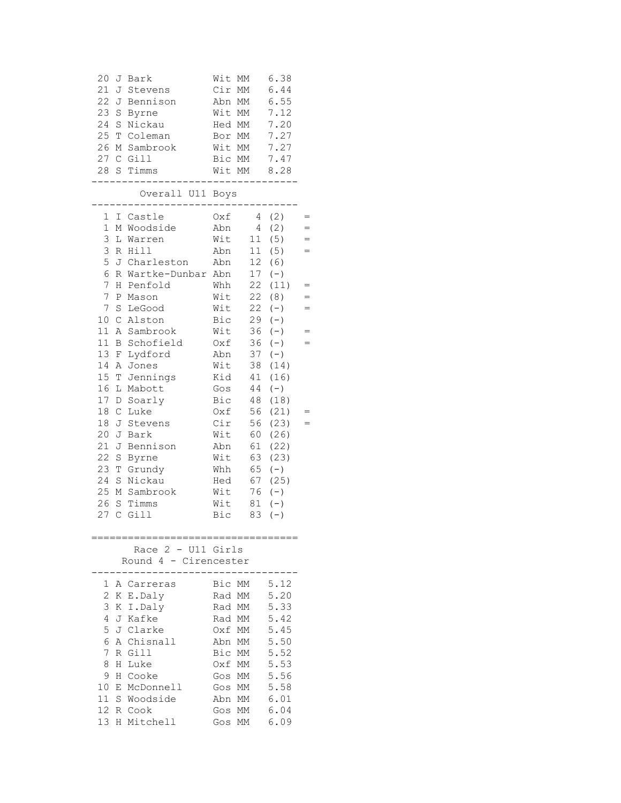| 20<br>J<br>21<br>J<br>22J<br>23<br>$\mathbf S$<br>24<br>$\rm S$<br>25<br>$\mathbb T$<br>26<br>М                                                                                                                                                                                                                                                                                  | Bark<br>Stevens<br>Bennison<br>Byrne<br>Nickau<br>Coleman<br>Sambrook<br>27 C Gill<br>28 S Timms                                                                                                                                                                                                        | Wit<br>MM<br>Cir<br>МM<br>Abn<br>МM<br>Wit MM<br>Hed MM<br>Bor MM<br>Wit MM<br>Bic MM<br>Wit MM                                                                                                                                                                                                                                                                                  | 6.38<br>6.44<br>6.55<br>7.12<br>7.20<br>7.27<br>7.27<br>7.47<br>8.28                                                                                                                                                                                   |  |
|----------------------------------------------------------------------------------------------------------------------------------------------------------------------------------------------------------------------------------------------------------------------------------------------------------------------------------------------------------------------------------|---------------------------------------------------------------------------------------------------------------------------------------------------------------------------------------------------------------------------------------------------------------------------------------------------------|----------------------------------------------------------------------------------------------------------------------------------------------------------------------------------------------------------------------------------------------------------------------------------------------------------------------------------------------------------------------------------|--------------------------------------------------------------------------------------------------------------------------------------------------------------------------------------------------------------------------------------------------------|--|
|                                                                                                                                                                                                                                                                                                                                                                                  | Overall U11 Boys                                                                                                                                                                                                                                                                                        |                                                                                                                                                                                                                                                                                                                                                                                  |                                                                                                                                                                                                                                                        |  |
| 1<br>$\mathbf 1$<br>3<br>3<br>R<br>5<br>6<br>R<br>7<br>Η<br>7<br>$\, {\bf P}$<br>7<br>$\rm S$<br>10 <sub>o</sub><br>$\mathsf C$<br>11<br>11<br>В<br>13<br>F<br>14<br>Α<br>15 <sub>2</sub><br>$\mathbb T$<br>16<br>L<br>17<br>D<br>18<br>$\mathsf C$<br>18<br>J<br>20 <sub>o</sub><br>J<br>21<br>J<br>22<br>$\mathbf S$<br>23<br>T<br>24<br>$\rm S$<br>25<br>М<br>26<br>S<br>27 C | I Castle<br>M Woodside<br>L Warren<br>Hill<br>J Charleston<br>Wartke-Dunbar Abn<br>Penfold<br>Mason<br>LeGood<br>Alston<br>A Sambrook<br>Schofield<br>Lydford<br>Jones<br>Jennings<br>Mabott<br>Soarly<br>Luke<br>Stevens<br>Bark<br>Bennison<br>Byrne<br>Grundy<br>Nickau<br>Sambrook<br>Timms<br>Gill | Oxf<br>$4 -$<br>$\overline{4}$<br>Abn<br>Wit<br>11<br>11<br>Abn<br>12<br>Abn<br>17 <sub>2</sub><br>22<br>Whh<br>Wit<br>22<br>Wit<br>22<br>Bic<br>29<br>Wit<br>36<br>36<br>Oxf<br>37<br>Abn<br>38<br>Wit<br>Kid<br>41<br>44<br>Gos<br>Bic<br>48<br>56<br>Oxf<br>Cir<br>56<br>Wit<br>60<br>Abn<br>61<br>63<br>Wit<br>Whh<br>65<br>67<br>Hed<br>Wit<br>76<br>Wit<br>81<br>Bic<br>83 | (2)<br>(2)<br>(5)<br>$=$<br>(5)<br>$=$<br>(6)<br>$(-)$<br>(11)<br>(8)<br>$(\,-\,)$<br>$(-)$<br>$(-)$<br>$(-)$<br>$=$<br>$(\,-\,)$<br>(14)<br>(16)<br>$(-)$<br>(18)<br>(21)<br>(23)<br>(26)<br>(22)<br>(23)<br>$(-)$<br>(25)<br>$(-)$<br>$(-)$<br>$(-)$ |  |
|                                                                                                                                                                                                                                                                                                                                                                                  | Race 2 - U11 Girls<br>Round 4 - Cirencester                                                                                                                                                                                                                                                             |                                                                                                                                                                                                                                                                                                                                                                                  |                                                                                                                                                                                                                                                        |  |
| 1<br>2<br>3<br>K<br>4<br>5<br>6<br>7<br>R<br>8<br>H<br>9<br>H<br>10 <sub>o</sub><br>Е<br>11<br>12<br>13                                                                                                                                                                                                                                                                          | A Carreras<br>K E.Daly<br>I.Daly<br>J Kafke<br>J Clarke<br>A Chisnall<br>Gill<br>Luke<br>Cooke<br>McDonnell<br>S Woodside<br>R Cook<br>H Mitchell                                                                                                                                                       | Bic<br>MМ<br>Rad MM<br>Rad MM<br>Rad MM<br>Oxf MM<br>Abn MM<br>Bic<br>МM<br>0xf<br>МM<br>МM<br>Gos<br>МM<br>Gos<br>Abn<br>MM<br>Gos<br>MM<br>Gos<br>МM                                                                                                                                                                                                                           | 5.12<br>5.20<br>5.33<br>5.42<br>5.45<br>5.50<br>5.52<br>5.53<br>5.56<br>5.58<br>6.01<br>6.04<br>6.09                                                                                                                                                   |  |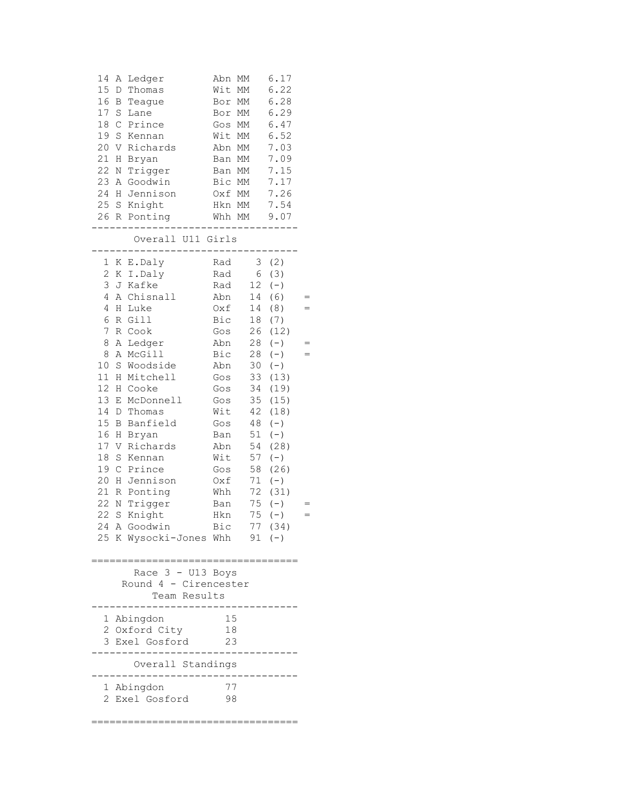| 14<br>15<br>16<br>17<br>18<br>19<br>20<br>21<br>22<br>23<br>24<br>25                                                                           | Ledger<br>Α<br>Thomas<br>D<br>B<br>Teague<br>S<br>Lane<br>$\mathsf C$<br>Prince<br>$\rm S$<br>Kennan<br>Richards<br>V<br>Η<br>Bryan<br>Trigger<br>$\rm N$<br>Goodwin<br>A<br>Jennison<br>Η<br>Knight<br>S<br>26 R Ponting<br>Overall U11 Girls                                                                                                                                                                                | Abn<br>MM<br>Wit<br>МM<br>Bor<br>МM<br>Bor<br>МM<br>MM<br>Gos<br>Wit<br>MM<br>Abn<br>MM<br>Ban MM<br>Ban MM<br>Bic MM<br>Oxf MM<br>Hkn MM<br>Whh MM                    | 6.17<br>6.22<br>6.28<br>6.29<br>6.47<br>6.52<br>7.03<br>7.09<br>7.15<br>7.17<br>7.26<br>7.54<br>9.07                                                                                                                                                                                                                                                     |  |
|------------------------------------------------------------------------------------------------------------------------------------------------|-------------------------------------------------------------------------------------------------------------------------------------------------------------------------------------------------------------------------------------------------------------------------------------------------------------------------------------------------------------------------------------------------------------------------------|------------------------------------------------------------------------------------------------------------------------------------------------------------------------|----------------------------------------------------------------------------------------------------------------------------------------------------------------------------------------------------------------------------------------------------------------------------------------------------------------------------------------------------------|--|
| $\mathbf{1}$<br>2<br>3<br>4<br>4<br>6<br>7<br>8<br>8<br>10<br>11<br>12<br>13<br>14<br>15<br>16<br>$17$<br>$18\,$<br>19<br>20<br>21<br>22<br>22 | E.Daly<br>K<br>K<br>I.Daly<br>Kafke<br>J<br>Chisnall<br>A<br>Luke<br>Η<br>Gill<br>R<br>R<br>Cook<br>Α<br>Ledger<br>McGill<br>Α<br>Woodside<br>$\rm S$<br>Η<br>Mitchell<br>Cooke<br>Η<br>McDonnell<br>Е<br>D<br>Thomas<br>Banfield<br>В<br>Η<br>Bryan<br>V<br>Richards<br>S<br>Kennan<br>$\mathsf C$<br>Prince<br>Η<br>Jennison<br>Ponting<br>R<br>Trigger<br>N<br>$\rm S$<br>Knight<br>24 A Goodwin<br>25 K Wysocki-Jones Whh | Rad<br>Rad<br>Rad<br>Abn<br>Oxf<br>Bic<br>Gos<br>Abn<br>Bic<br>Abn<br>Gos<br>Gos<br>Gos<br>Wit<br>Gos<br>Ban<br>Abn<br>Wit<br>Gos<br>$0xf$<br>Whh<br>Ban<br>Hkn<br>Bic | (2)<br>3<br>6<br>(3)<br>12<br>$(-)$<br>(6)<br>14<br>14<br>(8)<br>18<br>(7)<br>26<br>(12)<br>28<br>$(-)$<br>28<br>$(-)$<br>30<br>$(-)$<br>(13)<br>33<br>34<br>(19)<br>35<br>(15)<br>42<br>(18)<br>48<br>$(-)$<br>51<br>$(-)$<br>54<br>(28)<br>57<br>$(-)$<br>58<br>(26)<br>71<br>$(-)$<br>(31)<br>72<br>$(-)$<br>75<br>75<br>$(-)$<br>77 (34)<br>$91 (-)$ |  |
|                                                                                                                                                | Race 3 - U13 Boys<br>Round 4 - Cirencester<br>Team Results                                                                                                                                                                                                                                                                                                                                                                    |                                                                                                                                                                        |                                                                                                                                                                                                                                                                                                                                                          |  |
|                                                                                                                                                | 1 Abingdon<br>2 Oxford City<br>3 Exel Gosford                                                                                                                                                                                                                                                                                                                                                                                 | 15<br>18<br>23                                                                                                                                                         |                                                                                                                                                                                                                                                                                                                                                          |  |
| 2                                                                                                                                              | Overall Standings<br>1 Abingdon<br>Exel Gosford                                                                                                                                                                                                                                                                                                                                                                               | 77<br>98                                                                                                                                                               |                                                                                                                                                                                                                                                                                                                                                          |  |
|                                                                                                                                                |                                                                                                                                                                                                                                                                                                                                                                                                                               |                                                                                                                                                                        |                                                                                                                                                                                                                                                                                                                                                          |  |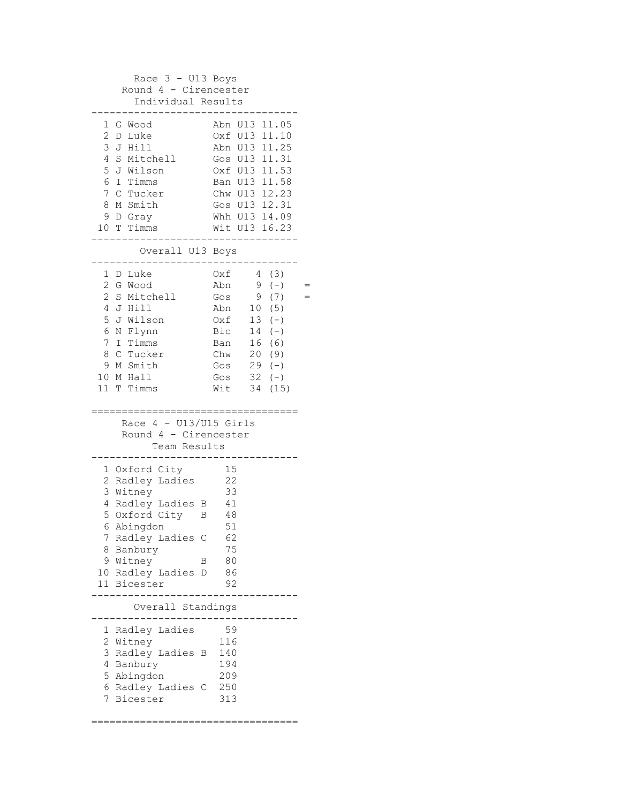| Race $3 - U13$ Boys<br>Round 4 - Cirencester           |                                      |  |  |  |
|--------------------------------------------------------|--------------------------------------|--|--|--|
| Individual Results                                     |                                      |  |  |  |
| 1<br>G Wood<br>2<br>D Luke                             | Abn U13 11.05<br>Oxf U13 11.10       |  |  |  |
| 3<br>J Hill<br>4<br>S Mitchell                         | Abn U13 11.25                        |  |  |  |
| 5<br>J Wilson                                          | Gos U13 11.31<br>Oxf U13 11.53       |  |  |  |
| 6<br>I Timms                                           | Ban U13 11.58                        |  |  |  |
| C Tucker<br>7                                          | Chw U13 12.23                        |  |  |  |
| M Smith<br>8<br>9 D Gray                               | Gos U13 12.31<br>Whh U13 14.09       |  |  |  |
| 10 T Timms                                             | Wit U13 16.23                        |  |  |  |
| Overall U13 Boys                                       |                                      |  |  |  |
| D Luke<br>1                                            | 4(3)<br>Oxf                          |  |  |  |
| $\mathbf{2}$<br>G Wood<br>$\overline{c}$<br>S Mitchell | Abn<br>9<br>$(-)$<br>(7)<br>9<br>Gos |  |  |  |
| 4<br>J Hill                                            | 10(5)<br>Abn                         |  |  |  |
| 5<br>J Wilson                                          | $13 (-)$<br>Oxf                      |  |  |  |
| 6<br>N Flynn<br>7<br>I Timms                           | Bic<br>$14 (-)$<br>16 (6)<br>Ban     |  |  |  |
| 8<br>C Tucker                                          | Chw<br>20 (9)                        |  |  |  |
| 9<br>M Smith                                           | $29 (-)$<br>Gos                      |  |  |  |
| 10 M Hall                                              | $32 (-)$<br>Gos                      |  |  |  |
|                                                        |                                      |  |  |  |
| 11 T Timms                                             | (15)<br>Wit<br>34                    |  |  |  |
|                                                        |                                      |  |  |  |
| Race $4 - U13/U15$ Girls                               |                                      |  |  |  |
| Round 4 - Cirencester<br>Team Results                  |                                      |  |  |  |
|                                                        |                                      |  |  |  |
| 1 Oxford City                                          | 15                                   |  |  |  |
| $\overline{c}$<br>Radley Ladies<br>3<br>Witney         | 22<br>33                             |  |  |  |
| Radley Ladies B<br>$\overline{4}$                      | 41                                   |  |  |  |
| 5<br>Oxford City<br>В                                  | 48                                   |  |  |  |
| 6 Abingdon<br>7<br>Radley Ladies<br>C                  | 51<br>62                             |  |  |  |
| 8<br>Banbury                                           | 75                                   |  |  |  |
| 9 Witney<br>В                                          | 80                                   |  |  |  |
| 10 Radley Ladies<br>D<br>11 Bicester                   | 86<br>92                             |  |  |  |
| Overall Standings                                      |                                      |  |  |  |
|                                                        |                                      |  |  |  |
| Radley Ladies<br>1<br>2<br>Witney                      | 59<br>116                            |  |  |  |
| 3<br>Radley Ladies<br>B                                | 140                                  |  |  |  |
| 4<br>Banbury                                           | 194                                  |  |  |  |
| 5<br>Abingdon                                          | 209                                  |  |  |  |
| 6<br>Radley Ladies<br>$\mathbb C$<br>7<br>Bicester     | 250<br>313                           |  |  |  |

==================================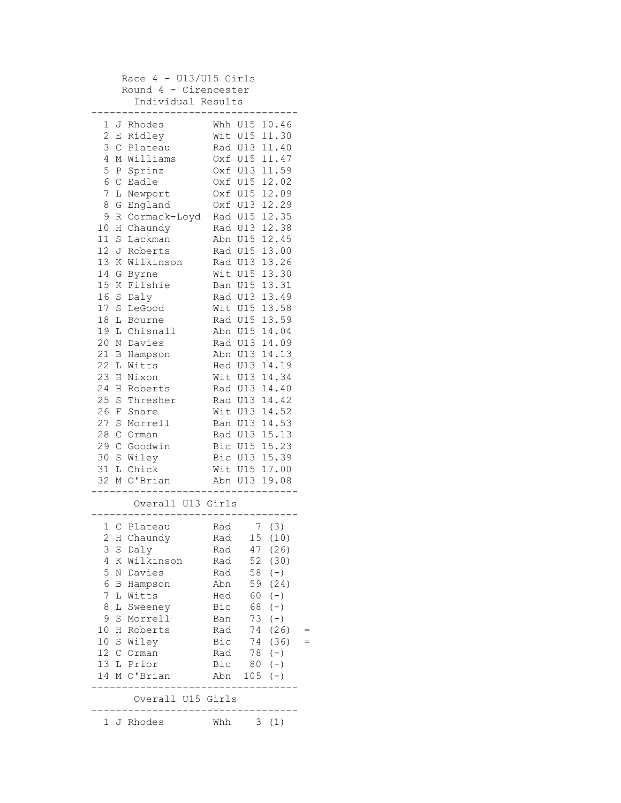| Race $4 - U13/U15$ Girls<br>Round 4 - Cirencester<br>Individual Results |                                |     |          |  |
|-------------------------------------------------------------------------|--------------------------------|-----|----------|--|
|                                                                         |                                |     |          |  |
| 1<br>J Rhodes                                                           | Whh U15 10.46                  |     |          |  |
| $\mathbf{2}$<br>E Ridley                                                | Wit U15 11.30                  |     |          |  |
| 3<br>$\mathsf C$<br>Plateau                                             | Rad U13 11.40                  |     |          |  |
| 4<br>M Williams                                                         | Oxf U15 11.47                  |     |          |  |
| 5<br>P Sprinz                                                           | Oxf U13 11.59                  |     |          |  |
| 6<br>$\mathsf C$<br>Eadle                                               | Oxf U15 12.02                  |     |          |  |
| 7<br>L Newport                                                          | Oxf U15 12.09                  |     |          |  |
| 8<br>England<br>G                                                       | Oxf U13 12.29                  |     |          |  |
| 9<br>Cormack-Loyd<br>R                                                  | Rad U15 12.35                  |     |          |  |
| 10<br>Η<br>Chaundy                                                      | Rad U13 12.38                  |     |          |  |
| $11\,$<br>S<br>Lackman                                                  | Abn U15 12.45                  |     |          |  |
| 12<br>J<br>Roberts                                                      | Rad U15 13.00                  |     |          |  |
| 13<br>K Wilkinson                                                       | Rad U13                        |     | 13.26    |  |
| 14<br>G<br>Byrne                                                        | Wit U15                        |     | 13.30    |  |
| 15<br>Κ<br>Filshie                                                      | Ban U15                        |     | 13.31    |  |
| 16<br>S<br>Daly                                                         | Rad U13 13.49                  |     |          |  |
| 17<br>S<br>LeGood                                                       | Wit U15 13.58                  |     |          |  |
| 18<br>L<br>Bourne                                                       | Rad U15 13.59                  |     |          |  |
| 19<br>Chisnall<br>L                                                     | Abn U15 14.04                  |     |          |  |
| 20<br>Davies<br>Ν                                                       | Rad U13 14.09                  |     |          |  |
| 21<br>В<br>Hampson                                                      | Abn U13 14.13                  |     |          |  |
| 22<br>L<br>Witts                                                        | Hed U13 14.19                  |     |          |  |
| 23<br>Η<br>Nixon<br>24                                                  | Wit U13 14.34                  |     |          |  |
| Roberts<br>H<br>25                                                      | Rad U13 14.40<br>Rad U13 14.42 |     |          |  |
| S Thresher<br>26<br>F                                                   | Wit U13 14.52                  |     |          |  |
| Snare<br>27<br>S<br>Morrell                                             | Ban U13 14.53                  |     |          |  |
| 28<br>C Orman                                                           | Rad U13 15.13                  |     |          |  |
| 29<br>C Goodwin                                                         | Bic U15 15.23                  |     |          |  |
| 30<br>S<br>Wiley                                                        | Bic U13 15.39                  |     |          |  |
| 31<br>L Chick                                                           | Wit U15 17.00                  |     |          |  |
| 32<br>O'Brian<br>М                                                      | Abn U13 19.08                  |     |          |  |
|                                                                         |                                |     |          |  |
| Overall U13 Girls                                                       |                                |     |          |  |
| 1 C Plateau                                                             | Rad                            |     | 7(3)     |  |
| 2<br>H Chaundy                                                          | Rad                            |     | 15 (10)  |  |
| 3<br>S Daly                                                             | Rad                            |     | 47 (26)  |  |
| 4<br>K Wilkinson                                                        | Rad                            | 52  | (30)     |  |
| 5<br>N Davies                                                           | Rad                            | 58  | $(-)$    |  |
| 6<br><b>B</b> Hampson                                                   | Abn                            | 59  | (24)     |  |
| 7<br>L Witts                                                            | Hed                            | 60  | $(-)$    |  |
| 8<br>L Sweeney                                                          | Bic                            | 68  | $(-)$    |  |
| 9<br>S Morrell                                                          | Ban                            | 73  | $(-)$    |  |
| 10 <sub>o</sub><br>H Roberts                                            | Rad                            |     | 74 (26)  |  |
| 10 S Wiley                                                              | Bic                            |     | 74 (36)  |  |
| 12 C Orman                                                              | Rad                            |     | $78 (-)$ |  |
| 13 L Prior                                                              | Bic                            | 80  | $(-)$    |  |
| 14 M O'Brian                                                            | Abn                            | 105 | $(-)$    |  |
| Overall U15 Girls                                                       |                                |     |          |  |
| 1 J Rhodes                                                              | Whh                            |     | 3(1)     |  |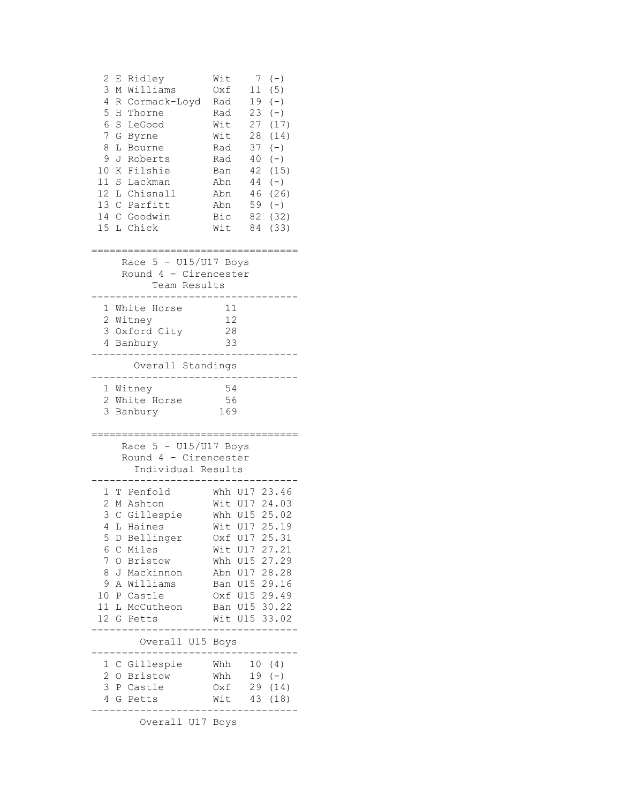| 2<br>Ridley<br>Е<br>3<br>M Williams<br>4<br>R Cormack-Loyd<br>5<br>H<br>Thorne<br>6<br>$\rm S$<br>LeGood<br>7<br>G<br>Byrne<br>8<br>L<br>Bourne<br>9<br>Roberts<br>J<br>10<br>K<br>Filshie<br>11<br><sub>S</sub><br>Lackman<br>12 L Chisnall<br>13 C Parfitt<br>14 C Goodwin<br>15 L Chick | Wit<br>7<br>$(-)$<br>(5)<br>11<br>Oxf<br>19<br>Rad<br>$(-)$<br>Rad<br>23<br>$(-)$<br>Wit<br>27<br>28<br>Wit<br>Rad<br>37<br>$(-)$<br>40<br>Rad<br>$(-)$<br>42<br>Ban<br>$(-)$<br>44<br>Abn<br>46<br>Abn<br>59<br>Abn<br>$(-)$<br>Bic<br>82<br>Wit<br>84 | (17)<br>(14)<br>(15)<br>(26)<br>(32)<br>(33) |
|--------------------------------------------------------------------------------------------------------------------------------------------------------------------------------------------------------------------------------------------------------------------------------------------|---------------------------------------------------------------------------------------------------------------------------------------------------------------------------------------------------------------------------------------------------------|----------------------------------------------|
| Race $5 - U15/U17$ Boys<br>Round 4 - Cirencester<br>Team Results                                                                                                                                                                                                                           |                                                                                                                                                                                                                                                         |                                              |
| White Horse<br>1<br>2 Witney<br>3 Oxford City<br>4 Banbury                                                                                                                                                                                                                                 | 11<br>12<br>28<br>33                                                                                                                                                                                                                                    |                                              |
| Overall Standings                                                                                                                                                                                                                                                                          |                                                                                                                                                                                                                                                         |                                              |
| 1 Witney<br>2 White Horse<br>3<br>Banbury                                                                                                                                                                                                                                                  | -54<br>56<br>169                                                                                                                                                                                                                                        |                                              |
| Race 5 - U15/U17 Boys<br>Round 4 - Cirencester<br>Individual Results                                                                                                                                                                                                                       |                                                                                                                                                                                                                                                         |                                              |
| T Penfold<br>1<br>2<br>M Ashton<br>3<br>Gillespie<br>С<br>4<br>L<br>Haines<br>5<br>D Bellinger<br>6<br>C Miles<br>7<br>O Bristow<br>8<br>J Mackinnon<br>9<br>A Williams<br>10<br>P Castle<br>11 L McCutheon<br>12 G Petts                                                                  | Whh U17 23.46<br>Wit U17 24.03<br>Whh U15 25.02<br>Wit U17<br>25.19<br>Oxf U17 25.31<br>Wit U17 27.21<br>Whh U15 27.29<br>Abn U17 28.28<br>Ban U15 29.16<br>Oxf U15 29.49<br>Ban U15 30.22<br>Wit U15 33.02                                             |                                              |
| Overall U15 Boys                                                                                                                                                                                                                                                                           |                                                                                                                                                                                                                                                         |                                              |
| C Gillespie<br>1<br>$\overline{c}$<br>O Bristow<br>3<br>P Castle<br>4<br>G Petts                                                                                                                                                                                                           | Whh<br>10(4)<br>19<br>Whh<br>$(-)$<br>29<br>Oxf<br>43<br>Wit<br>(18)                                                                                                                                                                                    | (14)                                         |

Overall U17 Boys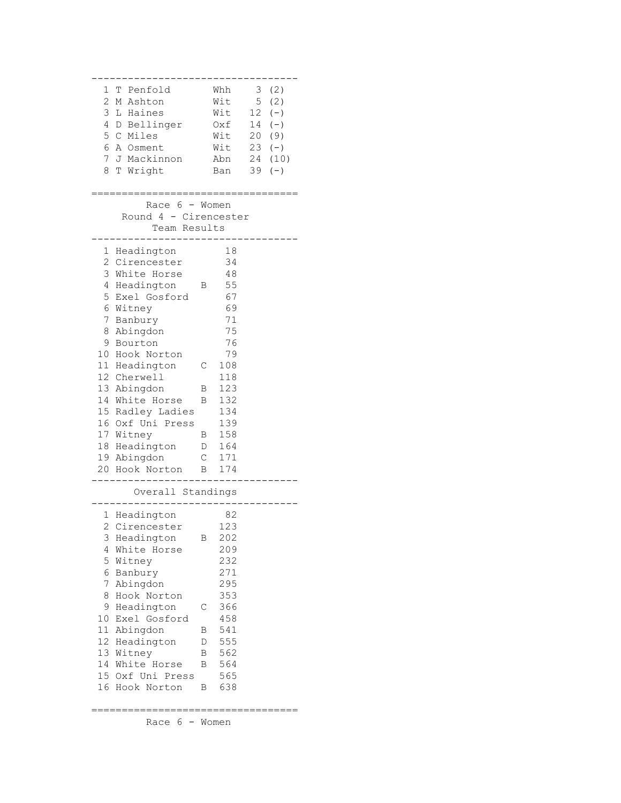---------------------------------- 1 T Penfold Whh 3 (2) 2 M Ashton Wit 5 (2) 3 L Haines Wit 12 (-) 4 D Bellinger Oxf 14 (-) 5 C Miles Wit 20 (9) 6 A Osment Wit 23 (-) 7 J Mackinnon Abn 24 (10) 8 T Wright Ban 39 (-) ================================== Race 6 - Women Round 4 - Cirencester Team Results ---------------------------------- 1 Headington 2 Cirencester 34 3 White Horse 48 4 Headington B 55 5 Exel Gosford 67 6 Witney 69 7 Banbury 71 8 Abingdon 75 9 Bourton 76<br>10 Hook Norton 79 10 Hook Norton 11 Headington C 108 12 Cherwell 118 13 Abingdon B 123 14 White Horse B 132 15 Radley Ladies 134 16 Oxf Uni Press 139 17 Witney B 158 18 Headington D 164 19 Abingdon C 171 20 Hook Norton B 174 ---------------------------------- Overall Standings ---------------------------------- 1 Headington 82 2 Cirencester 123 3 Headington B 202 4 White Horse 209<br>5 Witney 232 5 Witney % 6 Banbury 1271<br>
7 Abingdon 295<br>
8 Hook Norton 353  $7$  Abingdon 8 Hook Norton 9 Headington C 366 10 Exel Gosford 458 11 Abingdon B 541 12 Headington D 555 13 Witney B 562 14 White Horse B 564 15 Oxf Uni Press 565 16 Hook Norton B 638 ==================================

Race 6 - Women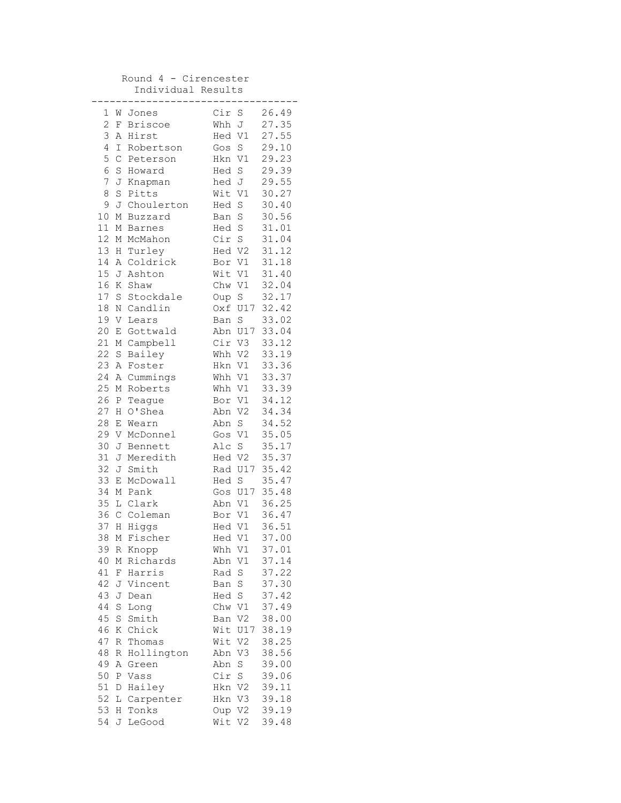## Round 4 - Cirencester Individual Results

|                |             |               | .      |                |       |
|----------------|-------------|---------------|--------|----------------|-------|
| 1              | W           | Jones         | Cir S  |                | 26.49 |
| $\overline{c}$ | F           | Briscoe       | Whh J  |                | 27.35 |
| 3              | Α           | Hirst         | Hed V1 |                | 27.55 |
| 4              | I           | Robertson     | Gos S  |                | 29.10 |
| 5              | $\mathsf C$ | Peterson      | Hkn V1 |                | 29.23 |
| 6              | S           | Howard        | Hed S  |                | 29.39 |
| $\overline{7}$ |             | J Knapman     | hed J  |                | 29.55 |
| 8              | S           | Pitts         | Wit V1 |                | 30.27 |
| 9              |             | J Choulerton  | Hed    | S              | 30.40 |
| 10             | М           | Buzzard       | Ban S  |                | 30.56 |
| 11             | М           | <b>Barnes</b> | Hed S  |                | 31.01 |
| 12             | М           | McMahon       | Cir S  |                | 31.04 |
| 13             | Η           | Turley        | Hed V2 |                | 31.12 |
| 14             | Α           | Coldrick      | Bor V1 |                | 31.18 |
| 15             | J           | Ashton        | Wit V1 |                | 31.40 |
| 16             | Κ           | Shaw          | Chw V1 |                | 32.04 |
| 17             | $\rm S$     | Stockdale     | Oup    | S              | 32.17 |
| $18\,$         | Ν           | Candlin       |        | Oxf U17        | 32.42 |
| 19             | V           | Lears         | Ban S  |                | 33.02 |
| 20             | Е           | Gottwald      |        | Abn U17        | 33.04 |
| 21             | М           | Campbell      | Cir V3 |                | 33.12 |
| 22             | $\mathbf S$ | Bailey        | Whh V2 |                | 33.19 |
| 23             | Α           | Foster        | Hkn V1 |                | 33.36 |
| 24             | Α           | Cummings      | Whh V1 |                | 33.37 |
| 25             | М           | Roberts       | Whh V1 |                | 33.39 |
| 26             | Ρ           | Teague        | Bor V1 |                | 34.12 |
| 27             | Η           | O'Shea        | Abn V2 |                | 34.34 |
| 28             | Е           | Wearn         | Abn S  |                | 34.52 |
| 29             | V           | McDonnel      | Gos V1 |                | 35.05 |
| 30             | J           | Bennett       | Alc S  |                | 35.17 |
| 31             | J           | Meredith      | Hed V2 |                | 35.37 |
| 32             | J           | Smith         |        | Rad U17        | 35.42 |
| 33             | Е           | McDowall      | Hed S  |                | 35.47 |
| 34             | М           | Pank          |        | Gos U17        | 35.48 |
| 35             |             | L Clark       | Abn V1 |                | 36.25 |
| 36             | $\mathsf C$ | Coleman       | Bor V1 |                | 36.47 |
| 37             | H           | Higgs         | Hed V1 |                | 36.51 |
| 38             | М           | Fischer       | Hed V1 |                | 37.00 |
| 39             |             | R Knopp       | Whh V1 |                | 37.01 |
| 40             | Μ           | Richards      | Abn    | V1             | 37.14 |
| 41             | F           | Harris        | Rad    | $\rm S$        | 37.22 |
| 42             | J           | Vincent       | Ban    | S              | 37.30 |
| 43             | J           | Dean          | Hed    | $\rm S$        | 37.42 |
| 44             | $\rm S$     | Long          | Chw V1 |                | 37.49 |
| 45             | $\rm S$     | Smith         | Ban    | V <sub>2</sub> | 38.00 |
| 46             | Κ           | Chick         | Wit    | U17            | 38.19 |
| 47             | R           | Thomas        | Wit    | V2             | 38.25 |
| 48             | R           | Hollington    | Abn    | V3             | 38.56 |
| 49             | Α           | Green         | Abn    | S              | 39.00 |
| 50             | Ρ           | Vass          | Cir    | S              | 39.06 |
| 51             | D           | Hailey        | Hkn    | V2             | 39.11 |
| 52             | L           | Carpenter     | Hkn V3 |                | 39.18 |
| 53             | Η           | Tonks         | Oup V2 |                | 39.19 |
| 54             | J           | LeGood        | Wit    | V <sub>2</sub> | 39.48 |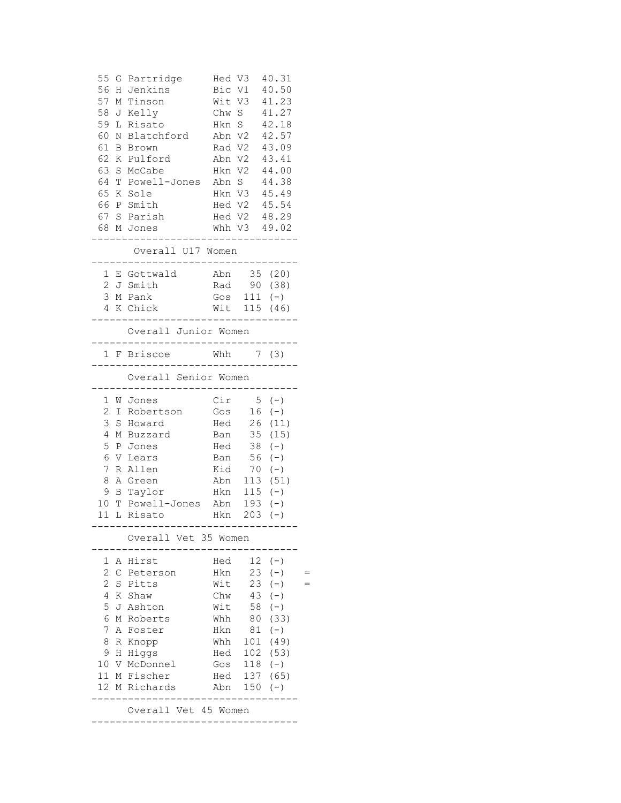| 55<br>56        | G            | Partridge<br>H Jenkins     | Hed V3<br>Bic V1    |            | 40.31<br>40.50        |  |
|-----------------|--------------|----------------------------|---------------------|------------|-----------------------|--|
| 57              | М            | Tinson                     |                     | Wit V3     | 41.23                 |  |
| 58              | J            | Kelly                      | Chw S               |            | 41.27                 |  |
| 59              | L            | Risato                     | Hkn S               |            | 42.18                 |  |
| 60              | Ν            | Blatchford                 | Abn V2              |            | 42.57                 |  |
| 61              | В            | Brown                      | Rad V2              |            | 43.09                 |  |
| 62              | Κ            | Pulford                    | Abn V2              |            | 43.41                 |  |
| 63              | $\mathbf S$  | McCabe                     | Hkn V2              |            | 44.00                 |  |
| 64              | T            | Powell-Jones               | Abn S               |            | 44.38                 |  |
| 65              | Κ            | Sole                       |                     | Hkn V3     | 45.49<br>Hed V2 45.54 |  |
| 66              |              | P Smith<br>67 S Parish     |                     |            | Hed V2 48.29          |  |
|                 |              | 68 M Jones                 |                     |            | Whh V3 49.02          |  |
|                 |              |                            |                     | -----      |                       |  |
|                 |              | Overall U17 Women          |                     |            |                       |  |
| 1               |              | E Gottwald                 | Abn                 |            | 35 (20)               |  |
| 2               |              | J Smith                    | Rad                 |            | 90 (38)               |  |
| 3<br>4          |              | M Pank<br>K Chick          | Gos                 | 111        | $(-)$<br>Wit 115 (46) |  |
|                 |              |                            |                     | ---------  |                       |  |
|                 |              | Overall Junior Women       | . _ _ _ _ _ _ _ _ . |            |                       |  |
|                 |              | 1 F Briscoe                | _________           | Whh $7(3)$ |                       |  |
|                 |              | Overall Senior Women       |                     |            |                       |  |
| 1               |              | W Jones                    | Cir                 |            | $5(-)$                |  |
| 2               | I            | Robertson                  | Gos                 | 16         | $(\,-\,)$             |  |
| 3               | S            | Howard                     |                     |            | Hed 26 (11)           |  |
| 4               | Μ            | Buzzard                    |                     |            | Ban 35 (15)           |  |
| 5               | Ρ            | Jones                      | Hed                 | 38         | $(-)$                 |  |
| 6               | V            | Lears                      | Ban                 | 56         | $(-)$                 |  |
| 7               | R            | Allen                      | Kid                 | 70         | $(-)$                 |  |
| 8               | Α            | Green                      | Abn                 | 113        | (51)                  |  |
| 9<br>10         | Β            | Taylor<br>Powell-Jones Abn | Hkn                 | 115<br>193 | $(-)$                 |  |
|                 | $\mathbb{T}$ | 11 L Risato                | Hkn                 |            | $(-)$<br>$203 (-)$    |  |
|                 |              |                            |                     |            |                       |  |
|                 |              | Overall Vet 35 Women       |                     |            |                       |  |
| 1               |              | A Hirst                    | Hed                 | 12         | $(-)$                 |  |
| $\mathbf{2}$    |              | C Peterson                 | Hkn                 | 23         | $(-)$                 |  |
| $\overline{2}$  | S            | Pitts                      | Wit                 | 23         | $(-)$                 |  |
| 4               |              | K Shaw                     | Chw                 | 43         | $(-)$                 |  |
| 5               |              | J Ashton                   | Wit                 | 58         | $(-)$                 |  |
| 6               |              | M Roberts                  | Whh                 | 80         | (33)                  |  |
| 7<br>8          |              | A Foster                   | Hkn<br>Whh          | 81<br>101  | $(-)$<br>(49)         |  |
| 9               | Η            | R Knopp<br>Higgs           | Hed                 | 102        | (53)                  |  |
| 10              |              | V McDonnel                 | Gos                 | 118        | $(-)$                 |  |
| 11 <sup>1</sup> |              | M Fischer                  | Hed                 | 137        | (65)                  |  |
| 12 <sup>°</sup> |              | M Richards                 | Abn                 | 150        | $(-)$                 |  |
|                 |              |                            |                     |            |                       |  |
|                 |              | Overall Vet 45 Women       |                     |            |                       |  |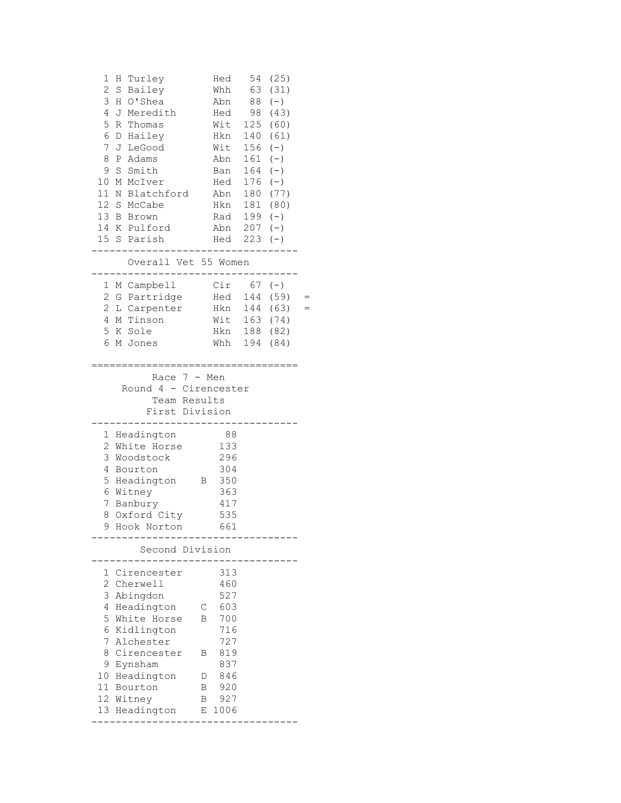| 1<br>Η<br>Turley<br>$\overline{c}$<br>Bailey<br>S<br>3<br>H O'Shea<br>4<br>J<br>Meredith<br>5<br>R<br>Thomas<br>6<br>D Hailey<br>7<br>J<br>LeGood<br>8<br>Adams<br>Ρ<br>9<br>S<br>Smith<br>10<br>M McIver<br>11<br>N Blatchford<br>12 S McCabe<br>13 B Brown<br>14 K Pulford<br>15 <sub>1</sub><br>S Parish | Overall Vet 55 Women                                         | Hed<br>Whh<br>Abn<br>Hed<br>Wit<br>Hkn<br>Wit<br>Abn<br>Ban<br>Hed<br>Abn<br>Hkn<br>Rad<br>Abn<br>Hed | 54<br>63<br>88<br>98<br>125<br>140<br>156<br>161<br>164<br>176<br>180<br>181<br>199<br>207<br>223 | (25)<br>(31)<br>$(\,-\,)$<br>(43)<br>(60)<br>(61)<br>$(-)$<br>$(-)$<br>$(-)$<br>$(-)$<br>(77)<br>(80)<br>$(-)$<br>$(-)$<br>$(-)$ |  |
|-------------------------------------------------------------------------------------------------------------------------------------------------------------------------------------------------------------------------------------------------------------------------------------------------------------|--------------------------------------------------------------|-------------------------------------------------------------------------------------------------------|---------------------------------------------------------------------------------------------------|----------------------------------------------------------------------------------------------------------------------------------|--|
| M Campbell<br>1                                                                                                                                                                                                                                                                                             |                                                              | Cir                                                                                                   |                                                                                                   | $67 (-)$                                                                                                                         |  |
| $\overline{c}$<br>G Partridge                                                                                                                                                                                                                                                                               |                                                              | Hed                                                                                                   | 144                                                                                               | (59)                                                                                                                             |  |
| $\mathbf{2}$<br>L Carpenter                                                                                                                                                                                                                                                                                 |                                                              | Hkn                                                                                                   | 144                                                                                               | (63)                                                                                                                             |  |
| 4<br>M Tinson                                                                                                                                                                                                                                                                                               |                                                              | Wit                                                                                                   | 163                                                                                               | (74)                                                                                                                             |  |
| 5<br>K Sole                                                                                                                                                                                                                                                                                                 |                                                              | Hkn                                                                                                   | 188                                                                                               | (82)                                                                                                                             |  |
| 6<br>M Jones                                                                                                                                                                                                                                                                                                |                                                              | Whh                                                                                                   | 194                                                                                               | (84)                                                                                                                             |  |
| 1<br>Headington<br>2<br>White Horse<br>3<br>Woodstock<br>4<br>Bourton<br>5<br>Headington<br>6<br>Witney<br>7<br>Banbury<br>8<br>Oxford City                                                                                                                                                                 | Round 4 - Cirencester<br>Team Results<br>First Division<br>В | 88<br>133<br>296<br>304<br>350<br>363<br>417<br>535                                                   |                                                                                                   |                                                                                                                                  |  |
| Hook Norton                                                                                                                                                                                                                                                                                                 |                                                              | 661                                                                                                   |                                                                                                   |                                                                                                                                  |  |
|                                                                                                                                                                                                                                                                                                             | Second Division                                              |                                                                                                       |                                                                                                   |                                                                                                                                  |  |
| Cirencester<br>1<br>$\mathbf{2}$<br>Cherwell<br>3<br>Abingdon<br>4<br>Headington<br>5<br>White Horse<br>6<br>Kidlington<br>7<br>Alchester<br>8<br>Cirencester<br>9<br>Eynsham<br>10 Headington                                                                                                              | С<br>B<br>Β<br>D                                             | 313<br>460<br>527<br>603<br>700<br>716<br>727<br>819<br>837<br>846                                    |                                                                                                   |                                                                                                                                  |  |
| 11 Bourton                                                                                                                                                                                                                                                                                                  | Β                                                            | 920                                                                                                   |                                                                                                   |                                                                                                                                  |  |
|                                                                                                                                                                                                                                                                                                             |                                                              |                                                                                                       |                                                                                                   |                                                                                                                                  |  |
| 12 Witney<br>13 Headington                                                                                                                                                                                                                                                                                  | В<br>Е                                                       | 927<br>1006                                                                                           |                                                                                                   |                                                                                                                                  |  |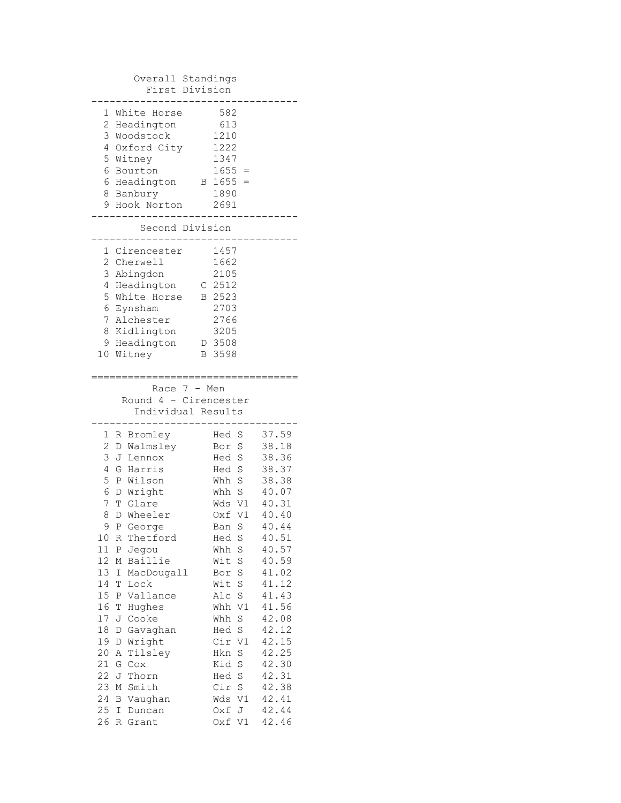| Overall Standings<br>First Division                                                                                                                                                                                                                                                                                                                                                                                                                                                                                                 |                                                                                                                                                                                                                                                                                                                                           |                                                                                                                                                                                                                                        |
|-------------------------------------------------------------------------------------------------------------------------------------------------------------------------------------------------------------------------------------------------------------------------------------------------------------------------------------------------------------------------------------------------------------------------------------------------------------------------------------------------------------------------------------|-------------------------------------------------------------------------------------------------------------------------------------------------------------------------------------------------------------------------------------------------------------------------------------------------------------------------------------------|----------------------------------------------------------------------------------------------------------------------------------------------------------------------------------------------------------------------------------------|
| 1<br>White Horse<br>2 Headington<br>3 Woodstock<br>4 Oxford City<br>5 Witney<br>6<br>Bourton<br>6 Headington<br>8 Banbury<br>9 Hook Norton                                                                                                                                                                                                                                                                                                                                                                                          | 582<br>613<br>1210<br>1222<br>1347<br>$1655 =$<br>$1655 =$<br>В<br>1890<br>2691                                                                                                                                                                                                                                                           |                                                                                                                                                                                                                                        |
| Second Division                                                                                                                                                                                                                                                                                                                                                                                                                                                                                                                     |                                                                                                                                                                                                                                                                                                                                           |                                                                                                                                                                                                                                        |
| 1 Cirencester<br>2 Cherwell<br>3<br>Abingdon<br>Headington<br>4<br>5 White Horse<br>6<br>Eynsham<br>7 Alchester<br>8 Kidlington<br>9 Headington<br>10 Witney                                                                                                                                                                                                                                                                                                                                                                        | 1457<br>1662<br>2105<br>$C$ 2512<br>B 2523<br>2703<br>2766<br>3205<br>D 3508<br>3598<br>В                                                                                                                                                                                                                                                 |                                                                                                                                                                                                                                        |
| :===:<br>Race 7 - Men<br>Round 4 - Cirencester<br>Individual Results                                                                                                                                                                                                                                                                                                                                                                                                                                                                |                                                                                                                                                                                                                                                                                                                                           |                                                                                                                                                                                                                                        |
| 1<br>Bromley<br>R<br>2<br>D Walmsley<br>3<br>J Lennox<br>4<br>G Harris<br>5<br>P Wilson<br>6<br>D Wright<br>7<br>T Glare<br>8<br>D Wheeler<br>9<br>P George<br>10<br>R<br>Thetford<br>11<br>Jegou<br>Ρ<br>12<br>Baillie<br>М<br>13<br>Ι<br>MacDougall<br>14<br>Τ<br>Lock<br>15<br>Vallance<br>Ρ<br>16<br>Τ<br>Hughes<br>17<br>Cooke<br>J<br>18<br>Gavaghan<br>D<br>19<br>Wright<br>D<br>20<br>Tilsley<br>Α<br>21<br>G<br>Cox<br>22<br>J<br>Thorn<br>23<br>Smith<br>М<br>24<br>Vaughan<br>Β<br>25<br>Ι<br>Duncan<br>26<br>R<br>Grant | Hed<br>S<br>Bor<br>S<br>S<br>Hed<br>Hed S<br>Whh S<br>Whh S<br>Wds V1<br>Oxf<br>V1<br>S<br>Ban<br>Hed<br>S<br>Whh<br>S<br>$\rm S$<br>Wit<br>$\rm S$<br>Bor<br>S<br>Wit<br>$\rm S$<br>Alc<br>V1<br>Whh<br>Whh<br>S<br>Hed<br>S<br>Cir<br>V1<br>Hkn<br>S<br>Kid<br>$\rm S$<br>S<br>Hed<br>Cir<br>$\rm S$<br>Wds<br>V1<br>Oxf<br>J<br>Oxf V1 | 37.59<br>38.18<br>38.36<br>38.37<br>38.38<br>40.07<br>40.31<br>40.40<br>40.44<br>40.51<br>40.57<br>40.59<br>41.02<br>41.12<br>41.43<br>41.56<br>42.08<br>42.12<br>42.15<br>42.25<br>42.30<br>42.31<br>42.38<br>42.41<br>42.44<br>42.46 |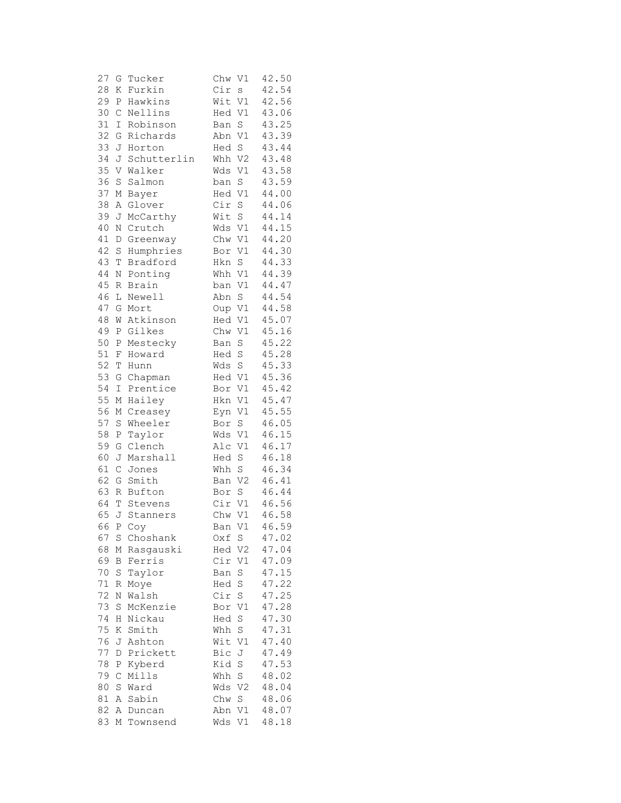| 27 | G                 | Tucker      | Chw<br>V1                 | 42.50 |
|----|-------------------|-------------|---------------------------|-------|
| 28 | Κ                 | Furkin      | Cir<br>$\mathbf S$        | 42.54 |
| 29 | Ρ                 | Hawkins     | Wit V1                    | 42.56 |
| 30 | $\mathsf C$       | Nellins     | Hed V1                    | 43.06 |
| 31 | I                 | Robinson    | $\rm S$<br>Ban            | 43.25 |
| 32 | G                 | Richards    | Abn<br>V1                 | 43.39 |
| 33 | J                 | Horton      | Hed<br>S                  | 43.44 |
| 34 | J                 | Schutterlin | Whh V2                    | 43.48 |
| 35 | V                 | Walker      | V1<br>Wds                 | 43.58 |
| 36 | S                 | Salmon      | $\rm S$<br>ban            | 43.59 |
| 37 | М                 | Bayer       | Hed<br>$\mathtt{V1}$      | 44.00 |
| 38 | Α                 | Glover      | Cir<br>$\rm S$            | 44.06 |
| 39 | J                 | McCarthy    | S<br>Wit                  | 44.14 |
| 40 | Ν                 | Crutch      | Wds V1                    | 44.15 |
| 41 | D                 | Greenway    | Chw V1                    | 44.20 |
| 42 | S                 | Humphries   | Bor V1                    | 44.30 |
| 43 | T                 | Bradford    | S<br>Hkn                  | 44.33 |
| 44 | Ν                 | Ponting     | $\mathtt{V1}$<br>Whh      | 44.39 |
| 45 | R                 | Brain       | V1<br>ban                 | 44.47 |
| 46 | L                 | Newell      | S<br>Abn                  | 44.54 |
| 47 | G                 | Mort        | Oup<br>V1                 | 44.58 |
| 48 | W                 | Atkinson    | Hed<br>V1                 | 45.07 |
| 49 | Ρ                 | Gilkes      | Chw<br>V1                 | 45.16 |
| 50 | Ρ                 | Mestecky    | Ban<br>$\mathbf S$        | 45.22 |
| 51 | F                 | Howard      | S<br>Hed                  | 45.28 |
| 52 | Т                 | Hunn        | Wds<br>$\mathbf S$        | 45.33 |
| 53 | G                 | Chapman     | Hed V1                    | 45.36 |
| 54 | $\mathbbm{I}$     | Prentice    | Bor V1                    | 45.42 |
| 55 | М                 | Hailey      | V1<br>Hkn                 | 45.47 |
| 56 | М                 | Creasey     | V1<br>Eyn                 | 45.55 |
| 57 | S                 | Wheeler     | Bor<br>$\mathbf S$        | 46.05 |
| 58 | Ρ                 | Taylor      | Wds V1                    | 46.15 |
| 59 | G                 | Clench      | Alc V1                    | 46.17 |
| 60 | J                 | Marshall    | Hed S                     | 46.18 |
| 61 | $\mathsf C$       | Jones       | $\rm S$<br>Whh            | 46.34 |
| 62 | G                 | Smith       | V <sub>2</sub><br>Ban     | 46.41 |
| 63 | R                 | Bufton      | $\rm S$<br>Bor            | 46.44 |
| 64 |                   | T Stevens   | Cir V1                    | 46.56 |
| 65 |                   | J Stanners  | Chw<br>V1                 | 46.58 |
|    |                   | 66 Р Соу    | V1<br>Ban                 | 46.59 |
| 67 | S                 | Choshank    | S<br>Oxf                  | 47.02 |
| 68 |                   | M Rasgauski | Hed V2                    | 47.04 |
| 69 | В                 | Ferris      | Cir V1                    | 47.09 |
| 70 | $S_{\mathcal{C}}$ | Taylor      | Ban<br>S                  | 47.15 |
| 71 | R                 | Moye        | Hed S                     | 47.22 |
| 72 | Ν                 | Walsh       | $\operatorname{S}$<br>Cir | 47.25 |
| 73 | S                 | McKenzie    | V1<br>Bor                 | 47.28 |
| 74 | Η                 | Nickau      | $\rm S$<br>Hed            | 47.30 |
| 75 | K                 | Smith       | S<br>Whh                  | 47.31 |
| 76 | J                 | Ashton      | Wit V1                    | 47.40 |
| 77 | D                 | Prickett    | Bic J                     | 47.49 |
| 78 | Ρ                 | Kyberd      | $\operatorname{S}$<br>Kid | 47.53 |
| 79 | $\mathsf C$       | Mills       | S<br>Whh                  | 48.02 |
| 80 | S                 | Ward        | V <sub>2</sub><br>Wds     | 48.04 |
| 81 |                   | A Sabin     | Chw<br>S                  | 48.06 |
| 82 |                   | A Duncan    | Abn V1                    | 48.07 |
| 83 | М                 | Townsend    | Wds<br>V1                 | 48.18 |
|    |                   |             |                           |       |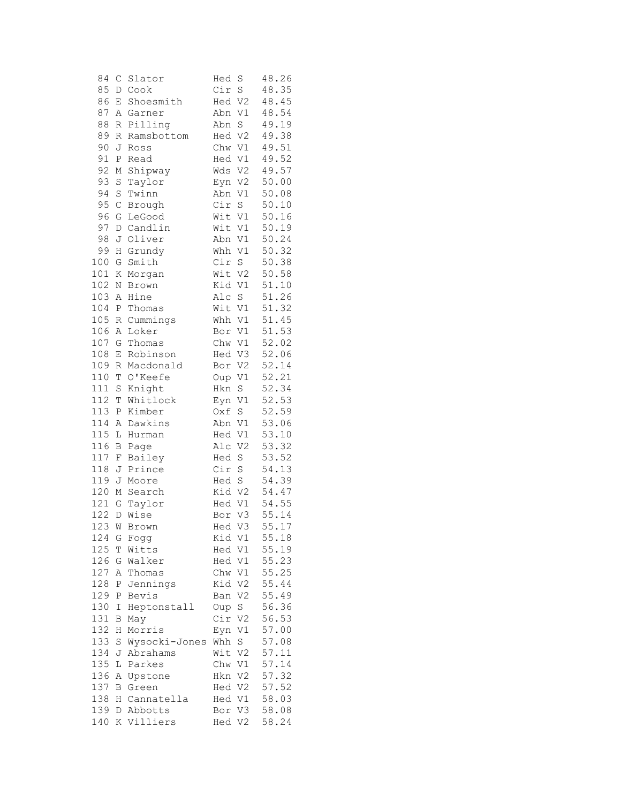| 84  | $\mathsf{C}$ | Slator        | Hed<br>S              | 48.26 |
|-----|--------------|---------------|-----------------------|-------|
| 85  | D            | Cook          | Cir<br>$\rm S$        | 48.35 |
| 86  | Ε            | Shoesmith     | V <sub>2</sub><br>Hed | 48.45 |
| 87  | Α            | Garner        | V1<br>Abn             | 48.54 |
| 88  | R            | Pilling       | $\mathbb S$<br>Abn    | 49.19 |
| 89  | R            | Ramsbottom    | Hed<br>V <sub>2</sub> | 49.38 |
| 90  | J            | Ross          | Chw V1                | 49.51 |
| 91  | Ρ            | Read          | Hed V1                | 49.52 |
| 92  | М            | Shipway       | Wds V2                | 49.57 |
| 93  | S            | Taylor        | V <sub>2</sub><br>Eyn | 50.00 |
| 94  | S            | Twinn         | Abn<br>$\mathtt{V1}$  | 50.08 |
| 95  | $\mathsf C$  | Brough        | Cir<br>$\rm S$        | 50.10 |
| 96  | G            | LeGood        | Wit V1                | 50.16 |
| 97  | $\mathbb D$  | Candlin       | Wit V1                | 50.19 |
| 98  | J            | Oliver        | Abn<br>V1             | 50.24 |
| 99  | Η            | Grundy        | Whh<br>V1             | 50.32 |
| 100 | G            | Smith         | Cir<br>S              | 50.38 |
| 101 | Κ            | Morgan        | Wit V2                | 50.58 |
| 102 | $\mathbb N$  | Brown         | Kid<br>V1             | 51.10 |
| 103 | Α            | Hine          | S<br>Alc              | 51.26 |
| 104 | Ρ            | Thomas        | V1<br>Wit             | 51.32 |
| 105 | R            | Cummings      | V1<br>Whh             | 51.45 |
| 106 | Α            | Loker         | V1<br>Bor             | 51.53 |
| 107 | G            | Thomas        | Chw V1                | 52.02 |
| 108 | Ε            | Robinson      | Hed V3                | 52.06 |
| 109 | R            | Macdonald     | Bor V2                | 52.14 |
| 110 | T            | O'Keefe       | Oup V1                | 52.21 |
| 111 | S            | Knight        | $\rm S$<br>Hkn        | 52.34 |
| 112 | $\mathbb T$  | Whitlock      | Eyn V1                | 52.53 |
| 113 | Ρ            | Kimber        | $\rm S$<br>Oxf        | 52.59 |
| 114 | Α            | Dawkins       | Abn V1                | 53.06 |
| 115 | L            | Hurman        | Hed V1                | 53.10 |
| 116 | B            | Page          | Alc<br>V <sub>2</sub> | 53.32 |
| 117 | F            | Bailey        | Hed<br>$\rm S$        | 53.52 |
| 118 | J            | Prince        | Cir<br>S              | 54.13 |
| 119 | J            | Moore         | $\rm S$<br>Hed        | 54.39 |
| 120 | М            | Search        | Kid V2                | 54.47 |
| 121 | G            | Taylor        | V1<br>Hed             | 54.55 |
| 122 | $\mathbb D$  | Wise          | V3<br>Bor             | 55.14 |
| 123 |              | W Brown       | V3<br>Hed             | 55.17 |
| 124 | G            | Fogg          | Kid V1                | 55.18 |
| 125 | Τ            | Witts         | Hed V1                | 55.19 |
| 126 | G            | Walker        | Hed V1                | 55.23 |
| 127 | Α            | Thomas        | Chw V1                | 55.25 |
| 128 | Ρ            | Jennings      | Kid V2                | 55.44 |
| 129 | Ρ            | Bevis         | Ban V2                | 55.49 |
| 130 | Ι            | Heptonstall   | Oup S                 | 56.36 |
| 131 | Β            | May           | Cir V2                | 56.53 |
| 132 | Η            | Morris        | V1<br>Eyn             | 57.00 |
| 133 | S            | Wysocki-Jones | Whh S                 | 57.08 |
| 134 | J            | Abrahams      | Wit V2                | 57.11 |
| 135 | L            | Parkes        | Chw V1                | 57.14 |
| 136 | Α            | Upstone       | Hkn V2                | 57.32 |
| 137 | B            | Green         | Hed V2                | 57.52 |
| 138 | Η            | Cannatella    | Hed V1                | 58.03 |
| 139 |              | D Abbotts     | Bor V3                | 58.08 |
| 140 |              | K Villiers    | Hed V2                | 58.24 |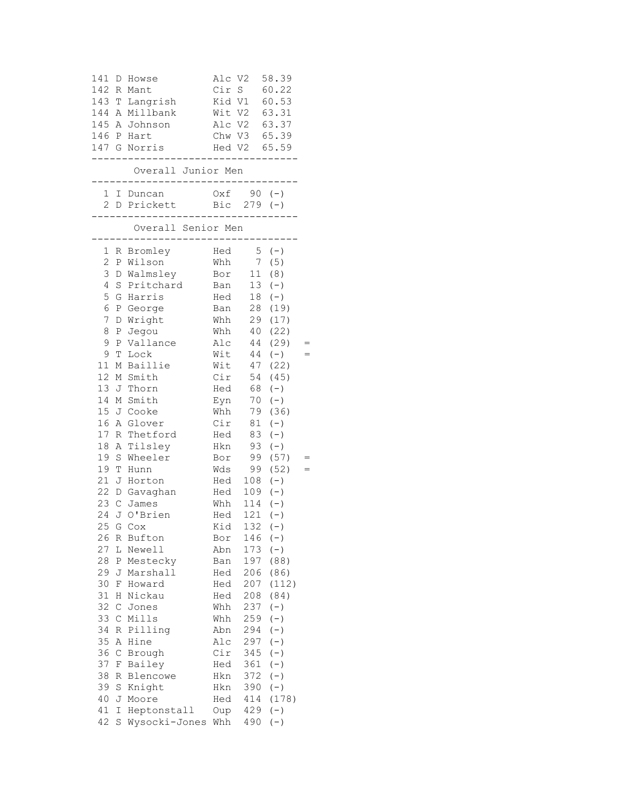| 141<br>142 R<br>143 T                                    | $\mathbb D$                                                          | Howse<br>Mant<br>Langrish<br>144 A Millbank<br>145 A Johnson<br>146 P Hart<br>147 G Norris                  | Alc V2<br>Cir S<br>Kid V1<br>Wit V2                                |                                                                    | 58.39<br>60.22<br>60.53<br>63.31<br>Alc V2 63.37<br>Chw V3 65.39<br>Hed V2 65.59           |  |
|----------------------------------------------------------|----------------------------------------------------------------------|-------------------------------------------------------------------------------------------------------------|--------------------------------------------------------------------|--------------------------------------------------------------------|--------------------------------------------------------------------------------------------|--|
|                                                          |                                                                      | Overall Junior Men                                                                                          | .                                                                  | .                                                                  |                                                                                            |  |
|                                                          |                                                                      | 1 I Duncan<br>2 D Prickett<br>.___________________.                                                         |                                                                    | $0xf$ 90 (-)<br>Bic $279 (-)$                                      |                                                                                            |  |
|                                                          |                                                                      | Overall Senior Men                                                                                          |                                                                    |                                                                    |                                                                                            |  |
| 1<br>$\overline{c}$<br>3<br>4<br>5<br>6<br>7<br>8        | D<br>Ρ                                                               | R Bromley<br>P Wilson<br>D Walmsley<br>S Pritchard<br>G Harris<br>P George<br>Wright<br>Jegou               | Hed<br>Whh<br>Bor<br>Ban<br>Hed<br>Ban<br>Whh<br>Whh               | $7\overline{ }$<br>11<br>13<br>18<br>28<br>29<br>40                | $5 (-)$<br>(5)<br>(8)<br>$(-)$<br>$(-)$<br>(19)<br>(17)<br>(22)                            |  |
| 9<br>9<br>11<br>12<br>13<br>14<br>16                     | Ρ<br>Т<br>М                                                          | Vallance<br>Lock<br>Baillie<br>M Smith<br>J Thorn<br>M Smith<br>15 J Cooke<br>A Glover                      | Alc<br>Wit<br>Wit<br>Cir<br>Hed<br>Eyn<br>Whh<br>Cir               | 44<br>44<br>47<br>54<br>68<br>70<br>79<br>81                       | (29)<br>$(-)$<br>(22)<br>(45)<br>$(-)$<br>$(-)$<br>(36)<br>$(-)$                           |  |
| 17<br>18<br>19<br>19<br>24                               | R<br>A<br>S<br>T                                                     | Thetford<br>Tilsley<br>Wheeler<br>Hunn<br>21 J Horton<br>22 D Gavaghan<br>23 C James<br>J O'Brien           | Hed<br>Hkn<br>Bor<br>Wds<br>Hed<br>Hed<br>Whh<br>Hed               | 83<br>93<br>99<br>109<br>114<br>121                                | $(-)$<br>$(-)$<br>(57)<br>99 (52)<br>$108 (-)$<br>$(-)$<br>$(-)$<br>$(-)$                  |  |
| 26<br>27<br>28<br>29<br>30<br>31<br>32                   | R<br>L<br>Ρ<br>J<br>F<br>Η<br>$\mathsf C$                            | 25 G Cox<br>Bufton<br>Newell<br>Mestecky<br>Marshall<br>Howard<br>Nickau<br>Jones                           | Kid<br>Bor<br>Abn<br>Ban<br>Hed<br>Hed<br>Hed<br>Whh               | 146<br>173<br>197<br>206<br>207<br>208<br>237                      | $132 (-)$<br>$(-)$<br>$(-)$<br>(88)<br>(86)<br>(112)<br>(84)<br>$(-)$                      |  |
| 33<br>34<br>35<br>36<br>37<br>38<br>39<br>40<br>41<br>42 | $\mathsf{C}$<br>R<br>Α<br>$\mathsf{C}$<br>F<br>R<br>S<br>J<br>Ι<br>S | Mills<br>Pilling<br>Hine<br>Brough<br>Bailey<br>Blencowe<br>Knight<br>Moore<br>Heptonstall<br>Wysocki-Jones | Whh<br>Abn<br>Alc<br>Cir<br>Hed<br>Hkn<br>Hkn<br>Hed<br>Oup<br>Whh | 259<br>294<br>297<br>345<br>361<br>372<br>390<br>414<br>429<br>490 | $(-)$<br>$(-)$<br>$(\,-\,)$<br>$(-)$<br>$(-)$<br>$(-)$<br>$(-)$<br>(178)<br>$(-)$<br>$(-)$ |  |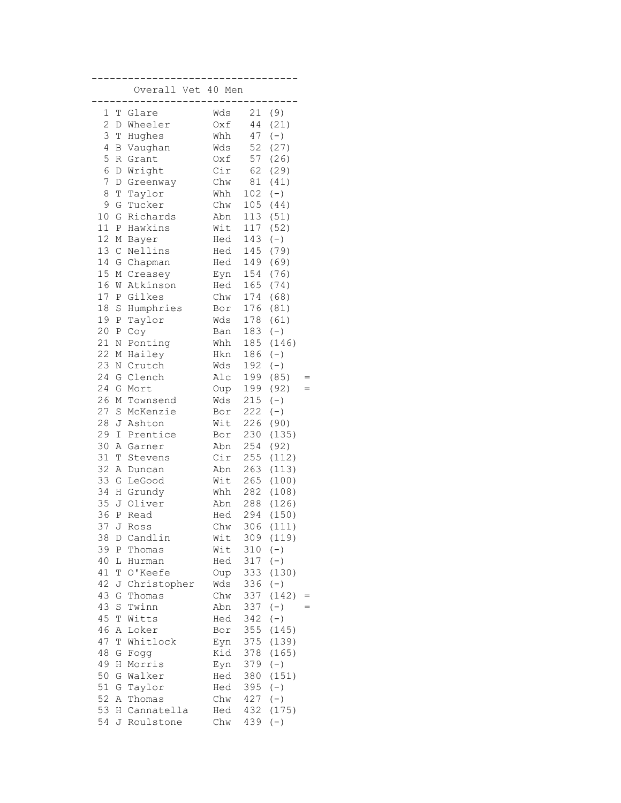|          |               | Overall Vet 40 Men |            |            |               |  |
|----------|---------------|--------------------|------------|------------|---------------|--|
| 1        | Т             | Glare              | Wds        | 21         | (9)           |  |
| 2        | D             | Wheeler            | Oxf        | 44         | (21)          |  |
| 3        | T             | Hughes             | Whh        | 47         | $(\,-\,)$     |  |
| 4        | B             | Vaughan            | Wds        | 52         | (27)          |  |
| 5        | R             | Grant              | Oxf        | 57         | (26)          |  |
| 6        | D             | Wright             | Cir        | 62         | (29)          |  |
| 7        | D             | Greenway           | Chw        | 81         | (41)          |  |
| 8        | Τ             | Taylor             | Whh        | 102        | $(\,-\,)$     |  |
| 9        | G             | Tucker             | Chw        | 105        | (44)          |  |
| 10       | G             | Richards           | Abn        | 113        | (51)          |  |
| 11       | Ρ             | Hawkins            | Wit        | 117        | (52)          |  |
| 12       | $\mathbb M$   | Bayer              | Hed        | 143        | $(-)$         |  |
| 13       | $\mathcal{C}$ | Nellins            | Hed        | 145        | (79)          |  |
| 14       | G             | Chapman            | Hed        | 149        | (69)          |  |
| 15       | М             | Creasey            | Eyn        | 154        | (76)          |  |
| 16       | W             | Atkinson           | Hed        | 165        | (74)          |  |
| 17       | Ρ             | Gilkes             | Chw        | 174        | (68)          |  |
| $18\,$   | S             | Humphries          | Bor        | 176        | (81)          |  |
| 19       | P             | Taylor             | Wds        | 178        | (61)          |  |
| 20       | Ρ             | Coy                | Ban        | 183        | $(-)$         |  |
| 21<br>22 | Ν             | Ponting            | Whh        | 185        | (146)         |  |
| 23       | М             | Hailey             | Hkn        | 186        | $(-)$         |  |
| 24       | Ν<br>G        | Crutch<br>Clench   | Wds<br>Alc | 192<br>199 | $(-)$<br>(85) |  |
| 24       | G             | Mort               |            | 199        | (92)          |  |
| 26       | М             | Townsend           | Oup<br>Wds | 215        | $(-)$         |  |
| 27       | S             | McKenzie           | Bor        | 222        | $(-)$         |  |
| 28       | J             | Ashton             | Wit        | 226        | (90)          |  |
| 29       | I             | Prentice           | Bor        | 230        | (135)         |  |
| 30       | Α             | Garner             | Abn        | 254        | (92)          |  |
| 31       | T             | Stevens            | Cir        | 255        | (112)         |  |
| 32       | Α             | Duncan             | Abn        | 263        | (113)         |  |
| 33       | G             | LeGood             | Wit        | 265        | (100)         |  |
| 34       | Η             | Grundy             | Whh        | 282        | (108)         |  |
| 35       | J             | Oliver             | Abn        | 288        | (126)         |  |
| 36       | $\, {\bf P}$  | Read               | Hed        | 294        | (150)         |  |
| 37       | J             | Ross               | Chw        |            | 306 (111)     |  |
| 38       | D             | Candlin            | Wit        | 309        | (119)         |  |
| 39       | Ρ             | Thomas             | Wit        | 310        | $(-)$         |  |
| 40       | L             | Hurman             | Hed        | 317        | $(-)$         |  |
| 41       | T             | O'Keefe            | Oup        | 333        | (130)         |  |
| 42       | J             | Christopher        | Wds        | 336        | $(-)$         |  |
| 43       | G             | Thomas             | Chw        | 337        | (142)         |  |
| 43       | S             | Twinn              | Abn        | 337        | $(-)$         |  |
| 45       | Т             | Witts              | Hed        | 342        | $(-)$         |  |
| 46       | Α             | Loker              | Bor        | 355        | (145)         |  |
| 47       | Τ             | Whitlock           | Eyn        | 375        | (139)         |  |
| 48       | G             | Fogg               | Kid        | 378        | (165)         |  |
| 49       | H             | Morris             | Eyn        | 379        | $(-)$         |  |
| 50       | G             | Walker             | Hed        | 380        | (151)         |  |
| 51       | G             | Taylor             | Hed        | 395        | $(-)$         |  |
| 52       | Α             | Thomas             | Chw        | 427        | $(-)$         |  |
| 53       | Η             | Cannatella         | Hed        | 432        | (175)         |  |
| 54       | J             | Roulstone          | Chw        | 439        | $(\,-\,)$     |  |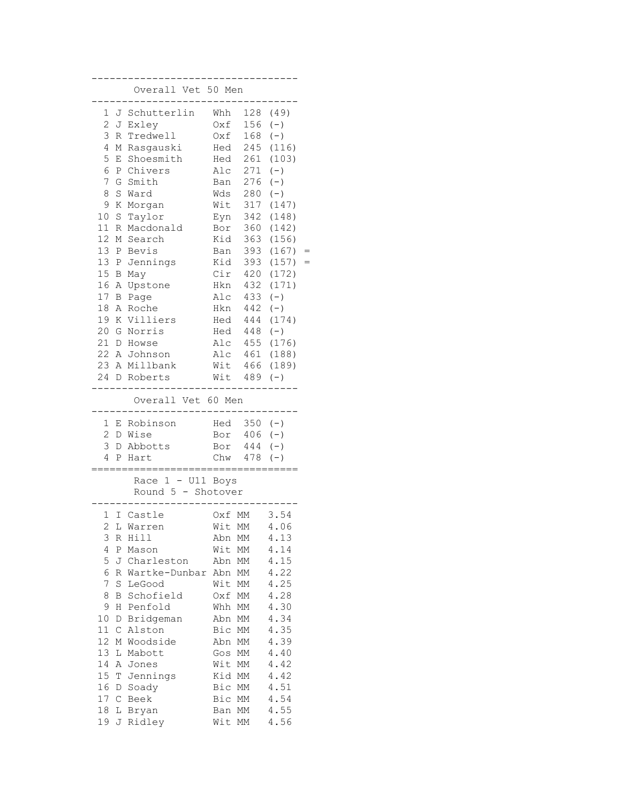|         |              | Overall Vet 50 Men                                       |            |            |                |  |
|---------|--------------|----------------------------------------------------------|------------|------------|----------------|--|
| 1       | J            | Schutterlin                                              | Whh        | 128        | (49)           |  |
| 2       | J            | Exley                                                    | Oxf        | 156        | $(-)$          |  |
| 3       | R            | Tredwell                                                 | Oxf        | 168        | $(-)$          |  |
| 4       | Μ            | Rasgauski                                                | Hed        | 245        | (116)          |  |
| 5       | Ε            | Shoesmith                                                | Hed        | 261        | (103)          |  |
| 6       | $\, {\bf P}$ | Chivers                                                  | Alc        | 271        | $(-)$          |  |
| 7       | G            | Smith                                                    | Ban        | 276        | $(-)$          |  |
| 8       | S            | Ward                                                     | Wds        | 280        | $(-)$          |  |
| 9<br>10 | Κ            | Morgan                                                   | Wit        | 317        | (147)          |  |
| 11      | $\rm S$<br>R | Taylor<br>Macdonald                                      | Eyn<br>Bor | 342<br>360 | (148)<br>(142) |  |
| 12      | М            | Search                                                   | Kid        | 363        | (156)          |  |
| 13      |              | P Bevis                                                  | Ban        | 393        | (167)          |  |
| 13      | $\, {\bf P}$ | Jennings                                                 | Kid        | 393        | (157)          |  |
| 15      | B            | May                                                      | Cir        | 420        | (172)          |  |
| 16      | Α            | Upstone                                                  | Hkn        | 432        | (171)          |  |
| 17      | В            | Page                                                     | Alc        | 433        | $(-)$          |  |
| 18      | Α            | Roche                                                    | Hkn        | 442        | $(-)$          |  |
| 19      | Κ            | Villiers                                                 | Hed        | 444        | (174)          |  |
| 20      | G            | Norris                                                   | Hed        | 448        | $(-)$          |  |
| 21      | $\mathbb D$  | Howse                                                    | Alc        | 455        | (176)          |  |
| 22      |              | A Johnson                                                | Alc        | 461        | (188)          |  |
|         |              | 23 A Millbank                                            | Wit        | 466        | (189)          |  |
|         |              | 24 D Roberts                                             | Wit        | 489        | $(-)$          |  |
|         |              | Overall Vet 60 Men                                       |            |            |                |  |
| 1       | Ε            | Robinson                                                 | Hed        | $350 (-)$  |                |  |
| 2       | D            | Wise                                                     | Bor        | $406 (-)$  |                |  |
| 3       | D            | Abbotts                                                  | Bor        | 444        | $(-)$          |  |
| 4       | Ρ            | Hart                                                     | Chw        | 478        | $(-)$          |  |
|         |              | :=================<br>.==========<br>Race $1 - U11$ Boys |            |            |                |  |
|         |              | Round 5 - Shotover                                       |            |            |                |  |
| 1       | I            | Castle                                                   | Oxf        | MM         | 3.54           |  |
| 2.      |              | L Warren                                                 | Wit MM     |            | 4.06           |  |
| 3       | R            | Hill                                                     | Abn        | МM         | 4.13           |  |
| 4       | Ρ            | Mason                                                    | Wit        | МM         | 4.14           |  |
| 5       | J            | Charleston                                               | Abn        | МM         | 4.15           |  |
| 6       | R            | Wartke-Dunbar                                            | Abn        | МM         | 4.22           |  |
| 7       | S            | LeGood                                                   | Wit        | МM         | 4.25           |  |
| 8<br>9  | B            | Schofield                                                | Oxf        | МM         | 4.28<br>4.30   |  |
| 10      | Η            | Penfold<br>Bridgeman                                     | Whh<br>Abn | МM         | 4.34           |  |
| 11      | D<br>С       | Alston                                                   | Bic        | МM<br>МM   | 4.35           |  |
| 12      | М            | Woodside                                                 | Abn        | МM         | 4.39           |  |
| 13      | L            | Mabott                                                   | Gos        | МM         | 4.40           |  |
| 14      | Α            | Jones                                                    | Wit        | МM         | 4.42           |  |
| 15      | T            | Jennings                                                 | Kid        | МM         | 4.42           |  |
| 16      | D            | Soady                                                    | Bic        | МM         | 4.51           |  |
| 17      | $\mathsf{C}$ | Beek                                                     | Bic        | MМ         | 4.54           |  |
| 18      | L            | Bryan                                                    | Ban        | МM         | 4.55           |  |
| 19      | J            | Ridley                                                   | Wit        | МM         | 4.56           |  |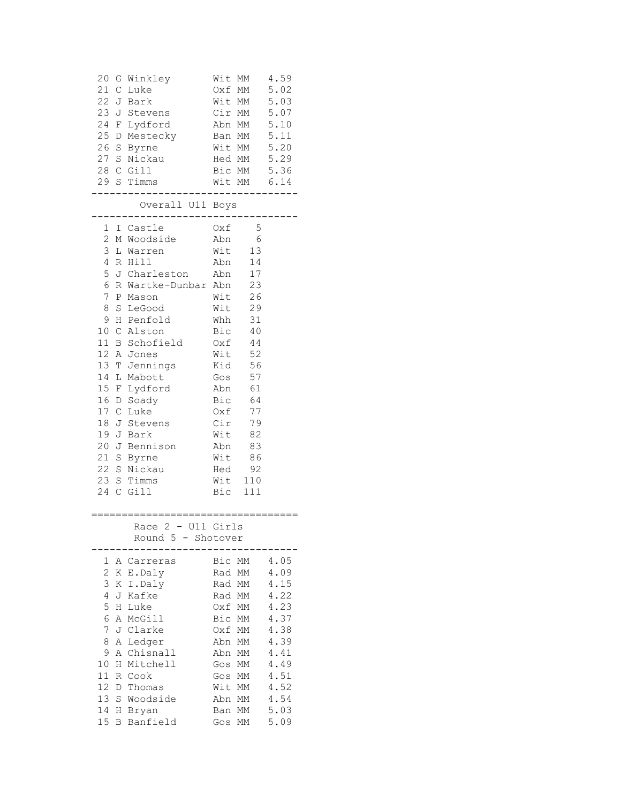| 20<br>G<br>21 C<br>24 F<br>25 D<br>26 S                                                                                                                  | Winkley<br>Luke<br>22 J Bark<br>23 J Stevens<br>Lydford<br>Mestecky<br>Byrne<br>Byrne<br>27 S Nickau<br>28 C Gill<br>29 S Timms<br>----------                                                                                                                                                                                                 | Wit MM<br>Cir MM                                                                                                    | Wit MM<br>Oxf MM<br>Abn MM<br>Ban MM<br>Wit MM 5.20<br>Hed MM 5.29<br>Bic MM 5.36<br>Wit MM 6.14<br>________________                                                 | 4.59<br>5.02<br>5.03<br>5.07<br>5.10<br>5.11                                                                         |
|----------------------------------------------------------------------------------------------------------------------------------------------------------|-----------------------------------------------------------------------------------------------------------------------------------------------------------------------------------------------------------------------------------------------------------------------------------------------------------------------------------------------|---------------------------------------------------------------------------------------------------------------------|----------------------------------------------------------------------------------------------------------------------------------------------------------------------|----------------------------------------------------------------------------------------------------------------------|
|                                                                                                                                                          | Overall U11 Boys                                                                                                                                                                                                                                                                                                                              |                                                                                                                     |                                                                                                                                                                      |                                                                                                                      |
| $\overline{c}$<br>3<br>$\overline{4}$<br>5<br>$\epsilon$<br>$\overline{7}$<br>8<br>14 L<br>15 F<br>17 C<br>18                                            | 1 I Castle<br>M Woodside<br>L Warren<br>R Hill<br>J Charleston Abn<br>R Wartke-Dunbar Abn<br>P Mason<br>S LeGood<br>9 H Penfold<br>10 C Alston<br>11 B Schofield<br>12 A Jones<br>13 T Jennings<br>Mabott<br>Lydford<br>16 D Soady<br>Luke<br>J Stevens<br>19 J Bark<br>20 J Bennison<br>21 S Byrne<br>22 S Nickau<br>23 S Timms<br>24 C Gill | Abn<br>Wit<br>Wit<br>Whh<br>Bic<br>Oxf<br>Wit<br>Kid<br>Gos<br>Abn<br>Bic<br>Oxf<br>Cir<br>Wit<br>Abn<br>Wit<br>Hed | $Oxf = 5$<br>Abn 6<br>Wit 13<br>14<br>17<br>23<br>26<br>29<br>31<br>40<br>44<br>52<br>56<br>57<br>61<br>64<br>77<br>79<br>82<br>83<br>86<br>92<br>Wit 110<br>Bic 111 |                                                                                                                      |
|                                                                                                                                                          | ====================================<br>Race 2 - U11 Girls<br>Round 5 - Shotover                                                                                                                                                                                                                                                              |                                                                                                                     |                                                                                                                                                                      |                                                                                                                      |
| 1<br>Α<br>2<br>Κ<br>3<br>Κ<br>4<br>J<br>5<br>Η<br>6<br>Α<br>7<br>J<br>8<br>Α<br>9<br>Α<br>10<br>Η<br>11<br>R<br>12<br>D<br>13<br>S<br>14<br>Η<br>15<br>Β | Carreras<br>E.Daly<br>I.Daly<br>Kafke<br>Luke<br>McGill<br>Clarke<br>Ledger<br>Chisnall<br>Mitchell<br>Cook<br>Thomas<br>Woodside<br>Bryan<br>Banfield                                                                                                                                                                                        | Bic<br>Rad<br>Rad<br>Rad<br>Oxf<br>Bic<br>Oxf<br>Abn<br>Abn<br>Gos<br>Gos<br>Wit<br>Abn<br>Ban<br>Gos               | МM<br>МM<br>MМ<br>МM<br>МM<br>МM<br>МM<br>МM<br>МM<br>MМ<br>МM<br>МM<br>МM<br>МM<br>МM                                                                               | 4.05<br>4.09<br>4.15<br>4.22<br>4.23<br>4.37<br>4.38<br>4.39<br>4.41<br>4.49<br>4.51<br>4.52<br>4.54<br>5.03<br>5.09 |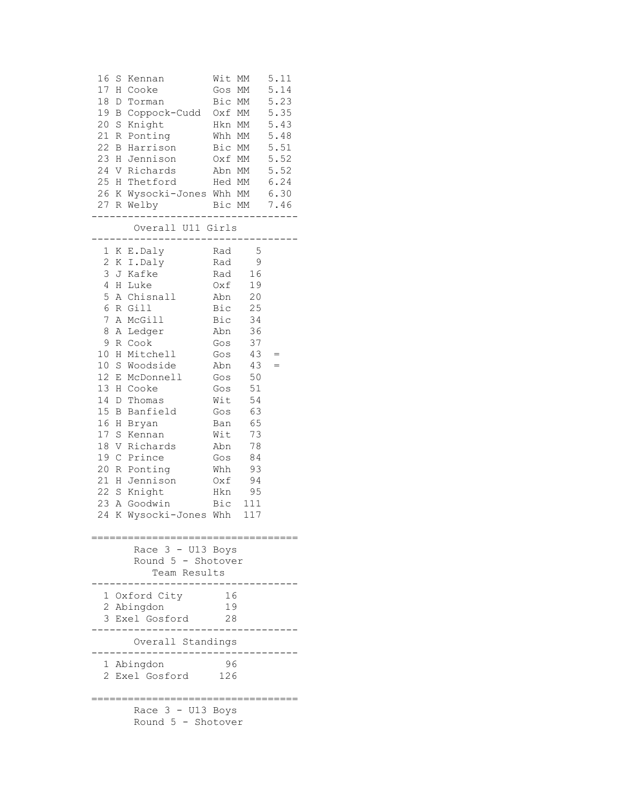| 16     | S Kennan<br>17 H Cooke<br>18 D Torman<br>19 B Coppock-Cudd Oxf MM 5.35<br>20 S Knight<br>Hkn MM<br>21 R Ponting<br>22 B Harrison<br>23 H Jennison<br>24 V Richards<br>25 H Thetford Hed MM 6.24<br>26 K Wysocki-Jones Whh MM 6.30<br>27 R Welby                                                                                                                                           | Oxf MM                                                                    | Wit MM<br>Gos MM 5.14<br>Bic MM 5.23<br>Whh MM<br>Bic MM<br>Abn MM<br>Bic MM 7.46                                                                                                  | 5.11<br>5.43<br>5.48<br>5.51<br>5.52<br>5.52 |
|--------|-------------------------------------------------------------------------------------------------------------------------------------------------------------------------------------------------------------------------------------------------------------------------------------------------------------------------------------------------------------------------------------------|---------------------------------------------------------------------------|------------------------------------------------------------------------------------------------------------------------------------------------------------------------------------|----------------------------------------------|
|        | ----------<br>Overall U11 Girls                                                                                                                                                                                                                                                                                                                                                           |                                                                           |                                                                                                                                                                                    | ____________                                 |
| 7<br>8 | 1 K E.Daly<br>2 K I.Daly<br>3 J Kafke<br>4 H Luke<br>5 A Chisnall Abn 20<br>6 R Gill<br>A McGill<br>A Ledger<br>9 R Cook<br>10 H Mitchell<br>10 S Woodside<br>12 E McDonnell<br>13 H Cooke<br>14 D Thomas<br>15 B Banfield<br>16 H Bryan<br>17 S Kennan<br>18 V Richards<br>19 C Prince<br>20 R Ponting<br>21 H Jennison<br>22 S Knight<br>23 A Goodwin Bic 111<br>24 K Wysocki-Jones Whh | Rad<br>Rad<br>Gos<br>Gos<br>Abn<br>Wit<br>Ban<br>Wit<br>Abn<br>Gos<br>Whh | $-5$<br>- 9<br>Rad 16<br>$Oxf$ 19<br>Bic 25<br>Bic 34<br>Abn 36<br>37<br>43<br>43<br>Gos 50<br>$Gos$ 51<br>54<br>Gos 63<br>65<br>73<br>78<br>84<br>93<br>$Oxf$ 94<br>Hkn 95<br>117 | $=$<br>$=$                                   |
|        | Race 3 - U13 Boys<br>Round 5 - Shotover<br>Team Results                                                                                                                                                                                                                                                                                                                                   |                                                                           |                                                                                                                                                                                    |                                              |
|        | 1 Oxford City<br>2 Abingdon<br>3 Exel Gosford                                                                                                                                                                                                                                                                                                                                             | 16<br>19<br>28                                                            |                                                                                                                                                                                    |                                              |
|        | Overall Standings                                                                                                                                                                                                                                                                                                                                                                         |                                                                           |                                                                                                                                                                                    |                                              |
|        | 1 Abingdon<br>2 Exel Gosford 126                                                                                                                                                                                                                                                                                                                                                          | 96                                                                        |                                                                                                                                                                                    |                                              |
|        | Race $3 - U13$ Boys<br>Round 5 - Shotover                                                                                                                                                                                                                                                                                                                                                 |                                                                           |                                                                                                                                                                                    |                                              |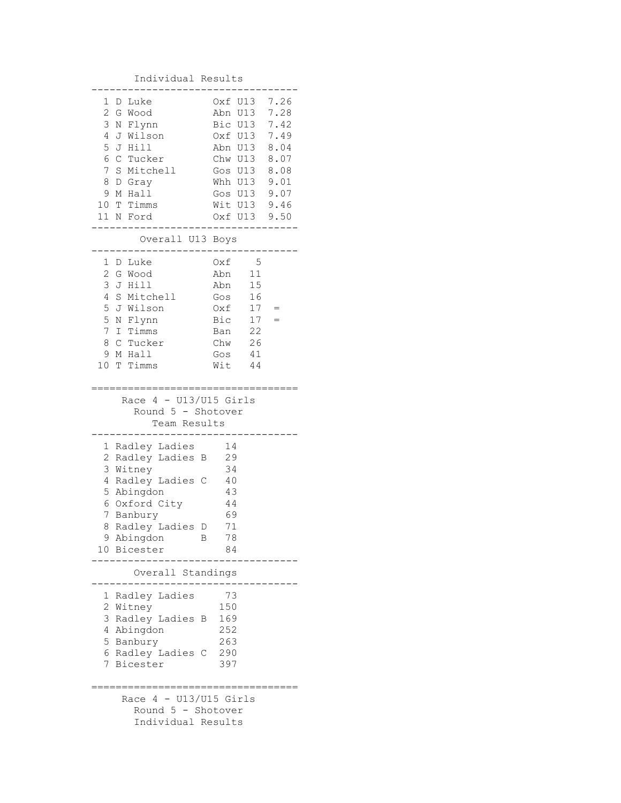## Individual Results ---------------------------------- 1 D Luke Oxf U13 7.26 2 G Wood Abn U13 7.28 3 N Flynn Bic U13 7.42 4 J Wilson Oxf U13 7.49 5 J Hill Abn U13 8.04 6 C Tucker Chw U13 8.07 7 S Mitchell Gos U13 8.08 8 D Gray Whh U13 9.01 9 M Hall Gos U13 9.07 10 T Timms Wit U13 9.46 11 N Ford Oxf U13 9.50 ---------------------------------- Overall U13 Boys ---------------------------------- 1 D Luke Oxf 5 2 G Wood Abn 11 3 J Hill Abn 15<br>4 S Mitchell Gos 16 4 S Mitchell 5 J Wilson Oxf 17 = 5 N Flynn Bic 17 = 7 I Timms Ban 22 8 C Tucker Chw 26 9 M Hall Gos 41 10 T Timms Wit 44 ================================== Race  $4 - U13/U15$  Girls Round 5 - Shotover Team Results ---------------------------------- 1 Radley Ladies 14 2 Radley Ladies B 29 3 Witney 34<br>4 Radlev Ladies C 40 4 Radley Ladies C 5 Abingdon 43 6 Oxford City 44 7 Banbury 69 8 Radley Ladies D 71 9 Abingdon B 78 10 Bicester 84 ---------------------------------- Overall Standings ---------------------------------- 1 Radley Ladies 73 2 Witney 150 3 Radley Ladies B 169 4 Abingdon 252 5 Banbury 263 6 Radley Ladies C 290 7 Bicester 397 ================================== Race  $4 - U13/U15$  Girls Round 5 - Shotover Individual Results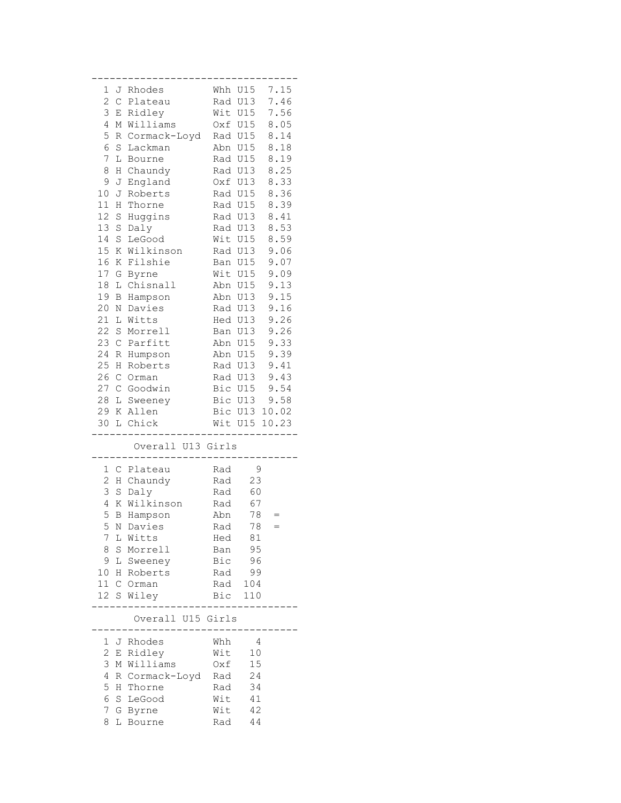| 1               |                  | J Rhodes          | Whh | U15        | 7.15  |
|-----------------|------------------|-------------------|-----|------------|-------|
| $\overline{c}$  | $\mathsf{C}$     | Plateau           | Rad | U13        | 7.46  |
| 3               | Е                | Ridley            | Wit | U15        | 7.56  |
| 4               | М                | Williams          |     | Oxf U15    | 8.05  |
| 5               | R                | Cormack-Loyd      | Rad | U15        | 8.14  |
| 6               | $\rm S$          | Lackman           | Abn | U15        | 8.18  |
| 7               | L                | Bourne            |     | Rad U15    | 8.19  |
| 8               | Η                | Chaundy           |     | Rad U13    | 8.25  |
| 9               | J                | England           |     | Oxf U13    | 8.33  |
| 10              | J                | Roberts           |     | Rad U15    | 8.36  |
| 11              | Η                | Thorne            |     | Rad U15    | 8.39  |
| 12              | S                | Huggins           | Rad | U13        | 8.41  |
| 13              | $\rm S$          | Daly              | Rad | U13        | 8.53  |
| 14              | S                | LeGood            | Wit | U15        | 8.59  |
| 15              | Κ                | Wilkinson         | Rad | U13        | 9.06  |
| 16              | Κ                | Filshie           | Ban | <b>U15</b> | 9.07  |
| 17              | G                | Byrne             | Wit | U15        | 9.09  |
| 18              | L                | Chisnall          | Abn | U15        | 9.13  |
| 19              | В                | Hampson           | Abn | U13        | 9.15  |
| 20              | Ν                | Davies            | Rad | U13        | 9.16  |
| 21              | L                | Witts             | Hed | U13        | 9.26  |
| 22              | S                | Morrell           | Ban | U13        | 9.26  |
| 23              | $\mathsf C$      | Parfitt           | Abn | U15        | 9.33  |
| 24              | $\, {\mathbb R}$ | Humpson           | Abn | U15        | 9.39  |
| 25              | Η                | Roberts           |     | Rad U13    | 9.41  |
| 26              | $\mathsf C$      | Orman             |     | Rad U13    | 9.43  |
| 27              | $\mathsf C$      | Goodwin           |     | Bic U15    | 9.54  |
| 28              |                  | L Sweeney         |     | Bic U13    | 9.58  |
| 29              |                  | K Allen           | Bic | U13        | 10.02 |
| 30              |                  | L Chick           |     | Wit U15    | 10.23 |
|                 |                  | Overall U13 Girls |     |            |       |
|                 |                  |                   |     |            |       |
| 1               |                  | C Plateau         | Rad | 9          |       |
| $\overline{c}$  | Η                | Chaundy           | Rad | 23         |       |
| 3               | $\mathbf S$      | Daly              | Rad | 60         |       |
| 4               | Κ                | Wilkinson         | Rad | 67         |       |
| 5               | B                | Hampson           | Abn | 78         |       |
| 5               | N                | Davies            | Rad | 78         |       |
| 7               | L                | Witts             | Hed | 81         |       |
| 8               | S                | Morrell           | Ban | 95         |       |
| 9               | L                | Sweeney           | Bic | 96         |       |
| 10              | Η                | Roberts           | Rad | 99         |       |
| 11 C            |                  | Orman             | Rad | 104        |       |
| 12 <sup>°</sup> | S                | Wiley             | Bic | 110        |       |
|                 |                  |                   |     |            |       |
|                 |                  | Overall U15 Girls |     |            |       |
| 1               | J                | Rhodes            | Whh | 4          |       |
| 2               |                  |                   | Wit | 10         |       |
|                 | Ε                | Ridley            |     |            |       |
| 3               | М                | Williams          | 0xf | 15         |       |
| 4               | R                | Cormack-Loyd      | Rad | 24         |       |
| 5               | H.               | Thorne            | Rad | 34         |       |
| 6               | S                | LeGood            | Wit | 41         |       |
| 7               | G                | Byrne             | Wit | 42         |       |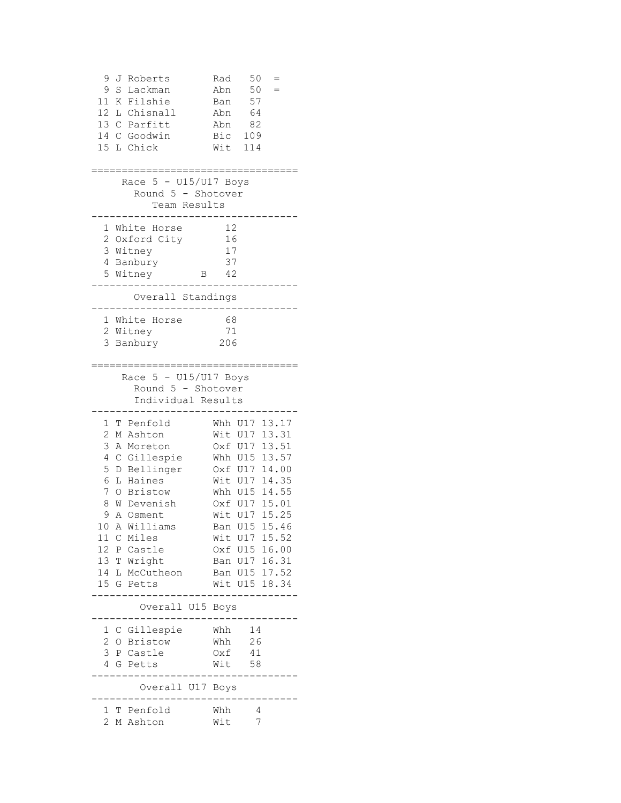| 9<br>J                | Roberts                            | Rad                | 50<br>$=$              |
|-----------------------|------------------------------------|--------------------|------------------------|
| 9<br>S                | Lackman                            | Abn                | 50                     |
| 11<br>K               | Filshie                            | Ban                | 57                     |
| 12 <sup>7</sup><br>L  | Chisnall                           | Abn                | 64                     |
| 13<br>$\mathsf{C}^-$  | Parfitt                            | Abn                | 82                     |
| 14 C                  | Goodwin                            | Bic                | 109                    |
| 15 L Chick            |                                    | Wit                | 114                    |
|                       |                                    |                    |                        |
|                       |                                    |                    |                        |
|                       | Race 5 - U15/U17 Boys              |                    |                        |
|                       | Round 5 - Shotover<br>Team Results |                    |                        |
|                       |                                    |                    |                        |
|                       | 1 White Horse                      | 12                 |                        |
|                       | 2 Oxford City                      | 16                 |                        |
| 3 Witney              |                                    | 17                 |                        |
| 4 Banbury             |                                    | 37                 |                        |
| 5 Witney              | В                                  | 42                 |                        |
|                       |                                    |                    |                        |
|                       | Overall Standings                  |                    |                        |
|                       |                                    |                    |                        |
|                       | 1 White Horse                      | 68<br>71           |                        |
| 2 Witney<br>3 Banbury |                                    | 206                |                        |
|                       |                                    |                    |                        |
|                       |                                    |                    |                        |
|                       | Race 5 - U15/U17 Boys              |                    |                        |
|                       | Round 5 - Shotover                 |                    |                        |
|                       | Individual Results                 |                    |                        |
|                       |                                    |                    |                        |
| 1<br>Т                | Penfold                            | Whh U17            | 13.17                  |
| 2<br>М                | Ashton                             | Wit                | U17<br>13.31           |
| 3<br>A<br>4           | Moreton                            |                    | Oxf U17 13.51          |
| 5                     | C Gillespie<br>D Bellinger         |                    | Whh U15 13.57<br>14.00 |
| 6                     | L Haines                           | Oxf U17<br>Wit U17 | 14.35                  |
| 7                     | O Bristow                          | Whh U15            | 14.55                  |
| 8                     | W Devenish                         | Oxf U17            | 15.01                  |
| 9                     | A Osment                           | Wit<br>U17         | 15.25                  |
|                       | 10 A Williams                      | U15<br>Ban         | 15.46                  |
| 11                    | C Miles                            |                    | Wit U17 15.52          |
| 12                    | P Castle                           |                    | Oxf U15 16.00          |
| 13 T Wright           |                                    |                    | Ban U17 16.31          |
|                       | 14 L McCutheon                     |                    | Ban U15 17.52          |
| 15 G Petts            |                                    |                    | Wit U15 18.34          |
|                       |                                    |                    |                        |
|                       | Overall U15 Boys                   |                    |                        |
|                       |                                    |                    | 14                     |
| $\mathbf{2}$          | 1 C Gillespie<br>O Bristow         | Whh<br>Whh         | 26                     |
|                       | 3 P Castle                         | Oxf                | 41                     |
| 4                     | G Petts                            | Wit                | 58                     |
|                       |                                    |                    |                        |
|                       | Overall U17 Boys                   |                    |                        |
|                       |                                    |                    |                        |
|                       | 1 T Penfold                        | Whh                | 4                      |
| $\overline{2}$        | M Ashton                           | Wit                | 7                      |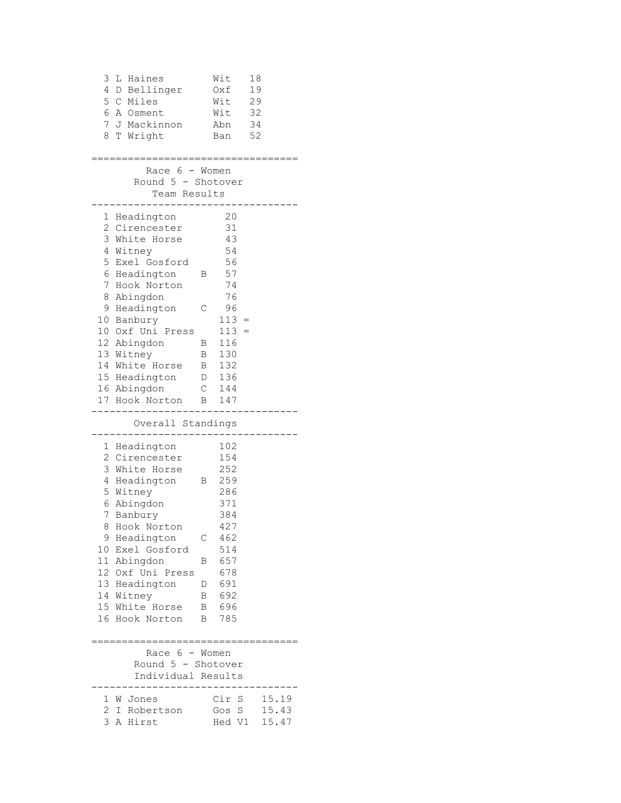| 3 | L Haines                         |                | Wit     | 18    |  |
|---|----------------------------------|----------------|---------|-------|--|
| 4 | D Bellinger                      |                | Oxf     | 19    |  |
|   | 5 C Miles                        |                | Wit     | 29    |  |
| 6 | A Osment                         |                | Wit     | 32    |  |
| 7 | J Mackinnon                      |                | Abn     | 34    |  |
| 8 | T Wright                         |                | Ban     | 52    |  |
|   |                                  |                |         |       |  |
|   | Race 6 - Women                   |                |         |       |  |
|   | Round 5 - Shotover               |                |         |       |  |
|   | Team Results                     |                |         |       |  |
|   | ----                             |                |         |       |  |
|   | 1 Headington                     |                | 20      |       |  |
|   | 2 Cirencester                    |                | 31      |       |  |
|   | 3 White Horse                    |                | 43      |       |  |
|   | 4 Witney                         |                | 54      |       |  |
|   | 5 Exel Gosford                   |                | 56      |       |  |
|   | 6 Headington                     | В              | 57      |       |  |
|   | 7 Hook Norton                    |                | 74      |       |  |
|   | 8 Abingdon                       |                | 76      |       |  |
|   | 9 Headington                     | С              | 96      |       |  |
|   | 10 Banbury                       |                | $113 =$ |       |  |
|   | 10 Oxf Uni Press                 |                | $113 =$ |       |  |
|   | 12 Abingdon                      |                | B 116   |       |  |
|   | 13 Witney                        |                | B 130   |       |  |
|   | 14 White Horse                   |                | B 132   |       |  |
|   | 15 Headington                    |                | D 136   |       |  |
|   | 16 Abingdon                      |                | $C$ 144 |       |  |
|   | 17 Hook Norton                   | В              | 147     |       |  |
|   | Overall Standings                |                |         |       |  |
|   |                                  |                |         |       |  |
|   | 1 Headington                     |                | 102     |       |  |
|   | 2 Cirencester                    |                | 154     |       |  |
|   | 3 White Horse                    |                | 252     |       |  |
|   | 4 Headington                     | $\overline{B}$ | 259     |       |  |
|   | 5 Witney                         |                | 286     |       |  |
|   | 6 Abingdon                       |                | 371     |       |  |
|   | 7 Banbury                        |                | 384     |       |  |
|   | 8 Hook Norton                    |                | 427     |       |  |
|   | 9 Headington                     | С              | 462     |       |  |
|   | 10 Exel Gosford                  |                | 514     |       |  |
|   | 11 Abingdon                      | В              | 657     |       |  |
|   | 12 Oxf Uni Press                 |                | 678     |       |  |
|   | 13 Headington                    | D              | 691     |       |  |
|   | 14 Witney                        | B              | 692     |       |  |
|   | 15 White Horse                   | B              | 696     |       |  |
|   | 16 Hook Norton                   | B              | 785     |       |  |
|   | ================================ |                |         |       |  |
|   | Race $6 -$ Women                 |                |         |       |  |
|   | Round 5 - Shotover               |                |         |       |  |
|   | Individual Results               |                |         |       |  |
|   |                                  |                |         |       |  |
|   | 1 W Jones                        |                | Cir S   | 15.19 |  |
|   | 2 I Robertson                    |                | Gos S   | 15.43 |  |
|   | 3 A Hirst                        |                | Hed V1  | 15.47 |  |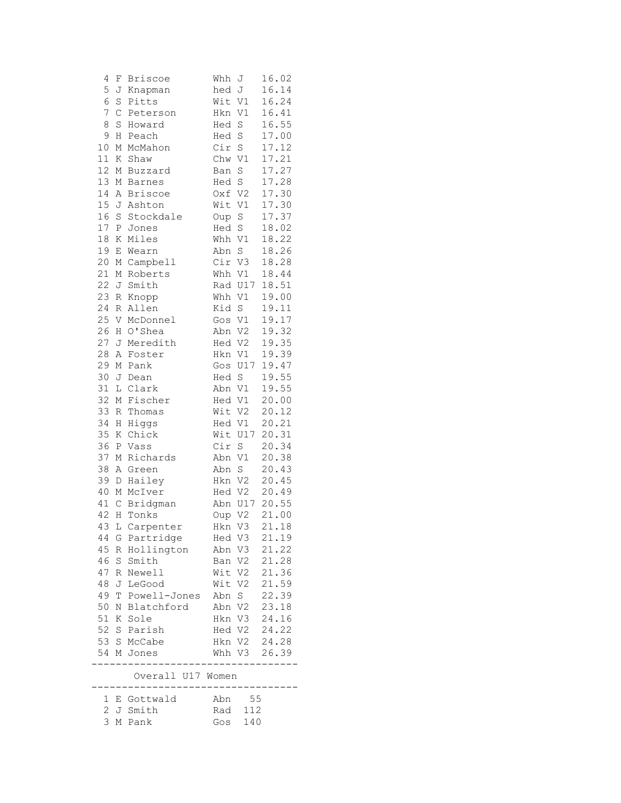| 4              | F           | <b>Briscoe</b>    | Whh     | J              | 16.02          |
|----------------|-------------|-------------------|---------|----------------|----------------|
| 5              | J           | Knapman           | hed     | J              | 16.14          |
| 6              | S           | Pitts             | Wit V1  |                | 16.24          |
| 7              | $\mathsf C$ | Peterson          | Hkn     | V1             | 16.41          |
| 8              | S           | Howard            | Hed     | $\rm S$        | 16.55          |
| 9              | Η           | Peach             | Hed     | $\rm S$        | 17.00          |
| 10             | М           | McMahon           | Cir     | $\mathbb S$    | 17.12          |
| 11             | Κ           | Shaw              | Chw     | $\mathtt{V1}$  | 17.21          |
| 12             | М           | Buzzard           | Ban     | $\rm S$        | 17.27          |
| 13             |             | M Barnes          | Hed S   |                | 17.28          |
| 14             | A           | <b>Briscoe</b>    | Oxf V2  |                | 17.30          |
| 15             |             | J Ashton          | Wit V1  |                | 17.30          |
| 16             | S           | Stockdale         | Oup     | $\rm S$        | 17.37          |
| $17\,$         | Ρ           | Jones             | Hed     | $\rm S$        | 18.02          |
| $18\,$         | Κ           | Miles             | Whh V1  |                | 18.22          |
| 19             | Ε           | Wearn             | Abn     | $\rm S$        | 18.26          |
| 20             | М           | Campbell          | Cir V3  |                | 18.28          |
| 21             | М           | Roberts           | Whh V1  |                | 18.44          |
| 22             |             | J Smith           | Rad U17 |                | 18.51          |
| 23             | R           |                   | Whh     | V1             | 19.00          |
| 24             |             | Knopp<br>R Allen  |         |                |                |
| 25             |             |                   | Kid     | $\mathbf S$    | 19.11<br>19.17 |
| 26             |             | V McDonnel        | Gos     | V1             |                |
|                |             | H O'Shea          | Abn V2  |                | 19.32          |
| 27             | J           | Meredith          | Hed V2  |                | 19.35          |
| 28             | Α           | Foster            | Hkn V1  |                | 19.39          |
| 29             | М           | Pank              | Gos     | U17            | 19.47          |
| 30             |             | J Dean            | Hed S   |                | 19.55          |
| 31             |             | L Clark           | Abn V1  |                | 19.55          |
| 32             | М           | Fischer           | Hed V1  |                | 20.00          |
| 33             | R           | Thomas            | Wit V2  |                | 20.12          |
| 34             | Η           | Higgs             | Hed V1  |                | 20.21          |
| 35             | Κ           | Chick             | Wit U17 |                | 20.31          |
| 36             | Ρ           | Vass              | Cir     | $\mathbf S$    | 20.34          |
| 37             | М           | Richards          | Abn     | V1             | 20.38          |
| 38             |             | A Green           | Abn     | $\rm S$        | 20.43          |
| 39             | D           | Hailey            | Hkn     | V <sub>2</sub> | 20.45          |
| 40             | М           | McIver            |         | Hed V2         | 20.49          |
| 41             | $\mathsf C$ | Bridgman          | Abn     | U17            | 20.55          |
| 42             |             | H Tonks           | Oup V2  |                | 21.00          |
|                |             | 43 L Carpenter    | Hkn     | V3             | 21.18          |
| 44             |             | G Partridge       |         | Hed V3         | 21.19          |
| 45             |             | R Hollington      | Abn V3  |                | 21.22          |
| 46             |             | S Smith           | Ban V2  |                | 21.28          |
| 47             |             | R Newell          | Wit V2  |                | 21.36          |
| 48             |             | J LeGood          | Wit V2  |                | 21.59          |
| 49             |             | T Powell-Jones    | Abn S   |                | 22.39          |
| 50             | Ν           | Blatchford        | Abn V2  |                | 23.18          |
| 51             |             | K Sole            |         | Hkn V3         | 24.16          |
|                |             | 52 S Parish       |         | Hed V2         | 24.22          |
|                |             | 53 S McCabe       |         | Hkn V2         | 24.28          |
|                |             | 54 M Jones        |         | Whh V3         | 26.39          |
|                |             | Overall U17 Women |         |                |                |
|                |             |                   |         |                |                |
|                |             | 1 E Gottwald      |         | Abn 55         |                |
|                |             | 2 J Smith         | Rad     | 112            |                |
| $\mathfrak{Z}$ |             | M Pank            | Gos     | 140            |                |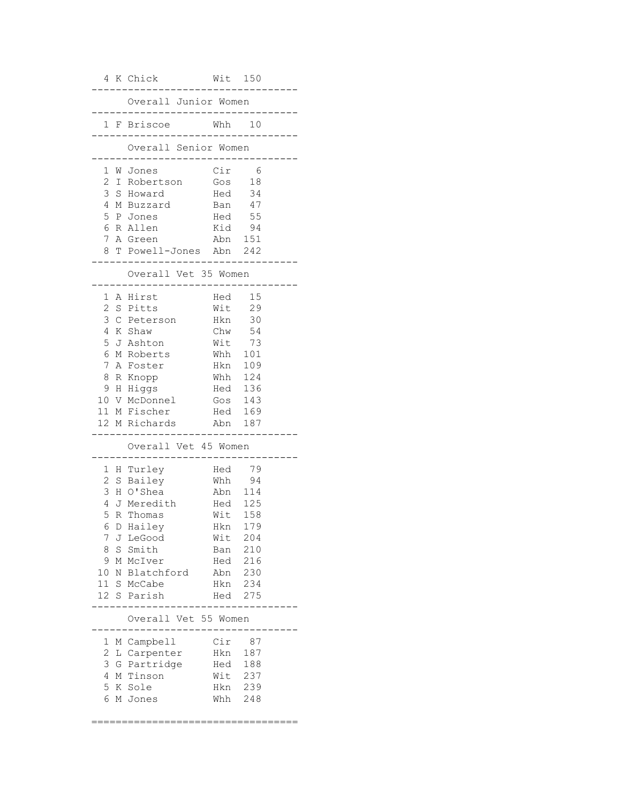|                  |    | 4 K Chick                                | Wit 150               |            |         |
|------------------|----|------------------------------------------|-----------------------|------------|---------|
|                  |    | Overall Junior Women<br>---------------- |                       |            |         |
|                  |    | 1 F Briscoe                              | Whh 10<br>___________ |            | $- - -$ |
|                  |    | Overall Senior Women                     | $- - -$               |            |         |
|                  |    | 1 W Jones                                | Cir                   | - 6        |         |
| $\overline{2}$   | I. | Robertson                                | Gos                   | 18         |         |
| 3                | S  | Howard                                   | Hed 34                |            |         |
| 4                | M  | Buzzard                                  | Ban 47                |            |         |
| 5                |    | P Jones                                  | Hed 55                |            |         |
| 6<br>$7^{\circ}$ |    | R Allen                                  | Kid 94                |            |         |
| 8                |    | A Green<br>T Powell-Jones Abn 242        | Abn 151               |            |         |
|                  |    |                                          |                       |            |         |
|                  |    | Overall Vet 35 Women                     |                       |            |         |
|                  |    | 1 A Hirst                                | Hed 15                |            |         |
| 2                | S. | Pitts                                    | Wit 29                |            |         |
| 3                |    | C Peterson                               | Hkn 30                |            |         |
| 4                |    | K Shaw                                   | Chw                   | 54         |         |
| 5                |    | J Ashton                                 | Wit 73                |            |         |
| 6                |    | M Roberts                                | Whh                   | 101        |         |
| 7<br>8           |    | A Foster                                 | Hkn<br>Whh            | 109<br>124 |         |
| 9                |    | R Knopp<br>H Higgs                       | Hed 136               |            |         |
|                  |    | 10 V McDonnel                            | Gos $143$             |            |         |
|                  |    | 11 M Fischer                             | Hed 169               |            |         |
|                  |    | 12 M Richards                            | Abn                   | 187        |         |
|                  |    | Overall Vet 45 Women                     |                       |            |         |
|                  |    |                                          |                       |            |         |
|                  |    | 1 H Turley                               | Hed                   | 79         |         |
| 2                | S  | Bailey                                   | Whh                   | 94         |         |
| 3                |    | H O'Shea                                 | Abn 114               |            |         |
| 4                |    | J Meredith                               | Hed                   | 125        |         |
| 5                |    | R Thomas<br>6 D Hailey                   | Wit                   | 158<br>179 |         |
| 7                |    | J LeGood                                 | Hkn<br>Wit            | 204        |         |
| 8                |    | S Smith                                  | Ban                   | 210        |         |
| 9                |    | M McIver                                 | Hed 216               |            |         |
| 10               |    | N Blatchford                             | Abn                   | 230        |         |
| 11               |    | S McCabe                                 | Hkn                   | 234        |         |
| 12               |    | S Parish                                 | Hed                   | 275        |         |
|                  |    | Overall Vet 55 Women                     |                       |            |         |
|                  |    |                                          |                       |            |         |
| 1<br>2           |    | M Campbell                               | Cir<br>Hkn            | 87         |         |
| 3                |    | L Carpenter<br>G Partridge               |                       | 187        |         |
| 4                |    | M Tinson                                 | Hed 188<br>Wit        | 237        |         |
| 5                |    | K Sole                                   | Hkn                   | 239        |         |
| 6                |    | M Jones                                  | Whh                   | 248        |         |
|                  |    |                                          |                       |            |         |

==================================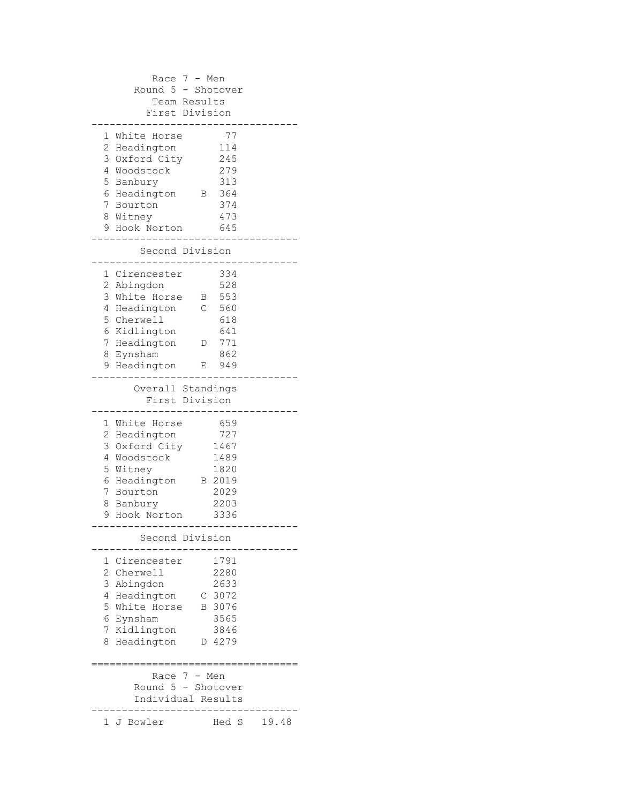Race 7 - Men Round 5 - Shotover Team Results First Division ---------------------------------- 1 White Horse 77 2 Headington 114 3 Oxford City 245 4 Woodstock 279 5 Banbury 313 6 Headington B 364 7 Bourton 374 8 Witney 473 9 Hook Norton 645 ---------------------------------- Second Division ---------------------------------- 1 Cirencester 334 2 Abingdon 528 3 White Horse B 553 4 Headington C 560 5 Cherwell 618 6 Kidlington 641 7 Headington D 771 8 Eynsham 862 9 Headington E 949 ---------------------------------- Overall Standings First Division ---------------------------------- 1 White Horse 659 2 Headington 727 3 Oxford City 1467 4 Woodstock 1489 5 Witney 1820 6 Headington B 2019<br>7 Bourton 2029 7 Bourton 8 Banbury 2203 9 Hook Norton 3336 ---------------------------------- Second Division ---------------------------------- 1 Cirencester 1791 2 Cherwell 2280 2 Cherwell 2280<br>3 Abingdon 2633 4 Headington C 3072 5 White Horse B 3076 6 Eynsham 3565 7 Kidlington 3846 8 Headington D 4279 ================================== Race 7 - Men Round 5 - Shotover Individual Results ---------------------------------- 1 J Bowler Hed S 19.48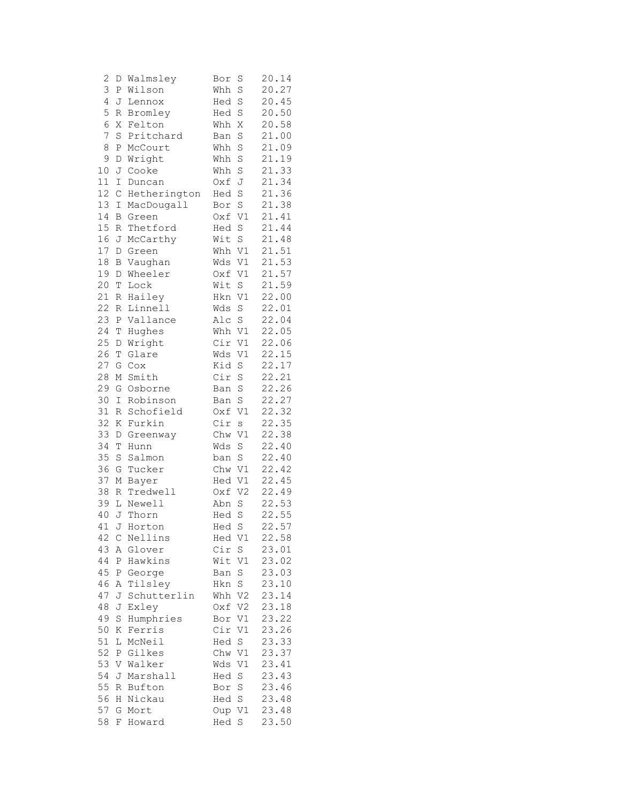| $\mathbf{Z}$ | D             | Walmsley     | Bor    | S              | 20.14 |
|--------------|---------------|--------------|--------|----------------|-------|
| 3            | ${\mathsf P}$ | Wilson       | Whh    | S              | 20.27 |
| 4            | J             | Lennox       | Hed    | S              | 20.45 |
| 5            | R             | Bromley      | Hed    | S              | 20.50 |
| 6            | Χ             | Felton       | Whh    | Χ              | 20.58 |
| 7            | S             | Pritchard    | Ban    | S              | 21.00 |
| 8            | Ρ             | McCourt      | Whh    | S              | 21.09 |
| 9            | D             | Wright       | Whh    | S              | 21.19 |
| 10           | J             | Cooke        | Whh    | S              | 21.33 |
| 11           | I             | Duncan       | Oxf    | J              | 21.34 |
| 12           | $\mathsf C$   | Hetherington | Hed    | S              | 21.36 |
| 13           | Ι             | MacDougall   | Bor    | S              | 21.38 |
| 14           | Β             | Green        | Oxf    | V1             | 21.41 |
| 15           | R             | Thetford     | Hed    | S              | 21.44 |
| 16           | J             | McCarthy     | Wit    | S              | 21.48 |
| 17           | D             | Green        | Whh    | V1             | 21.51 |
| 18           | B             | Vaughan      | Wds    | V1             | 21.53 |
| 19           | D             | Wheeler      | Oxf    | V1             | 21.57 |
| 20           | T             | Lock         | Wit    | S              | 21.59 |
| 21           | R             | Hailey       | Hkn    | V1             | 22.00 |
| 22           | R             | Linnell      | Wds    | S              | 22.01 |
| 23           | Ρ             | Vallance     | Alc    | $\rm S$        | 22.04 |
| 24           | Τ             | Hughes       | Whh    | V1             | 22.05 |
| 25           | D             | Wright       | Cir    | V1             | 22.06 |
| 26           | $\mathbb T$   | Glare        | Wds    | V1             | 22.15 |
| 27           | G             | Cox          | Kid    | S              | 22.17 |
| 28           | М             | Smith        | Cir    | S              | 22.21 |
| 29           | G             | Osborne      | Ban    | S              | 22.26 |
| 30           | I             | Robinson     | Ban    | S              | 22.27 |
| 31           | R             | Schofield    | Oxf    | V1             | 22.32 |
| 32           | Κ             | Furkin       | Cir    | S              | 22.35 |
| 33           | D             | Greenway     | Chw    | V1             | 22.38 |
| 34           | T             | Hunn         | Wds    | S              | 22.40 |
| 35           | S             | Salmon       | ban    | S              | 22.40 |
| 36           | G             | Tucker       | Chw    | V1             | 22.42 |
| 37           | М             | Bayer        | Hed    | V1             | 22.45 |
| 38           | R             | Tredwell     | Oxf    | V <sub>2</sub> | 22.49 |
| 39           | L             | Newell       | Abn    | S              | 22.53 |
| 40           | J             | Thorn        | Hed    | S              | 22.55 |
| 41 J         |               | Horton       | Hed    | S              | 22.57 |
| 42 C         |               | Nellins      | Hed V1 |                | 22.58 |
| 43           | Α             | Glover       | Cir    | $\mathbb S$    | 23.01 |
| 44           | Ρ             | Hawkins      | Wit V1 |                | 23.02 |
| 45           | Ρ             | George       | Ban    | S              | 23.03 |
| 46           | Α             | Tilsley      | Hkn    | $\rm S$        | 23.10 |
| 47           | J             | Schutterlin  | Whh    | V <sub>2</sub> | 23.14 |
| 48           | J             | Exley        | Oxf    | V2             | 23.18 |
| 49           | S             | Humphries    | Bor    | V1             | 23.22 |
| 50           | Κ             | Ferris       | Cir    | V1             | 23.26 |
| 51           | L             | McNeil       | Hed S  |                | 23.33 |
| 52           | Ρ             | Gilkes       | Chw V1 |                | 23.37 |
| 53           | V             | Walker       | Wds V1 |                | 23.41 |
| 54           | J             | Marshall     | Hed S  |                | 23.43 |
| 55           | R             | Bufton       | Bor S  |                | 23.46 |
| 56           | Η             | Nickau       | Hed S  |                | 23.48 |
| 57           | G             | Mort         | Oup V1 |                | 23.48 |
| 58           | F             | Howard       | Hed    | S              | 23.50 |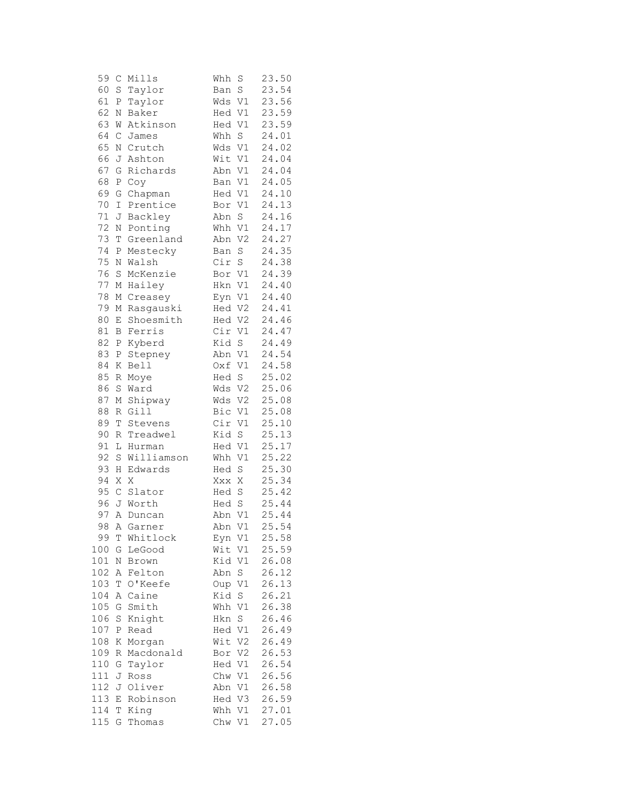| 59  | $\mathsf{C}$     | Mills      | Whh<br>S              | 23.50 |
|-----|------------------|------------|-----------------------|-------|
| 60  | $\rm S$          | Taylor     | $\rm S$<br>Ban        | 23.54 |
| 61  | Ρ                | Taylor     | V1<br>Wds             | 23.56 |
| 62  | N                | Baker      | V1<br>Hed             | 23.59 |
| 63  | W                | Atkinson   | V1<br>Hed             | 23.59 |
| 64  | $\mathsf C$      | James      | S<br>Whh              | 24.01 |
| 65  | Ν                | Crutch     | Wds V1                | 24.02 |
| 66  | J                | Ashton     | Wit<br>V1             | 24.04 |
| 67  | G                | Richards   | Abn<br>V1             | 24.04 |
| 68  | $\, {\mathbb P}$ | Coy        | V1<br>Ban             | 24.05 |
| 69  | G                | Chapman    | Hed V1                | 24.10 |
| 70  | Ι                | Prentice   | V1<br>Bor             | 24.13 |
| 71  | J                | Backley    | Abn<br>$\mathbf S$    | 24.16 |
| 72  | N                | Ponting    | V1<br>Whh             | 24.17 |
| 73  | T                | Greenland  | Abn<br>V <sub>2</sub> | 24.27 |
| 74  |                  |            |                       |       |
| 75  | Ρ                | Mestecky   | $\rm S$<br>Ban        | 24.35 |
|     | $\mathbb N$      | Walsh      | Cir<br>$\rm S$        | 24.38 |
| 76  | $\rm S$          | McKenzie   | Bor V1                | 24.39 |
| 77  | М                | Hailey     | V1<br>Hkn             | 24.40 |
| 78  | Μ                | Creasey    | V1<br>Eyn             | 24.40 |
| 79  | М                | Rasgauski  | Hed<br>V2             | 24.41 |
| 80  | Ε                | Shoesmith  | V2<br>Hed             | 24.46 |
| 81  | B                | Ferris     | Cir<br>V1             | 24.47 |
| 82  | Ρ                | Kyberd     | Kid<br>$\rm S$        | 24.49 |
| 83  | Ρ                | Stepney    | Abn V1                | 24.54 |
| 84  | Κ                | Bell       | $\mathtt{V1}$<br>Oxf  | 24.58 |
| 85  | $\,$ R           | Moye       | S<br>Hed              | 25.02 |
| 86  | $\rm S$          | Ward       | Wds V2                | 25.06 |
| 87  | М                | Shipway    | Wds<br>V2             | 25.08 |
| 88  | R                | Gill       | Bic<br>V1             | 25.08 |
| 89  | T                | Stevens    | Cir<br>V1             | 25.10 |
| 90  | R                | Treadwel   | Kid S                 | 25.13 |
| 91  | L                | Hurman     | V1<br>Hed             | 25.17 |
| 92  | S                | Williamson | Whh<br>V1             | 25.22 |
| 93  | Η                | Edwards    | S<br>Hed              | 25.30 |
| 94  | Χ                | Χ          | Χ<br>Xxx              | 25.34 |
| 95  | $\mathsf C$      | Slator     | Hed S                 | 25.42 |
| 96  |                  | J Worth    | Hed S                 | 25.44 |
| 97  | Α                | Duncan     | $\mathtt{V1}$<br>Abn  | 25.44 |
| 98  |                  | A Garner   | Abn<br>V1             | 25.54 |
| 99  | Т                | Whitlock   | V1<br>Eyn             | 25.58 |
| 100 | G                | LeGood     | Wit<br>V1             | 25.59 |
| 101 | Ν                | Brown      | Kid<br>V1             | 26.08 |
| 102 | Α                | Felton     | S<br>Abn              | 26.12 |
| 103 | T                | O'Keefe    | V1<br>Oup             | 26.13 |
| 104 | Α                | Caine      | Kid<br>S              | 26.21 |
| 105 | G                | Smith      | V1<br>Whh             | 26.38 |
|     |                  |            | Hkn                   | 26.46 |
| 106 | S                | Knight     | S                     |       |
| 107 | Ρ                | Read       | V1<br>Hed             | 26.49 |
| 108 | Κ                | Morgan     | V <sub>2</sub><br>Wit | 26.49 |
| 109 | R                | Macdonald  | V2<br>Bor             | 26.53 |
| 110 | G                | Taylor     | Hed<br>V1             | 26.54 |
| 111 | J                | Ross       | Chw<br>V1             | 26.56 |
| 112 | J                | Oliver     | V1<br>Abn             | 26.58 |
| 113 | Ε                | Robinson   | Hed<br>V3             | 26.59 |
| 114 | Τ                | King       | Whh<br>V1             | 27.01 |
| 115 | G                | Thomas     | Chw<br>V1             | 27.05 |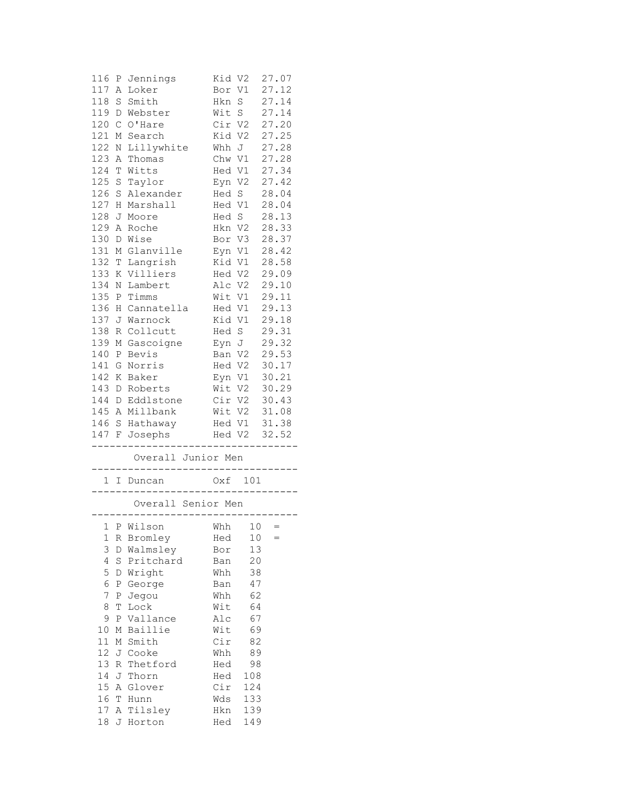| 116<br>117                                      | Ρ<br>Α        | Jennings<br>Loker                               | Kid V2<br>Bor | V1             | 27.07<br>27.12  |
|-------------------------------------------------|---------------|-------------------------------------------------|---------------|----------------|-----------------|
| 118                                             | S             | Smith                                           | Hkn           | $\rm S$        | 27.14           |
| 119                                             | D             | Webster                                         | Wit           | $\rm S$        | 27.14           |
| 120                                             | $\mathcal{C}$ | O'Hare                                          | Cir           | V2             | 27.20           |
| 121                                             | Μ             | Search                                          | Kid           | V2             | 27.25           |
| 122                                             | Ν             | Lillywhite                                      | Whh           | J              | 27.28           |
| 123                                             | Α             | Thomas                                          | Chw           | V1             | 27.28           |
| 124                                             | T             | Witts                                           | Hed V1        |                | 27.34           |
| 125                                             | $\rm S$       | Taylor                                          | Eyn           | V <sub>2</sub> | 27.42           |
| 126                                             | $\rm S$       | Alexander                                       | Hed           | $\mathbf S$    | 28.04           |
| 127                                             | Η             | Marshall                                        | Hed V1        |                | 28.04           |
| 128                                             | J             | Moore                                           | Hed S         |                | 28.13           |
| 129                                             | Α             | Roche                                           | Hkn V2        |                | 28.33           |
| 130                                             | $\mathbb D$   | Wise                                            | Bor           | V3             | 28.37           |
| 131                                             | М             | Glanville                                       | Eyn           | V1             | 28.42           |
| 132                                             | T             | Langrish                                        | Kid V1        |                | 28.58           |
| 133                                             | Κ             | Villiers                                        | Hed V2        |                | 29.09           |
| 134                                             | Ν             | Lambert                                         | Alc           | V2             | 29.10           |
| 135                                             | Ρ             | Timms                                           | Wit           | V1             | 29.11           |
| 136                                             | Η             | Cannatella                                      | Hed           | V1             | 29.13           |
| 137                                             | J             | Warnock                                         | Kid           | V1             | 29.18           |
| 138                                             |               | Collcutt                                        | Hed           | S              | 29.31           |
|                                                 | R             |                                                 |               |                |                 |
| 139                                             | М             | Gascoigne                                       | Eyn J         |                | 29.32           |
| 140                                             | Ρ             | Bevis                                           | Ban           | V2             | 29.53           |
| 141                                             | G             | Norris                                          | Hed V2        |                | 30.17           |
| 142                                             | Κ             | Baker                                           | Eyn V1        |                | 30.21           |
| 143                                             | D             | Roberts                                         | Wit           | V2             | 30.29           |
| 144                                             | D             | Eddlstone                                       | Cir V2        |                | 30.43           |
| 145                                             | Α             | Millbank                                        | Wit V2        |                | 31.08           |
| 146                                             | $\rm S$       | Hathaway                                        | Hed V1        |                | 31.38           |
| 147 F<br>----                                   |               | Josephs                                         | .             | Hed V2         | 32.52<br>------ |
|                                                 |               | Overall Junior Men<br>. _ _ _ _ _ _ _ _ _ _ _ _ |               |                |                 |
|                                                 |               | 1 I Duncan                                      | . _ _ _ _ _ _ | Oxf 101        |                 |
| Overall Senior Men<br>------------------------- |               |                                                 |               |                |                 |
|                                                 |               | $1 P Wilson$ Whh $10 =$                         |               |                |                 |
| 1                                               | R             | Bromley                                         | Hed           | 10             | $=$             |
| 3                                               |               | D Walmsley                                      | Bor           | 13             |                 |
| 4                                               | S             | Pritchard                                       | Ban           | 20             |                 |
| 5                                               | D             | Wright                                          | Whh           | 38             |                 |
| 6                                               | Ρ             | George                                          | Ban           | 47             |                 |
| 7                                               | Ρ             | Jegou                                           | Whh           | 62             |                 |
| 8                                               | $\mathbb T$   | Lock                                            | Wit           | 64             |                 |
| 9                                               | Ρ             | Vallance                                        | Alc           | 67             |                 |
| 10                                              | М             | Baillie                                         | Wit           | 69             |                 |
| 11                                              | М             | Smith                                           | Cir           | 82             |                 |
| 12                                              | J             | Cooke                                           | Whh           | 89             |                 |
| 13                                              | R             | Thetford                                        | Hed           | 98             |                 |
| 14                                              | J             | Thorn                                           | Hed           |                |                 |
| 15                                              | Α             | Glover                                          | Cir           | 108<br>124     |                 |
| 16                                              |               |                                                 |               |                |                 |
|                                                 | T             | Hunn                                            | Wds           | 133            |                 |
| 17<br>$1\,8$                                    | Α             | Tilsley<br>Horton                               | Hkn<br>Hed    | 139<br>149     |                 |
|                                                 | J             |                                                 |               |                |                 |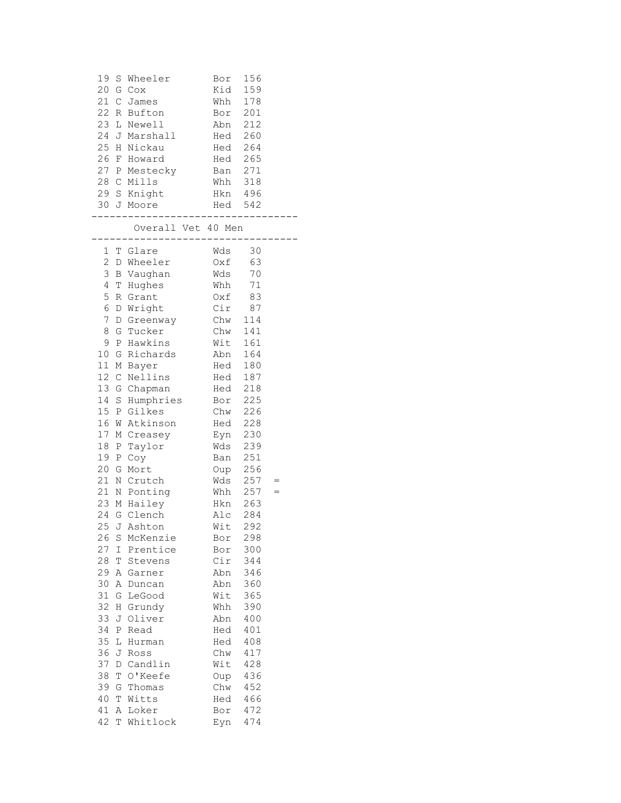|     | 19 S Wheeler  | Bor | 156 |
|-----|---------------|-----|-----|
|     | $20$ G $Cox$  | Kid | 159 |
|     | 21 C James    | Whh | 178 |
|     | 22 R Bufton   | Bor | 201 |
|     | 23 L Newell   | Ahn | 212 |
|     | 24 J Marshall | Hed | 260 |
|     | 25 H Nickau   | Hed | 264 |
|     | 26 F Howard   | Hed | 265 |
|     | 27 P Mestecky | Ban | 271 |
|     | 28 C Mills    | Whh | 318 |
|     | 29 S Knight   | Hkn | 496 |
| 30. | J Moore       | Hed | 542 |
|     |               |     |     |

## Overall Vet 40 Men

| 1        |              | T Glare                | Wds        | 30         |     |
|----------|--------------|------------------------|------------|------------|-----|
| 2        |              | D Wheeler              | Oxf        | 63         |     |
| 3        |              | <b>B</b> Vaughan       | Wds        | 70         |     |
| 4        | Т            | Hughes                 | Whh        | 71         |     |
| 5        | R            | Grant                  | Oxf        | 83         |     |
| 6        | D            | Wright                 | Cir        | 87         |     |
| 7        | D            | Greenway               | Chw        | 114        |     |
| 8        | G            | Tucker                 | Chw        | 141        |     |
| 9        |              | P Hawkins              | Wit        | 161        |     |
| $10$     |              | G Richards             | Abn        | 164        |     |
| 11       |              | M Bayer                | Hed        | 180        |     |
| 12       | C            | Nellins                | Hed        | 187        |     |
| 13       | G            | Chapman                | Hed        | 218        |     |
| 14       |              | S Humphries            | Bor        | 225        |     |
| 15       |              | P Gilkes               | Chw        | 226        |     |
| 16       | W            | Atkinson               | Hed        | 228        |     |
| 17       |              | M Creasey              | Eyn        | 230        |     |
| 18       |              | P Taylor               | Wds        | 239        |     |
| 19       | Ρ            | Coy                    | Ban        | 251        |     |
| 20       | G            | Mort                   | Oup        | 256        |     |
| 21       | Ν            | Crutch                 | Wds        | 257        | $=$ |
| 21       |              | N Ponting              | Whh        | 257        | $=$ |
| 23       |              | M Hailey               | Hkn        | 263        |     |
| 24       |              | G Clench               | Alc        | 284        |     |
| 25       |              | J Ashton               | Wit        | 292        |     |
| 26<br>27 | $\rm S$      | McKenzie<br>I Prentice | Bor        | 298        |     |
| 28       |              |                        | Bor<br>Cir | 300        |     |
| 29       | Т            | Stevens<br>A Garner    | Abn        | 344<br>346 |     |
| 30       |              | A Duncan               | Abn        | 360        |     |
| 31       | G            | LeGood                 | Wit        | 365        |     |
| 32       |              | H Grundy               | Whh        | 390        |     |
| 33       | J            | Oliver                 | Abn        | 400        |     |
| 34       | $\, {\bf P}$ | Read                   | Hed        | 401        |     |
| 35       | L            | Hurman                 | Hed        | 408        |     |
| 36       | J            | Ross                   | Chw        | 417        |     |
| 37       |              | D Candlin              | Wit        | 428        |     |
| 38       | Т            | O'Keefe                | Oup        | 436        |     |
| 39       |              | G Thomas               | Chw        | 452        |     |
| 40       |              | T Witts                | Hed        | 466        |     |
| 41       |              | A Loker                | Bor        | 472        |     |
| 42       |              | T Whitlock             | Eyn        | 474        |     |
|          |              |                        |            |            |     |